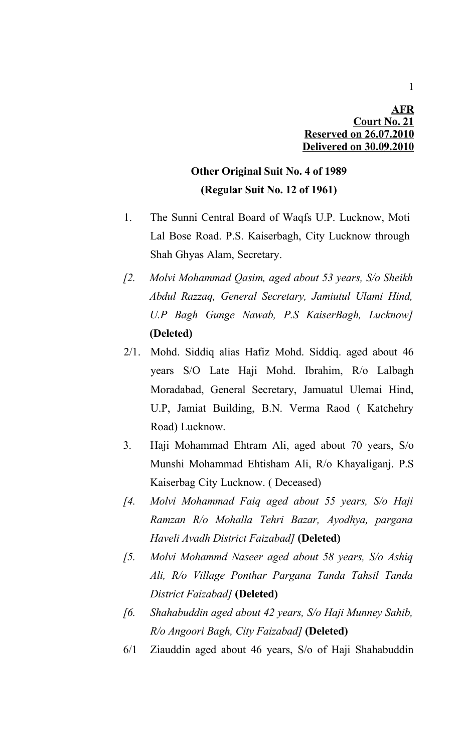## **AFR Court No. 21 Reserved on 26.07.2010 Delivered on 30.09.2010**

# **Other Original Suit No. 4 of 1989 (Regular Suit No. 12 of 1961)**

- 1. The Sunni Central Board of Waqfs U.P. Lucknow, Moti Lal Bose Road. P.S. Kaiserbagh, City Lucknow through Shah Ghyas Alam, Secretary.
- *[2. Molvi Mohammad Qasim, aged about 53 years, S/o Sheikh Abdul Razzaq, General Secretary, Jamiutul Ulami Hind, U.P Bagh Gunge Nawab, P.S KaiserBagh, Lucknow]* **(Deleted)**
- 2/1. Mohd. Siddiq alias Hafiz Mohd. Siddiq. aged about 46 years S/O Late Haji Mohd. Ibrahim, R/o Lalbagh Moradabad, General Secretary, Jamuatul Ulemai Hind, U.P, Jamiat Building, B.N. Verma Raod ( Katchehry Road) Lucknow.
- 3. Haji Mohammad Ehtram Ali, aged about 70 years, S/o Munshi Mohammad Ehtisham Ali, R/o Khayaliganj. P.S Kaiserbag City Lucknow. ( Deceased)
- *[4. Molvi Mohammad Faiq aged about 55 years, S/o Haji Ramzan R/o Mohalla Tehri Bazar, Ayodhya, pargana Haveli Avadh District Faizabad]* **(Deleted)**
- *[5. Molvi Mohammd Naseer aged about 58 years, S/o Ashiq Ali, R/o Village Ponthar Pargana Tanda Tahsil Tanda District Faizabad]* **(Deleted)**
- *[6. Shahabuddin aged about 42 years, S/o Haji Munney Sahib, R/o Angoori Bagh, City Faizabad]* **(Deleted)**
- 6/1 Ziauddin aged about 46 years, S/o of Haji Shahabuddin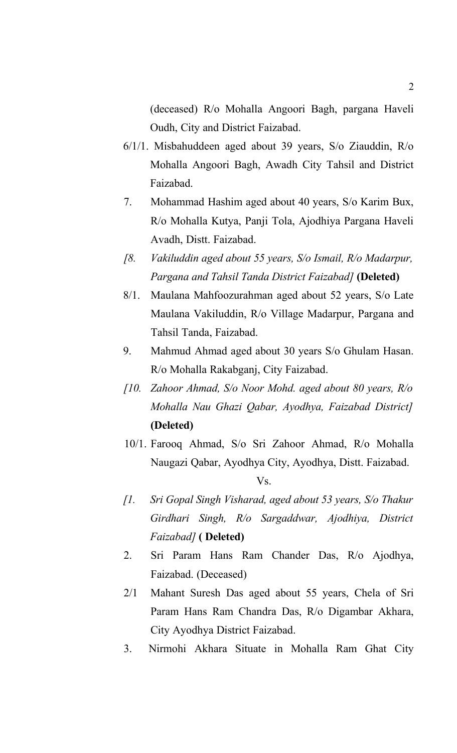(deceased) R/o Mohalla Angoori Bagh, pargana Haveli Oudh, City and District Faizabad.

- 6/1/1. Misbahuddeen aged about 39 years, S/o Ziauddin, R/o Mohalla Angoori Bagh, Awadh City Tahsil and District Faizabad.
- 7. Mohammad Hashim aged about 40 years, S/o Karim Bux, R/o Mohalla Kutya, Panji Tola, Ajodhiya Pargana Haveli Avadh, Distt. Faizabad.
- *[8. Vakiluddin aged about 55 years, S/o Ismail, R/o Madarpur, Pargana and Tahsil Tanda District Faizabad]* **(Deleted)**
- 8/1. Maulana Mahfoozurahman aged about 52 years, S/o Late Maulana Vakiluddin, R/o Village Madarpur, Pargana and Tahsil Tanda, Faizabad.
- 9. Mahmud Ahmad aged about 30 years S/o Ghulam Hasan. R/o Mohalla Rakabganj, City Faizabad.
- *[10. Zahoor Ahmad, S/o Noor Mohd. aged about 80 years, R/o Mohalla Nau Ghazi Qabar, Ayodhya, Faizabad District]* **(Deleted)**
- 10/1. Farooq Ahmad, S/o Sri Zahoor Ahmad, R/o Mohalla Naugazi Qabar, Ayodhya City, Ayodhya, Distt. Faizabad.

- *[1. Sri Gopal Singh Visharad, aged about 53 years, S/o Thakur Girdhari Singh, R/o Sargaddwar, Ajodhiya, District Faizabad]* **( Deleted)**
- 2. Sri Param Hans Ram Chander Das, R/o Ajodhya, Faizabad. (Deceased)
- 2/1 Mahant Suresh Das aged about 55 years, Chela of Sri Param Hans Ram Chandra Das, R/o Digambar Akhara, City Ayodhya District Faizabad.
- 3. Nirmohi Akhara Situate in Mohalla Ram Ghat City

Vs.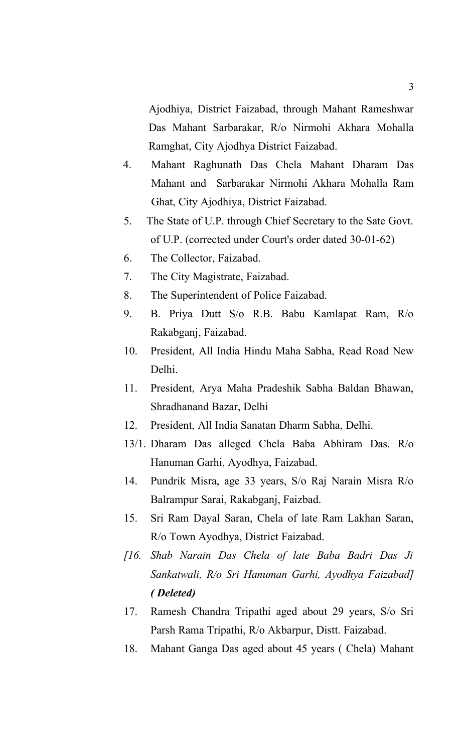Ajodhiya, District Faizabad, through Mahant Rameshwar Das Mahant Sarbarakar, R/o Nirmohi Akhara Mohalla Ramghat, City Ajodhya District Faizabad.

- 4. Mahant Raghunath Das Chela Mahant Dharam Das Mahant and Sarbarakar Nirmohi Akhara Mohalla Ram Ghat, City Ajodhiya, District Faizabad.
- 5. The State of U.P. through Chief Secretary to the Sate Govt. of U.P. (corrected under Court's order dated 30-01-62)
- 6. The Collector, Faizabad.
- 7. The City Magistrate, Faizabad.
- 8. The Superintendent of Police Faizabad.
- 9. B. Priya Dutt S/o R.B. Babu Kamlapat Ram, R/o Rakabganj, Faizabad.
- 10. President, All India Hindu Maha Sabha, Read Road New Delhi.
- 11. President, Arya Maha Pradeshik Sabha Baldan Bhawan, Shradhanand Bazar, Delhi
- 12. President, All India Sanatan Dharm Sabha, Delhi.
- 13/1. Dharam Das alleged Chela Baba Abhiram Das. R/o Hanuman Garhi, Ayodhya, Faizabad.
- 14. Pundrik Misra, age 33 years, S/o Raj Narain Misra R/o Balrampur Sarai, Rakabganj, Faizbad.
- 15. Sri Ram Dayal Saran, Chela of late Ram Lakhan Saran, R/o Town Ayodhya, District Faizabad.
- *[16. Shab Narain Das Chela of late Baba Badri Das Ji Sankatwali, R/o Sri Hanuman Garhi, Ayodhya Faizabad] ( Deleted)*
- 17. Ramesh Chandra Tripathi aged about 29 years, S/o Sri Parsh Rama Tripathi, R/o Akbarpur, Distt. Faizabad.
- 18. Mahant Ganga Das aged about 45 years ( Chela) Mahant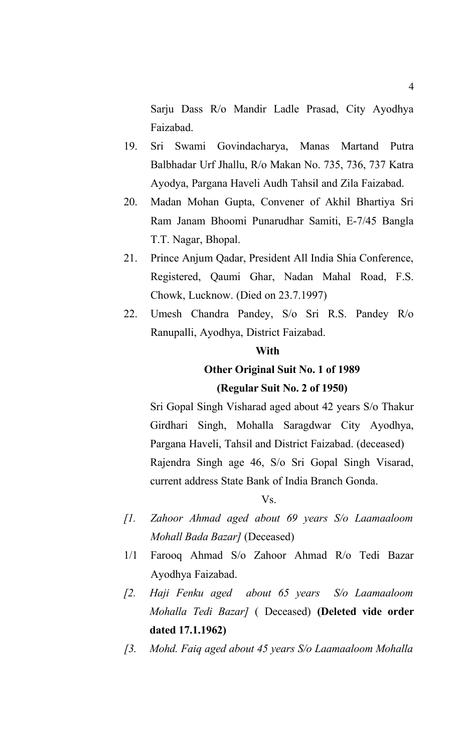Sarju Dass R/o Mandir Ladle Prasad, City Ayodhya Faizabad.

- 19. Sri Swami Govindacharya, Manas Martand Putra Balbhadar Urf Jhallu, R/o Makan No. 735, 736, 737 Katra Ayodya, Pargana Haveli Audh Tahsil and Zila Faizabad.
- 20. Madan Mohan Gupta, Convener of Akhil Bhartiya Sri Ram Janam Bhoomi Punarudhar Samiti, E-7/45 Bangla T.T. Nagar, Bhopal.
- 21. Prince Anjum Qadar, President All India Shia Conference, Registered, Qaumi Ghar, Nadan Mahal Road, F.S. Chowk, Lucknow. (Died on 23.7.1997)
- 22. Umesh Chandra Pandey, S/o Sri R.S. Pandey R/o Ranupalli, Ayodhya, District Faizabad.

### **With**

# **Other Original Suit No. 1 of 1989 (Regular Suit No. 2 of 1950)**

Sri Gopal Singh Visharad aged about 42 years S/o Thakur Girdhari Singh, Mohalla Saragdwar City Ayodhya, Pargana Haveli, Tahsil and District Faizabad. (deceased) Rajendra Singh age 46, S/o Sri Gopal Singh Visarad, current address State Bank of India Branch Gonda.

### Vs.

- *[1. Zahoor Ahmad aged about 69 years S/o Laamaaloom Mohall Bada Bazar]* (Deceased)
- 1/1 Farooq Ahmad S/o Zahoor Ahmad R/o Tedi Bazar Ayodhya Faizabad.
- *[2. Haji Fenku aged about 65 years S/o Laamaaloom Mohalla Tedi Bazar]* ( Deceased) **(Deleted vide order dated 17.1.1962)**
- *[3. Mohd. Faiq aged about 45 years S/o Laamaaloom Mohalla*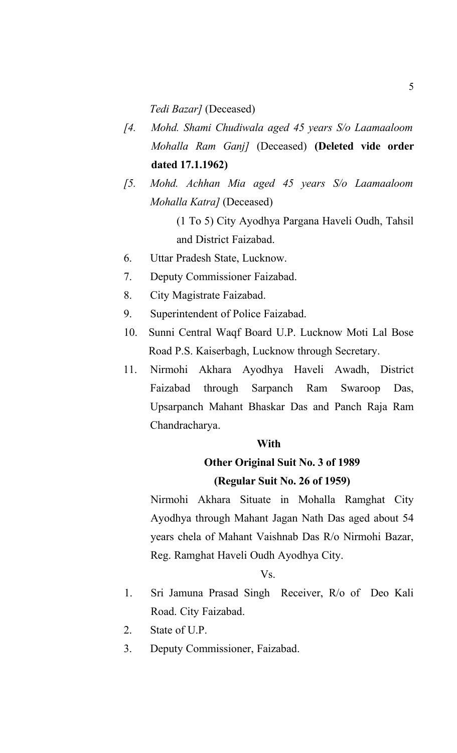*Tedi Bazar]* (Deceased)

- *[4. Mohd. Shami Chudiwala aged 45 years S/o Laamaaloom Mohalla Ram Ganj]* (Deceased) **(Deleted vide order dated 17.1.1962)**
- *[5. Mohd. Achhan Mia aged 45 years S/o Laamaaloom Mohalla Katra]* (Deceased) (1 To 5) City Ayodhya Pargana Haveli Oudh, Tahsil and District Faizabad.
- 6. Uttar Pradesh State, Lucknow.
- 7. Deputy Commissioner Faizabad.
- 8. City Magistrate Faizabad.
- 9. Superintendent of Police Faizabad.
- 10. Sunni Central Waqf Board U.P. Lucknow Moti Lal Bose Road P.S. Kaiserbagh, Lucknow through Secretary.
- 11. Nirmohi Akhara Ayodhya Haveli Awadh, District Faizabad through Sarpanch Ram Swaroop Das, Upsarpanch Mahant Bhaskar Das and Panch Raja Ram Chandracharya.

### **With**

# **Other Original Suit No. 3 of 1989 (Regular Suit No. 26 of 1959)**

Nirmohi Akhara Situate in Mohalla Ramghat City Ayodhya through Mahant Jagan Nath Das aged about 54 years chela of Mahant Vaishnab Das R/o Nirmohi Bazar, Reg. Ramghat Haveli Oudh Ayodhya City.

### Vs.

- 1. Sri Jamuna Prasad Singh Receiver, R/o of Deo Kali Road. City Faizabad.
- 2. State of U.P.
- 3. Deputy Commissioner, Faizabad.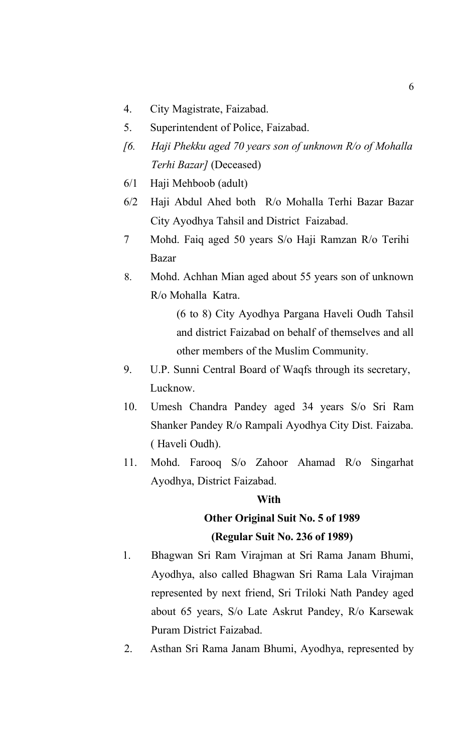- 4. City Magistrate, Faizabad.
- 5. Superintendent of Police, Faizabad.
- *[6. Haji Phekku aged 70 years son of unknown R/o of Mohalla Terhi Bazar]* (Deceased)
- 6/1 Haji Mehboob (adult)
- 6/2 Haji Abdul Ahed both R/o Mohalla Terhi Bazar Bazar City Ayodhya Tahsil and District Faizabad.
- 7 Mohd. Faiq aged 50 years S/o Haji Ramzan R/o Terihi Bazar
- 8. Mohd. Achhan Mian aged about 55 years son of unknown R/o Mohalla Katra.

(6 to 8) City Ayodhya Pargana Haveli Oudh Tahsil and district Faizabad on behalf of themselves and all other members of the Muslim Community.

- 9. U.P. Sunni Central Board of Waqfs through its secretary, Lucknow.
- 10. Umesh Chandra Pandey aged 34 years S/o Sri Ram Shanker Pandey R/o Rampali Ayodhya City Dist. Faizaba. ( Haveli Oudh).
- 11. Mohd. Farooq S/o Zahoor Ahamad R/o Singarhat Ayodhya, District Faizabad.

### **With**

# **Other Original Suit No. 5 of 1989 (Regular Suit No. 236 of 1989)**

- 1. Bhagwan Sri Ram Virajman at Sri Rama Janam Bhumi, Ayodhya, also called Bhagwan Sri Rama Lala Virajman represented by next friend, Sri Triloki Nath Pandey aged about 65 years, S/o Late Askrut Pandey, R/o Karsewak Puram District Faizabad.
- 2. Asthan Sri Rama Janam Bhumi, Ayodhya, represented by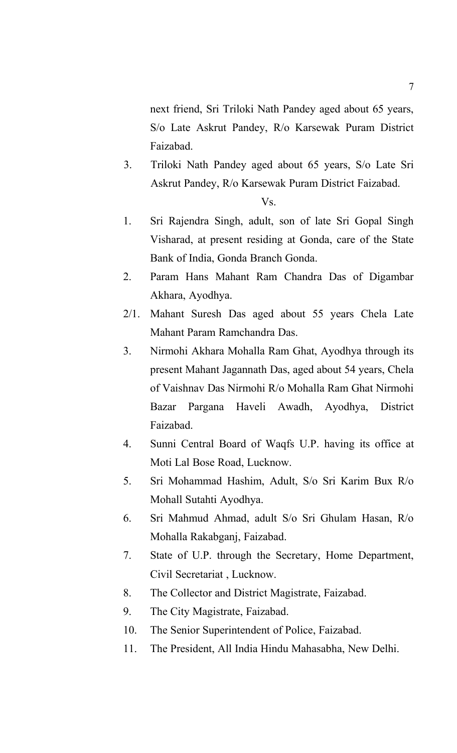next friend, Sri Triloki Nath Pandey aged about 65 years, S/o Late Askrut Pandey, R/o Karsewak Puram District Faizabad.

3. Triloki Nath Pandey aged about 65 years, S/o Late Sri Askrut Pandey, R/o Karsewak Puram District Faizabad.

```
Vs.
```
- 1. Sri Rajendra Singh, adult, son of late Sri Gopal Singh Visharad, at present residing at Gonda, care of the State Bank of India, Gonda Branch Gonda.
- 2. Param Hans Mahant Ram Chandra Das of Digambar Akhara, Ayodhya.
- 2/1. Mahant Suresh Das aged about 55 years Chela Late Mahant Param Ramchandra Das.
- 3. Nirmohi Akhara Mohalla Ram Ghat, Ayodhya through its present Mahant Jagannath Das, aged about 54 years, Chela of Vaishnav Das Nirmohi R/o Mohalla Ram Ghat Nirmohi Bazar Pargana Haveli Awadh, Ayodhya, District Faizabad.
- 4. Sunni Central Board of Waqfs U.P. having its office at Moti Lal Bose Road, Lucknow.
- 5. Sri Mohammad Hashim, Adult, S/o Sri Karim Bux R/o Mohall Sutahti Ayodhya.
- 6. Sri Mahmud Ahmad, adult S/o Sri Ghulam Hasan, R/o Mohalla Rakabganj, Faizabad.
- 7. State of U.P. through the Secretary, Home Department, Civil Secretariat , Lucknow.
- 8. The Collector and District Magistrate, Faizabad.
- 9. The City Magistrate, Faizabad.
- 10. The Senior Superintendent of Police, Faizabad.
- 11. The President, All India Hindu Mahasabha, New Delhi.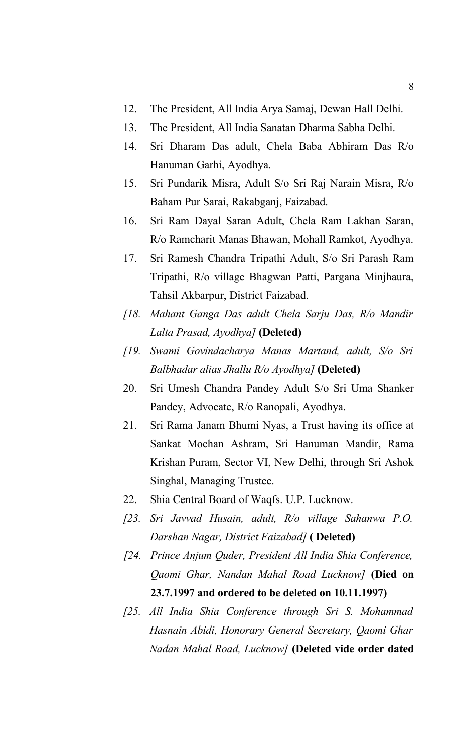- 12. The President, All India Arya Samaj, Dewan Hall Delhi.
- 13. The President, All India Sanatan Dharma Sabha Delhi.
- 14. Sri Dharam Das adult, Chela Baba Abhiram Das R/o Hanuman Garhi, Ayodhya.
- 15. Sri Pundarik Misra, Adult S/o Sri Raj Narain Misra, R/o Baham Pur Sarai, Rakabganj, Faizabad.
- 16. Sri Ram Dayal Saran Adult, Chela Ram Lakhan Saran, R/o Ramcharit Manas Bhawan, Mohall Ramkot, Ayodhya.
- 17. Sri Ramesh Chandra Tripathi Adult, S/o Sri Parash Ram Tripathi, R/o village Bhagwan Patti, Pargana Minjhaura, Tahsil Akbarpur, District Faizabad.
- *[18. Mahant Ganga Das adult Chela Sarju Das, R/o Mandir Lalta Prasad, Ayodhya]* **(Deleted)**
- *[19. Swami Govindacharya Manas Martand, adult, S/o Sri Balbhadar alias Jhallu R/o Ayodhya]* **(Deleted)**
- 20. Sri Umesh Chandra Pandey Adult S/o Sri Uma Shanker Pandey, Advocate, R/o Ranopali, Ayodhya.
- 21. Sri Rama Janam Bhumi Nyas, a Trust having its office at Sankat Mochan Ashram, Sri Hanuman Mandir, Rama Krishan Puram, Sector VI, New Delhi, through Sri Ashok Singhal, Managing Trustee.
- 22. Shia Central Board of Waqfs. U.P. Lucknow.
- *[23. Sri Javvad Husain, adult, R/o village Sahanwa P.O. Darshan Nagar, District Faizabad]* **( Deleted)**
- *[24. Prince Anjum Quder, President All India Shia Conference, Qaomi Ghar, Nandan Mahal Road Lucknow]* **(Died on 23.7.1997 and ordered to be deleted on 10.11.1997)**
- *[25. All India Shia Conference through Sri S. Mohammad Hasnain Abidi, Honorary General Secretary, Qaomi Ghar Nadan Mahal Road, Lucknow]* **(Deleted vide order dated**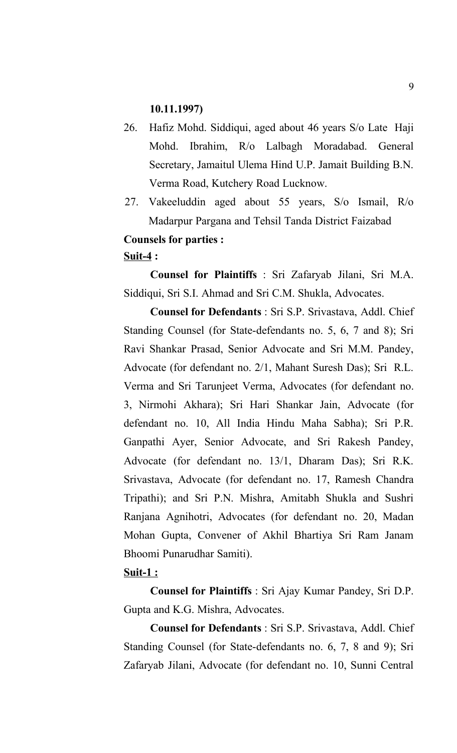### **10.11.1997)**

- 26. Hafiz Mohd. Siddiqui, aged about 46 years S/o Late Haji Mohd. Ibrahim, R/o Lalbagh Moradabad. General Secretary, Jamaitul Ulema Hind U.P. Jamait Building B.N. Verma Road, Kutchery Road Lucknow.
- 27. Vakeeluddin aged about 55 years, S/o Ismail, R/o Madarpur Pargana and Tehsil Tanda District Faizabad

# **Counsels for parties :**

### **Suit-4 :**

**Counsel for Plaintiffs** : Sri Zafaryab Jilani, Sri M.A. Siddiqui, Sri S.I. Ahmad and Sri C.M. Shukla, Advocates.

**Counsel for Defendants** : Sri S.P. Srivastava, Addl. Chief Standing Counsel (for State-defendants no. 5, 6, 7 and 8); Sri Ravi Shankar Prasad, Senior Advocate and Sri M.M. Pandey, Advocate (for defendant no. 2/1, Mahant Suresh Das); Sri R.L. Verma and Sri Tarunjeet Verma, Advocates (for defendant no. 3, Nirmohi Akhara); Sri Hari Shankar Jain, Advocate (for defendant no. 10, All India Hindu Maha Sabha); Sri P.R. Ganpathi Ayer, Senior Advocate, and Sri Rakesh Pandey, Advocate (for defendant no. 13/1, Dharam Das); Sri R.K. Srivastava, Advocate (for defendant no. 17, Ramesh Chandra Tripathi); and Sri P.N. Mishra, Amitabh Shukla and Sushri Ranjana Agnihotri, Advocates (for defendant no. 20, Madan Mohan Gupta, Convener of Akhil Bhartiya Sri Ram Janam Bhoomi Punarudhar Samiti).

### **Suit-1 :**

**Counsel for Plaintiffs** : Sri Ajay Kumar Pandey, Sri D.P. Gupta and K.G. Mishra, Advocates.

**Counsel for Defendants** : Sri S.P. Srivastava, Addl. Chief Standing Counsel (for State-defendants no. 6, 7, 8 and 9); Sri Zafaryab Jilani, Advocate (for defendant no. 10, Sunni Central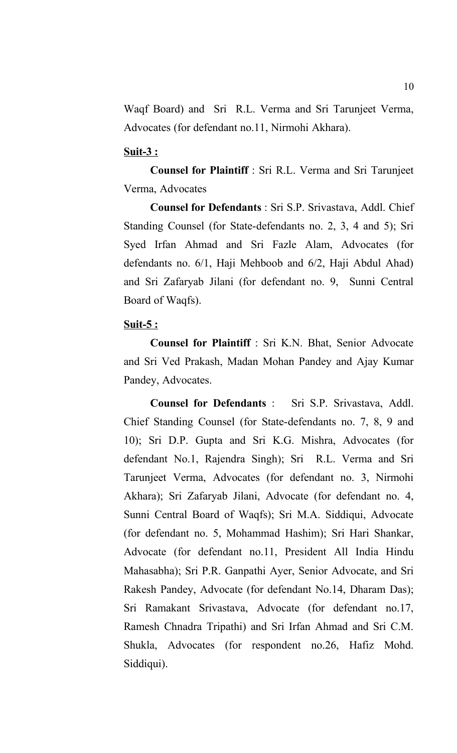Waqf Board) and Sri R.L. Verma and Sri Tarunjeet Verma, Advocates (for defendant no.11, Nirmohi Akhara).

### **Suit-3 :**

**Counsel for Plaintiff** : Sri R.L. Verma and Sri Tarunjeet Verma, Advocates

**Counsel for Defendants** : Sri S.P. Srivastava, Addl. Chief Standing Counsel (for State-defendants no. 2, 3, 4 and 5); Sri Syed Irfan Ahmad and Sri Fazle Alam, Advocates (for defendants no. 6/1, Haji Mehboob and 6/2, Haji Abdul Ahad) and Sri Zafaryab Jilani (for defendant no. 9, Sunni Central Board of Waqfs).

### **Suit-5 :**

**Counsel for Plaintiff** : Sri K.N. Bhat, Senior Advocate and Sri Ved Prakash, Madan Mohan Pandey and Ajay Kumar Pandey, Advocates.

**Counsel for Defendants** : Sri S.P. Srivastava, Addl. Chief Standing Counsel (for State-defendants no. 7, 8, 9 and 10); Sri D.P. Gupta and Sri K.G. Mishra, Advocates (for defendant No.1, Rajendra Singh); Sri R.L. Verma and Sri Tarunjeet Verma, Advocates (for defendant no. 3, Nirmohi Akhara); Sri Zafaryab Jilani, Advocate (for defendant no. 4, Sunni Central Board of Waqfs); Sri M.A. Siddiqui, Advocate (for defendant no. 5, Mohammad Hashim); Sri Hari Shankar, Advocate (for defendant no.11, President All India Hindu Mahasabha); Sri P.R. Ganpathi Ayer, Senior Advocate, and Sri Rakesh Pandey, Advocate (for defendant No.14, Dharam Das); Sri Ramakant Srivastava, Advocate (for defendant no.17, Ramesh Chnadra Tripathi) and Sri Irfan Ahmad and Sri C.M. Shukla, Advocates (for respondent no.26, Hafiz Mohd. Siddiqui).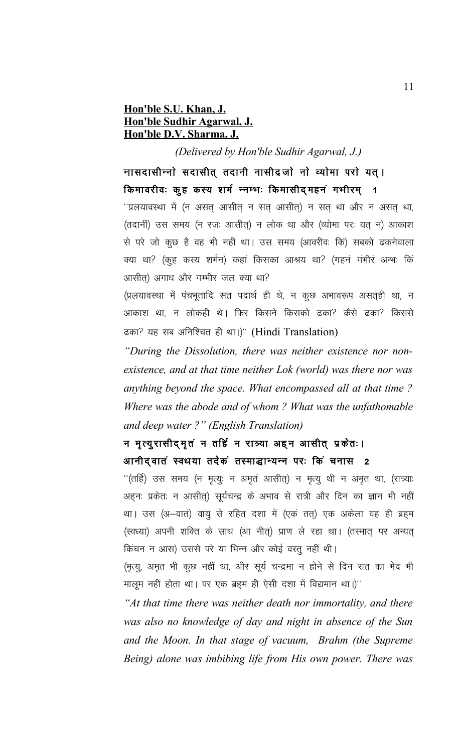## **Hon'ble S.U. Khan, J. Hon'ble Sudhir Agarwal, J. Hon'ble D.V. Sharma, J.**

*(Delivered by Hon'ble Sudhir Agarwal, J.)*

नासदासीन्नो सदासीत् तदानी नासीद्रजो नो व्योमा परो यत् । किमावरीवः कुह कस्य शर्म न्नम्भः किमासीद्महनं गभीरम् १

 $'$ प्रलयावस्था में (न असत् आसीत् न सत् आसीत्) न सत् था और न असत् था, (तदानीं) उस समय (न रजः आसीत्) न लोक था और (व्योमा परः यत् न) आकाश से परे जो कूछ है वह भी नहीं था। उस समय (आवरीवः किं) सबको ढकनेवाला क्या था? (कूह कस्य शर्मन) कहां किसका आश्रय था? (गहनं गंभीरं अम्भः किं आसीत) अगाध और गम्भीर जल क्या था?

(प्रलयावस्था में पंचभूतादि सत पदार्थ ही थे, न कूछ अभावरूप असतही था, न आकाश था, न लोकही थे। फिर किसने किसको ढका? कैसे ढका? किससे ढका? यह सब अनिश्चित ही था।)" (Hindi Translation)

*"During the Dissolution, there was neither existence nor nonexistence, and at that time neither Lok (world) was there nor was anything beyond the space. What encompassed all at that time ? Where was the abode and of whom ? What was the unfathomable and deep water ?" (English Translation)*

# न मृत्युरासीदमुतं न तर्हि न रात्र्या अहून आसीत् प्रकेतः। आनीद् वातं स्वधया तदेकं तस्माद्धान्यन्न परः किं चनास 2

 $^{\prime\prime}$ (तर्हि) उस समय (न मृत्यूः न अमृतं आसीत्) न मृत्यू थी न अमृत था, (रात्र्याः अहनः प्रकेतः न आसीत्) सूर्यचन्द्र के अभाव से रात्री और दिन का ज्ञान भी नहीं था। उस (अ–वात) वायु से रहित दशा में (एकं तत्) एक अकेला वह ही ब्रहम (स्वध्या) अपनी शक्ति के साथ (आ नीत्) प्राण ले रहा था। (तस्मात् पर अन्यत् किंचन न आस) उससे परे या भिन्न और कोई वस्तु नहीं थी।

(मृत्यू, अमृत भी कुछ नहीं था, और सूर्य चन्द्रमा न होने से दिन रात का भेद भी मालूम नहीं होता था। पर एक ब्रहम ही ऐसी दशा में विद्यमान था।)''

*"At that time there was neither death nor immortality, and there was also no knowledge of day and night in absence of the Sun and the Moon. In that stage of vacuum, Brahm (the Supreme Being) alone was imbibing life from His own power. There was*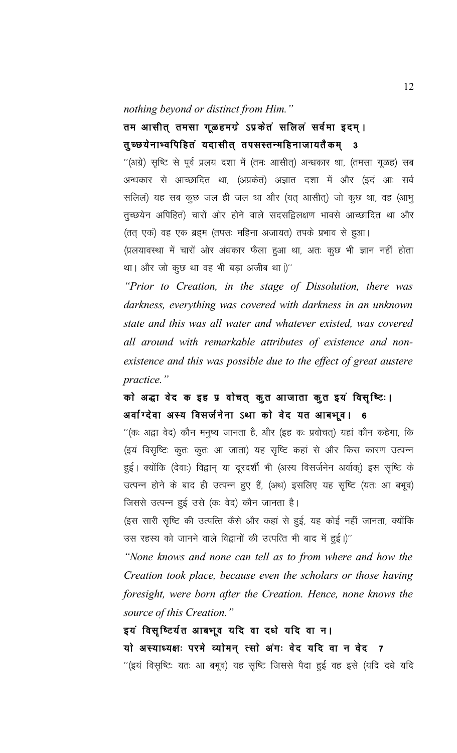#### *nothing beyond or distinct from Him."*

# तम आसीत् तमसा गूळहमग्रे ऽप्रकेतं सलिलं सर्वमा इदम् । तुच्छ्येनाभ्वपिहितं यदासीत् तपसस्तन्महिनाजायतैकम् 3

''(अग्रे) सृष्टि से पूर्व प्रलय दशा में (तमः आसीत्) अन्धकार था, (तमसा गूळह) सब अन्धकार से आच्छादित था, (अप्रकेतं) अज्ञात दशा में और (इदं आः सर्व सलिल) यह सब कुछ जल ही जल था और (यत् आसीत्) जो कुछ था, वह (आभु तुच्छयेन अपिहित) चारों ओर होने वाले सदसद्विलक्षण भावसे आच्छादित था और (तत् एकं) वह एक ब्रह्म (तपसः महिना अजायत) तपके प्रभाव से हुआ।

(प्रलयावस्था में चारों ओर अंधकार फैला हुआ था, अतः कुछ भी ज्ञान नहीं होता था। और जो कुछ था वह भी बड़ा अजीब था।)''

*"Prior to Creation, in the stage of Dissolution, there was darkness, everything was covered with darkness in an unknown state and this was all water and whatever existed, was covered all around with remarkable attributes of existence and nonexistence and this was possible due to the effect of great austere practice."*

# को अद्धा वेद क इह प्र वोचत् कुत आजाता कुत इयं विसृष्टिः। अर्वाग्देवा अस्य विसर्जनेना ऽथा को वेद यत आबभूव। 6

 $^{\prime\prime}$ (कः अद्वा वेद) कौन मनुष्य जानता है, और (इह कः प्रवोचत्) यहां कौन कहेगा, कि (इयं विसृष्टिः कुतः कुतः आ जाता) यह सृष्टि कहां से और किस कारण उत्पन्न हुई। क्योंकि (देवाः) विद्वान् या दूरदर्शी भी (अस्य विसर्जनेन अर्वाक्) इस सृष्टि के उत्पन्न होने के बाद ही उत्पन्न हुए हैं, (अथ) इसलिए यह सृष्टि (यतः आ बभूव) जिससे उत्पन्न हुई उसे (कः वेद) कौन जानता है।

(इस सारी सृष्टि की उत्पत्ति कैसे और कहां से हुई, यह कोई नहीं जानता, क्योंकि उस रहस्य को जानने वाले विद्वानों की उत्पत्ति भी बाद में हुई।)''

*"None knows and none can tell as to from where and how the Creation took place, because even the scholars or those having foresight, were born after the Creation. Hence, none knows the source of this Creation."*

इयं विसृष्टिर्यत आबभूव यदि वा दधे यदि वा न। यो अस्याध्यक्षः परमे व्योमन् त्सो अंगः वेद यदि वा न वेद 7 ''(इयं विसृष्टिः यतः आ बभूव) यह सृष्टि जिससे पैदा हुई वह इसे (यदि दधे यदि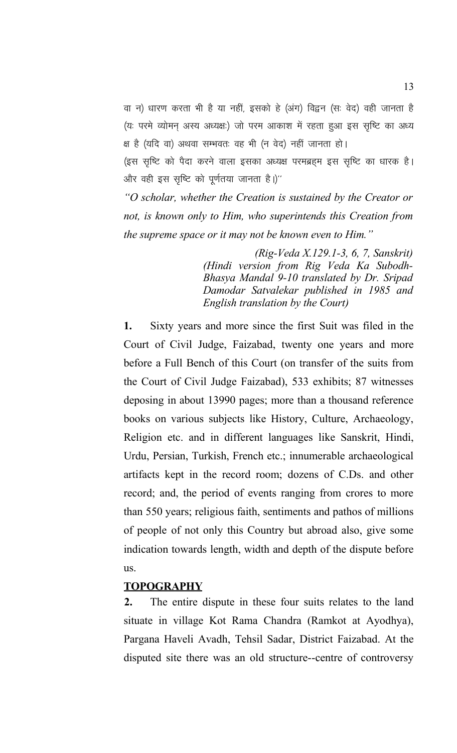वा न) धारण करता भी है या नहीं, इसको हे (अंग) विद्वन (सः वेद) वही जानता है (यः परमे व्योमन अस्य अध्यक्षः) जो परम आकाश में रहता हुआ इस सृष्टि का अध्य क्ष है (यदि वा) अथवा सम्भवतः वह भी (न वेद) नहीं जानता हो।

(इस सृष्टि को पैदा करने वाला इसका अध्यक्ष परमब्रहम इस सृष्टि का धारक है। और वही इस सृष्टि को पूर्णतया जानता है।)"

*"O scholar, whether the Creation is sustained by the Creator or not, is known only to Him, who superintends this Creation from the supreme space or it may not be known even to Him."* 

> *(Rig-Veda X.129.1-3, 6, 7, Sanskrit) (Hindi version from Rig Veda Ka Subodh-Bhasya Mandal 9-10 translated by Dr. Sripad Damodar Satvalekar published in 1985 and English translation by the Court)*

**1.** Sixty years and more since the first Suit was filed in the Court of Civil Judge, Faizabad, twenty one years and more before a Full Bench of this Court (on transfer of the suits from the Court of Civil Judge Faizabad), 533 exhibits; 87 witnesses deposing in about 13990 pages; more than a thousand reference books on various subjects like History, Culture, Archaeology, Religion etc. and in different languages like Sanskrit, Hindi, Urdu, Persian, Turkish, French etc.; innumerable archaeological artifacts kept in the record room; dozens of C.Ds. and other record; and, the period of events ranging from crores to more than 550 years; religious faith, sentiments and pathos of millions of people of not only this Country but abroad also, give some indication towards length, width and depth of the dispute before us.

# **TOPOGRAPHY**

**2.** The entire dispute in these four suits relates to the land situate in village Kot Rama Chandra (Ramkot at Ayodhya), Pargana Haveli Avadh, Tehsil Sadar, District Faizabad. At the disputed site there was an old structure--centre of controversy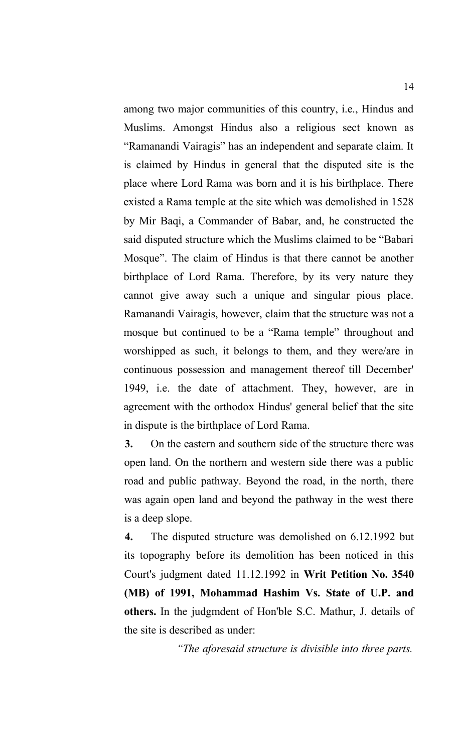among two major communities of this country, i.e., Hindus and Muslims. Amongst Hindus also a religious sect known as "Ramanandi Vairagis" has an independent and separate claim. It is claimed by Hindus in general that the disputed site is the place where Lord Rama was born and it is his birthplace. There existed a Rama temple at the site which was demolished in 1528 by Mir Baqi, a Commander of Babar, and, he constructed the said disputed structure which the Muslims claimed to be "Babari Mosque". The claim of Hindus is that there cannot be another birthplace of Lord Rama. Therefore, by its very nature they cannot give away such a unique and singular pious place. Ramanandi Vairagis, however, claim that the structure was not a mosque but continued to be a "Rama temple" throughout and worshipped as such, it belongs to them, and they were/are in continuous possession and management thereof till December' 1949, i.e. the date of attachment. They, however, are in agreement with the orthodox Hindus' general belief that the site in dispute is the birthplace of Lord Rama.

**3.** On the eastern and southern side of the structure there was open land. On the northern and western side there was a public road and public pathway. Beyond the road, in the north, there was again open land and beyond the pathway in the west there is a deep slope.

**4.** The disputed structure was demolished on 6.12.1992 but its topography before its demolition has been noticed in this Court's judgment dated 11.12.1992 in **Writ Petition No. 3540 (MB) of 1991, Mohammad Hashim Vs. State of U.P. and others.** In the judgmdent of Hon'ble S.C. Mathur, J. details of the site is described as under:

*"The aforesaid structure is divisible into three parts.*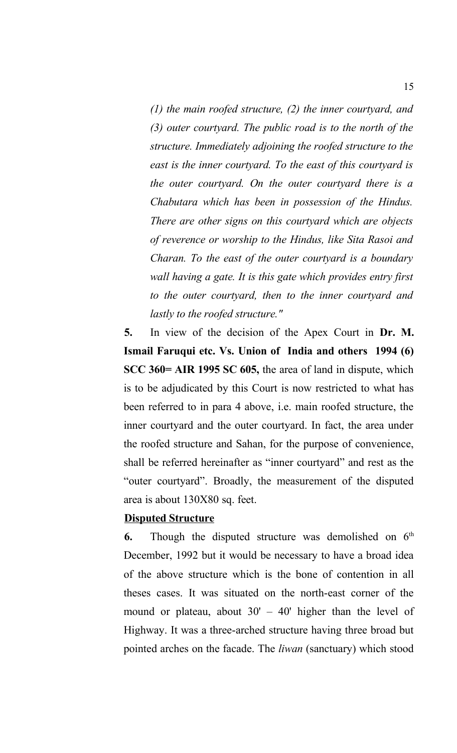*(1) the main roofed structure, (2) the inner courtyard, and (3) outer courtyard. The public road is to the north of the structure. Immediately adjoining the roofed structure to the east is the inner courtyard. To the east of this courtyard is the outer courtyard. On the outer courtyard there is a Chabutara which has been in possession of the Hindus. There are other signs on this courtyard which are objects of reverence or worship to the Hindus, like Sita Rasoi and Charan. To the east of the outer courtyard is a boundary wall having a gate. It is this gate which provides entry first to the outer courtyard, then to the inner courtyard and lastly to the roofed structure."*

**5.** In view of the decision of the Apex Court in **Dr. M. Ismail Faruqui etc. Vs. Union of India and others 1994 (6) SCC 360= AIR 1995 SC 605,** the area of land in dispute, which is to be adjudicated by this Court is now restricted to what has been referred to in para 4 above, i.e. main roofed structure, the inner courtyard and the outer courtyard. In fact, the area under the roofed structure and Sahan, for the purpose of convenience, shall be referred hereinafter as "inner courtyard" and rest as the "outer courtyard". Broadly, the measurement of the disputed area is about 130X80 sq. feet.

### **Disputed Structure**

**6.** Though the disputed structure was demolished on  $6<sup>th</sup>$ December, 1992 but it would be necessary to have a broad idea of the above structure which is the bone of contention in all theses cases. It was situated on the north-east corner of the mound or plateau, about  $30' - 40'$  higher than the level of Highway. It was a three-arched structure having three broad but pointed arches on the facade. The *liwan* (sanctuary) which stood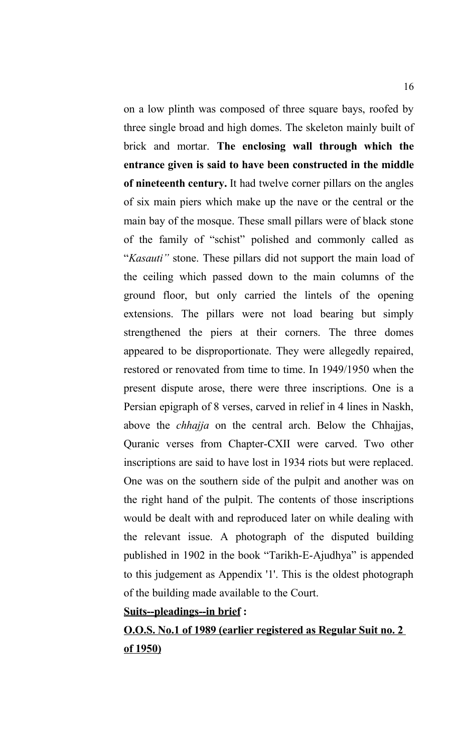on a low plinth was composed of three square bays, roofed by three single broad and high domes. The skeleton mainly built of brick and mortar. **The enclosing wall through which the entrance given is said to have been constructed in the middle of nineteenth century.** It had twelve corner pillars on the angles of six main piers which make up the nave or the central or the main bay of the mosque. These small pillars were of black stone of the family of "schist" polished and commonly called as "*Kasauti"* stone. These pillars did not support the main load of the ceiling which passed down to the main columns of the ground floor, but only carried the lintels of the opening extensions. The pillars were not load bearing but simply strengthened the piers at their corners. The three domes appeared to be disproportionate. They were allegedly repaired, restored or renovated from time to time. In 1949/1950 when the present dispute arose, there were three inscriptions. One is a Persian epigraph of 8 verses, carved in relief in 4 lines in Naskh, above the *chhajja* on the central arch. Below the Chhajjas, Quranic verses from Chapter-CXII were carved. Two other inscriptions are said to have lost in 1934 riots but were replaced. One was on the southern side of the pulpit and another was on the right hand of the pulpit. The contents of those inscriptions would be dealt with and reproduced later on while dealing with the relevant issue. A photograph of the disputed building published in 1902 in the book "Tarikh-E-Ajudhya" is appended to this judgement as Appendix '1'. This is the oldest photograph of the building made available to the Court.

### **Suits--pleadings--in brief :**

**O.O.S. No.1 of 1989 (earlier registered as Regular Suit no. 2 of 1950)**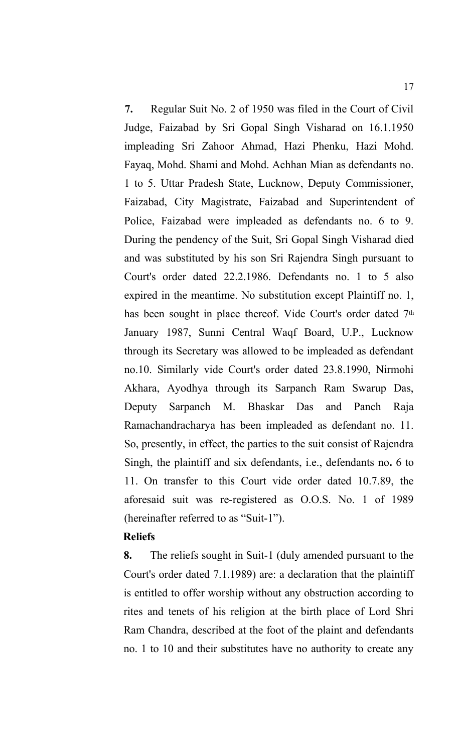**7.** Regular Suit No. 2 of 1950 was filed in the Court of Civil Judge, Faizabad by Sri Gopal Singh Visharad on 16.1.1950 impleading Sri Zahoor Ahmad, Hazi Phenku, Hazi Mohd. Fayaq, Mohd. Shami and Mohd. Achhan Mian as defendants no. 1 to 5. Uttar Pradesh State, Lucknow, Deputy Commissioner, Faizabad, City Magistrate, Faizabad and Superintendent of Police, Faizabad were impleaded as defendants no. 6 to 9. During the pendency of the Suit, Sri Gopal Singh Visharad died and was substituted by his son Sri Rajendra Singh pursuant to Court's order dated 22.2.1986. Defendants no. 1 to 5 also expired in the meantime. No substitution except Plaintiff no. 1, has been sought in place thereof. Vide Court's order dated 7<sup>th</sup> January 1987, Sunni Central Waqf Board, U.P., Lucknow through its Secretary was allowed to be impleaded as defendant no.10. Similarly vide Court's order dated 23.8.1990, Nirmohi Akhara, Ayodhya through its Sarpanch Ram Swarup Das, Deputy Sarpanch M. Bhaskar Das and Panch Raja Ramachandracharya has been impleaded as defendant no. 11. So, presently, in effect, the parties to the suit consist of Rajendra Singh, the plaintiff and six defendants, i.e., defendants no**.** 6 to 11. On transfer to this Court vide order dated 10.7.89, the aforesaid suit was re-registered as O.O.S. No. 1 of 1989 (hereinafter referred to as "Suit-1").

### **Reliefs**

**8.** The reliefs sought in Suit-1 (duly amended pursuant to the Court's order dated 7.1.1989) are: a declaration that the plaintiff is entitled to offer worship without any obstruction according to rites and tenets of his religion at the birth place of Lord Shri Ram Chandra, described at the foot of the plaint and defendants no. 1 to 10 and their substitutes have no authority to create any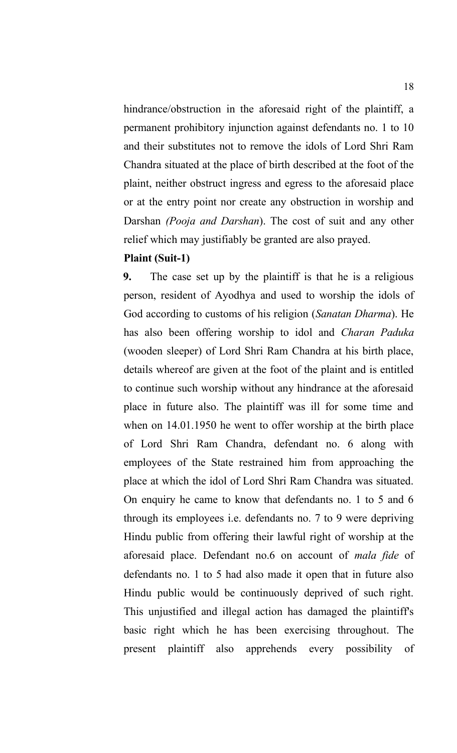hindrance/obstruction in the aforesaid right of the plaintiff, a permanent prohibitory injunction against defendants no. 1 to 10 and their substitutes not to remove the idols of Lord Shri Ram Chandra situated at the place of birth described at the foot of the plaint, neither obstruct ingress and egress to the aforesaid place or at the entry point nor create any obstruction in worship and Darshan *(Pooja and Darshan*). The cost of suit and any other relief which may justifiably be granted are also prayed.

### **Plaint (Suit-1)**

**9.** The case set up by the plaintiff is that he is a religious person, resident of Ayodhya and used to worship the idols of God according to customs of his religion (*Sanatan Dharma*). He has also been offering worship to idol and *Charan Paduka* (wooden sleeper) of Lord Shri Ram Chandra at his birth place, details whereof are given at the foot of the plaint and is entitled to continue such worship without any hindrance at the aforesaid place in future also. The plaintiff was ill for some time and when on 14.01.1950 he went to offer worship at the birth place of Lord Shri Ram Chandra, defendant no. 6 along with employees of the State restrained him from approaching the place at which the idol of Lord Shri Ram Chandra was situated. On enquiry he came to know that defendants no. 1 to 5 and 6 through its employees i.e. defendants no. 7 to 9 were depriving Hindu public from offering their lawful right of worship at the aforesaid place. Defendant no.6 on account of *mala fide* of defendants no. 1 to 5 had also made it open that in future also Hindu public would be continuously deprived of such right. This unjustified and illegal action has damaged the plaintiff's basic right which he has been exercising throughout. The present plaintiff also apprehends every possibility of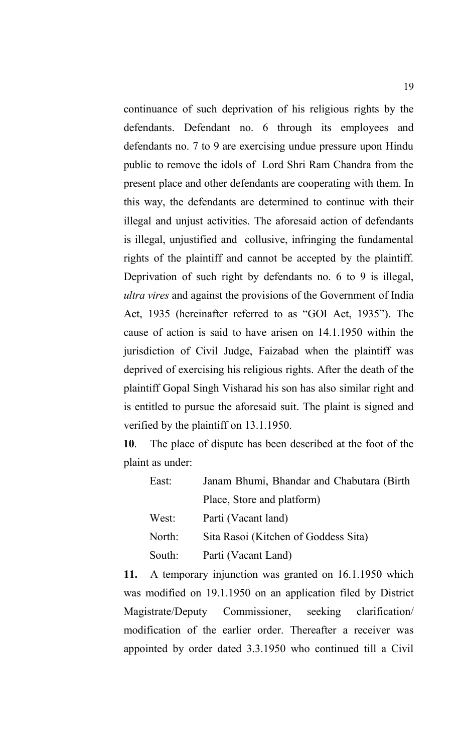continuance of such deprivation of his religious rights by the defendants. Defendant no. 6 through its employees and defendants no. 7 to 9 are exercising undue pressure upon Hindu public to remove the idols of Lord Shri Ram Chandra from the present place and other defendants are cooperating with them. In this way, the defendants are determined to continue with their illegal and unjust activities. The aforesaid action of defendants is illegal, unjustified and collusive, infringing the fundamental rights of the plaintiff and cannot be accepted by the plaintiff. Deprivation of such right by defendants no. 6 to 9 is illegal, *ultra vires* and against the provisions of the Government of India Act, 1935 (hereinafter referred to as "GOI Act, 1935"). The cause of action is said to have arisen on 14.1.1950 within the jurisdiction of Civil Judge, Faizabad when the plaintiff was deprived of exercising his religious rights. After the death of the plaintiff Gopal Singh Visharad his son has also similar right and is entitled to pursue the aforesaid suit. The plaint is signed and verified by the plaintiff on 13.1.1950.

**10**. The place of dispute has been described at the foot of the plaint as under:

| East:  | Janam Bhumi, Bhandar and Chabutara (Birth) |
|--------|--------------------------------------------|
|        | Place, Store and platform)                 |
| West:  | Parti (Vacant land)                        |
| North: | Sita Rasoi (Kitchen of Goddess Sita)       |
| South: | Parti (Vacant Land)                        |

**11.** A temporary injunction was granted on 16.1.1950 which was modified on 19.1.1950 on an application filed by District Magistrate/Deputy Commissioner, seeking clarification/ modification of the earlier order. Thereafter a receiver was appointed by order dated 3.3.1950 who continued till a Civil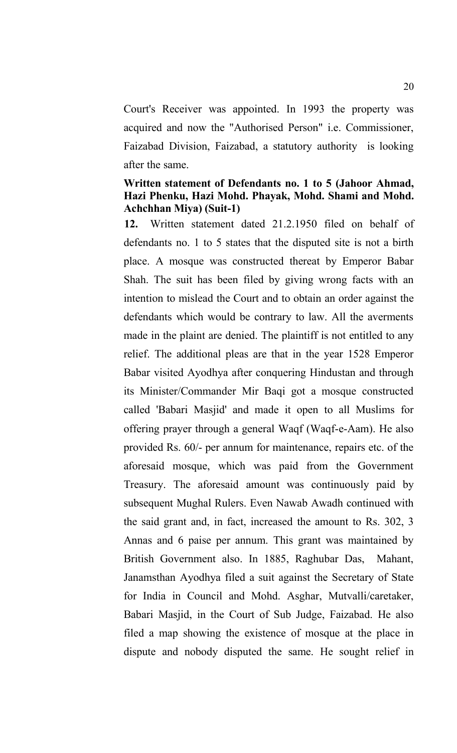Court's Receiver was appointed. In 1993 the property was acquired and now the "Authorised Person" i.e. Commissioner, Faizabad Division, Faizabad, a statutory authority is looking after the same.

## **Written statement of Defendants no. 1 to 5 (Jahoor Ahmad, Hazi Phenku, Hazi Mohd. Phayak, Mohd. Shami and Mohd. Achchhan Miya) (Suit-1)**

**12.** Written statement dated 21.2.1950 filed on behalf of defendants no. 1 to 5 states that the disputed site is not a birth place. A mosque was constructed thereat by Emperor Babar Shah. The suit has been filed by giving wrong facts with an intention to mislead the Court and to obtain an order against the defendants which would be contrary to law. All the averments made in the plaint are denied. The plaintiff is not entitled to any relief. The additional pleas are that in the year 1528 Emperor Babar visited Ayodhya after conquering Hindustan and through its Minister/Commander Mir Baqi got a mosque constructed called 'Babari Masjid' and made it open to all Muslims for offering prayer through a general Waqf (Waqf-e-Aam). He also provided Rs. 60/- per annum for maintenance, repairs etc. of the aforesaid mosque, which was paid from the Government Treasury. The aforesaid amount was continuously paid by subsequent Mughal Rulers. Even Nawab Awadh continued with the said grant and, in fact, increased the amount to Rs. 302, 3 Annas and 6 paise per annum. This grant was maintained by British Government also. In 1885, Raghubar Das, Mahant, Janamsthan Ayodhya filed a suit against the Secretary of State for India in Council and Mohd. Asghar, Mutvalli/caretaker, Babari Masjid, in the Court of Sub Judge, Faizabad. He also filed a map showing the existence of mosque at the place in dispute and nobody disputed the same. He sought relief in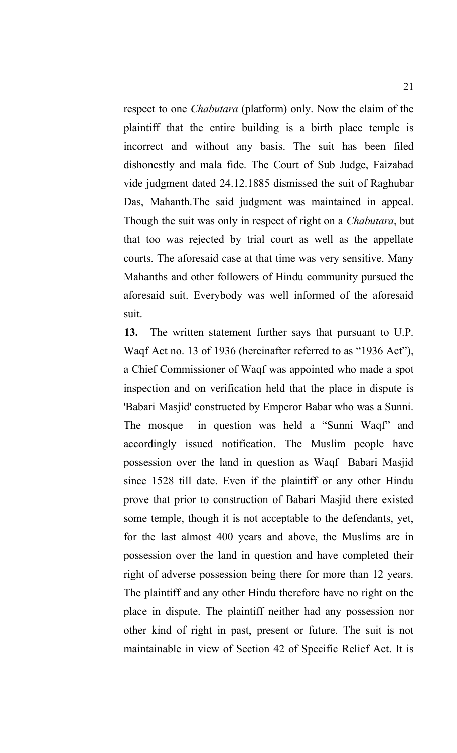respect to one *Chabutara* (platform) only. Now the claim of the plaintiff that the entire building is a birth place temple is incorrect and without any basis. The suit has been filed dishonestly and mala fide. The Court of Sub Judge, Faizabad vide judgment dated 24.12.1885 dismissed the suit of Raghubar Das, Mahanth.The said judgment was maintained in appeal. Though the suit was only in respect of right on a *Chabutara*, but that too was rejected by trial court as well as the appellate courts. The aforesaid case at that time was very sensitive. Many Mahanths and other followers of Hindu community pursued the aforesaid suit. Everybody was well informed of the aforesaid suit.

**13.** The written statement further says that pursuant to U.P. Waqf Act no. 13 of 1936 (hereinafter referred to as "1936 Act"), a Chief Commissioner of Waqf was appointed who made a spot inspection and on verification held that the place in dispute is 'Babari Masjid' constructed by Emperor Babar who was a Sunni. The mosque in question was held a "Sunni Waqf" and accordingly issued notification. The Muslim people have possession over the land in question as Waqf Babari Masjid since 1528 till date. Even if the plaintiff or any other Hindu prove that prior to construction of Babari Masjid there existed some temple, though it is not acceptable to the defendants, yet, for the last almost 400 years and above, the Muslims are in possession over the land in question and have completed their right of adverse possession being there for more than 12 years. The plaintiff and any other Hindu therefore have no right on the place in dispute. The plaintiff neither had any possession nor other kind of right in past, present or future. The suit is not maintainable in view of Section 42 of Specific Relief Act. It is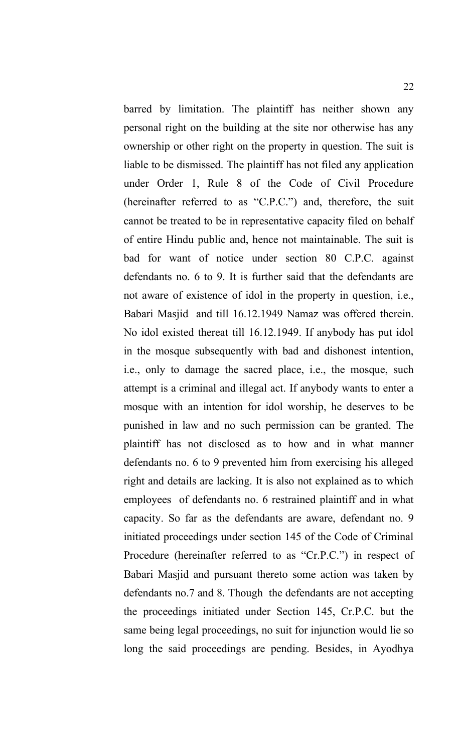barred by limitation. The plaintiff has neither shown any personal right on the building at the site nor otherwise has any ownership or other right on the property in question. The suit is liable to be dismissed. The plaintiff has not filed any application under Order 1, Rule 8 of the Code of Civil Procedure (hereinafter referred to as "C.P.C.") and, therefore, the suit cannot be treated to be in representative capacity filed on behalf of entire Hindu public and, hence not maintainable. The suit is bad for want of notice under section 80 C.P.C. against defendants no. 6 to 9. It is further said that the defendants are not aware of existence of idol in the property in question, i.e., Babari Masjid and till 16.12.1949 Namaz was offered therein. No idol existed thereat till 16.12.1949. If anybody has put idol in the mosque subsequently with bad and dishonest intention, i.e., only to damage the sacred place, i.e., the mosque, such attempt is a criminal and illegal act. If anybody wants to enter a mosque with an intention for idol worship, he deserves to be punished in law and no such permission can be granted. The plaintiff has not disclosed as to how and in what manner defendants no. 6 to 9 prevented him from exercising his alleged right and details are lacking. It is also not explained as to which employees of defendants no. 6 restrained plaintiff and in what capacity. So far as the defendants are aware, defendant no. 9 initiated proceedings under section 145 of the Code of Criminal Procedure (hereinafter referred to as "Cr.P.C.") in respect of Babari Masjid and pursuant thereto some action was taken by defendants no.7 and 8. Though the defendants are not accepting the proceedings initiated under Section 145, Cr.P.C. but the same being legal proceedings, no suit for injunction would lie so long the said proceedings are pending. Besides, in Ayodhya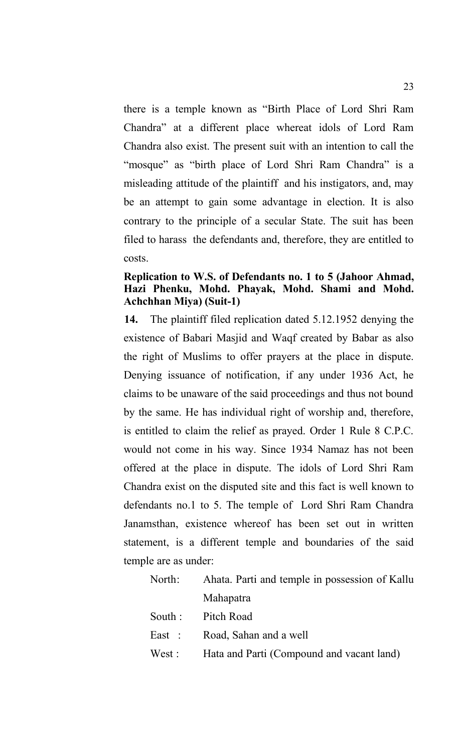there is a temple known as "Birth Place of Lord Shri Ram Chandra" at a different place whereat idols of Lord Ram Chandra also exist. The present suit with an intention to call the "mosque" as "birth place of Lord Shri Ram Chandra" is a misleading attitude of the plaintiff and his instigators, and, may be an attempt to gain some advantage in election. It is also contrary to the principle of a secular State. The suit has been filed to harass the defendants and, therefore, they are entitled to costs.

# **Replication to W.S. of Defendants no. 1 to 5 (Jahoor Ahmad, Hazi Phenku, Mohd. Phayak, Mohd. Shami and Mohd. Achchhan Miya) (Suit-1)**

**14.** The plaintiff filed replication dated 5.12.1952 denying the existence of Babari Masjid and Waqf created by Babar as also the right of Muslims to offer prayers at the place in dispute. Denying issuance of notification, if any under 1936 Act, he claims to be unaware of the said proceedings and thus not bound by the same. He has individual right of worship and, therefore, is entitled to claim the relief as prayed. Order 1 Rule 8 C.P.C. would not come in his way. Since 1934 Namaz has not been offered at the place in dispute. The idols of Lord Shri Ram Chandra exist on the disputed site and this fact is well known to defendants no.1 to 5. The temple of Lord Shri Ram Chandra Janamsthan, existence whereof has been set out in written statement, is a different temple and boundaries of the said temple are as under:

| North:  | Ahata. Parti and temple in possession of Kallu |
|---------|------------------------------------------------|
|         | Mahapatra                                      |
| South : | Pitch Road                                     |
| East :  | Road, Sahan and a well                         |
| West :  | Hata and Parti (Compound and vacant land)      |
|         |                                                |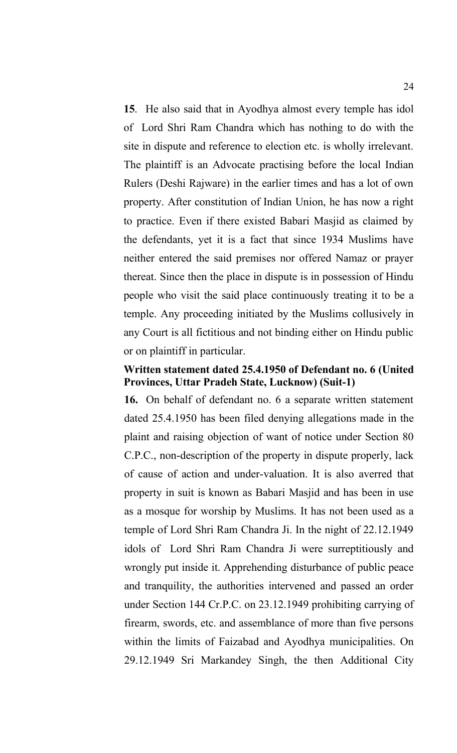**15**. He also said that in Ayodhya almost every temple has idol of Lord Shri Ram Chandra which has nothing to do with the site in dispute and reference to election etc. is wholly irrelevant. The plaintiff is an Advocate practising before the local Indian Rulers (Deshi Rajware) in the earlier times and has a lot of own property. After constitution of Indian Union, he has now a right to practice. Even if there existed Babari Masjid as claimed by the defendants, yet it is a fact that since 1934 Muslims have neither entered the said premises nor offered Namaz or prayer thereat. Since then the place in dispute is in possession of Hindu people who visit the said place continuously treating it to be a temple. Any proceeding initiated by the Muslims collusively in any Court is all fictitious and not binding either on Hindu public or on plaintiff in particular.

## **Written statement dated 25.4.1950 of Defendant no. 6 (United Provinces, Uttar Pradeh State, Lucknow) (Suit-1)**

**16.** On behalf of defendant no. 6 a separate written statement dated 25.4.1950 has been filed denying allegations made in the plaint and raising objection of want of notice under Section 80 C.P.C., non-description of the property in dispute properly, lack of cause of action and under-valuation. It is also averred that property in suit is known as Babari Masjid and has been in use as a mosque for worship by Muslims. It has not been used as a temple of Lord Shri Ram Chandra Ji. In the night of 22.12.1949 idols of Lord Shri Ram Chandra Ji were surreptitiously and wrongly put inside it. Apprehending disturbance of public peace and tranquility, the authorities intervened and passed an order under Section 144 Cr.P.C. on 23.12.1949 prohibiting carrying of firearm, swords, etc. and assemblance of more than five persons within the limits of Faizabad and Ayodhya municipalities. On 29.12.1949 Sri Markandey Singh, the then Additional City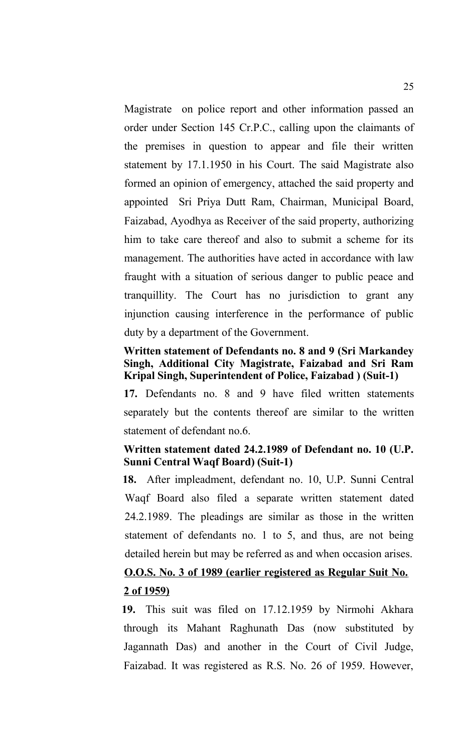Magistrate on police report and other information passed an order under Section 145 Cr.P.C., calling upon the claimants of the premises in question to appear and file their written statement by 17.1.1950 in his Court. The said Magistrate also formed an opinion of emergency, attached the said property and appointed Sri Priya Dutt Ram, Chairman, Municipal Board, Faizabad, Ayodhya as Receiver of the said property, authorizing him to take care thereof and also to submit a scheme for its management. The authorities have acted in accordance with law fraught with a situation of serious danger to public peace and tranquillity. The Court has no jurisdiction to grant any injunction causing interference in the performance of public duty by a department of the Government.

## **Written statement of Defendants no. 8 and 9 (Sri Markandey Singh, Additional City Magistrate, Faizabad and Sri Ram Kripal Singh, Superintendent of Police, Faizabad ) (Suit-1)**

**17.** Defendants no. 8 and 9 have filed written statements separately but the contents thereof are similar to the written statement of defendant no.6.

# **Written statement dated 24.2.1989 of Defendant no. 10 (U.P. Sunni Central Waqf Board) (Suit-1)**

**18.** After impleadment, defendant no. 10, U.P. Sunni Central Waqf Board also filed a separate written statement dated 24.2.1989. The pleadings are similar as those in the written statement of defendants no. 1 to 5, and thus, are not being detailed herein but may be referred as and when occasion arises.

# **O.O.S. No. 3 of 1989 (earlier registered as Regular Suit No. 2 of 1959)**

**19.** This suit was filed on 17.12.1959 by Nirmohi Akhara through its Mahant Raghunath Das (now substituted by Jagannath Das) and another in the Court of Civil Judge, Faizabad. It was registered as R.S. No. 26 of 1959. However,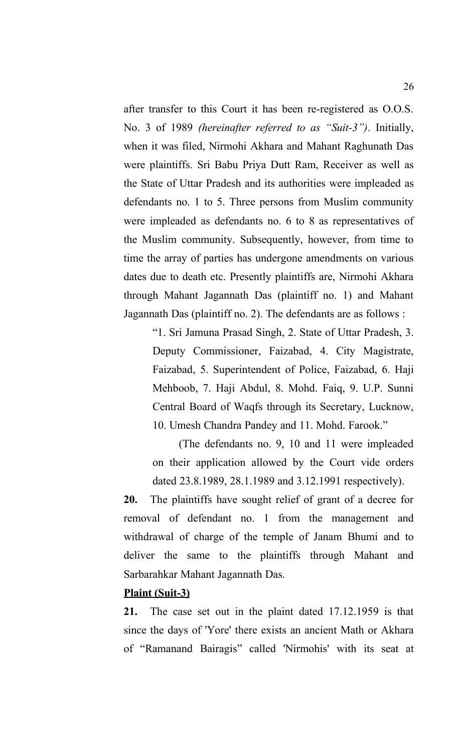after transfer to this Court it has been re-registered as O.O.S. No. 3 of 1989 *(hereinafter referred to as "Suit-3")*. Initially, when it was filed, Nirmohi Akhara and Mahant Raghunath Das were plaintiffs. Sri Babu Priya Dutt Ram, Receiver as well as the State of Uttar Pradesh and its authorities were impleaded as defendants no. 1 to 5. Three persons from Muslim community were impleaded as defendants no. 6 to 8 as representatives of the Muslim community. Subsequently, however, from time to time the array of parties has undergone amendments on various dates due to death etc. Presently plaintiffs are, Nirmohi Akhara through Mahant Jagannath Das (plaintiff no. 1) and Mahant Jagannath Das (plaintiff no. 2). The defendants are as follows :

"1. Sri Jamuna Prasad Singh, 2. State of Uttar Pradesh, 3. Deputy Commissioner, Faizabad, 4. City Magistrate, Faizabad, 5. Superintendent of Police, Faizabad, 6. Haji Mehboob, 7. Haji Abdul, 8. Mohd. Faiq, 9. U.P. Sunni Central Board of Waqfs through its Secretary, Lucknow, 10. Umesh Chandra Pandey and 11. Mohd. Farook."

(The defendants no. 9, 10 and 11 were impleaded on their application allowed by the Court vide orders dated 23.8.1989, 28.1.1989 and 3.12.1991 respectively).

**20.** The plaintiffs have sought relief of grant of a decree for removal of defendant no. 1 from the management and withdrawal of charge of the temple of Janam Bhumi and to deliver the same to the plaintiffs through Mahant and Sarbarahkar Mahant Jagannath Das.

## **Plaint (Suit-3)**

**21.** The case set out in the plaint dated 17.12.1959 is that since the days of 'Yore' there exists an ancient Math or Akhara of "Ramanand Bairagis" called 'Nirmohis' with its seat at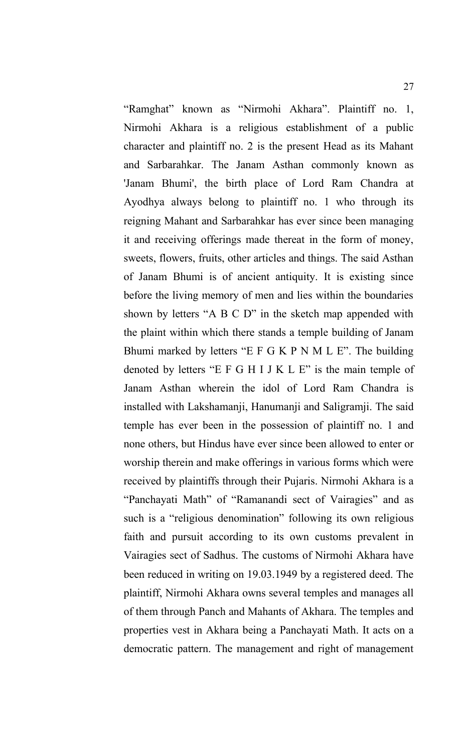"Ramghat" known as "Nirmohi Akhara". Plaintiff no. 1, Nirmohi Akhara is a religious establishment of a public character and plaintiff no. 2 is the present Head as its Mahant and Sarbarahkar. The Janam Asthan commonly known as 'Janam Bhumi', the birth place of Lord Ram Chandra at Ayodhya always belong to plaintiff no. 1 who through its reigning Mahant and Sarbarahkar has ever since been managing it and receiving offerings made thereat in the form of money, sweets, flowers, fruits, other articles and things. The said Asthan of Janam Bhumi is of ancient antiquity. It is existing since before the living memory of men and lies within the boundaries shown by letters "A B C D" in the sketch map appended with the plaint within which there stands a temple building of Janam Bhumi marked by letters "E F G K P N M L E". The building denoted by letters "E F G H I J K L E" is the main temple of Janam Asthan wherein the idol of Lord Ram Chandra is installed with Lakshamanji, Hanumanji and Saligramji. The said temple has ever been in the possession of plaintiff no. 1 and none others, but Hindus have ever since been allowed to enter or worship therein and make offerings in various forms which were received by plaintiffs through their Pujaris. Nirmohi Akhara is a "Panchayati Math" of "Ramanandi sect of Vairagies" and as such is a "religious denomination" following its own religious faith and pursuit according to its own customs prevalent in Vairagies sect of Sadhus. The customs of Nirmohi Akhara have been reduced in writing on 19.03.1949 by a registered deed. The plaintiff, Nirmohi Akhara owns several temples and manages all of them through Panch and Mahants of Akhara. The temples and properties vest in Akhara being a Panchayati Math. It acts on a democratic pattern. The management and right of management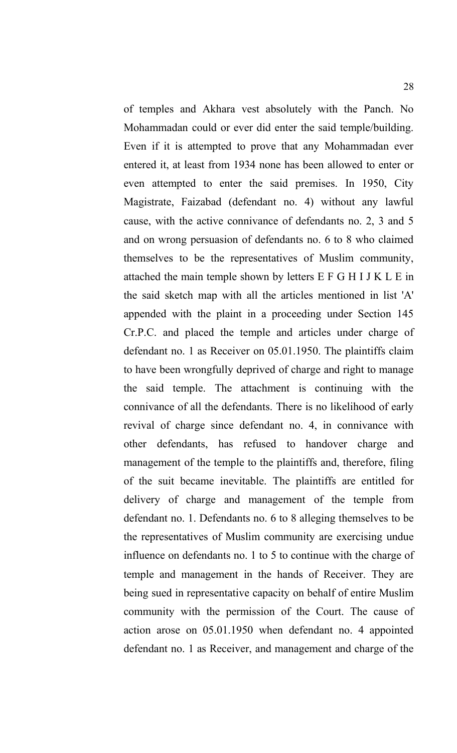of temples and Akhara vest absolutely with the Panch. No Mohammadan could or ever did enter the said temple/building. Even if it is attempted to prove that any Mohammadan ever entered it, at least from 1934 none has been allowed to enter or even attempted to enter the said premises. In 1950, City Magistrate, Faizabad (defendant no. 4) without any lawful cause, with the active connivance of defendants no. 2, 3 and 5 and on wrong persuasion of defendants no. 6 to 8 who claimed themselves to be the representatives of Muslim community, attached the main temple shown by letters E F G H I J K L E in the said sketch map with all the articles mentioned in list 'A' appended with the plaint in a proceeding under Section 145 Cr.P.C. and placed the temple and articles under charge of defendant no. 1 as Receiver on 05.01.1950. The plaintiffs claim to have been wrongfully deprived of charge and right to manage the said temple. The attachment is continuing with the connivance of all the defendants. There is no likelihood of early revival of charge since defendant no. 4, in connivance with other defendants, has refused to handover charge and management of the temple to the plaintiffs and, therefore, filing of the suit became inevitable. The plaintiffs are entitled for delivery of charge and management of the temple from defendant no. 1. Defendants no. 6 to 8 alleging themselves to be the representatives of Muslim community are exercising undue influence on defendants no. 1 to 5 to continue with the charge of temple and management in the hands of Receiver. They are being sued in representative capacity on behalf of entire Muslim community with the permission of the Court. The cause of action arose on 05.01.1950 when defendant no. 4 appointed defendant no. 1 as Receiver, and management and charge of the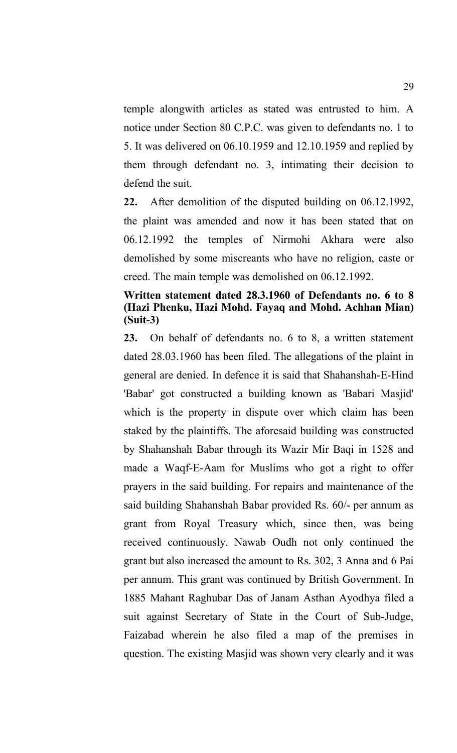temple alongwith articles as stated was entrusted to him. A notice under Section 80 C.P.C. was given to defendants no. 1 to 5. It was delivered on 06.10.1959 and 12.10.1959 and replied by them through defendant no. 3, intimating their decision to defend the suit.

**22.** After demolition of the disputed building on 06.12.1992, the plaint was amended and now it has been stated that on 06.12.1992 the temples of Nirmohi Akhara were also demolished by some miscreants who have no religion, caste or creed. The main temple was demolished on 06.12.1992.

# **Written statement dated 28.3.1960 of Defendants no. 6 to 8 (Hazi Phenku, Hazi Mohd. Fayaq and Mohd. Achhan Mian) (Suit-3)**

**23.** On behalf of defendants no. 6 to 8, a written statement dated 28.03.1960 has been filed. The allegations of the plaint in general are denied. In defence it is said that Shahanshah-E-Hind 'Babar' got constructed a building known as 'Babari Masjid' which is the property in dispute over which claim has been staked by the plaintiffs. The aforesaid building was constructed by Shahanshah Babar through its Wazir Mir Baqi in 1528 and made a Waqf-E-Aam for Muslims who got a right to offer prayers in the said building. For repairs and maintenance of the said building Shahanshah Babar provided Rs. 60/- per annum as grant from Royal Treasury which, since then, was being received continuously. Nawab Oudh not only continued the grant but also increased the amount to Rs. 302, 3 Anna and 6 Pai per annum. This grant was continued by British Government. In 1885 Mahant Raghubar Das of Janam Asthan Ayodhya filed a suit against Secretary of State in the Court of Sub-Judge, Faizabad wherein he also filed a map of the premises in question. The existing Masjid was shown very clearly and it was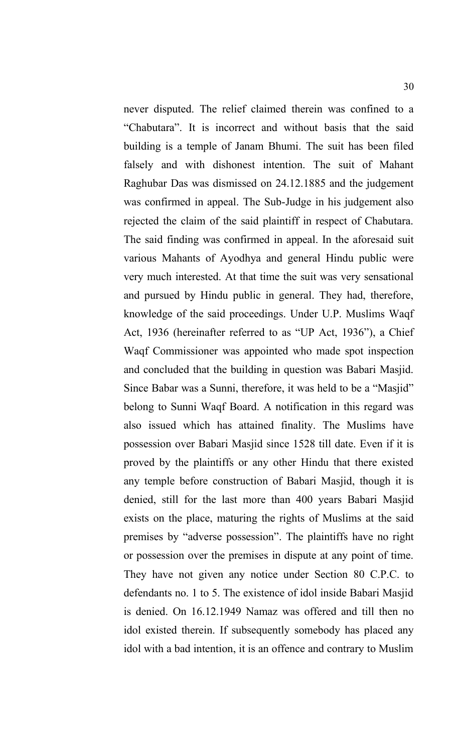never disputed. The relief claimed therein was confined to a "Chabutara". It is incorrect and without basis that the said building is a temple of Janam Bhumi. The suit has been filed falsely and with dishonest intention. The suit of Mahant Raghubar Das was dismissed on 24.12.1885 and the judgement was confirmed in appeal. The Sub-Judge in his judgement also rejected the claim of the said plaintiff in respect of Chabutara. The said finding was confirmed in appeal. In the aforesaid suit various Mahants of Ayodhya and general Hindu public were very much interested. At that time the suit was very sensational and pursued by Hindu public in general. They had, therefore, knowledge of the said proceedings. Under U.P. Muslims Waqf Act, 1936 (hereinafter referred to as "UP Act, 1936"), a Chief Waqf Commissioner was appointed who made spot inspection and concluded that the building in question was Babari Masjid. Since Babar was a Sunni, therefore, it was held to be a "Masjid" belong to Sunni Waqf Board. A notification in this regard was also issued which has attained finality. The Muslims have possession over Babari Masjid since 1528 till date. Even if it is proved by the plaintiffs or any other Hindu that there existed any temple before construction of Babari Masjid, though it is denied, still for the last more than 400 years Babari Masjid exists on the place, maturing the rights of Muslims at the said premises by "adverse possession". The plaintiffs have no right or possession over the premises in dispute at any point of time. They have not given any notice under Section 80 C.P.C. to defendants no. 1 to 5. The existence of idol inside Babari Masjid is denied. On 16.12.1949 Namaz was offered and till then no idol existed therein. If subsequently somebody has placed any idol with a bad intention, it is an offence and contrary to Muslim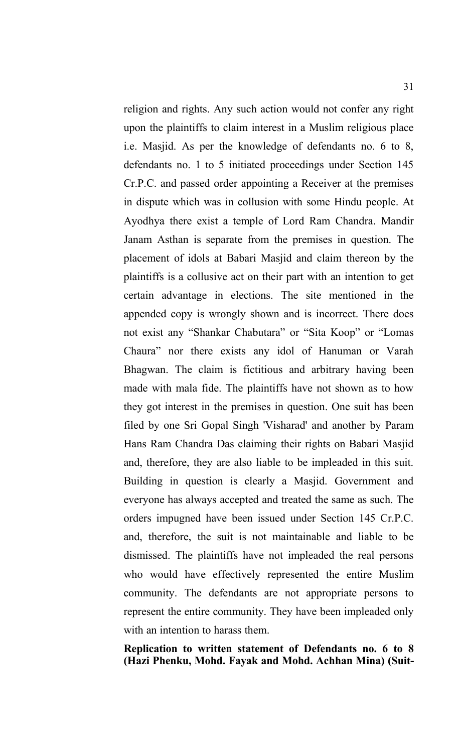religion and rights. Any such action would not confer any right upon the plaintiffs to claim interest in a Muslim religious place i.e. Masjid. As per the knowledge of defendants no. 6 to 8, defendants no. 1 to 5 initiated proceedings under Section 145 Cr.P.C. and passed order appointing a Receiver at the premises in dispute which was in collusion with some Hindu people. At Ayodhya there exist a temple of Lord Ram Chandra. Mandir Janam Asthan is separate from the premises in question. The placement of idols at Babari Masjid and claim thereon by the plaintiffs is a collusive act on their part with an intention to get certain advantage in elections. The site mentioned in the appended copy is wrongly shown and is incorrect. There does not exist any "Shankar Chabutara" or "Sita Koop" or "Lomas Chaura" nor there exists any idol of Hanuman or Varah Bhagwan. The claim is fictitious and arbitrary having been made with mala fide. The plaintiffs have not shown as to how they got interest in the premises in question. One suit has been filed by one Sri Gopal Singh 'Visharad' and another by Param Hans Ram Chandra Das claiming their rights on Babari Masjid and, therefore, they are also liable to be impleaded in this suit. Building in question is clearly a Masjid. Government and everyone has always accepted and treated the same as such. The orders impugned have been issued under Section 145 Cr.P.C. and, therefore, the suit is not maintainable and liable to be dismissed. The plaintiffs have not impleaded the real persons who would have effectively represented the entire Muslim community. The defendants are not appropriate persons to represent the entire community. They have been impleaded only with an intention to harass them.

**Replication to written statement of Defendants no. 6 to 8 (Hazi Phenku, Mohd. Fayak and Mohd. Achhan Mina) (Suit-**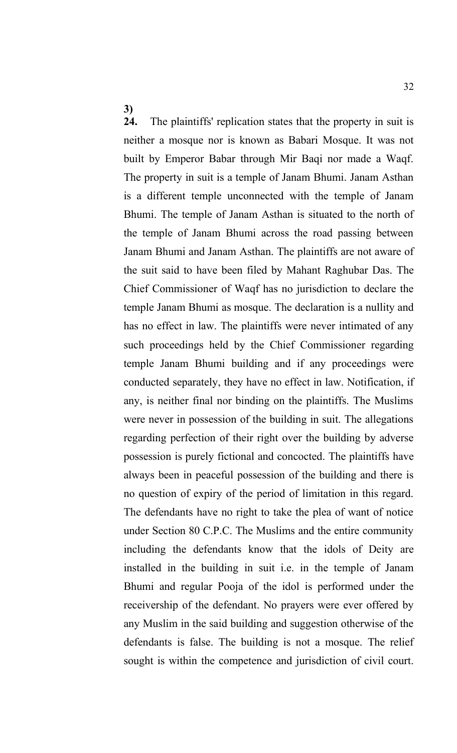**3)**

**24.** The plaintiffs' replication states that the property in suit is neither a mosque nor is known as Babari Mosque. It was not built by Emperor Babar through Mir Baqi nor made a Waqf. The property in suit is a temple of Janam Bhumi. Janam Asthan is a different temple unconnected with the temple of Janam Bhumi. The temple of Janam Asthan is situated to the north of the temple of Janam Bhumi across the road passing between Janam Bhumi and Janam Asthan. The plaintiffs are not aware of the suit said to have been filed by Mahant Raghubar Das. The Chief Commissioner of Waqf has no jurisdiction to declare the temple Janam Bhumi as mosque. The declaration is a nullity and has no effect in law. The plaintiffs were never intimated of any such proceedings held by the Chief Commissioner regarding temple Janam Bhumi building and if any proceedings were conducted separately, they have no effect in law. Notification, if any, is neither final nor binding on the plaintiffs. The Muslims were never in possession of the building in suit. The allegations regarding perfection of their right over the building by adverse possession is purely fictional and concocted. The plaintiffs have always been in peaceful possession of the building and there is no question of expiry of the period of limitation in this regard. The defendants have no right to take the plea of want of notice under Section 80 C.P.C. The Muslims and the entire community including the defendants know that the idols of Deity are installed in the building in suit i.e. in the temple of Janam Bhumi and regular Pooja of the idol is performed under the receivership of the defendant. No prayers were ever offered by any Muslim in the said building and suggestion otherwise of the defendants is false. The building is not a mosque. The relief sought is within the competence and jurisdiction of civil court.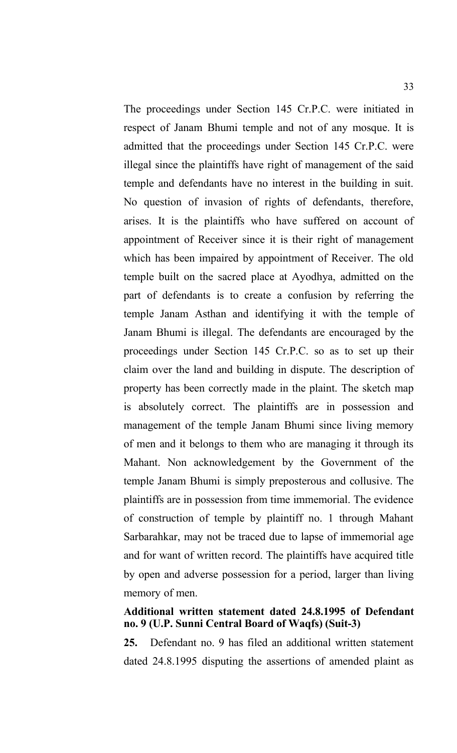The proceedings under Section 145 Cr.P.C. were initiated in respect of Janam Bhumi temple and not of any mosque. It is admitted that the proceedings under Section 145 Cr.P.C. were illegal since the plaintiffs have right of management of the said temple and defendants have no interest in the building in suit. No question of invasion of rights of defendants, therefore, arises. It is the plaintiffs who have suffered on account of appointment of Receiver since it is their right of management which has been impaired by appointment of Receiver. The old temple built on the sacred place at Ayodhya, admitted on the part of defendants is to create a confusion by referring the temple Janam Asthan and identifying it with the temple of Janam Bhumi is illegal. The defendants are encouraged by the proceedings under Section 145 Cr.P.C. so as to set up their claim over the land and building in dispute. The description of property has been correctly made in the plaint. The sketch map is absolutely correct. The plaintiffs are in possession and management of the temple Janam Bhumi since living memory of men and it belongs to them who are managing it through its Mahant. Non acknowledgement by the Government of the temple Janam Bhumi is simply preposterous and collusive. The plaintiffs are in possession from time immemorial. The evidence of construction of temple by plaintiff no. 1 through Mahant Sarbarahkar, may not be traced due to lapse of immemorial age and for want of written record. The plaintiffs have acquired title by open and adverse possession for a period, larger than living memory of men.

# **Additional written statement dated 24.8.1995 of Defendant no. 9 (U.P. Sunni Central Board of Waqfs) (Suit-3)**

**25.** Defendant no. 9 has filed an additional written statement dated 24.8.1995 disputing the assertions of amended plaint as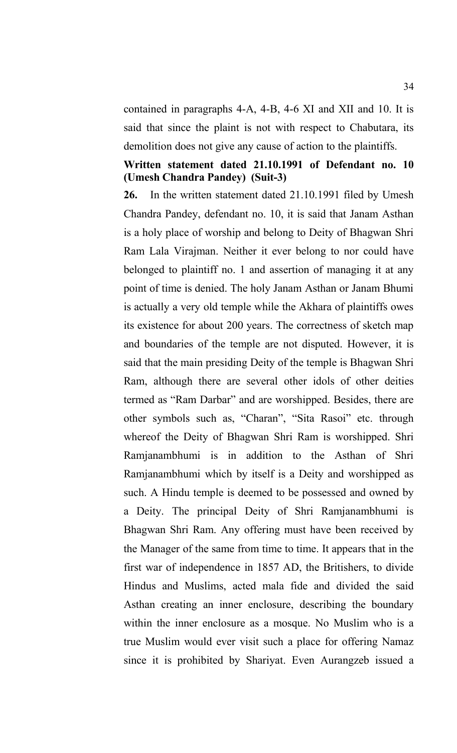contained in paragraphs 4-A, 4-B, 4-6 XI and XII and 10. It is said that since the plaint is not with respect to Chabutara, its demolition does not give any cause of action to the plaintiffs.

# **Written statement dated 21.10.1991 of Defendant no. 10 (Umesh Chandra Pandey) (Suit-3)**

**26.** In the written statement dated 21.10.1991 filed by Umesh Chandra Pandey, defendant no. 10, it is said that Janam Asthan is a holy place of worship and belong to Deity of Bhagwan Shri Ram Lala Virajman. Neither it ever belong to nor could have belonged to plaintiff no. 1 and assertion of managing it at any point of time is denied. The holy Janam Asthan or Janam Bhumi is actually a very old temple while the Akhara of plaintiffs owes its existence for about 200 years. The correctness of sketch map and boundaries of the temple are not disputed. However, it is said that the main presiding Deity of the temple is Bhagwan Shri Ram, although there are several other idols of other deities termed as "Ram Darbar" and are worshipped. Besides, there are other symbols such as, "Charan", "Sita Rasoi" etc. through whereof the Deity of Bhagwan Shri Ram is worshipped. Shri Ramjanambhumi is in addition to the Asthan of Shri Ramjanambhumi which by itself is a Deity and worshipped as such. A Hindu temple is deemed to be possessed and owned by a Deity. The principal Deity of Shri Ramjanambhumi is Bhagwan Shri Ram. Any offering must have been received by the Manager of the same from time to time. It appears that in the first war of independence in 1857 AD, the Britishers, to divide Hindus and Muslims, acted mala fide and divided the said Asthan creating an inner enclosure, describing the boundary within the inner enclosure as a mosque. No Muslim who is a true Muslim would ever visit such a place for offering Namaz since it is prohibited by Shariyat. Even Aurangzeb issued a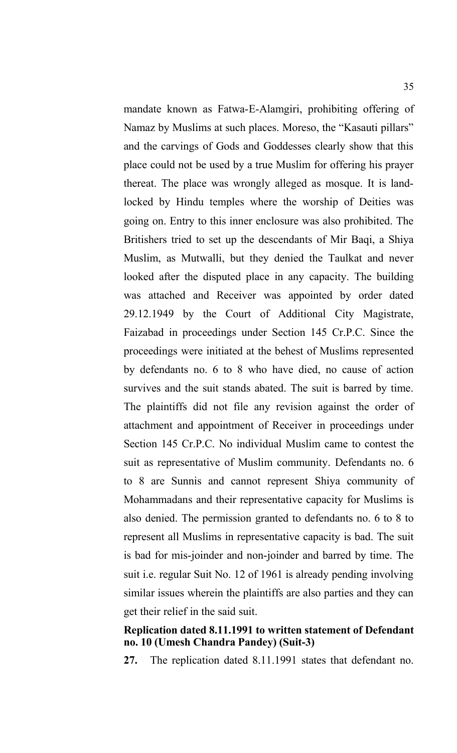mandate known as Fatwa-E-Alamgiri, prohibiting offering of Namaz by Muslims at such places. Moreso, the "Kasauti pillars" and the carvings of Gods and Goddesses clearly show that this place could not be used by a true Muslim for offering his prayer thereat. The place was wrongly alleged as mosque. It is landlocked by Hindu temples where the worship of Deities was going on. Entry to this inner enclosure was also prohibited. The Britishers tried to set up the descendants of Mir Baqi, a Shiya Muslim, as Mutwalli, but they denied the Taulkat and never looked after the disputed place in any capacity. The building was attached and Receiver was appointed by order dated 29.12.1949 by the Court of Additional City Magistrate, Faizabad in proceedings under Section 145 Cr.P.C. Since the proceedings were initiated at the behest of Muslims represented by defendants no. 6 to 8 who have died, no cause of action survives and the suit stands abated. The suit is barred by time. The plaintiffs did not file any revision against the order of attachment and appointment of Receiver in proceedings under Section 145 Cr.P.C. No individual Muslim came to contest the suit as representative of Muslim community. Defendants no. 6 to 8 are Sunnis and cannot represent Shiya community of Mohammadans and their representative capacity for Muslims is also denied. The permission granted to defendants no. 6 to 8 to represent all Muslims in representative capacity is bad. The suit is bad for mis-joinder and non-joinder and barred by time. The suit i.e. regular Suit No. 12 of 1961 is already pending involving similar issues wherein the plaintiffs are also parties and they can get their relief in the said suit.

## **Replication dated 8.11.1991 to written statement of Defendant no. 10 (Umesh Chandra Pandey) (Suit-3)**

**27.** The replication dated 8.11.1991 states that defendant no.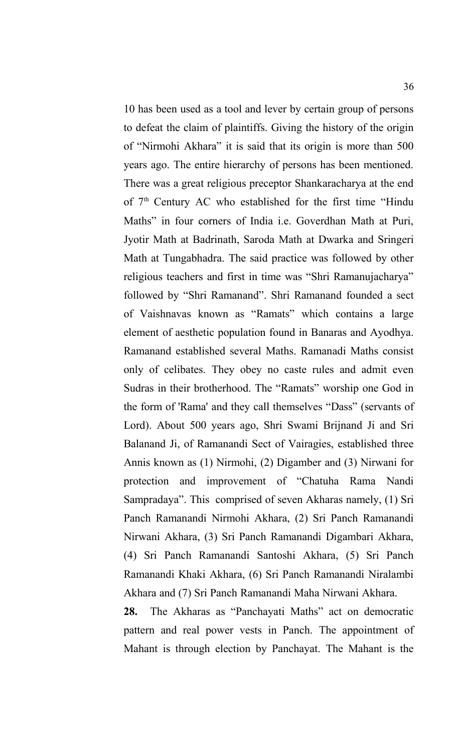10 has been used as a tool and lever by certain group of persons to defeat the claim of plaintiffs. Giving the history of the origin of "Nirmohi Akhara" it is said that its origin is more than 500 years ago. The entire hierarchy of persons has been mentioned. There was a great religious preceptor Shankaracharya at the end of  $7<sup>th</sup>$  Century AC who established for the first time "Hindu Maths" in four corners of India i.e. Goverdhan Math at Puri, Jyotir Math at Badrinath, Saroda Math at Dwarka and Sringeri Math at Tungabhadra. The said practice was followed by other religious teachers and first in time was "Shri Ramanujacharya" followed by "Shri Ramanand". Shri Ramanand founded a sect of Vaishnavas known as "Ramats" which contains a large element of aesthetic population found in Banaras and Ayodhya. Ramanand established several Maths. Ramanadi Maths consist only of celibates. They obey no caste rules and admit even Sudras in their brotherhood. The "Ramats" worship one God in the form of 'Rama' and they call themselves "Dass" (servants of Lord). About 500 years ago, Shri Swami Brijnand Ji and Sri Balanand Ji, of Ramanandi Sect of Vairagies, established three Annis known as (1) Nirmohi, (2) Digamber and (3) Nirwani for protection and improvement of "Chatuha Rama Nandi Sampradaya". This comprised of seven Akharas namely, (1) Sri Panch Ramanandi Nirmohi Akhara, (2) Sri Panch Ramanandi Nirwani Akhara, (3) Sri Panch Ramanandi Digambari Akhara, (4) Sri Panch Ramanandi Santoshi Akhara, (5) Sri Panch Ramanandi Khaki Akhara, (6) Sri Panch Ramanandi Niralambi Akhara and (7) Sri Panch Ramanandi Maha Nirwani Akhara.

**28.** The Akharas as "Panchayati Maths" act on democratic pattern and real power vests in Panch. The appointment of Mahant is through election by Panchayat. The Mahant is the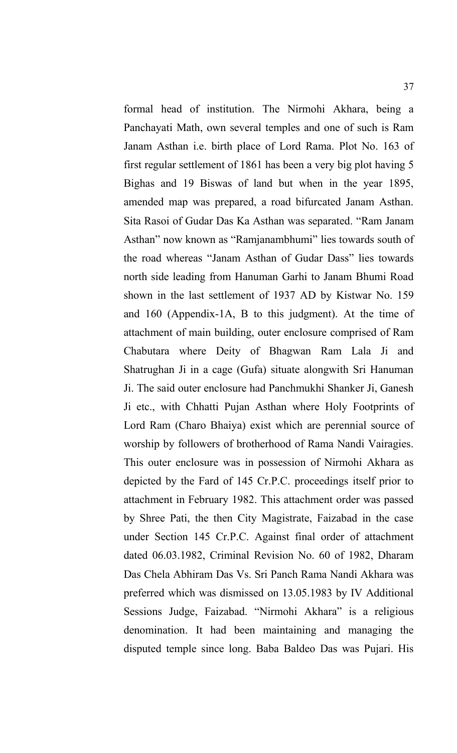formal head of institution. The Nirmohi Akhara, being a Panchayati Math, own several temples and one of such is Ram Janam Asthan i.e. birth place of Lord Rama. Plot No. 163 of first regular settlement of 1861 has been a very big plot having 5 Bighas and 19 Biswas of land but when in the year 1895, amended map was prepared, a road bifurcated Janam Asthan. Sita Rasoi of Gudar Das Ka Asthan was separated. "Ram Janam Asthan" now known as "Ramjanambhumi" lies towards south of the road whereas "Janam Asthan of Gudar Dass" lies towards north side leading from Hanuman Garhi to Janam Bhumi Road shown in the last settlement of 1937 AD by Kistwar No. 159 and 160 (Appendix-1A, B to this judgment). At the time of attachment of main building, outer enclosure comprised of Ram Chabutara where Deity of Bhagwan Ram Lala Ji and Shatrughan Ji in a cage (Gufa) situate alongwith Sri Hanuman Ji. The said outer enclosure had Panchmukhi Shanker Ji, Ganesh Ji etc., with Chhatti Pujan Asthan where Holy Footprints of Lord Ram (Charo Bhaiya) exist which are perennial source of worship by followers of brotherhood of Rama Nandi Vairagies. This outer enclosure was in possession of Nirmohi Akhara as depicted by the Fard of 145 Cr.P.C. proceedings itself prior to attachment in February 1982. This attachment order was passed by Shree Pati, the then City Magistrate, Faizabad in the case under Section 145 Cr.P.C. Against final order of attachment dated 06.03.1982, Criminal Revision No. 60 of 1982, Dharam Das Chela Abhiram Das Vs. Sri Panch Rama Nandi Akhara was preferred which was dismissed on 13.05.1983 by IV Additional Sessions Judge, Faizabad. "Nirmohi Akhara" is a religious denomination. It had been maintaining and managing the disputed temple since long. Baba Baldeo Das was Pujari. His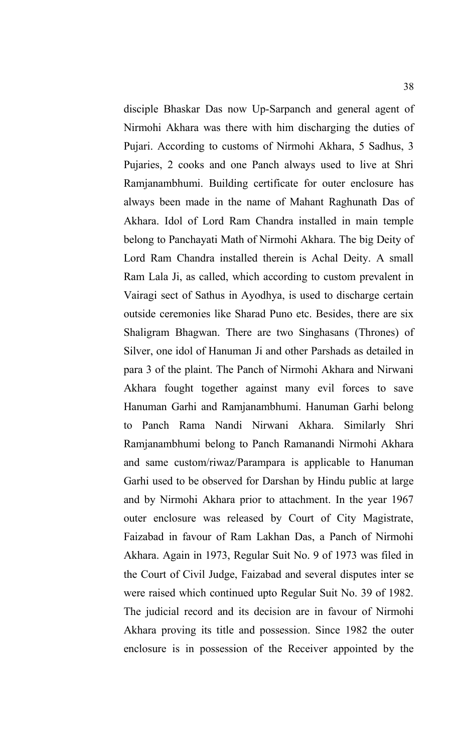disciple Bhaskar Das now Up-Sarpanch and general agent of Nirmohi Akhara was there with him discharging the duties of Pujari. According to customs of Nirmohi Akhara, 5 Sadhus, 3 Pujaries, 2 cooks and one Panch always used to live at Shri Ramjanambhumi. Building certificate for outer enclosure has always been made in the name of Mahant Raghunath Das of Akhara. Idol of Lord Ram Chandra installed in main temple belong to Panchayati Math of Nirmohi Akhara. The big Deity of Lord Ram Chandra installed therein is Achal Deity. A small Ram Lala Ji, as called, which according to custom prevalent in Vairagi sect of Sathus in Ayodhya, is used to discharge certain outside ceremonies like Sharad Puno etc. Besides, there are six Shaligram Bhagwan. There are two Singhasans (Thrones) of Silver, one idol of Hanuman Ji and other Parshads as detailed in para 3 of the plaint. The Panch of Nirmohi Akhara and Nirwani Akhara fought together against many evil forces to save Hanuman Garhi and Ramjanambhumi. Hanuman Garhi belong to Panch Rama Nandi Nirwani Akhara. Similarly Shri Ramjanambhumi belong to Panch Ramanandi Nirmohi Akhara and same custom/riwaz/Parampara is applicable to Hanuman Garhi used to be observed for Darshan by Hindu public at large and by Nirmohi Akhara prior to attachment. In the year 1967 outer enclosure was released by Court of City Magistrate, Faizabad in favour of Ram Lakhan Das, a Panch of Nirmohi Akhara. Again in 1973, Regular Suit No. 9 of 1973 was filed in the Court of Civil Judge, Faizabad and several disputes inter se were raised which continued upto Regular Suit No. 39 of 1982. The judicial record and its decision are in favour of Nirmohi Akhara proving its title and possession. Since 1982 the outer enclosure is in possession of the Receiver appointed by the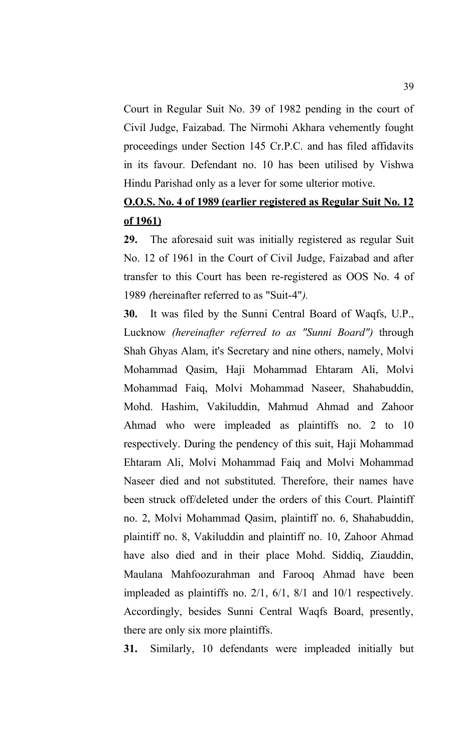Court in Regular Suit No. 39 of 1982 pending in the court of Civil Judge, Faizabad. The Nirmohi Akhara vehemently fought proceedings under Section 145 Cr.P.C. and has filed affidavits in its favour. Defendant no. 10 has been utilised by Vishwa Hindu Parishad only as a lever for some ulterior motive.

# **O.O.S. No. 4 of 1989 (earlier registered as Regular Suit No. 12 of 1961)**

**29.** The aforesaid suit was initially registered as regular Suit No. 12 of 1961 in the Court of Civil Judge, Faizabad and after transfer to this Court has been re-registered as OOS No. 4 of 1989 *(*hereinafter referred to as "Suit-4"*).* 

**30.** It was filed by the Sunni Central Board of Waqfs, U.P., Lucknow *(hereinafter referred to as "Sunni Board")* through Shah Ghyas Alam, it's Secretary and nine others, namely, Molvi Mohammad Qasim, Haji Mohammad Ehtaram Ali, Molvi Mohammad Faiq, Molvi Mohammad Naseer, Shahabuddin, Mohd. Hashim, Vakiluddin, Mahmud Ahmad and Zahoor Ahmad who were impleaded as plaintiffs no. 2 to 10 respectively. During the pendency of this suit, Haji Mohammad Ehtaram Ali, Molvi Mohammad Faiq and Molvi Mohammad Naseer died and not substituted. Therefore, their names have been struck off/deleted under the orders of this Court. Plaintiff no. 2, Molvi Mohammad Qasim, plaintiff no. 6, Shahabuddin, plaintiff no. 8, Vakiluddin and plaintiff no. 10, Zahoor Ahmad have also died and in their place Mohd. Siddiq, Ziauddin, Maulana Mahfoozurahman and Farooq Ahmad have been impleaded as plaintiffs no. 2/1, 6/1, 8/1 and 10/1 respectively. Accordingly, besides Sunni Central Waqfs Board, presently, there are only six more plaintiffs.

**31.** Similarly, 10 defendants were impleaded initially but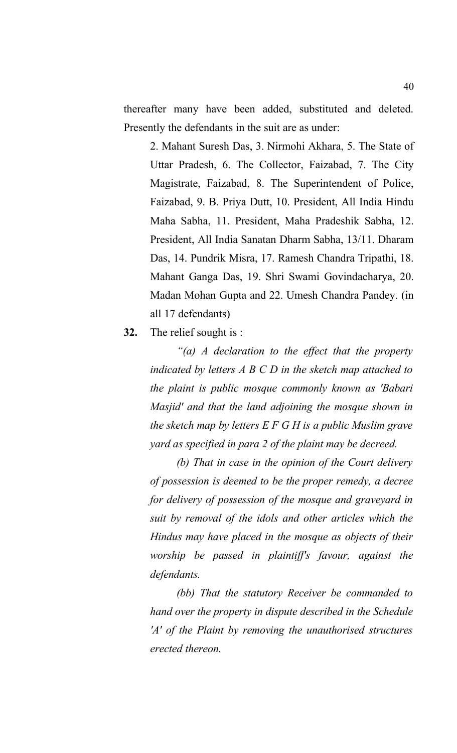thereafter many have been added, substituted and deleted. Presently the defendants in the suit are as under:

2. Mahant Suresh Das, 3. Nirmohi Akhara, 5. The State of Uttar Pradesh, 6. The Collector, Faizabad, 7. The City Magistrate, Faizabad, 8. The Superintendent of Police, Faizabad, 9. B. Priya Dutt, 10. President, All India Hindu Maha Sabha, 11. President, Maha Pradeshik Sabha, 12. President, All India Sanatan Dharm Sabha, 13/11. Dharam Das, 14. Pundrik Misra, 17. Ramesh Chandra Tripathi, 18. Mahant Ganga Das, 19. Shri Swami Govindacharya, 20. Madan Mohan Gupta and 22. Umesh Chandra Pandey. (in all 17 defendants)

**32.** The relief sought is :

*"(a) A declaration to the effect that the property indicated by letters A B C D in the sketch map attached to the plaint is public mosque commonly known as 'Babari Masjid' and that the land adjoining the mosque shown in the sketch map by letters E F G H is a public Muslim grave yard as specified in para 2 of the plaint may be decreed.* 

*(b) That in case in the opinion of the Court delivery of possession is deemed to be the proper remedy, a decree for delivery of possession of the mosque and graveyard in suit by removal of the idols and other articles which the Hindus may have placed in the mosque as objects of their worship be passed in plaintiff's favour, against the defendants.* 

*(bb) That the statutory Receiver be commanded to hand over the property in dispute described in the Schedule 'A' of the Plaint by removing the unauthorised structures erected thereon.*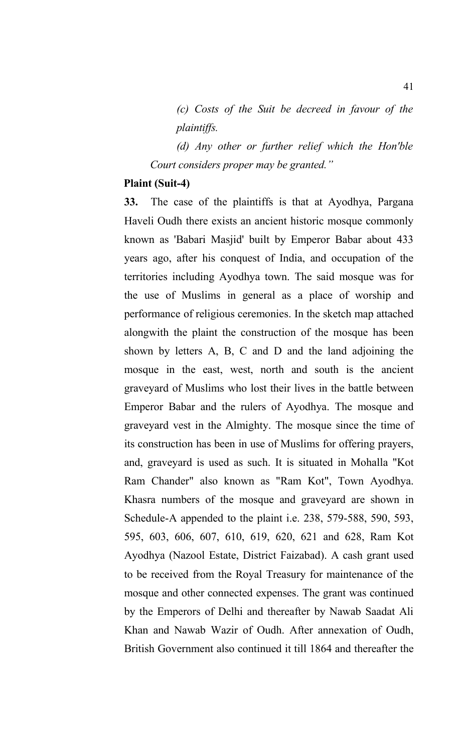*(c) Costs of the Suit be decreed in favour of the plaintiffs.* 

*(d) Any other or further relief which the Hon'ble Court considers proper may be granted."*

#### **Plaint (Suit-4)**

**33.** The case of the plaintiffs is that at Ayodhya, Pargana Haveli Oudh there exists an ancient historic mosque commonly known as 'Babari Masjid' built by Emperor Babar about 433 years ago, after his conquest of India, and occupation of the territories including Ayodhya town. The said mosque was for the use of Muslims in general as a place of worship and performance of religious ceremonies. In the sketch map attached alongwith the plaint the construction of the mosque has been shown by letters A, B, C and D and the land adjoining the mosque in the east, west, north and south is the ancient graveyard of Muslims who lost their lives in the battle between Emperor Babar and the rulers of Ayodhya. The mosque and graveyard vest in the Almighty. The mosque since the time of its construction has been in use of Muslims for offering prayers, and, graveyard is used as such. It is situated in Mohalla "Kot Ram Chander" also known as "Ram Kot", Town Ayodhya. Khasra numbers of the mosque and graveyard are shown in Schedule-A appended to the plaint i.e. 238, 579-588, 590, 593, 595, 603, 606, 607, 610, 619, 620, 621 and 628, Ram Kot Ayodhya (Nazool Estate, District Faizabad). A cash grant used to be received from the Royal Treasury for maintenance of the mosque and other connected expenses. The grant was continued by the Emperors of Delhi and thereafter by Nawab Saadat Ali Khan and Nawab Wazir of Oudh. After annexation of Oudh, British Government also continued it till 1864 and thereafter the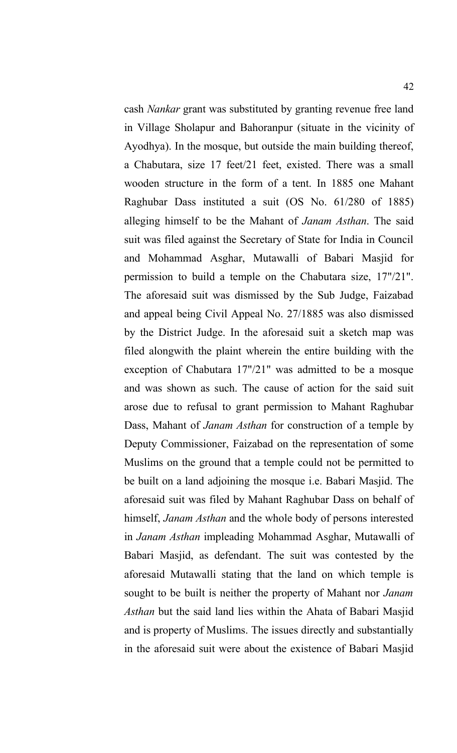cash *Nankar* grant was substituted by granting revenue free land in Village Sholapur and Bahoranpur (situate in the vicinity of Ayodhya). In the mosque, but outside the main building thereof, a Chabutara, size 17 feet/21 feet, existed. There was a small wooden structure in the form of a tent. In 1885 one Mahant Raghubar Dass instituted a suit (OS No. 61/280 of 1885) alleging himself to be the Mahant of *Janam Asthan*. The said suit was filed against the Secretary of State for India in Council and Mohammad Asghar, Mutawalli of Babari Masjid for permission to build a temple on the Chabutara size, 17"/21". The aforesaid suit was dismissed by the Sub Judge, Faizabad and appeal being Civil Appeal No. 27/1885 was also dismissed by the District Judge. In the aforesaid suit a sketch map was filed alongwith the plaint wherein the entire building with the exception of Chabutara 17"/21" was admitted to be a mosque and was shown as such. The cause of action for the said suit arose due to refusal to grant permission to Mahant Raghubar Dass, Mahant of *Janam Asthan* for construction of a temple by Deputy Commissioner, Faizabad on the representation of some Muslims on the ground that a temple could not be permitted to be built on a land adjoining the mosque i.e. Babari Masjid. The aforesaid suit was filed by Mahant Raghubar Dass on behalf of himself, *Janam Asthan* and the whole body of persons interested in *Janam Asthan* impleading Mohammad Asghar, Mutawalli of Babari Masjid, as defendant. The suit was contested by the aforesaid Mutawalli stating that the land on which temple is sought to be built is neither the property of Mahant nor *Janam Asthan* but the said land lies within the Ahata of Babari Masjid and is property of Muslims. The issues directly and substantially in the aforesaid suit were about the existence of Babari Masjid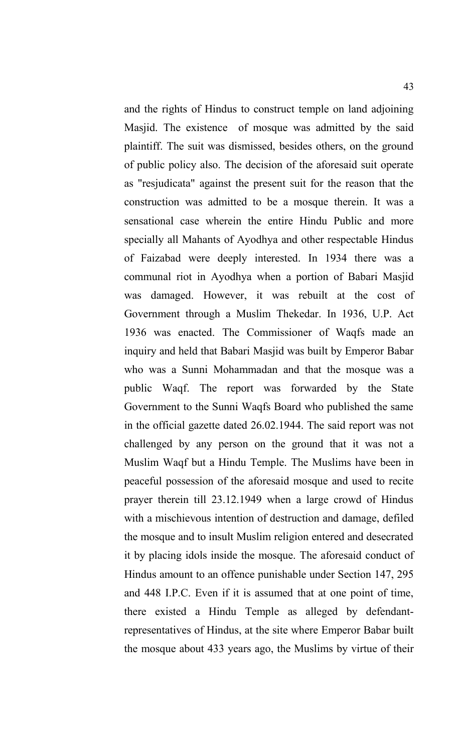and the rights of Hindus to construct temple on land adjoining Masjid. The existence of mosque was admitted by the said plaintiff. The suit was dismissed, besides others, on the ground of public policy also. The decision of the aforesaid suit operate as "resjudicata" against the present suit for the reason that the construction was admitted to be a mosque therein. It was a sensational case wherein the entire Hindu Public and more specially all Mahants of Ayodhya and other respectable Hindus of Faizabad were deeply interested. In 1934 there was a communal riot in Ayodhya when a portion of Babari Masjid was damaged. However, it was rebuilt at the cost of Government through a Muslim Thekedar. In 1936, U.P. Act 1936 was enacted. The Commissioner of Waqfs made an inquiry and held that Babari Masjid was built by Emperor Babar who was a Sunni Mohammadan and that the mosque was a public Waqf. The report was forwarded by the State Government to the Sunni Waqfs Board who published the same in the official gazette dated 26.02.1944. The said report was not challenged by any person on the ground that it was not a Muslim Waqf but a Hindu Temple. The Muslims have been in peaceful possession of the aforesaid mosque and used to recite prayer therein till 23.12.1949 when a large crowd of Hindus with a mischievous intention of destruction and damage, defiled the mosque and to insult Muslim religion entered and desecrated it by placing idols inside the mosque. The aforesaid conduct of Hindus amount to an offence punishable under Section 147, 295 and 448 I.P.C. Even if it is assumed that at one point of time, there existed a Hindu Temple as alleged by defendantrepresentatives of Hindus, at the site where Emperor Babar built the mosque about 433 years ago, the Muslims by virtue of their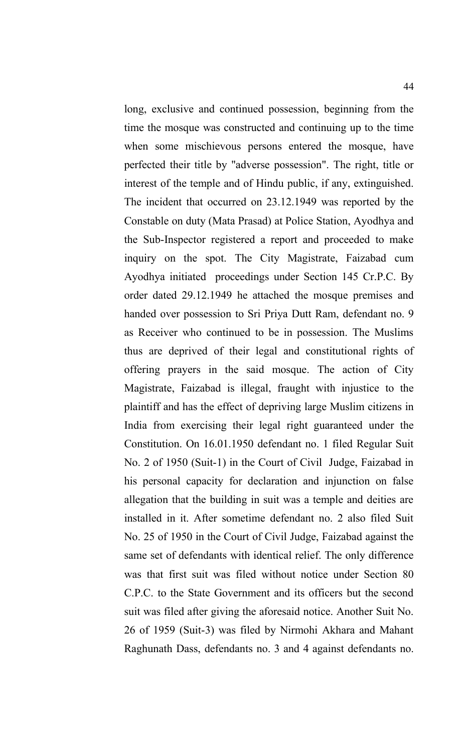long, exclusive and continued possession, beginning from the time the mosque was constructed and continuing up to the time when some mischievous persons entered the mosque, have perfected their title by "adverse possession". The right, title or interest of the temple and of Hindu public, if any, extinguished. The incident that occurred on 23.12.1949 was reported by the Constable on duty (Mata Prasad) at Police Station, Ayodhya and the Sub-Inspector registered a report and proceeded to make inquiry on the spot. The City Magistrate, Faizabad cum Ayodhya initiated proceedings under Section 145 Cr.P.C. By order dated 29.12.1949 he attached the mosque premises and handed over possession to Sri Priya Dutt Ram, defendant no. 9 as Receiver who continued to be in possession. The Muslims thus are deprived of their legal and constitutional rights of offering prayers in the said mosque. The action of City Magistrate, Faizabad is illegal, fraught with injustice to the plaintiff and has the effect of depriving large Muslim citizens in India from exercising their legal right guaranteed under the Constitution. On 16.01.1950 defendant no. 1 filed Regular Suit No. 2 of 1950 (Suit-1) in the Court of Civil Judge, Faizabad in his personal capacity for declaration and injunction on false allegation that the building in suit was a temple and deities are installed in it. After sometime defendant no. 2 also filed Suit No. 25 of 1950 in the Court of Civil Judge, Faizabad against the same set of defendants with identical relief. The only difference was that first suit was filed without notice under Section 80 C.P.C. to the State Government and its officers but the second suit was filed after giving the aforesaid notice. Another Suit No. 26 of 1959 (Suit-3) was filed by Nirmohi Akhara and Mahant Raghunath Dass, defendants no. 3 and 4 against defendants no.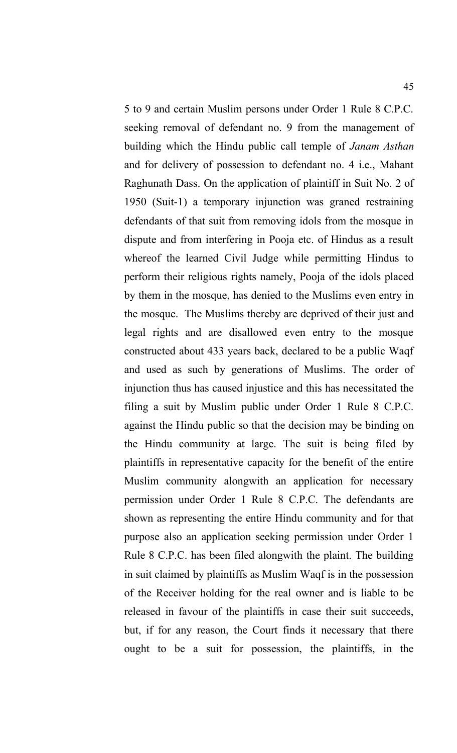5 to 9 and certain Muslim persons under Order 1 Rule 8 C.P.C. seeking removal of defendant no. 9 from the management of building which the Hindu public call temple of *Janam Asthan* and for delivery of possession to defendant no. 4 i.e., Mahant Raghunath Dass. On the application of plaintiff in Suit No. 2 of 1950 (Suit-1) a temporary injunction was graned restraining defendants of that suit from removing idols from the mosque in dispute and from interfering in Pooja etc. of Hindus as a result whereof the learned Civil Judge while permitting Hindus to perform their religious rights namely, Pooja of the idols placed by them in the mosque, has denied to the Muslims even entry in the mosque. The Muslims thereby are deprived of their just and legal rights and are disallowed even entry to the mosque constructed about 433 years back, declared to be a public Waqf and used as such by generations of Muslims. The order of injunction thus has caused injustice and this has necessitated the filing a suit by Muslim public under Order 1 Rule 8 C.P.C. against the Hindu public so that the decision may be binding on the Hindu community at large. The suit is being filed by plaintiffs in representative capacity for the benefit of the entire Muslim community alongwith an application for necessary permission under Order 1 Rule 8 C.P.C. The defendants are shown as representing the entire Hindu community and for that purpose also an application seeking permission under Order 1 Rule 8 C.P.C. has been filed alongwith the plaint. The building in suit claimed by plaintiffs as Muslim Waqf is in the possession of the Receiver holding for the real owner and is liable to be released in favour of the plaintiffs in case their suit succeeds, but, if for any reason, the Court finds it necessary that there ought to be a suit for possession, the plaintiffs, in the

45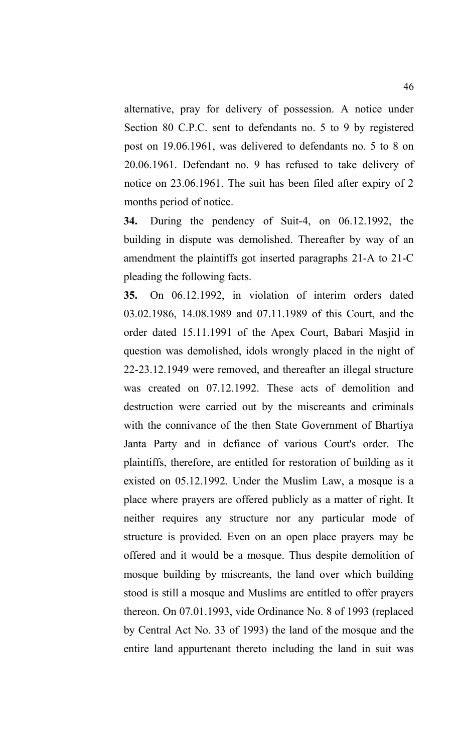alternative, pray for delivery of possession. A notice under Section 80 C.P.C. sent to defendants no. 5 to 9 by registered post on 19.06.1961, was delivered to defendants no. 5 to 8 on 20.06.1961. Defendant no. 9 has refused to take delivery of notice on 23.06.1961. The suit has been filed after expiry of 2 months period of notice.

**34.** During the pendency of Suit-4, on 06.12.1992, the building in dispute was demolished. Thereafter by way of an amendment the plaintiffs got inserted paragraphs 21-A to 21-C pleading the following facts.

**35.** On 06.12.1992, in violation of interim orders dated 03.02.1986, 14.08.1989 and 07.11.1989 of this Court, and the order dated 15.11.1991 of the Apex Court, Babari Masjid in question was demolished, idols wrongly placed in the night of 22-23.12.1949 were removed, and thereafter an illegal structure was created on 07.12.1992. These acts of demolition and destruction were carried out by the miscreants and criminals with the connivance of the then State Government of Bhartiya Janta Party and in defiance of various Court's order. The plaintiffs, therefore, are entitled for restoration of building as it existed on 05.12.1992. Under the Muslim Law, a mosque is a place where prayers are offered publicly as a matter of right. It neither requires any structure nor any particular mode of structure is provided. Even on an open place prayers may be offered and it would be a mosque. Thus despite demolition of mosque building by miscreants, the land over which building stood is still a mosque and Muslims are entitled to offer prayers thereon. On 07.01.1993, vide Ordinance No. 8 of 1993 (replaced by Central Act No. 33 of 1993) the land of the mosque and the entire land appurtenant thereto including the land in suit was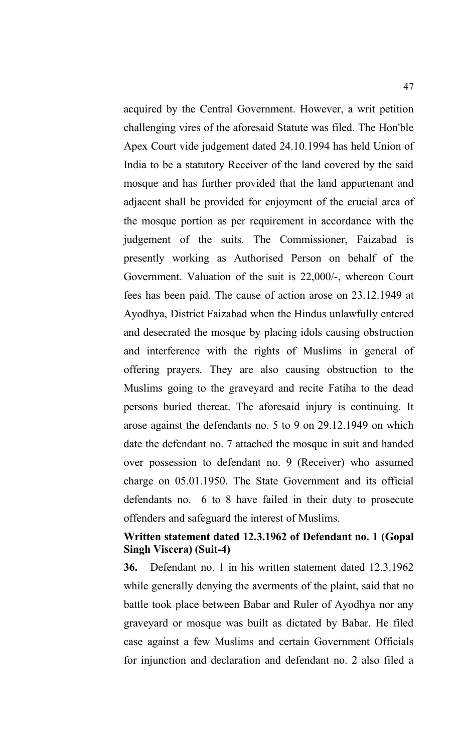acquired by the Central Government. However, a writ petition challenging vires of the aforesaid Statute was filed. The Hon'ble Apex Court vide judgement dated 24.10.1994 has held Union of India to be a statutory Receiver of the land covered by the said mosque and has further provided that the land appurtenant and adjacent shall be provided for enjoyment of the crucial area of the mosque portion as per requirement in accordance with the judgement of the suits. The Commissioner, Faizabad is presently working as Authorised Person on behalf of the Government. Valuation of the suit is 22,000/-, whereon Court fees has been paid. The cause of action arose on 23.12.1949 at Ayodhya, District Faizabad when the Hindus unlawfully entered and desecrated the mosque by placing idols causing obstruction and interference with the rights of Muslims in general of offering prayers. They are also causing obstruction to the Muslims going to the graveyard and recite Fatiha to the dead persons buried thereat. The aforesaid injury is continuing. It arose against the defendants no. 5 to 9 on 29.12.1949 on which date the defendant no. 7 attached the mosque in suit and handed over possession to defendant no. 9 (Receiver) who assumed charge on 05.01.1950. The State Government and its official defendants no. 6 to 8 have failed in their duty to prosecute offenders and safeguard the interest of Muslims.

#### **Written statement dated 12.3.1962 of Defendant no. 1 (Gopal Singh Viscera) (Suit-4)**

**36.** Defendant no. 1 in his written statement dated 12.3.1962 while generally denying the averments of the plaint, said that no battle took place between Babar and Ruler of Ayodhya nor any graveyard or mosque was built as dictated by Babar. He filed case against a few Muslims and certain Government Officials for injunction and declaration and defendant no. 2 also filed a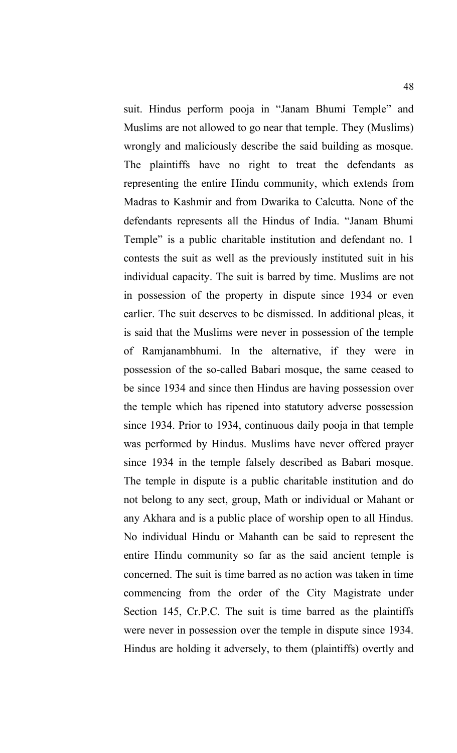suit. Hindus perform pooja in "Janam Bhumi Temple" and Muslims are not allowed to go near that temple. They (Muslims) wrongly and maliciously describe the said building as mosque. The plaintiffs have no right to treat the defendants as representing the entire Hindu community, which extends from Madras to Kashmir and from Dwarika to Calcutta. None of the defendants represents all the Hindus of India. "Janam Bhumi Temple" is a public charitable institution and defendant no. 1 contests the suit as well as the previously instituted suit in his individual capacity. The suit is barred by time. Muslims are not in possession of the property in dispute since 1934 or even earlier. The suit deserves to be dismissed. In additional pleas, it is said that the Muslims were never in possession of the temple of Ramjanambhumi. In the alternative, if they were in possession of the so-called Babari mosque, the same ceased to be since 1934 and since then Hindus are having possession over the temple which has ripened into statutory adverse possession since 1934. Prior to 1934, continuous daily pooja in that temple was performed by Hindus. Muslims have never offered prayer since 1934 in the temple falsely described as Babari mosque. The temple in dispute is a public charitable institution and do not belong to any sect, group, Math or individual or Mahant or any Akhara and is a public place of worship open to all Hindus. No individual Hindu or Mahanth can be said to represent the entire Hindu community so far as the said ancient temple is concerned. The suit is time barred as no action was taken in time commencing from the order of the City Magistrate under Section 145, Cr.P.C. The suit is time barred as the plaintiffs were never in possession over the temple in dispute since 1934. Hindus are holding it adversely, to them (plaintiffs) overtly and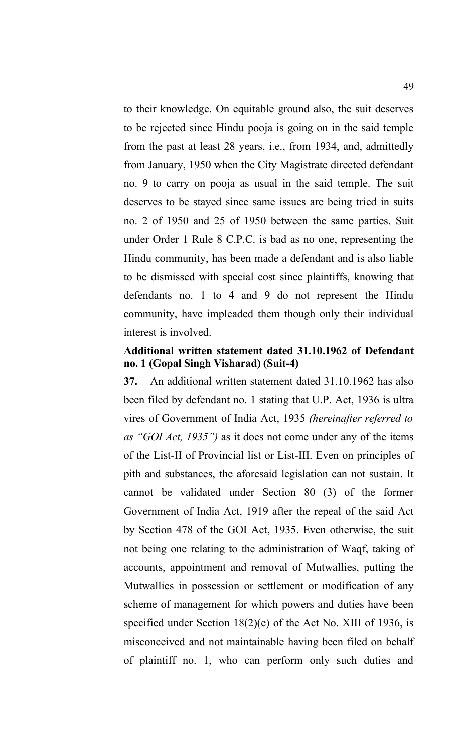to their knowledge. On equitable ground also, the suit deserves to be rejected since Hindu pooja is going on in the said temple from the past at least 28 years, i.e., from 1934, and, admittedly from January, 1950 when the City Magistrate directed defendant no. 9 to carry on pooja as usual in the said temple. The suit deserves to be stayed since same issues are being tried in suits no. 2 of 1950 and 25 of 1950 between the same parties. Suit under Order 1 Rule 8 C.P.C. is bad as no one, representing the Hindu community, has been made a defendant and is also liable to be dismissed with special cost since plaintiffs, knowing that defendants no. 1 to 4 and 9 do not represent the Hindu community, have impleaded them though only their individual interest is involved.

# **Additional written statement dated 31.10.1962 of Defendant no. 1 (Gopal Singh Visharad) (Suit-4)**

**37.** An additional written statement dated 31.10.1962 has also been filed by defendant no. 1 stating that U.P. Act, 1936 is ultra vires of Government of India Act, 1935 *(hereinafter referred to as "GOI Act, 1935")* as it does not come under any of the items of the List-II of Provincial list or List-III. Even on principles of pith and substances, the aforesaid legislation can not sustain. It cannot be validated under Section 80 (3) of the former Government of India Act, 1919 after the repeal of the said Act by Section 478 of the GOI Act, 1935. Even otherwise, the suit not being one relating to the administration of Waqf, taking of accounts, appointment and removal of Mutwallies, putting the Mutwallies in possession or settlement or modification of any scheme of management for which powers and duties have been specified under Section 18(2)(e) of the Act No. XIII of 1936, is misconceived and not maintainable having been filed on behalf of plaintiff no. 1, who can perform only such duties and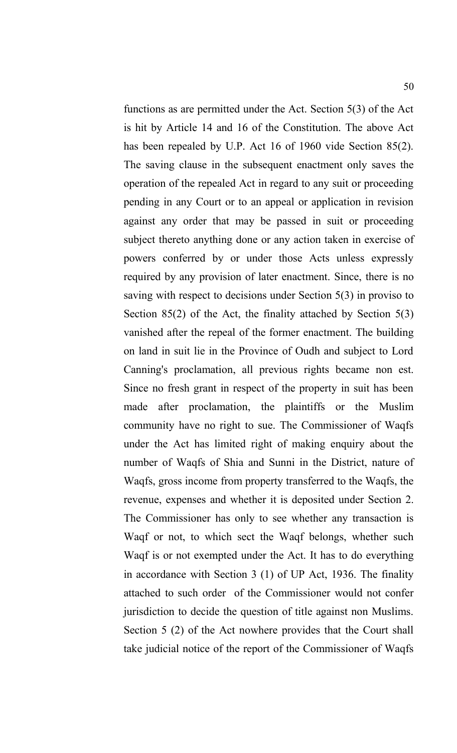functions as are permitted under the Act. Section 5(3) of the Act is hit by Article 14 and 16 of the Constitution. The above Act has been repealed by U.P. Act 16 of 1960 vide Section 85(2). The saving clause in the subsequent enactment only saves the operation of the repealed Act in regard to any suit or proceeding pending in any Court or to an appeal or application in revision against any order that may be passed in suit or proceeding subject thereto anything done or any action taken in exercise of powers conferred by or under those Acts unless expressly required by any provision of later enactment. Since, there is no saving with respect to decisions under Section 5(3) in proviso to Section 85(2) of the Act, the finality attached by Section 5(3) vanished after the repeal of the former enactment. The building on land in suit lie in the Province of Oudh and subject to Lord Canning's proclamation, all previous rights became non est. Since no fresh grant in respect of the property in suit has been made after proclamation, the plaintiffs or the Muslim community have no right to sue. The Commissioner of Waqfs under the Act has limited right of making enquiry about the number of Waqfs of Shia and Sunni in the District, nature of Waqfs, gross income from property transferred to the Waqfs, the revenue, expenses and whether it is deposited under Section 2. The Commissioner has only to see whether any transaction is Waqf or not, to which sect the Waqf belongs, whether such Waqf is or not exempted under the Act. It has to do everything in accordance with Section 3 (1) of UP Act, 1936. The finality attached to such order of the Commissioner would not confer jurisdiction to decide the question of title against non Muslims. Section 5 (2) of the Act nowhere provides that the Court shall take judicial notice of the report of the Commissioner of Waqfs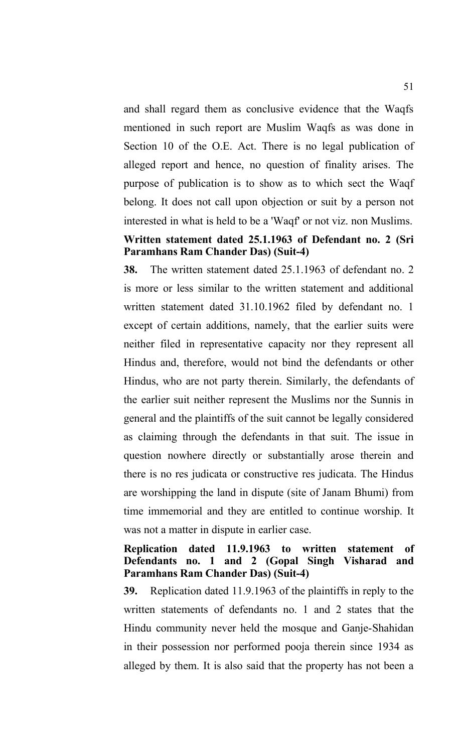and shall regard them as conclusive evidence that the Waqfs mentioned in such report are Muslim Waqfs as was done in Section 10 of the O.E. Act. There is no legal publication of alleged report and hence, no question of finality arises. The purpose of publication is to show as to which sect the Waqf belong. It does not call upon objection or suit by a person not interested in what is held to be a 'Waqf' or not viz. non Muslims.

# **Written statement dated 25.1.1963 of Defendant no. 2 (Sri Paramhans Ram Chander Das) (Suit-4)**

**38.** The written statement dated 25.1.1963 of defendant no. 2 is more or less similar to the written statement and additional written statement dated 31.10.1962 filed by defendant no. 1 except of certain additions, namely, that the earlier suits were neither filed in representative capacity nor they represent all Hindus and, therefore, would not bind the defendants or other Hindus, who are not party therein. Similarly, the defendants of the earlier suit neither represent the Muslims nor the Sunnis in general and the plaintiffs of the suit cannot be legally considered as claiming through the defendants in that suit. The issue in question nowhere directly or substantially arose therein and there is no res judicata or constructive res judicata. The Hindus are worshipping the land in dispute (site of Janam Bhumi) from time immemorial and they are entitled to continue worship. It was not a matter in dispute in earlier case.

#### **Replication dated 11.9.1963 to written statement of Defendants no. 1 and 2 (Gopal Singh Visharad and Paramhans Ram Chander Das) (Suit-4)**

**39.** Replication dated 11.9.1963 of the plaintiffs in reply to the written statements of defendants no. 1 and 2 states that the Hindu community never held the mosque and Ganje-Shahidan in their possession nor performed pooja therein since 1934 as alleged by them. It is also said that the property has not been a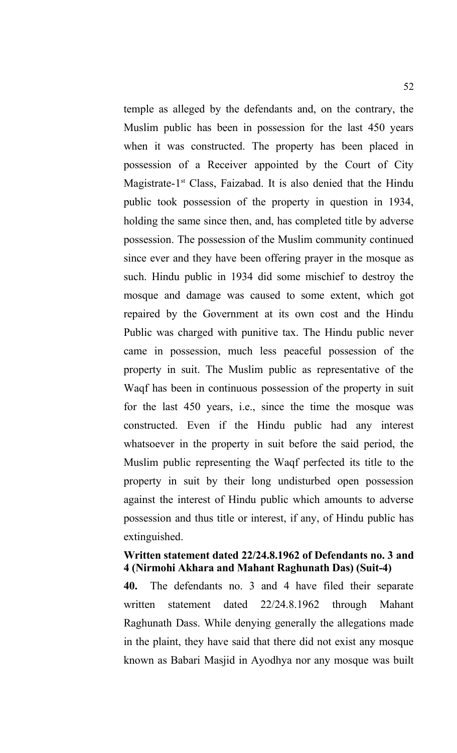temple as alleged by the defendants and, on the contrary, the Muslim public has been in possession for the last 450 years when it was constructed. The property has been placed in possession of a Receiver appointed by the Court of City Magistrate- $1<sup>st</sup>$  Class, Faizabad. It is also denied that the Hindu public took possession of the property in question in 1934, holding the same since then, and, has completed title by adverse possession. The possession of the Muslim community continued since ever and they have been offering prayer in the mosque as such. Hindu public in 1934 did some mischief to destroy the mosque and damage was caused to some extent, which got repaired by the Government at its own cost and the Hindu Public was charged with punitive tax. The Hindu public never came in possession, much less peaceful possession of the property in suit. The Muslim public as representative of the Waqf has been in continuous possession of the property in suit for the last 450 years, i.e., since the time the mosque was constructed. Even if the Hindu public had any interest whatsoever in the property in suit before the said period, the Muslim public representing the Waqf perfected its title to the property in suit by their long undisturbed open possession against the interest of Hindu public which amounts to adverse possession and thus title or interest, if any, of Hindu public has extinguished.

#### **Written statement dated 22/24.8.1962 of Defendants no. 3 and 4 (Nirmohi Akhara and Mahant Raghunath Das) (Suit-4)**

**40.** The defendants no. 3 and 4 have filed their separate written statement dated 22/24.8.1962 through Mahant Raghunath Dass. While denying generally the allegations made in the plaint, they have said that there did not exist any mosque known as Babari Masjid in Ayodhya nor any mosque was built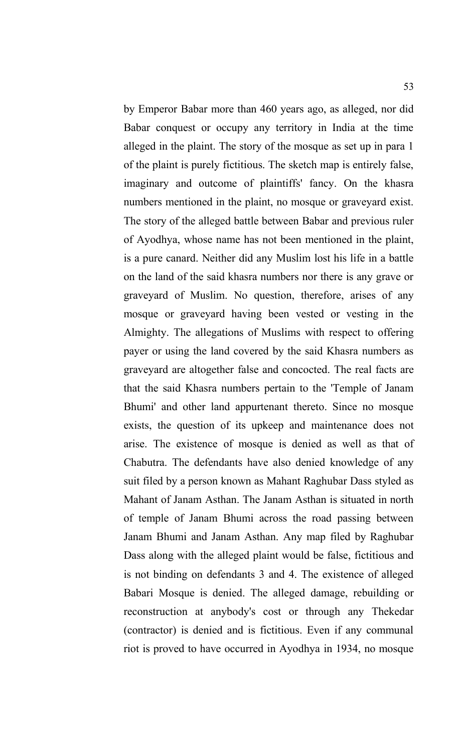by Emperor Babar more than 460 years ago, as alleged, nor did Babar conquest or occupy any territory in India at the time alleged in the plaint. The story of the mosque as set up in para 1 of the plaint is purely fictitious. The sketch map is entirely false, imaginary and outcome of plaintiffs' fancy. On the khasra numbers mentioned in the plaint, no mosque or graveyard exist. The story of the alleged battle between Babar and previous ruler of Ayodhya, whose name has not been mentioned in the plaint, is a pure canard. Neither did any Muslim lost his life in a battle on the land of the said khasra numbers nor there is any grave or graveyard of Muslim. No question, therefore, arises of any mosque or graveyard having been vested or vesting in the Almighty. The allegations of Muslims with respect to offering payer or using the land covered by the said Khasra numbers as graveyard are altogether false and concocted. The real facts are that the said Khasra numbers pertain to the 'Temple of Janam Bhumi' and other land appurtenant thereto. Since no mosque exists, the question of its upkeep and maintenance does not arise. The existence of mosque is denied as well as that of Chabutra. The defendants have also denied knowledge of any suit filed by a person known as Mahant Raghubar Dass styled as Mahant of Janam Asthan. The Janam Asthan is situated in north of temple of Janam Bhumi across the road passing between Janam Bhumi and Janam Asthan. Any map filed by Raghubar Dass along with the alleged plaint would be false, fictitious and is not binding on defendants 3 and 4. The existence of alleged Babari Mosque is denied. The alleged damage, rebuilding or reconstruction at anybody's cost or through any Thekedar (contractor) is denied and is fictitious. Even if any communal riot is proved to have occurred in Ayodhya in 1934, no mosque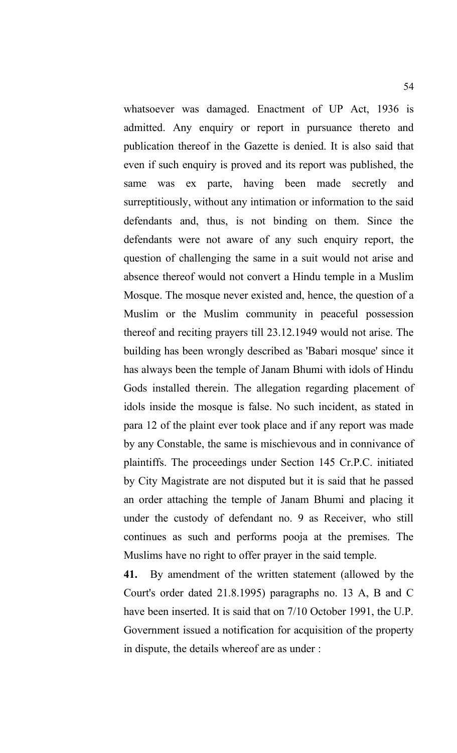whatsoever was damaged. Enactment of UP Act, 1936 is admitted. Any enquiry or report in pursuance thereto and publication thereof in the Gazette is denied. It is also said that even if such enquiry is proved and its report was published, the same was ex parte, having been made secretly and surreptitiously, without any intimation or information to the said defendants and, thus, is not binding on them. Since the defendants were not aware of any such enquiry report, the question of challenging the same in a suit would not arise and absence thereof would not convert a Hindu temple in a Muslim Mosque. The mosque never existed and, hence, the question of a Muslim or the Muslim community in peaceful possession thereof and reciting prayers till 23.12.1949 would not arise. The building has been wrongly described as 'Babari mosque' since it has always been the temple of Janam Bhumi with idols of Hindu Gods installed therein. The allegation regarding placement of idols inside the mosque is false. No such incident, as stated in para 12 of the plaint ever took place and if any report was made by any Constable, the same is mischievous and in connivance of plaintiffs. The proceedings under Section 145 Cr.P.C. initiated by City Magistrate are not disputed but it is said that he passed an order attaching the temple of Janam Bhumi and placing it under the custody of defendant no. 9 as Receiver, who still continues as such and performs pooja at the premises. The Muslims have no right to offer prayer in the said temple.

**41.** By amendment of the written statement (allowed by the Court's order dated 21.8.1995) paragraphs no. 13 A, B and C have been inserted. It is said that on 7/10 October 1991, the U.P. Government issued a notification for acquisition of the property in dispute, the details whereof are as under :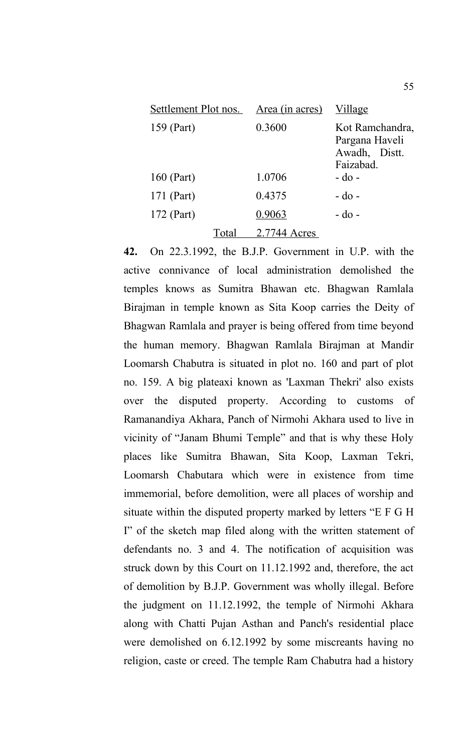| Settlement Plot nos. |       | Area (in acres) | Village                                                         |
|----------------------|-------|-----------------|-----------------------------------------------------------------|
| 159 (Part)           |       | 0.3600          | Kot Ramchandra,<br>Pargana Haveli<br>Awadh, Distt.<br>Faizabad. |
| 160 (Part)           |       | 1.0706          | $-do$ -                                                         |
| 171 (Part)           |       | 0.4375          | $-do$ -                                                         |
| 172 (Part)           |       | 0.9063          | $-do$ -                                                         |
|                      | Total | 2.7744 Acres    |                                                                 |

**42.** On 22.3.1992, the B.J.P. Government in U.P. with the active connivance of local administration demolished the temples knows as Sumitra Bhawan etc. Bhagwan Ramlala Birajman in temple known as Sita Koop carries the Deity of Bhagwan Ramlala and prayer is being offered from time beyond the human memory. Bhagwan Ramlala Birajman at Mandir Loomarsh Chabutra is situated in plot no. 160 and part of plot no. 159. A big plateaxi known as 'Laxman Thekri' also exists over the disputed property. According to customs of Ramanandiya Akhara, Panch of Nirmohi Akhara used to live in vicinity of "Janam Bhumi Temple" and that is why these Holy places like Sumitra Bhawan, Sita Koop, Laxman Tekri, Loomarsh Chabutara which were in existence from time immemorial, before demolition, were all places of worship and situate within the disputed property marked by letters "E F G H I" of the sketch map filed along with the written statement of defendants no. 3 and 4. The notification of acquisition was struck down by this Court on 11.12.1992 and, therefore, the act of demolition by B.J.P. Government was wholly illegal. Before the judgment on 11.12.1992, the temple of Nirmohi Akhara along with Chatti Pujan Asthan and Panch's residential place were demolished on 6.12.1992 by some miscreants having no religion, caste or creed. The temple Ram Chabutra had a history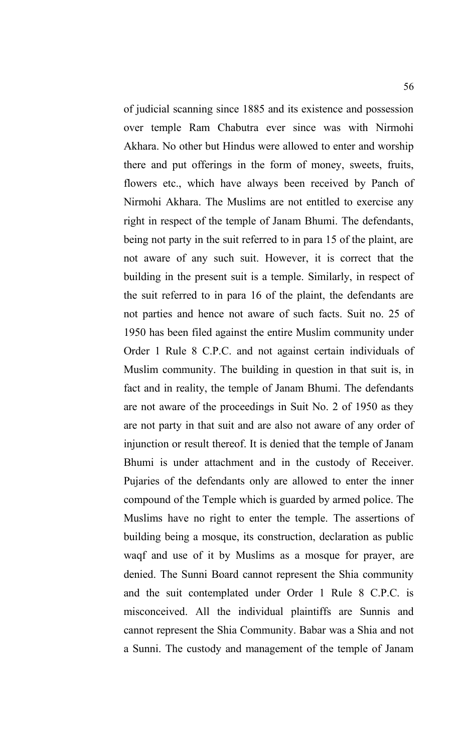of judicial scanning since 1885 and its existence and possession over temple Ram Chabutra ever since was with Nirmohi Akhara. No other but Hindus were allowed to enter and worship there and put offerings in the form of money, sweets, fruits, flowers etc., which have always been received by Panch of Nirmohi Akhara. The Muslims are not entitled to exercise any right in respect of the temple of Janam Bhumi. The defendants, being not party in the suit referred to in para 15 of the plaint, are not aware of any such suit. However, it is correct that the building in the present suit is a temple. Similarly, in respect of the suit referred to in para 16 of the plaint, the defendants are not parties and hence not aware of such facts. Suit no. 25 of 1950 has been filed against the entire Muslim community under Order 1 Rule 8 C.P.C. and not against certain individuals of Muslim community. The building in question in that suit is, in fact and in reality, the temple of Janam Bhumi. The defendants are not aware of the proceedings in Suit No. 2 of 1950 as they are not party in that suit and are also not aware of any order of injunction or result thereof. It is denied that the temple of Janam Bhumi is under attachment and in the custody of Receiver. Pujaries of the defendants only are allowed to enter the inner compound of the Temple which is guarded by armed police. The Muslims have no right to enter the temple. The assertions of building being a mosque, its construction, declaration as public waqf and use of it by Muslims as a mosque for prayer, are denied. The Sunni Board cannot represent the Shia community and the suit contemplated under Order 1 Rule 8 C.P.C. is misconceived. All the individual plaintiffs are Sunnis and cannot represent the Shia Community. Babar was a Shia and not a Sunni. The custody and management of the temple of Janam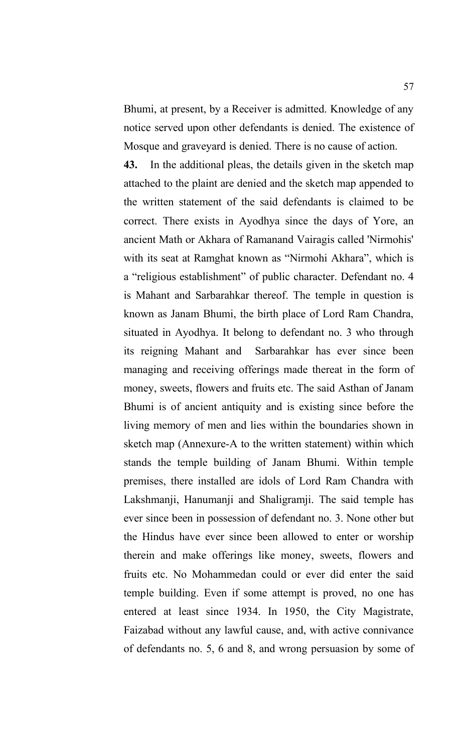Bhumi, at present, by a Receiver is admitted. Knowledge of any notice served upon other defendants is denied. The existence of Mosque and graveyard is denied. There is no cause of action.

**43.** In the additional pleas, the details given in the sketch map attached to the plaint are denied and the sketch map appended to the written statement of the said defendants is claimed to be correct. There exists in Ayodhya since the days of Yore, an ancient Math or Akhara of Ramanand Vairagis called 'Nirmohis' with its seat at Ramghat known as "Nirmohi Akhara", which is a "religious establishment" of public character. Defendant no. 4 is Mahant and Sarbarahkar thereof. The temple in question is known as Janam Bhumi, the birth place of Lord Ram Chandra, situated in Ayodhya. It belong to defendant no. 3 who through its reigning Mahant and Sarbarahkar has ever since been managing and receiving offerings made thereat in the form of money, sweets, flowers and fruits etc. The said Asthan of Janam Bhumi is of ancient antiquity and is existing since before the living memory of men and lies within the boundaries shown in sketch map (Annexure-A to the written statement) within which stands the temple building of Janam Bhumi. Within temple premises, there installed are idols of Lord Ram Chandra with Lakshmanji, Hanumanji and Shaligramji. The said temple has ever since been in possession of defendant no. 3. None other but the Hindus have ever since been allowed to enter or worship therein and make offerings like money, sweets, flowers and fruits etc. No Mohammedan could or ever did enter the said temple building. Even if some attempt is proved, no one has entered at least since 1934. In 1950, the City Magistrate, Faizabad without any lawful cause, and, with active connivance of defendants no. 5, 6 and 8, and wrong persuasion by some of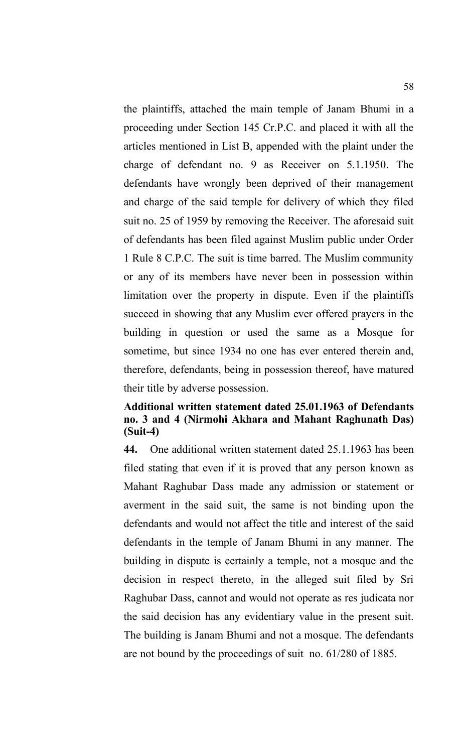the plaintiffs, attached the main temple of Janam Bhumi in a proceeding under Section 145 Cr.P.C. and placed it with all the articles mentioned in List B, appended with the plaint under the charge of defendant no. 9 as Receiver on 5.1.1950. The defendants have wrongly been deprived of their management and charge of the said temple for delivery of which they filed suit no. 25 of 1959 by removing the Receiver. The aforesaid suit of defendants has been filed against Muslim public under Order 1 Rule 8 C.P.C. The suit is time barred. The Muslim community or any of its members have never been in possession within limitation over the property in dispute. Even if the plaintiffs succeed in showing that any Muslim ever offered prayers in the building in question or used the same as a Mosque for sometime, but since 1934 no one has ever entered therein and, therefore, defendants, being in possession thereof, have matured their title by adverse possession.

## **Additional written statement dated 25.01.1963 of Defendants no. 3 and 4 (Nirmohi Akhara and Mahant Raghunath Das) (Suit-4)**

**44.** One additional written statement dated 25.1.1963 has been filed stating that even if it is proved that any person known as Mahant Raghubar Dass made any admission or statement or averment in the said suit, the same is not binding upon the defendants and would not affect the title and interest of the said defendants in the temple of Janam Bhumi in any manner. The building in dispute is certainly a temple, not a mosque and the decision in respect thereto, in the alleged suit filed by Sri Raghubar Dass, cannot and would not operate as res judicata nor the said decision has any evidentiary value in the present suit. The building is Janam Bhumi and not a mosque. The defendants are not bound by the proceedings of suit no. 61/280 of 1885.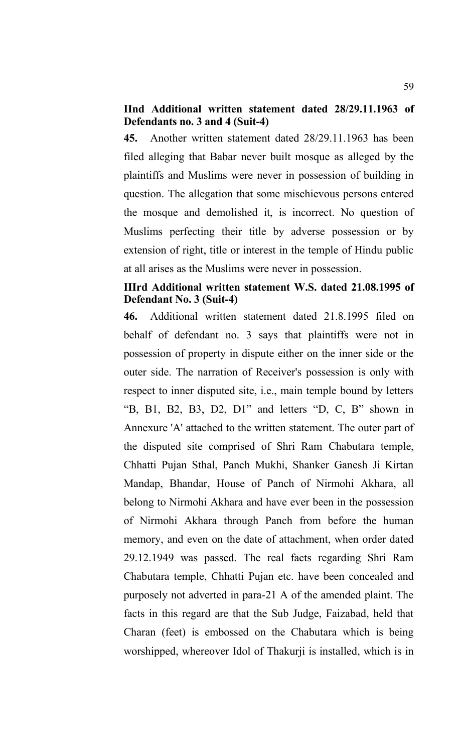### **IInd Additional written statement dated 28/29.11.1963 of Defendants no. 3 and 4 (Suit-4)**

**45.** Another written statement dated 28/29.11.1963 has been filed alleging that Babar never built mosque as alleged by the plaintiffs and Muslims were never in possession of building in question. The allegation that some mischievous persons entered the mosque and demolished it, is incorrect. No question of Muslims perfecting their title by adverse possession or by extension of right, title or interest in the temple of Hindu public at all arises as the Muslims were never in possession.

#### **IIIrd Additional written statement W.S. dated 21.08.1995 of Defendant No. 3 (Suit-4)**

**46.** Additional written statement dated 21.8.1995 filed on behalf of defendant no. 3 says that plaintiffs were not in possession of property in dispute either on the inner side or the outer side. The narration of Receiver's possession is only with respect to inner disputed site, i.e., main temple bound by letters "B, B1, B2, B3, D2, D1" and letters "D, C, B" shown in Annexure 'A' attached to the written statement. The outer part of the disputed site comprised of Shri Ram Chabutara temple, Chhatti Pujan Sthal, Panch Mukhi, Shanker Ganesh Ji Kirtan Mandap, Bhandar, House of Panch of Nirmohi Akhara, all belong to Nirmohi Akhara and have ever been in the possession of Nirmohi Akhara through Panch from before the human memory, and even on the date of attachment, when order dated 29.12.1949 was passed. The real facts regarding Shri Ram Chabutara temple, Chhatti Pujan etc. have been concealed and purposely not adverted in para-21 A of the amended plaint. The facts in this regard are that the Sub Judge, Faizabad, held that Charan (feet) is embossed on the Chabutara which is being worshipped, whereover Idol of Thakurji is installed, which is in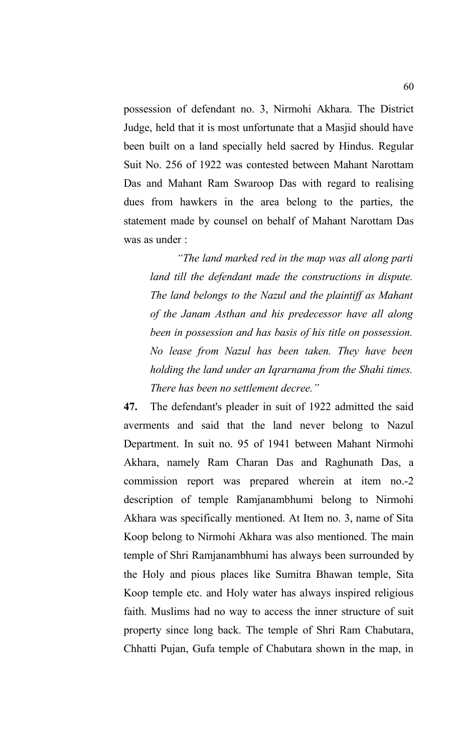possession of defendant no. 3, Nirmohi Akhara. The District Judge, held that it is most unfortunate that a Masjid should have been built on a land specially held sacred by Hindus. Regular Suit No. 256 of 1922 was contested between Mahant Narottam Das and Mahant Ram Swaroop Das with regard to realising dues from hawkers in the area belong to the parties, the statement made by counsel on behalf of Mahant Narottam Das was as under :

*"The land marked red in the map was all along parti land till the defendant made the constructions in dispute. The land belongs to the Nazul and the plaintiff as Mahant of the Janam Asthan and his predecessor have all along been in possession and has basis of his title on possession. No lease from Nazul has been taken. They have been holding the land under an Iqrarnama from the Shahi times. There has been no settlement decree."*

**47.** The defendant's pleader in suit of 1922 admitted the said averments and said that the land never belong to Nazul Department. In suit no. 95 of 1941 between Mahant Nirmohi Akhara, namely Ram Charan Das and Raghunath Das, a commission report was prepared wherein at item no.-2 description of temple Ramjanambhumi belong to Nirmohi Akhara was specifically mentioned. At Item no. 3, name of Sita Koop belong to Nirmohi Akhara was also mentioned. The main temple of Shri Ramjanambhumi has always been surrounded by the Holy and pious places like Sumitra Bhawan temple, Sita Koop temple etc. and Holy water has always inspired religious faith. Muslims had no way to access the inner structure of suit property since long back. The temple of Shri Ram Chabutara, Chhatti Pujan, Gufa temple of Chabutara shown in the map, in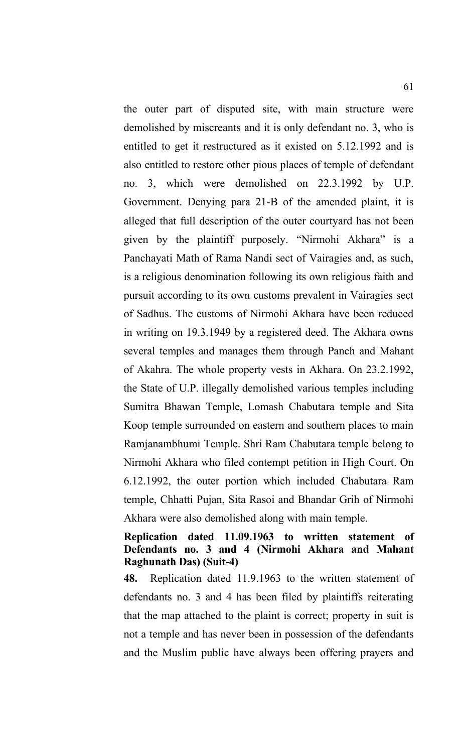the outer part of disputed site, with main structure were demolished by miscreants and it is only defendant no. 3, who is entitled to get it restructured as it existed on 5.12.1992 and is also entitled to restore other pious places of temple of defendant no. 3, which were demolished on 22.3.1992 by U.P. Government. Denying para 21-B of the amended plaint, it is alleged that full description of the outer courtyard has not been given by the plaintiff purposely. "Nirmohi Akhara" is a Panchayati Math of Rama Nandi sect of Vairagies and, as such, is a religious denomination following its own religious faith and pursuit according to its own customs prevalent in Vairagies sect of Sadhus. The customs of Nirmohi Akhara have been reduced in writing on 19.3.1949 by a registered deed. The Akhara owns several temples and manages them through Panch and Mahant of Akahra. The whole property vests in Akhara. On 23.2.1992, the State of U.P. illegally demolished various temples including Sumitra Bhawan Temple, Lomash Chabutara temple and Sita Koop temple surrounded on eastern and southern places to main Ramjanambhumi Temple. Shri Ram Chabutara temple belong to Nirmohi Akhara who filed contempt petition in High Court. On 6.12.1992, the outer portion which included Chabutara Ram temple, Chhatti Pujan, Sita Rasoi and Bhandar Grih of Nirmohi Akhara were also demolished along with main temple.

# **Replication dated 11.09.1963 to written statement of Defendants no. 3 and 4 (Nirmohi Akhara and Mahant Raghunath Das) (Suit-4)**

**48.** Replication dated 11.9.1963 to the written statement of defendants no. 3 and 4 has been filed by plaintiffs reiterating that the map attached to the plaint is correct; property in suit is not a temple and has never been in possession of the defendants and the Muslim public have always been offering prayers and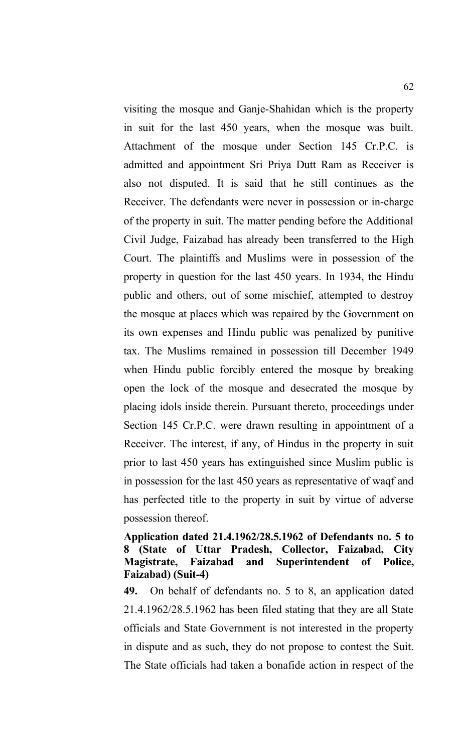visiting the mosque and Ganje-Shahidan which is the property in suit for the last 450 years, when the mosque was built. Attachment of the mosque under Section 145 Cr.P.C. is admitted and appointment Sri Priya Dutt Ram as Receiver is also not disputed. It is said that he still continues as the Receiver. The defendants were never in possession or in-charge of the property in suit. The matter pending before the Additional Civil Judge, Faizabad has already been transferred to the High Court. The plaintiffs and Muslims were in possession of the property in question for the last 450 years. In 1934, the Hindu public and others, out of some mischief, attempted to destroy the mosque at places which was repaired by the Government on its own expenses and Hindu public was penalized by punitive tax. The Muslims remained in possession till December 1949 when Hindu public forcibly entered the mosque by breaking open the lock of the mosque and desecrated the mosque by placing idols inside therein. Pursuant thereto, proceedings under Section 145 Cr.P.C. were drawn resulting in appointment of a Receiver. The interest, if any, of Hindus in the property in suit prior to last 450 years has extinguished since Muslim public is in possession for the last 450 years as representative of waqf and has perfected title to the property in suit by virtue of adverse possession thereof.

#### **Application dated 21.4.1962/28.5.1962 of Defendants no. 5 to 8 (State of Uttar Pradesh, Collector, Faizabad, City Magistrate, Faizabad and Superintendent of Police, Faizabad) (Suit-4)**

**49.** On behalf of defendants no. 5 to 8, an application dated 21.4.1962/28.5.1962 has been filed stating that they are all State officials and State Government is not interested in the property in dispute and as such, they do not propose to contest the Suit. The State officials had taken a bonafide action in respect of the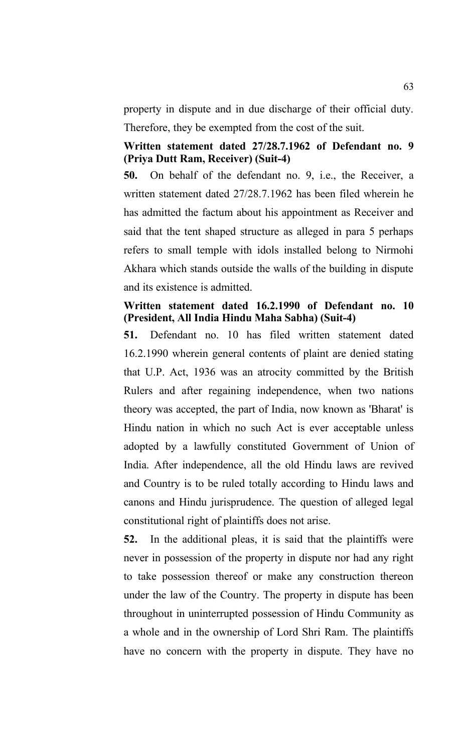property in dispute and in due discharge of their official duty. Therefore, they be exempted from the cost of the suit.

# **Written statement dated 27/28.7.1962 of Defendant no. 9 (Priya Dutt Ram, Receiver) (Suit-4)**

**50.** On behalf of the defendant no. 9, i.e., the Receiver, a written statement dated 27/28.7.1962 has been filed wherein he has admitted the factum about his appointment as Receiver and said that the tent shaped structure as alleged in para 5 perhaps refers to small temple with idols installed belong to Nirmohi Akhara which stands outside the walls of the building in dispute and its existence is admitted.

# **Written statement dated 16.2.1990 of Defendant no. 10 (President, All India Hindu Maha Sabha) (Suit-4)**

**51.** Defendant no. 10 has filed written statement dated 16.2.1990 wherein general contents of plaint are denied stating that U.P. Act, 1936 was an atrocity committed by the British Rulers and after regaining independence, when two nations theory was accepted, the part of India, now known as 'Bharat' is Hindu nation in which no such Act is ever acceptable unless adopted by a lawfully constituted Government of Union of India. After independence, all the old Hindu laws are revived and Country is to be ruled totally according to Hindu laws and canons and Hindu jurisprudence. The question of alleged legal constitutional right of plaintiffs does not arise.

**52.** In the additional pleas, it is said that the plaintiffs were never in possession of the property in dispute nor had any right to take possession thereof or make any construction thereon under the law of the Country. The property in dispute has been throughout in uninterrupted possession of Hindu Community as a whole and in the ownership of Lord Shri Ram. The plaintiffs have no concern with the property in dispute. They have no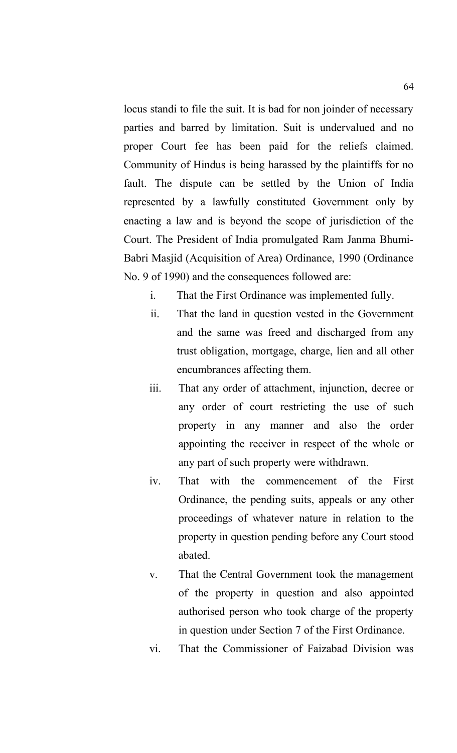locus standi to file the suit. It is bad for non joinder of necessary parties and barred by limitation. Suit is undervalued and no proper Court fee has been paid for the reliefs claimed. Community of Hindus is being harassed by the plaintiffs for no fault. The dispute can be settled by the Union of India represented by a lawfully constituted Government only by enacting a law and is beyond the scope of jurisdiction of the Court. The President of India promulgated Ram Janma Bhumi-Babri Masjid (Acquisition of Area) Ordinance, 1990 (Ordinance No. 9 of 1990) and the consequences followed are:

- i. That the First Ordinance was implemented fully.
- ii. That the land in question vested in the Government and the same was freed and discharged from any trust obligation, mortgage, charge, lien and all other encumbrances affecting them.
- iii. That any order of attachment, injunction, decree or any order of court restricting the use of such property in any manner and also the order appointing the receiver in respect of the whole or any part of such property were withdrawn.
- iv. That with the commencement of the First Ordinance, the pending suits, appeals or any other proceedings of whatever nature in relation to the property in question pending before any Court stood abated.
- v. That the Central Government took the management of the property in question and also appointed authorised person who took charge of the property in question under Section 7 of the First Ordinance.
- vi. That the Commissioner of Faizabad Division was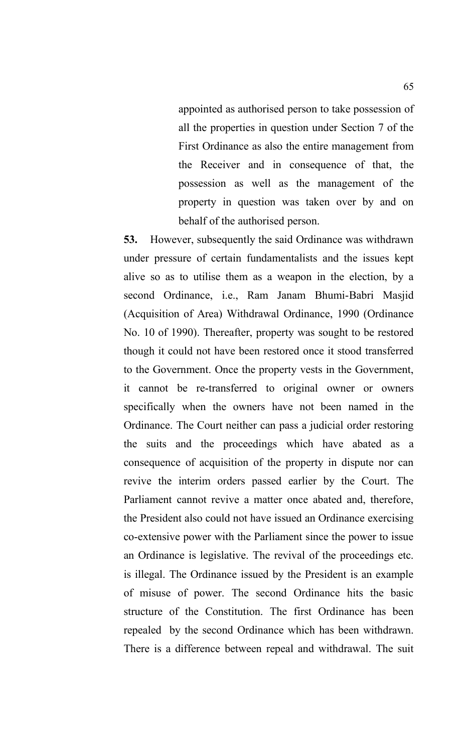appointed as authorised person to take possession of all the properties in question under Section 7 of the First Ordinance as also the entire management from the Receiver and in consequence of that, the possession as well as the management of the property in question was taken over by and on behalf of the authorised person.

**53.** However, subsequently the said Ordinance was withdrawn under pressure of certain fundamentalists and the issues kept alive so as to utilise them as a weapon in the election, by a second Ordinance, i.e., Ram Janam Bhumi-Babri Masjid (Acquisition of Area) Withdrawal Ordinance, 1990 (Ordinance No. 10 of 1990). Thereafter, property was sought to be restored though it could not have been restored once it stood transferred to the Government. Once the property vests in the Government, it cannot be re-transferred to original owner or owners specifically when the owners have not been named in the Ordinance. The Court neither can pass a judicial order restoring the suits and the proceedings which have abated as a consequence of acquisition of the property in dispute nor can revive the interim orders passed earlier by the Court. The Parliament cannot revive a matter once abated and, therefore, the President also could not have issued an Ordinance exercising co-extensive power with the Parliament since the power to issue an Ordinance is legislative. The revival of the proceedings etc. is illegal. The Ordinance issued by the President is an example of misuse of power. The second Ordinance hits the basic structure of the Constitution. The first Ordinance has been repealed by the second Ordinance which has been withdrawn. There is a difference between repeal and withdrawal. The suit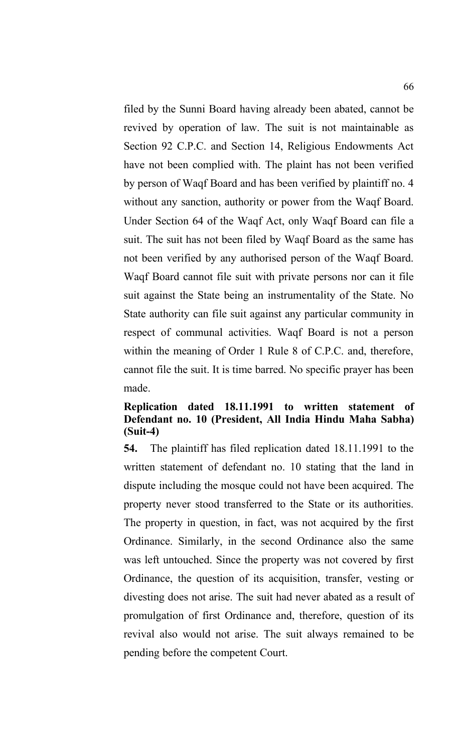filed by the Sunni Board having already been abated, cannot be revived by operation of law. The suit is not maintainable as Section 92 C.P.C. and Section 14, Religious Endowments Act have not been complied with. The plaint has not been verified by person of Waqf Board and has been verified by plaintiff no. 4 without any sanction, authority or power from the Waqf Board. Under Section 64 of the Waqf Act, only Waqf Board can file a suit. The suit has not been filed by Waqf Board as the same has not been verified by any authorised person of the Waqf Board. Waqf Board cannot file suit with private persons nor can it file suit against the State being an instrumentality of the State. No State authority can file suit against any particular community in respect of communal activities. Waqf Board is not a person within the meaning of Order 1 Rule 8 of C.P.C. and, therefore, cannot file the suit. It is time barred. No specific prayer has been made.

## **Replication dated 18.11.1991 to written statement of Defendant no. 10 (President, All India Hindu Maha Sabha) (Suit-4)**

**54.** The plaintiff has filed replication dated 18.11.1991 to the written statement of defendant no. 10 stating that the land in dispute including the mosque could not have been acquired. The property never stood transferred to the State or its authorities. The property in question, in fact, was not acquired by the first Ordinance. Similarly, in the second Ordinance also the same was left untouched. Since the property was not covered by first Ordinance, the question of its acquisition, transfer, vesting or divesting does not arise. The suit had never abated as a result of promulgation of first Ordinance and, therefore, question of its revival also would not arise. The suit always remained to be pending before the competent Court.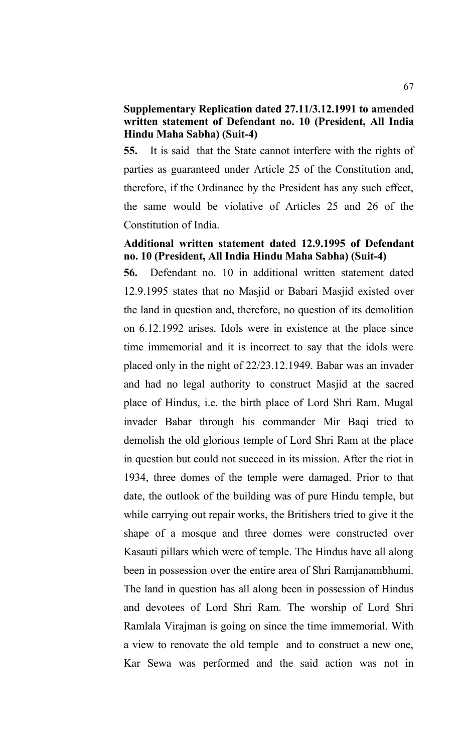#### **Supplementary Replication dated 27.11/3.12.1991 to amended written statement of Defendant no. 10 (President, All India Hindu Maha Sabha) (Suit-4)**

**55.** It is said that the State cannot interfere with the rights of parties as guaranteed under Article 25 of the Constitution and, therefore, if the Ordinance by the President has any such effect, the same would be violative of Articles 25 and 26 of the Constitution of India.

## **Additional written statement dated 12.9.1995 of Defendant no. 10 (President, All India Hindu Maha Sabha) (Suit-4)**

**56.** Defendant no. 10 in additional written statement dated 12.9.1995 states that no Masjid or Babari Masjid existed over the land in question and, therefore, no question of its demolition on 6.12.1992 arises. Idols were in existence at the place since time immemorial and it is incorrect to say that the idols were placed only in the night of 22/23.12.1949. Babar was an invader and had no legal authority to construct Masjid at the sacred place of Hindus, i.e. the birth place of Lord Shri Ram. Mugal invader Babar through his commander Mir Baqi tried to demolish the old glorious temple of Lord Shri Ram at the place in question but could not succeed in its mission. After the riot in 1934, three domes of the temple were damaged. Prior to that date, the outlook of the building was of pure Hindu temple, but while carrying out repair works, the Britishers tried to give it the shape of a mosque and three domes were constructed over Kasauti pillars which were of temple. The Hindus have all along been in possession over the entire area of Shri Ramjanambhumi. The land in question has all along been in possession of Hindus and devotees of Lord Shri Ram. The worship of Lord Shri Ramlala Virajman is going on since the time immemorial. With a view to renovate the old temple and to construct a new one, Kar Sewa was performed and the said action was not in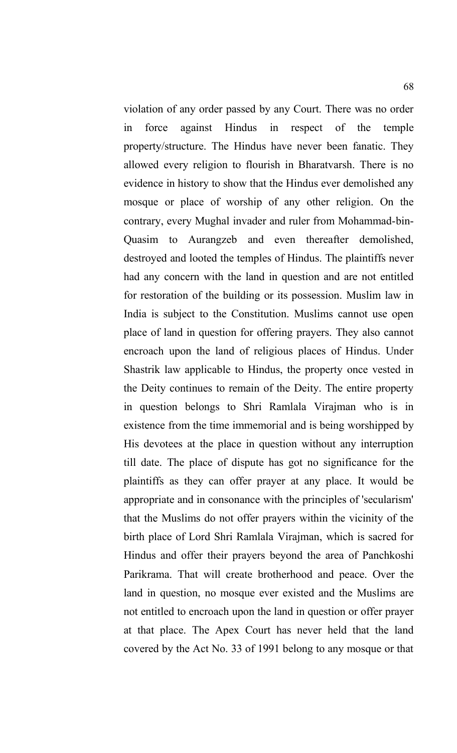violation of any order passed by any Court. There was no order in force against Hindus in respect of the temple property/structure. The Hindus have never been fanatic. They allowed every religion to flourish in Bharatvarsh. There is no evidence in history to show that the Hindus ever demolished any mosque or place of worship of any other religion. On the contrary, every Mughal invader and ruler from Mohammad-bin-Quasim to Aurangzeb and even thereafter demolished, destroyed and looted the temples of Hindus. The plaintiffs never had any concern with the land in question and are not entitled for restoration of the building or its possession. Muslim law in India is subject to the Constitution. Muslims cannot use open place of land in question for offering prayers. They also cannot encroach upon the land of religious places of Hindus. Under Shastrik law applicable to Hindus, the property once vested in the Deity continues to remain of the Deity. The entire property in question belongs to Shri Ramlala Virajman who is in existence from the time immemorial and is being worshipped by His devotees at the place in question without any interruption till date. The place of dispute has got no significance for the plaintiffs as they can offer prayer at any place. It would be appropriate and in consonance with the principles of 'secularism' that the Muslims do not offer prayers within the vicinity of the birth place of Lord Shri Ramlala Virajman, which is sacred for Hindus and offer their prayers beyond the area of Panchkoshi Parikrama. That will create brotherhood and peace. Over the land in question, no mosque ever existed and the Muslims are not entitled to encroach upon the land in question or offer prayer at that place. The Apex Court has never held that the land covered by the Act No. 33 of 1991 belong to any mosque or that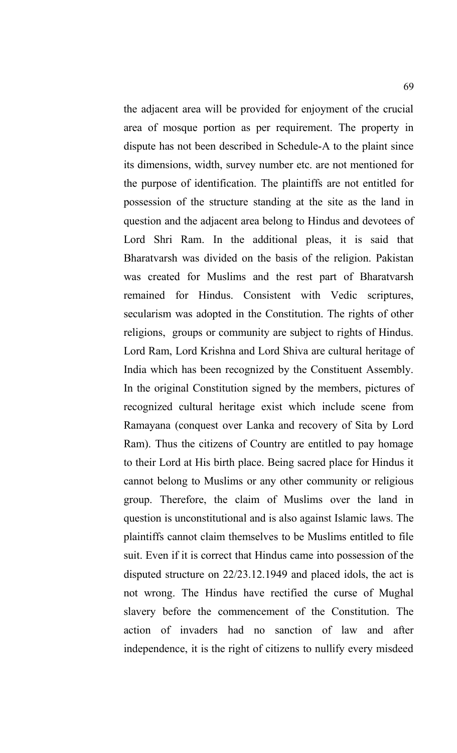the adjacent area will be provided for enjoyment of the crucial area of mosque portion as per requirement. The property in dispute has not been described in Schedule-A to the plaint since its dimensions, width, survey number etc. are not mentioned for the purpose of identification. The plaintiffs are not entitled for possession of the structure standing at the site as the land in question and the adjacent area belong to Hindus and devotees of Lord Shri Ram. In the additional pleas, it is said that Bharatvarsh was divided on the basis of the religion. Pakistan was created for Muslims and the rest part of Bharatvarsh remained for Hindus. Consistent with Vedic scriptures, secularism was adopted in the Constitution. The rights of other religions, groups or community are subject to rights of Hindus. Lord Ram, Lord Krishna and Lord Shiva are cultural heritage of India which has been recognized by the Constituent Assembly. In the original Constitution signed by the members, pictures of recognized cultural heritage exist which include scene from Ramayana (conquest over Lanka and recovery of Sita by Lord Ram). Thus the citizens of Country are entitled to pay homage to their Lord at His birth place. Being sacred place for Hindus it cannot belong to Muslims or any other community or religious group. Therefore, the claim of Muslims over the land in question is unconstitutional and is also against Islamic laws. The plaintiffs cannot claim themselves to be Muslims entitled to file suit. Even if it is correct that Hindus came into possession of the disputed structure on 22/23.12.1949 and placed idols, the act is not wrong. The Hindus have rectified the curse of Mughal slavery before the commencement of the Constitution. The action of invaders had no sanction of law and after independence, it is the right of citizens to nullify every misdeed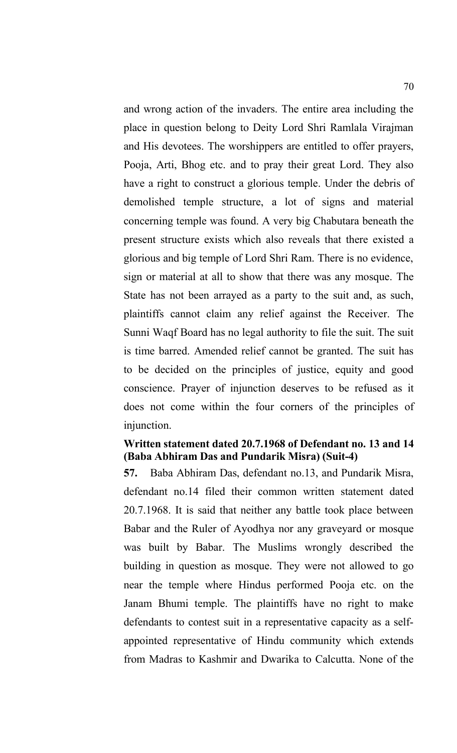and wrong action of the invaders. The entire area including the place in question belong to Deity Lord Shri Ramlala Virajman and His devotees. The worshippers are entitled to offer prayers, Pooja, Arti, Bhog etc. and to pray their great Lord. They also have a right to construct a glorious temple. Under the debris of demolished temple structure, a lot of signs and material concerning temple was found. A very big Chabutara beneath the present structure exists which also reveals that there existed a glorious and big temple of Lord Shri Ram. There is no evidence, sign or material at all to show that there was any mosque. The State has not been arrayed as a party to the suit and, as such, plaintiffs cannot claim any relief against the Receiver. The Sunni Waqf Board has no legal authority to file the suit. The suit is time barred. Amended relief cannot be granted. The suit has to be decided on the principles of justice, equity and good conscience. Prayer of injunction deserves to be refused as it does not come within the four corners of the principles of injunction.

#### **Written statement dated 20.7.1968 of Defendant no. 13 and 14 (Baba Abhiram Das and Pundarik Misra) (Suit-4)**

**57.** Baba Abhiram Das, defendant no.13, and Pundarik Misra, defendant no.14 filed their common written statement dated 20.7.1968. It is said that neither any battle took place between Babar and the Ruler of Ayodhya nor any graveyard or mosque was built by Babar. The Muslims wrongly described the building in question as mosque. They were not allowed to go near the temple where Hindus performed Pooja etc. on the Janam Bhumi temple. The plaintiffs have no right to make defendants to contest suit in a representative capacity as a selfappointed representative of Hindu community which extends from Madras to Kashmir and Dwarika to Calcutta. None of the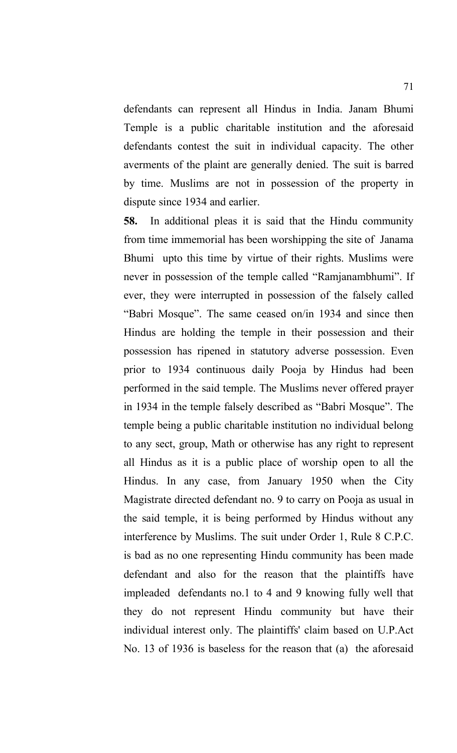defendants can represent all Hindus in India. Janam Bhumi Temple is a public charitable institution and the aforesaid defendants contest the suit in individual capacity. The other averments of the plaint are generally denied. The suit is barred by time. Muslims are not in possession of the property in dispute since 1934 and earlier.

**58.** In additional pleas it is said that the Hindu community from time immemorial has been worshipping the site of Janama Bhumi upto this time by virtue of their rights. Muslims were never in possession of the temple called "Ramjanambhumi". If ever, they were interrupted in possession of the falsely called "Babri Mosque". The same ceased on/in 1934 and since then Hindus are holding the temple in their possession and their possession has ripened in statutory adverse possession. Even prior to 1934 continuous daily Pooja by Hindus had been performed in the said temple. The Muslims never offered prayer in 1934 in the temple falsely described as "Babri Mosque". The temple being a public charitable institution no individual belong to any sect, group, Math or otherwise has any right to represent all Hindus as it is a public place of worship open to all the Hindus. In any case, from January 1950 when the City Magistrate directed defendant no. 9 to carry on Pooja as usual in the said temple, it is being performed by Hindus without any interference by Muslims. The suit under Order 1, Rule 8 C.P.C. is bad as no one representing Hindu community has been made defendant and also for the reason that the plaintiffs have impleaded defendants no.1 to 4 and 9 knowing fully well that they do not represent Hindu community but have their individual interest only. The plaintiffs' claim based on U.P.Act No. 13 of 1936 is baseless for the reason that (a) the aforesaid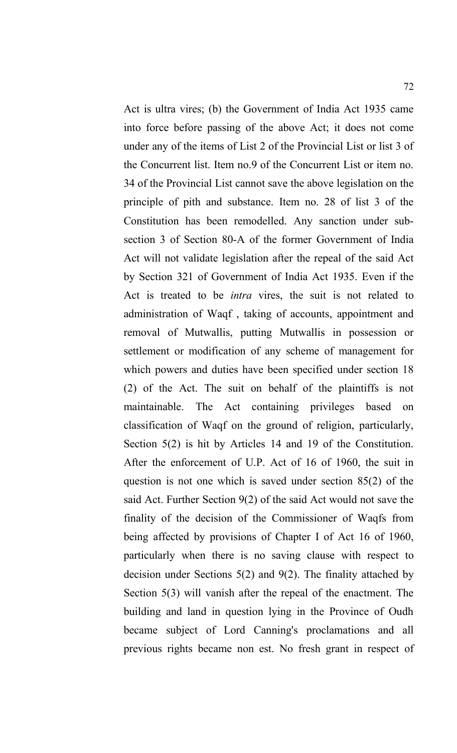Act is ultra vires; (b) the Government of India Act 1935 came into force before passing of the above Act; it does not come under any of the items of List 2 of the Provincial List or list 3 of the Concurrent list. Item no.9 of the Concurrent List or item no. 34 of the Provincial List cannot save the above legislation on the principle of pith and substance. Item no. 28 of list 3 of the Constitution has been remodelled. Any sanction under subsection 3 of Section 80-A of the former Government of India Act will not validate legislation after the repeal of the said Act by Section 321 of Government of India Act 1935. Even if the Act is treated to be *intra* vires, the suit is not related to administration of Waqf , taking of accounts, appointment and removal of Mutwallis, putting Mutwallis in possession or settlement or modification of any scheme of management for which powers and duties have been specified under section 18 (2) of the Act. The suit on behalf of the plaintiffs is not maintainable. The Act containing privileges based on classification of Waqf on the ground of religion, particularly, Section 5(2) is hit by Articles 14 and 19 of the Constitution. After the enforcement of U.P. Act of 16 of 1960, the suit in question is not one which is saved under section 85(2) of the said Act. Further Section 9(2) of the said Act would not save the finality of the decision of the Commissioner of Waqfs from being affected by provisions of Chapter I of Act 16 of 1960, particularly when there is no saving clause with respect to decision under Sections 5(2) and 9(2). The finality attached by Section 5(3) will vanish after the repeal of the enactment. The building and land in question lying in the Province of Oudh became subject of Lord Canning's proclamations and all previous rights became non est. No fresh grant in respect of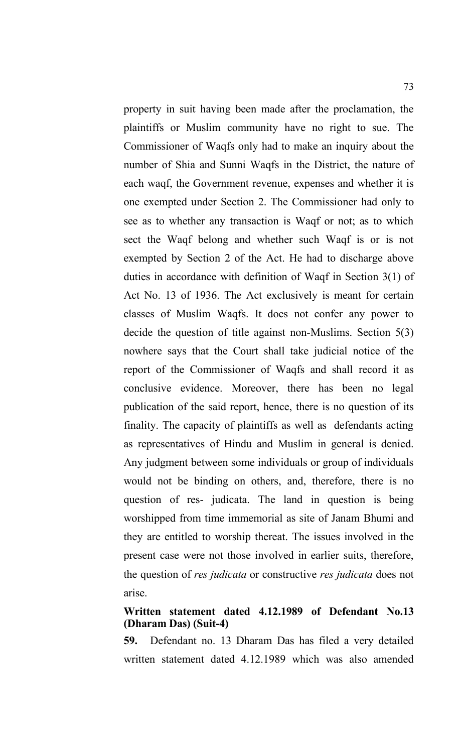property in suit having been made after the proclamation, the plaintiffs or Muslim community have no right to sue. The Commissioner of Waqfs only had to make an inquiry about the number of Shia and Sunni Waqfs in the District, the nature of each waqf, the Government revenue, expenses and whether it is one exempted under Section 2. The Commissioner had only to see as to whether any transaction is Waqf or not; as to which sect the Waqf belong and whether such Waqf is or is not exempted by Section 2 of the Act. He had to discharge above duties in accordance with definition of Waqf in Section 3(1) of Act No. 13 of 1936. The Act exclusively is meant for certain classes of Muslim Waqfs. It does not confer any power to decide the question of title against non-Muslims. Section 5(3) nowhere says that the Court shall take judicial notice of the report of the Commissioner of Waqfs and shall record it as conclusive evidence. Moreover, there has been no legal publication of the said report, hence, there is no question of its finality. The capacity of plaintiffs as well as defendants acting as representatives of Hindu and Muslim in general is denied. Any judgment between some individuals or group of individuals would not be binding on others, and, therefore, there is no question of res- judicata. The land in question is being worshipped from time immemorial as site of Janam Bhumi and they are entitled to worship thereat. The issues involved in the present case were not those involved in earlier suits, therefore, the question of *res judicata* or constructive *res judicata* does not arise.

# **Written statement dated 4.12.1989 of Defendant No.13 (Dharam Das) (Suit-4)**

**59.** Defendant no. 13 Dharam Das has filed a very detailed written statement dated 4.12.1989 which was also amended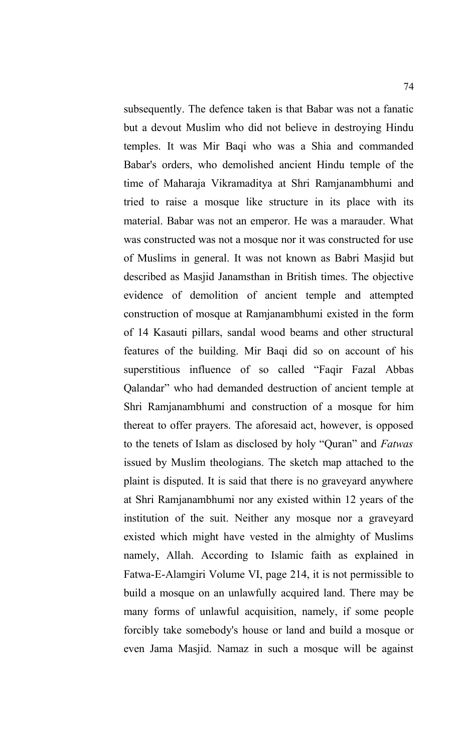subsequently. The defence taken is that Babar was not a fanatic but a devout Muslim who did not believe in destroying Hindu temples. It was Mir Baqi who was a Shia and commanded Babar's orders, who demolished ancient Hindu temple of the time of Maharaja Vikramaditya at Shri Ramjanambhumi and tried to raise a mosque like structure in its place with its material. Babar was not an emperor. He was a marauder. What was constructed was not a mosque nor it was constructed for use of Muslims in general. It was not known as Babri Masjid but described as Masjid Janamsthan in British times. The objective evidence of demolition of ancient temple and attempted construction of mosque at Ramjanambhumi existed in the form of 14 Kasauti pillars, sandal wood beams and other structural features of the building. Mir Baqi did so on account of his superstitious influence of so called "Faqir Fazal Abbas Qalandar" who had demanded destruction of ancient temple at Shri Ramjanambhumi and construction of a mosque for him thereat to offer prayers. The aforesaid act, however, is opposed to the tenets of Islam as disclosed by holy "Quran" and *Fatwas* issued by Muslim theologians. The sketch map attached to the plaint is disputed. It is said that there is no graveyard anywhere at Shri Ramjanambhumi nor any existed within 12 years of the institution of the suit. Neither any mosque nor a graveyard existed which might have vested in the almighty of Muslims namely, Allah. According to Islamic faith as explained in Fatwa-E-Alamgiri Volume VI, page 214, it is not permissible to build a mosque on an unlawfully acquired land. There may be many forms of unlawful acquisition, namely, if some people forcibly take somebody's house or land and build a mosque or even Jama Masjid. Namaz in such a mosque will be against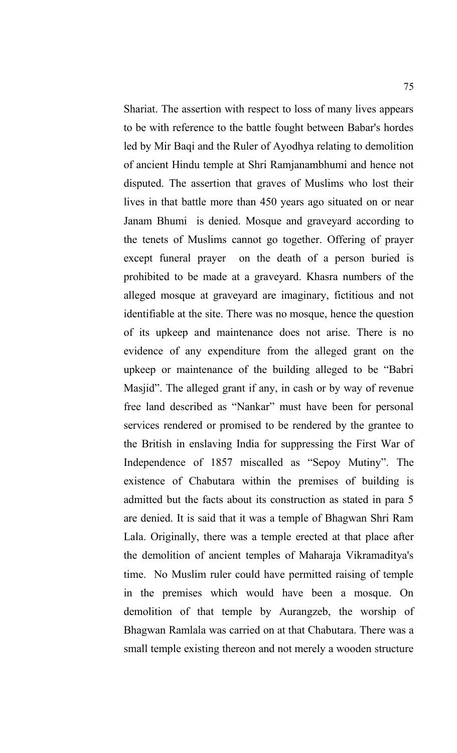Shariat. The assertion with respect to loss of many lives appears to be with reference to the battle fought between Babar's hordes led by Mir Baqi and the Ruler of Ayodhya relating to demolition of ancient Hindu temple at Shri Ramjanambhumi and hence not disputed. The assertion that graves of Muslims who lost their lives in that battle more than 450 years ago situated on or near Janam Bhumi is denied. Mosque and graveyard according to the tenets of Muslims cannot go together. Offering of prayer except funeral prayer on the death of a person buried is prohibited to be made at a graveyard. Khasra numbers of the alleged mosque at graveyard are imaginary, fictitious and not identifiable at the site. There was no mosque, hence the question of its upkeep and maintenance does not arise. There is no evidence of any expenditure from the alleged grant on the upkeep or maintenance of the building alleged to be "Babri Masjid". The alleged grant if any, in cash or by way of revenue free land described as "Nankar" must have been for personal services rendered or promised to be rendered by the grantee to the British in enslaving India for suppressing the First War of Independence of 1857 miscalled as "Sepoy Mutiny". The existence of Chabutara within the premises of building is admitted but the facts about its construction as stated in para 5 are denied. It is said that it was a temple of Bhagwan Shri Ram Lala. Originally, there was a temple erected at that place after the demolition of ancient temples of Maharaja Vikramaditya's time. No Muslim ruler could have permitted raising of temple in the premises which would have been a mosque. On demolition of that temple by Aurangzeb, the worship of Bhagwan Ramlala was carried on at that Chabutara. There was a small temple existing thereon and not merely a wooden structure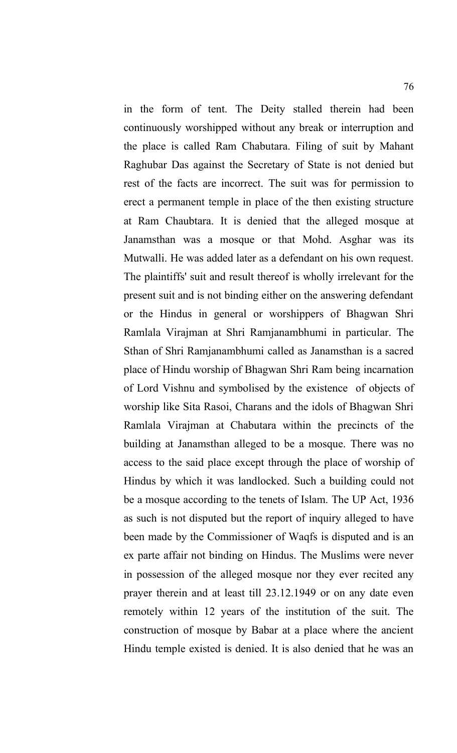in the form of tent. The Deity stalled therein had been continuously worshipped without any break or interruption and the place is called Ram Chabutara. Filing of suit by Mahant Raghubar Das against the Secretary of State is not denied but rest of the facts are incorrect. The suit was for permission to erect a permanent temple in place of the then existing structure at Ram Chaubtara. It is denied that the alleged mosque at Janamsthan was a mosque or that Mohd. Asghar was its Mutwalli. He was added later as a defendant on his own request. The plaintiffs' suit and result thereof is wholly irrelevant for the present suit and is not binding either on the answering defendant or the Hindus in general or worshippers of Bhagwan Shri Ramlala Virajman at Shri Ramjanambhumi in particular. The Sthan of Shri Ramjanambhumi called as Janamsthan is a sacred place of Hindu worship of Bhagwan Shri Ram being incarnation of Lord Vishnu and symbolised by the existence of objects of worship like Sita Rasoi, Charans and the idols of Bhagwan Shri Ramlala Virajman at Chabutara within the precincts of the building at Janamsthan alleged to be a mosque. There was no access to the said place except through the place of worship of Hindus by which it was landlocked. Such a building could not be a mosque according to the tenets of Islam. The UP Act, 1936 as such is not disputed but the report of inquiry alleged to have been made by the Commissioner of Waqfs is disputed and is an ex parte affair not binding on Hindus. The Muslims were never in possession of the alleged mosque nor they ever recited any prayer therein and at least till 23.12.1949 or on any date even remotely within 12 years of the institution of the suit. The construction of mosque by Babar at a place where the ancient Hindu temple existed is denied. It is also denied that he was an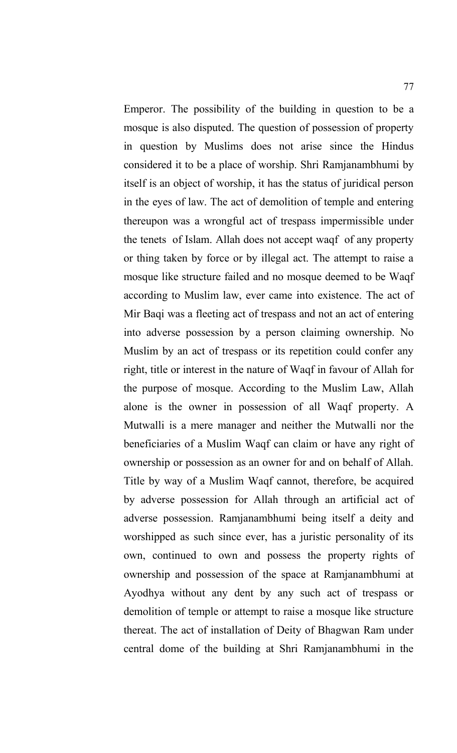Emperor. The possibility of the building in question to be a mosque is also disputed. The question of possession of property in question by Muslims does not arise since the Hindus considered it to be a place of worship. Shri Ramjanambhumi by itself is an object of worship, it has the status of juridical person in the eyes of law. The act of demolition of temple and entering thereupon was a wrongful act of trespass impermissible under the tenets of Islam. Allah does not accept waqf of any property or thing taken by force or by illegal act. The attempt to raise a mosque like structure failed and no mosque deemed to be Waqf according to Muslim law, ever came into existence. The act of Mir Baqi was a fleeting act of trespass and not an act of entering into adverse possession by a person claiming ownership. No Muslim by an act of trespass or its repetition could confer any right, title or interest in the nature of Waqf in favour of Allah for the purpose of mosque. According to the Muslim Law, Allah alone is the owner in possession of all Waqf property. A Mutwalli is a mere manager and neither the Mutwalli nor the beneficiaries of a Muslim Waqf can claim or have any right of ownership or possession as an owner for and on behalf of Allah. Title by way of a Muslim Waqf cannot, therefore, be acquired by adverse possession for Allah through an artificial act of adverse possession. Ramjanambhumi being itself a deity and worshipped as such since ever, has a juristic personality of its own, continued to own and possess the property rights of ownership and possession of the space at Ramjanambhumi at Ayodhya without any dent by any such act of trespass or demolition of temple or attempt to raise a mosque like structure thereat. The act of installation of Deity of Bhagwan Ram under central dome of the building at Shri Ramjanambhumi in the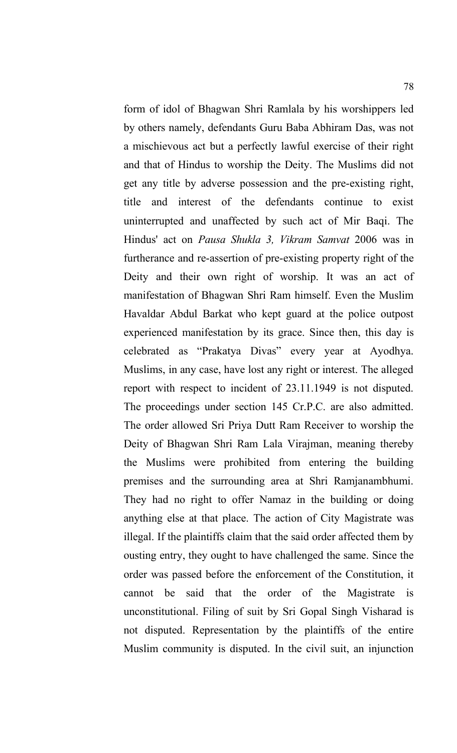form of idol of Bhagwan Shri Ramlala by his worshippers led by others namely, defendants Guru Baba Abhiram Das, was not a mischievous act but a perfectly lawful exercise of their right and that of Hindus to worship the Deity. The Muslims did not get any title by adverse possession and the pre-existing right, title and interest of the defendants continue to exist uninterrupted and unaffected by such act of Mir Baqi. The Hindus' act on *Pausa Shukla 3, Vikram Samvat* 2006 was in furtherance and re-assertion of pre-existing property right of the Deity and their own right of worship. It was an act of manifestation of Bhagwan Shri Ram himself. Even the Muslim Havaldar Abdul Barkat who kept guard at the police outpost experienced manifestation by its grace. Since then, this day is celebrated as "Prakatya Divas" every year at Ayodhya. Muslims, in any case, have lost any right or interest. The alleged report with respect to incident of 23.11.1949 is not disputed. The proceedings under section 145 Cr.P.C. are also admitted. The order allowed Sri Priya Dutt Ram Receiver to worship the Deity of Bhagwan Shri Ram Lala Virajman, meaning thereby the Muslims were prohibited from entering the building premises and the surrounding area at Shri Ramjanambhumi. They had no right to offer Namaz in the building or doing anything else at that place. The action of City Magistrate was illegal. If the plaintiffs claim that the said order affected them by ousting entry, they ought to have challenged the same. Since the order was passed before the enforcement of the Constitution, it cannot be said that the order of the Magistrate is unconstitutional. Filing of suit by Sri Gopal Singh Visharad is not disputed. Representation by the plaintiffs of the entire Muslim community is disputed. In the civil suit, an injunction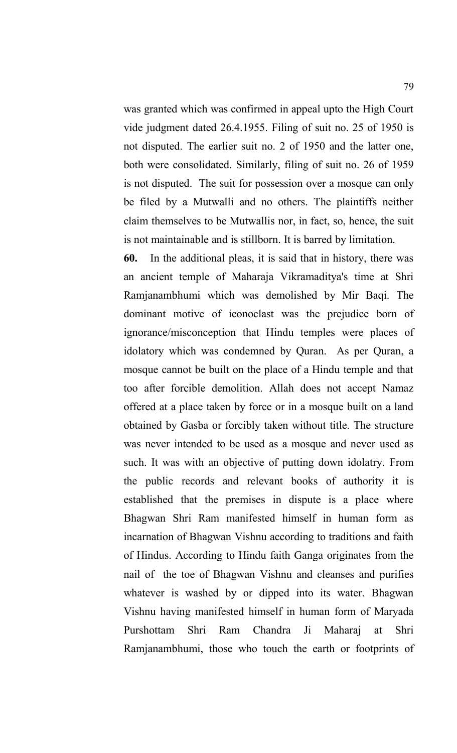was granted which was confirmed in appeal upto the High Court vide judgment dated 26.4.1955. Filing of suit no. 25 of 1950 is not disputed. The earlier suit no. 2 of 1950 and the latter one, both were consolidated. Similarly, filing of suit no. 26 of 1959 is not disputed. The suit for possession over a mosque can only be filed by a Mutwalli and no others. The plaintiffs neither claim themselves to be Mutwallis nor, in fact, so, hence, the suit is not maintainable and is stillborn. It is barred by limitation.

**60.** In the additional pleas, it is said that in history, there was an ancient temple of Maharaja Vikramaditya's time at Shri Ramjanambhumi which was demolished by Mir Baqi. The dominant motive of iconoclast was the prejudice born of ignorance/misconception that Hindu temples were places of idolatory which was condemned by Quran. As per Quran, a mosque cannot be built on the place of a Hindu temple and that too after forcible demolition. Allah does not accept Namaz offered at a place taken by force or in a mosque built on a land obtained by Gasba or forcibly taken without title. The structure was never intended to be used as a mosque and never used as such. It was with an objective of putting down idolatry. From the public records and relevant books of authority it is established that the premises in dispute is a place where Bhagwan Shri Ram manifested himself in human form as incarnation of Bhagwan Vishnu according to traditions and faith of Hindus. According to Hindu faith Ganga originates from the nail of the toe of Bhagwan Vishnu and cleanses and purifies whatever is washed by or dipped into its water. Bhagwan Vishnu having manifested himself in human form of Maryada Purshottam Shri Ram Chandra Ji Maharaj at Shri Ramjanambhumi, those who touch the earth or footprints of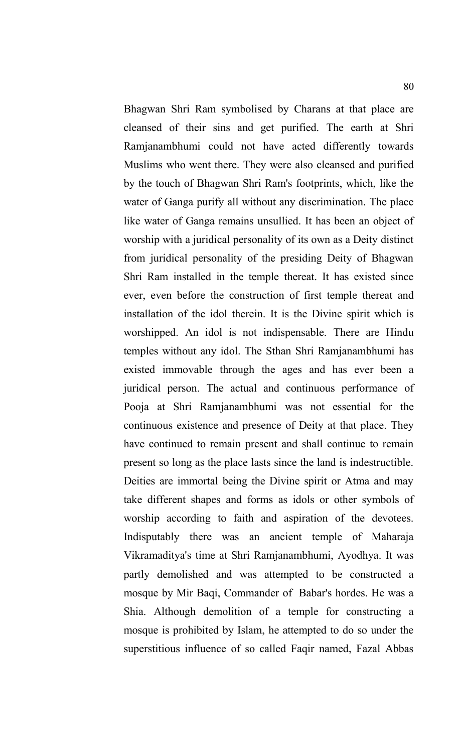Bhagwan Shri Ram symbolised by Charans at that place are cleansed of their sins and get purified. The earth at Shri Ramjanambhumi could not have acted differently towards Muslims who went there. They were also cleansed and purified by the touch of Bhagwan Shri Ram's footprints, which, like the water of Ganga purify all without any discrimination. The place like water of Ganga remains unsullied. It has been an object of worship with a juridical personality of its own as a Deity distinct from juridical personality of the presiding Deity of Bhagwan Shri Ram installed in the temple thereat. It has existed since ever, even before the construction of first temple thereat and installation of the idol therein. It is the Divine spirit which is worshipped. An idol is not indispensable. There are Hindu temples without any idol. The Sthan Shri Ramjanambhumi has existed immovable through the ages and has ever been a juridical person. The actual and continuous performance of Pooja at Shri Ramjanambhumi was not essential for the continuous existence and presence of Deity at that place. They have continued to remain present and shall continue to remain present so long as the place lasts since the land is indestructible. Deities are immortal being the Divine spirit or Atma and may take different shapes and forms as idols or other symbols of worship according to faith and aspiration of the devotees. Indisputably there was an ancient temple of Maharaja Vikramaditya's time at Shri Ramjanambhumi, Ayodhya. It was partly demolished and was attempted to be constructed a mosque by Mir Baqi, Commander of Babar's hordes. He was a Shia. Although demolition of a temple for constructing a mosque is prohibited by Islam, he attempted to do so under the superstitious influence of so called Faqir named, Fazal Abbas

80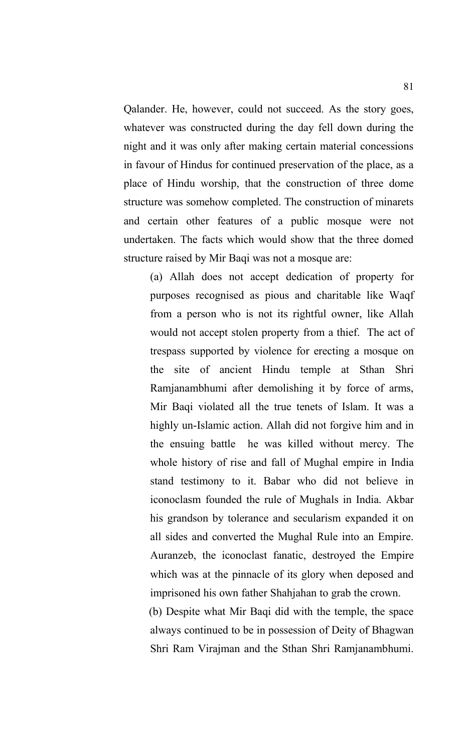Qalander. He, however, could not succeed. As the story goes, whatever was constructed during the day fell down during the night and it was only after making certain material concessions in favour of Hindus for continued preservation of the place, as a place of Hindu worship, that the construction of three dome structure was somehow completed. The construction of minarets and certain other features of a public mosque were not undertaken. The facts which would show that the three domed structure raised by Mir Baqi was not a mosque are:

(a) Allah does not accept dedication of property for purposes recognised as pious and charitable like Waqf from a person who is not its rightful owner, like Allah would not accept stolen property from a thief. The act of trespass supported by violence for erecting a mosque on the site of ancient Hindu temple at Sthan Shri Ramjanambhumi after demolishing it by force of arms, Mir Baqi violated all the true tenets of Islam. It was a highly un-Islamic action. Allah did not forgive him and in the ensuing battle he was killed without mercy. The whole history of rise and fall of Mughal empire in India stand testimony to it. Babar who did not believe in iconoclasm founded the rule of Mughals in India. Akbar his grandson by tolerance and secularism expanded it on all sides and converted the Mughal Rule into an Empire. Auranzeb, the iconoclast fanatic, destroyed the Empire which was at the pinnacle of its glory when deposed and imprisoned his own father Shahjahan to grab the crown. (b) Despite what Mir Baqi did with the temple, the space always continued to be in possession of Deity of Bhagwan Shri Ram Virajman and the Sthan Shri Ramjanambhumi.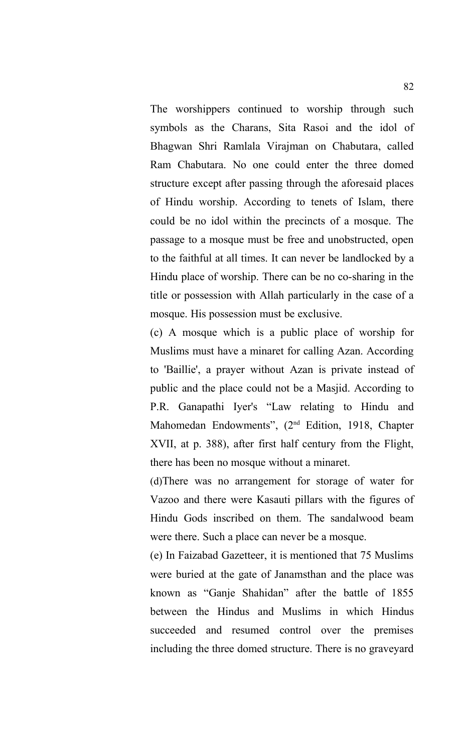The worshippers continued to worship through such symbols as the Charans, Sita Rasoi and the idol of Bhagwan Shri Ramlala Virajman on Chabutara, called Ram Chabutara. No one could enter the three domed structure except after passing through the aforesaid places of Hindu worship. According to tenets of Islam, there could be no idol within the precincts of a mosque. The passage to a mosque must be free and unobstructed, open to the faithful at all times. It can never be landlocked by a Hindu place of worship. There can be no co-sharing in the title or possession with Allah particularly in the case of a mosque. His possession must be exclusive.

(c) A mosque which is a public place of worship for Muslims must have a minaret for calling Azan. According to 'Baillie', a prayer without Azan is private instead of public and the place could not be a Masjid. According to P.R. Ganapathi Iyer's "Law relating to Hindu and Mahomedan Endowments", (2nd Edition, 1918, Chapter XVII, at p. 388), after first half century from the Flight, there has been no mosque without a minaret.

(d)There was no arrangement for storage of water for Vazoo and there were Kasauti pillars with the figures of Hindu Gods inscribed on them. The sandalwood beam were there. Such a place can never be a mosque.

(e) In Faizabad Gazetteer, it is mentioned that 75 Muslims were buried at the gate of Janamsthan and the place was known as "Ganje Shahidan" after the battle of 1855 between the Hindus and Muslims in which Hindus succeeded and resumed control over the premises including the three domed structure. There is no graveyard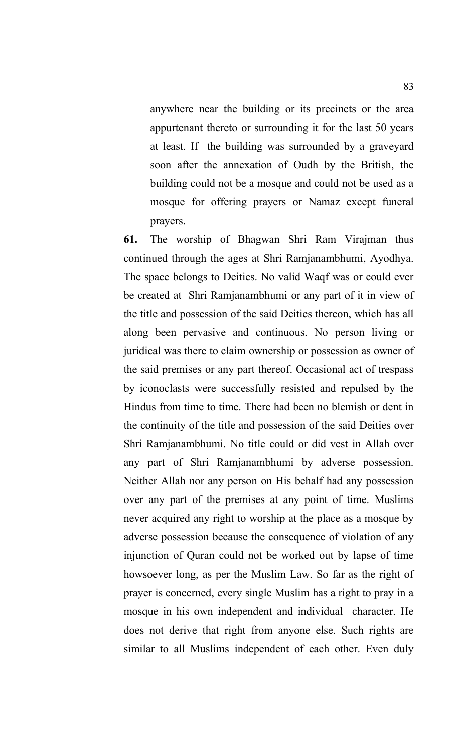anywhere near the building or its precincts or the area appurtenant thereto or surrounding it for the last 50 years at least. If the building was surrounded by a graveyard soon after the annexation of Oudh by the British, the building could not be a mosque and could not be used as a mosque for offering prayers or Namaz except funeral prayers.

**61.** The worship of Bhagwan Shri Ram Virajman thus continued through the ages at Shri Ramjanambhumi, Ayodhya. The space belongs to Deities. No valid Waqf was or could ever be created at Shri Ramjanambhumi or any part of it in view of the title and possession of the said Deities thereon, which has all along been pervasive and continuous. No person living or juridical was there to claim ownership or possession as owner of the said premises or any part thereof. Occasional act of trespass by iconoclasts were successfully resisted and repulsed by the Hindus from time to time. There had been no blemish or dent in the continuity of the title and possession of the said Deities over Shri Ramjanambhumi. No title could or did vest in Allah over any part of Shri Ramjanambhumi by adverse possession. Neither Allah nor any person on His behalf had any possession over any part of the premises at any point of time. Muslims never acquired any right to worship at the place as a mosque by adverse possession because the consequence of violation of any injunction of Quran could not be worked out by lapse of time howsoever long, as per the Muslim Law. So far as the right of prayer is concerned, every single Muslim has a right to pray in a mosque in his own independent and individual character. He does not derive that right from anyone else. Such rights are similar to all Muslims independent of each other. Even duly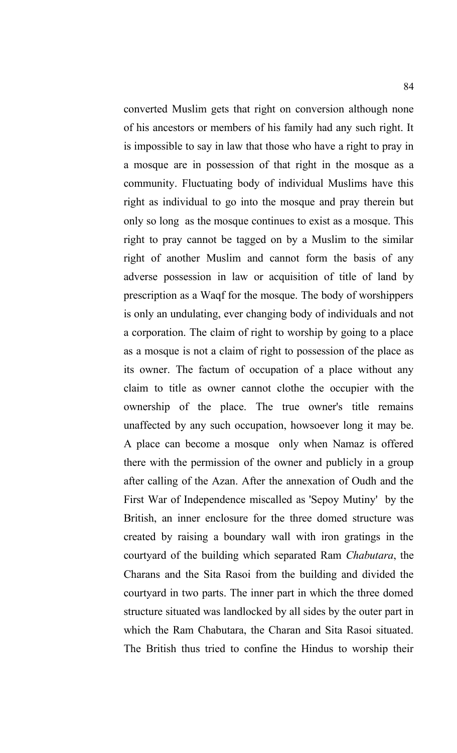converted Muslim gets that right on conversion although none of his ancestors or members of his family had any such right. It is impossible to say in law that those who have a right to pray in a mosque are in possession of that right in the mosque as a community. Fluctuating body of individual Muslims have this right as individual to go into the mosque and pray therein but only so long as the mosque continues to exist as a mosque. This right to pray cannot be tagged on by a Muslim to the similar right of another Muslim and cannot form the basis of any adverse possession in law or acquisition of title of land by prescription as a Waqf for the mosque. The body of worshippers is only an undulating, ever changing body of individuals and not a corporation. The claim of right to worship by going to a place as a mosque is not a claim of right to possession of the place as its owner. The factum of occupation of a place without any claim to title as owner cannot clothe the occupier with the ownership of the place. The true owner's title remains unaffected by any such occupation, howsoever long it may be. A place can become a mosque only when Namaz is offered there with the permission of the owner and publicly in a group after calling of the Azan. After the annexation of Oudh and the First War of Independence miscalled as 'Sepoy Mutiny' by the British, an inner enclosure for the three domed structure was created by raising a boundary wall with iron gratings in the courtyard of the building which separated Ram *Chabutara*, the Charans and the Sita Rasoi from the building and divided the courtyard in two parts. The inner part in which the three domed structure situated was landlocked by all sides by the outer part in which the Ram Chabutara, the Charan and Sita Rasoi situated. The British thus tried to confine the Hindus to worship their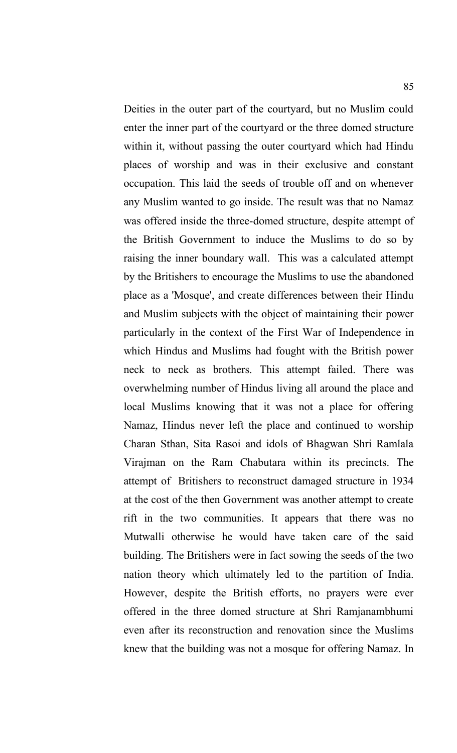Deities in the outer part of the courtyard, but no Muslim could enter the inner part of the courtyard or the three domed structure within it, without passing the outer courtyard which had Hindu places of worship and was in their exclusive and constant occupation. This laid the seeds of trouble off and on whenever any Muslim wanted to go inside. The result was that no Namaz was offered inside the three-domed structure, despite attempt of the British Government to induce the Muslims to do so by raising the inner boundary wall. This was a calculated attempt by the Britishers to encourage the Muslims to use the abandoned place as a 'Mosque', and create differences between their Hindu and Muslim subjects with the object of maintaining their power particularly in the context of the First War of Independence in which Hindus and Muslims had fought with the British power neck to neck as brothers. This attempt failed. There was overwhelming number of Hindus living all around the place and local Muslims knowing that it was not a place for offering Namaz, Hindus never left the place and continued to worship Charan Sthan, Sita Rasoi and idols of Bhagwan Shri Ramlala Virajman on the Ram Chabutara within its precincts. The attempt of Britishers to reconstruct damaged structure in 1934 at the cost of the then Government was another attempt to create rift in the two communities. It appears that there was no Mutwalli otherwise he would have taken care of the said building. The Britishers were in fact sowing the seeds of the two nation theory which ultimately led to the partition of India. However, despite the British efforts, no prayers were ever offered in the three domed structure at Shri Ramjanambhumi even after its reconstruction and renovation since the Muslims knew that the building was not a mosque for offering Namaz. In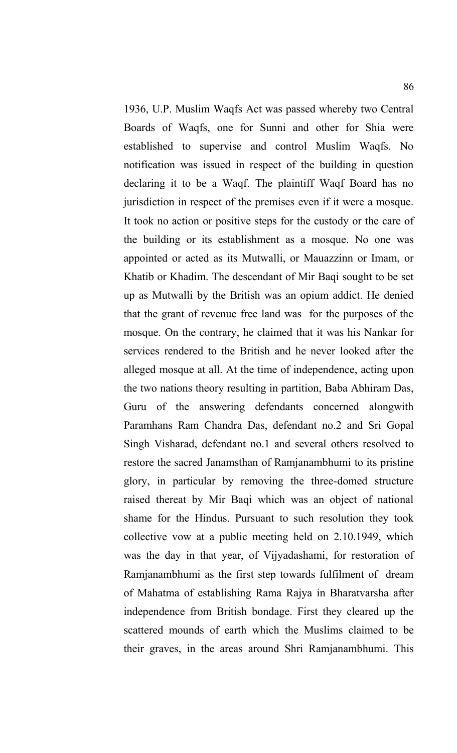1936, U.P. Muslim Waqfs Act was passed whereby two Central Boards of Waqfs, one for Sunni and other for Shia were established to supervise and control Muslim Waqfs. No notification was issued in respect of the building in question declaring it to be a Waqf. The plaintiff Waqf Board has no jurisdiction in respect of the premises even if it were a mosque. It took no action or positive steps for the custody or the care of the building or its establishment as a mosque. No one was appointed or acted as its Mutwalli, or Mauazzinn or Imam, or Khatib or Khadim. The descendant of Mir Baqi sought to be set up as Mutwalli by the British was an opium addict. He denied that the grant of revenue free land was for the purposes of the mosque. On the contrary, he claimed that it was his Nankar for services rendered to the British and he never looked after the alleged mosque at all. At the time of independence, acting upon the two nations theory resulting in partition, Baba Abhiram Das, Guru of the answering defendants concerned alongwith Paramhans Ram Chandra Das, defendant no.2 and Sri Gopal Singh Visharad, defendant no.1 and several others resolved to restore the sacred Janamsthan of Ramjanambhumi to its pristine glory, in particular by removing the three-domed structure raised thereat by Mir Baqi which was an object of national shame for the Hindus. Pursuant to such resolution they took collective vow at a public meeting held on 2.10.1949, which was the day in that year, of Vijyadashami, for restoration of Ramjanambhumi as the first step towards fulfilment of dream of Mahatma of establishing Rama Rajya in Bharatvarsha after independence from British bondage. First they cleared up the scattered mounds of earth which the Muslims claimed to be their graves, in the areas around Shri Ramjanambhumi. This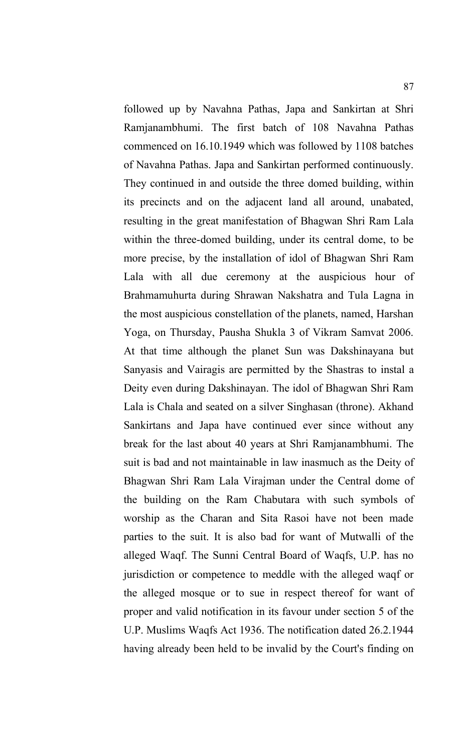followed up by Navahna Pathas, Japa and Sankirtan at Shri Ramjanambhumi. The first batch of 108 Navahna Pathas commenced on 16.10.1949 which was followed by 1108 batches of Navahna Pathas. Japa and Sankirtan performed continuously. They continued in and outside the three domed building, within its precincts and on the adjacent land all around, unabated, resulting in the great manifestation of Bhagwan Shri Ram Lala within the three-domed building, under its central dome, to be more precise, by the installation of idol of Bhagwan Shri Ram Lala with all due ceremony at the auspicious hour of Brahmamuhurta during Shrawan Nakshatra and Tula Lagna in the most auspicious constellation of the planets, named, Harshan Yoga, on Thursday, Pausha Shukla 3 of Vikram Samvat 2006. At that time although the planet Sun was Dakshinayana but Sanyasis and Vairagis are permitted by the Shastras to instal a Deity even during Dakshinayan. The idol of Bhagwan Shri Ram Lala is Chala and seated on a silver Singhasan (throne). Akhand Sankirtans and Japa have continued ever since without any break for the last about 40 years at Shri Ramjanambhumi. The suit is bad and not maintainable in law inasmuch as the Deity of Bhagwan Shri Ram Lala Virajman under the Central dome of the building on the Ram Chabutara with such symbols of worship as the Charan and Sita Rasoi have not been made parties to the suit. It is also bad for want of Mutwalli of the alleged Waqf. The Sunni Central Board of Waqfs, U.P. has no jurisdiction or competence to meddle with the alleged waqf or the alleged mosque or to sue in respect thereof for want of proper and valid notification in its favour under section 5 of the U.P. Muslims Waqfs Act 1936. The notification dated 26.2.1944 having already been held to be invalid by the Court's finding on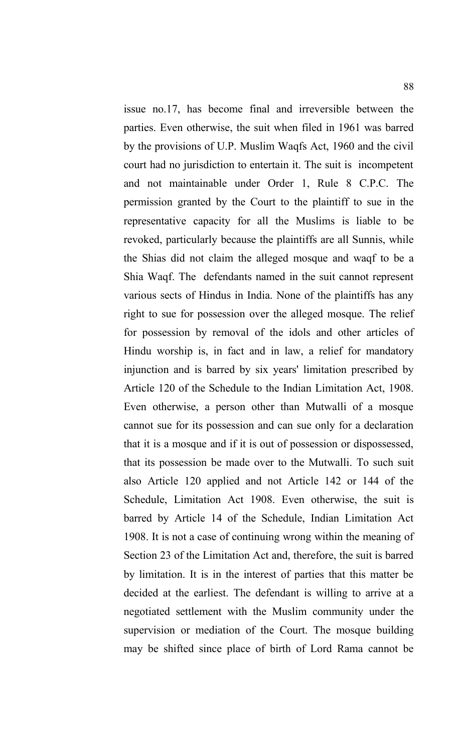issue no.17, has become final and irreversible between the parties. Even otherwise, the suit when filed in 1961 was barred by the provisions of U.P. Muslim Waqfs Act, 1960 and the civil court had no jurisdiction to entertain it. The suit is incompetent and not maintainable under Order 1, Rule 8 C.P.C. The permission granted by the Court to the plaintiff to sue in the representative capacity for all the Muslims is liable to be revoked, particularly because the plaintiffs are all Sunnis, while the Shias did not claim the alleged mosque and waqf to be a Shia Waqf. The defendants named in the suit cannot represent various sects of Hindus in India. None of the plaintiffs has any right to sue for possession over the alleged mosque. The relief for possession by removal of the idols and other articles of Hindu worship is, in fact and in law, a relief for mandatory injunction and is barred by six years' limitation prescribed by Article 120 of the Schedule to the Indian Limitation Act, 1908. Even otherwise, a person other than Mutwalli of a mosque cannot sue for its possession and can sue only for a declaration that it is a mosque and if it is out of possession or dispossessed, that its possession be made over to the Mutwalli. To such suit also Article 120 applied and not Article 142 or 144 of the Schedule, Limitation Act 1908. Even otherwise, the suit is barred by Article 14 of the Schedule, Indian Limitation Act 1908. It is not a case of continuing wrong within the meaning of Section 23 of the Limitation Act and, therefore, the suit is barred by limitation. It is in the interest of parties that this matter be decided at the earliest. The defendant is willing to arrive at a negotiated settlement with the Muslim community under the supervision or mediation of the Court. The mosque building may be shifted since place of birth of Lord Rama cannot be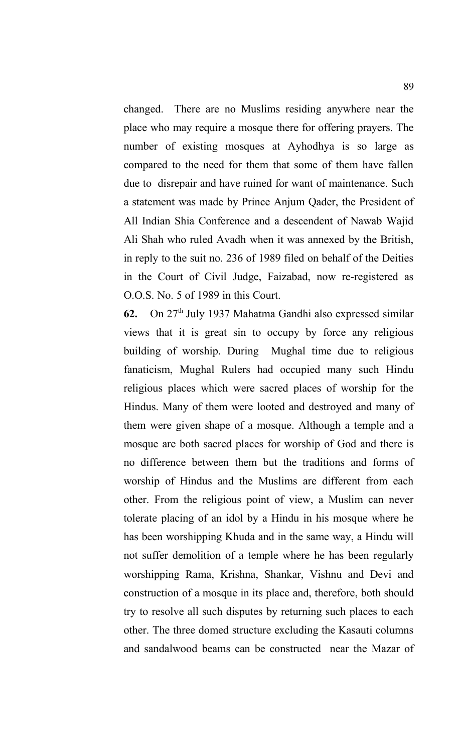changed. There are no Muslims residing anywhere near the place who may require a mosque there for offering prayers. The number of existing mosques at Ayhodhya is so large as compared to the need for them that some of them have fallen due to disrepair and have ruined for want of maintenance. Such a statement was made by Prince Anjum Qader, the President of All Indian Shia Conference and a descendent of Nawab Wajid Ali Shah who ruled Avadh when it was annexed by the British, in reply to the suit no. 236 of 1989 filed on behalf of the Deities in the Court of Civil Judge, Faizabad, now re-registered as O.O.S. No. 5 of 1989 in this Court.

**62.** On 27th July 1937 Mahatma Gandhi also expressed similar views that it is great sin to occupy by force any religious building of worship. During Mughal time due to religious fanaticism, Mughal Rulers had occupied many such Hindu religious places which were sacred places of worship for the Hindus. Many of them were looted and destroyed and many of them were given shape of a mosque. Although a temple and a mosque are both sacred places for worship of God and there is no difference between them but the traditions and forms of worship of Hindus and the Muslims are different from each other. From the religious point of view, a Muslim can never tolerate placing of an idol by a Hindu in his mosque where he has been worshipping Khuda and in the same way, a Hindu will not suffer demolition of a temple where he has been regularly worshipping Rama, Krishna, Shankar, Vishnu and Devi and construction of a mosque in its place and, therefore, both should try to resolve all such disputes by returning such places to each other. The three domed structure excluding the Kasauti columns and sandalwood beams can be constructed near the Mazar of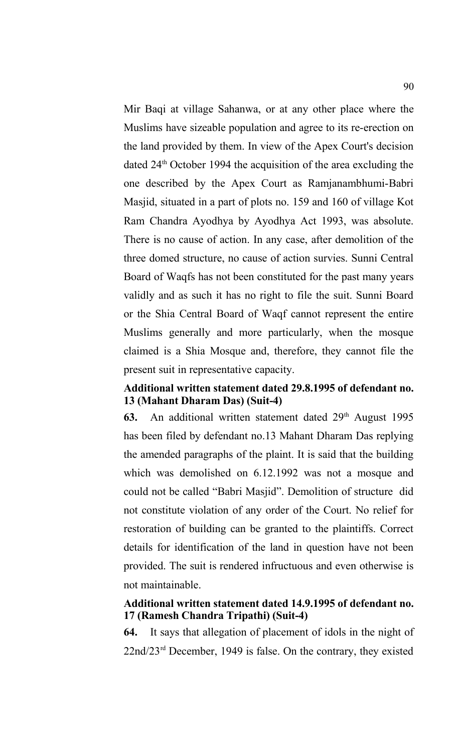Mir Baqi at village Sahanwa, or at any other place where the Muslims have sizeable population and agree to its re-erection on the land provided by them. In view of the Apex Court's decision dated 24<sup>th</sup> October 1994 the acquisition of the area excluding the one described by the Apex Court as Ramjanambhumi-Babri Masjid, situated in a part of plots no. 159 and 160 of village Kot Ram Chandra Ayodhya by Ayodhya Act 1993, was absolute. There is no cause of action. In any case, after demolition of the three domed structure, no cause of action survies. Sunni Central Board of Waqfs has not been constituted for the past many years validly and as such it has no right to file the suit. Sunni Board or the Shia Central Board of Waqf cannot represent the entire Muslims generally and more particularly, when the mosque claimed is a Shia Mosque and, therefore, they cannot file the present suit in representative capacity.

# **Additional written statement dated 29.8.1995 of defendant no. 13 (Mahant Dharam Das) (Suit-4)**

63. An additional written statement dated 29<sup>th</sup> August 1995 has been filed by defendant no.13 Mahant Dharam Das replying the amended paragraphs of the plaint. It is said that the building which was demolished on 6.12.1992 was not a mosque and could not be called "Babri Masjid". Demolition of structure did not constitute violation of any order of the Court. No relief for restoration of building can be granted to the plaintiffs. Correct details for identification of the land in question have not been provided. The suit is rendered infructuous and even otherwise is not maintainable.

# **Additional written statement dated 14.9.1995 of defendant no. 17 (Ramesh Chandra Tripathi) (Suit-4)**

**64.** It says that allegation of placement of idols in the night of 22nd/23rd December, 1949 is false. On the contrary, they existed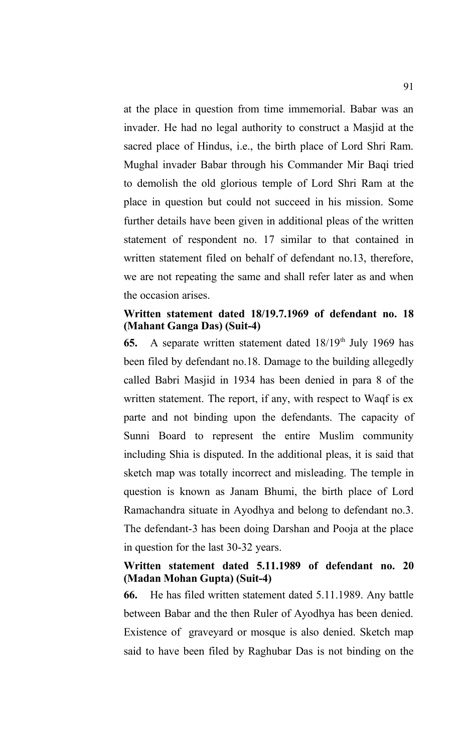at the place in question from time immemorial. Babar was an invader. He had no legal authority to construct a Masjid at the sacred place of Hindus, i.e., the birth place of Lord Shri Ram. Mughal invader Babar through his Commander Mir Baqi tried to demolish the old glorious temple of Lord Shri Ram at the place in question but could not succeed in his mission. Some further details have been given in additional pleas of the written statement of respondent no. 17 similar to that contained in written statement filed on behalf of defendant no.13, therefore, we are not repeating the same and shall refer later as and when the occasion arises.

## **Written statement dated 18/19.7.1969 of defendant no. 18 (Mahant Ganga Das) (Suit-4)**

**65.** A separate written statement dated 18/19<sup>th</sup> July 1969 has been filed by defendant no.18. Damage to the building allegedly called Babri Masjid in 1934 has been denied in para 8 of the written statement. The report, if any, with respect to Waqf is ex parte and not binding upon the defendants. The capacity of Sunni Board to represent the entire Muslim community including Shia is disputed. In the additional pleas, it is said that sketch map was totally incorrect and misleading. The temple in question is known as Janam Bhumi, the birth place of Lord Ramachandra situate in Ayodhya and belong to defendant no.3. The defendant-3 has been doing Darshan and Pooja at the place in question for the last 30-32 years.

# **Written statement dated 5.11.1989 of defendant no. 20 (Madan Mohan Gupta) (Suit-4)**

**66.** He has filed written statement dated 5.11.1989. Any battle between Babar and the then Ruler of Ayodhya has been denied. Existence of graveyard or mosque is also denied. Sketch map said to have been filed by Raghubar Das is not binding on the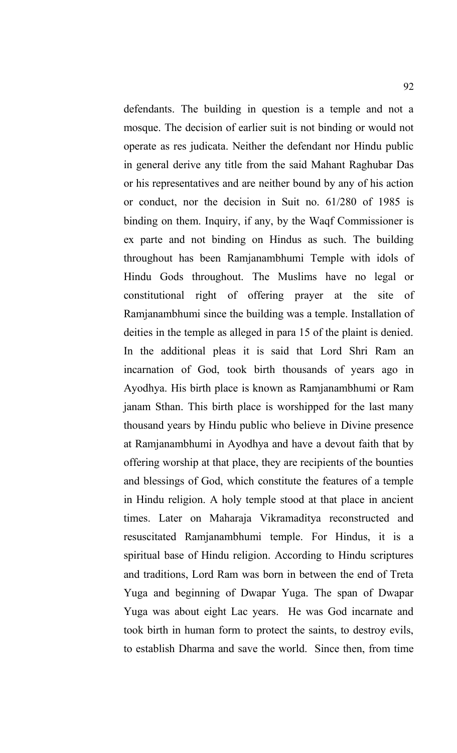defendants. The building in question is a temple and not a mosque. The decision of earlier suit is not binding or would not operate as res judicata. Neither the defendant nor Hindu public in general derive any title from the said Mahant Raghubar Das or his representatives and are neither bound by any of his action or conduct, nor the decision in Suit no. 61/280 of 1985 is binding on them. Inquiry, if any, by the Waqf Commissioner is ex parte and not binding on Hindus as such. The building throughout has been Ramjanambhumi Temple with idols of Hindu Gods throughout. The Muslims have no legal or constitutional right of offering prayer at the site of Ramjanambhumi since the building was a temple. Installation of deities in the temple as alleged in para 15 of the plaint is denied. In the additional pleas it is said that Lord Shri Ram an incarnation of God, took birth thousands of years ago in Ayodhya. His birth place is known as Ramjanambhumi or Ram janam Sthan. This birth place is worshipped for the last many thousand years by Hindu public who believe in Divine presence at Ramjanambhumi in Ayodhya and have a devout faith that by offering worship at that place, they are recipients of the bounties and blessings of God, which constitute the features of a temple in Hindu religion. A holy temple stood at that place in ancient times. Later on Maharaja Vikramaditya reconstructed and resuscitated Ramjanambhumi temple. For Hindus, it is a spiritual base of Hindu religion. According to Hindu scriptures and traditions, Lord Ram was born in between the end of Treta Yuga and beginning of Dwapar Yuga. The span of Dwapar Yuga was about eight Lac years. He was God incarnate and took birth in human form to protect the saints, to destroy evils, to establish Dharma and save the world. Since then, from time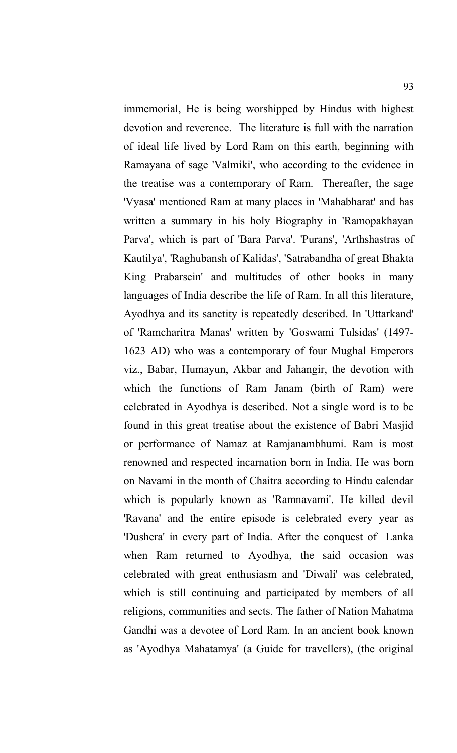immemorial, He is being worshipped by Hindus with highest devotion and reverence. The literature is full with the narration of ideal life lived by Lord Ram on this earth, beginning with Ramayana of sage 'Valmiki', who according to the evidence in the treatise was a contemporary of Ram. Thereafter, the sage 'Vyasa' mentioned Ram at many places in 'Mahabharat' and has written a summary in his holy Biography in 'Ramopakhayan Parva', which is part of 'Bara Parva'. 'Purans', 'Arthshastras of Kautilya', 'Raghubansh of Kalidas', 'Satrabandha of great Bhakta King Prabarsein' and multitudes of other books in many languages of India describe the life of Ram. In all this literature, Ayodhya and its sanctity is repeatedly described. In 'Uttarkand' of 'Ramcharitra Manas' written by 'Goswami Tulsidas' (1497- 1623 AD) who was a contemporary of four Mughal Emperors viz., Babar, Humayun, Akbar and Jahangir, the devotion with which the functions of Ram Janam (birth of Ram) were celebrated in Ayodhya is described. Not a single word is to be found in this great treatise about the existence of Babri Masjid or performance of Namaz at Ramjanambhumi. Ram is most renowned and respected incarnation born in India. He was born on Navami in the month of Chaitra according to Hindu calendar which is popularly known as 'Ramnavami'. He killed devil 'Ravana' and the entire episode is celebrated every year as 'Dushera' in every part of India. After the conquest of Lanka when Ram returned to Ayodhya, the said occasion was celebrated with great enthusiasm and 'Diwali' was celebrated, which is still continuing and participated by members of all religions, communities and sects. The father of Nation Mahatma Gandhi was a devotee of Lord Ram. In an ancient book known as 'Ayodhya Mahatamya' (a Guide for travellers), (the original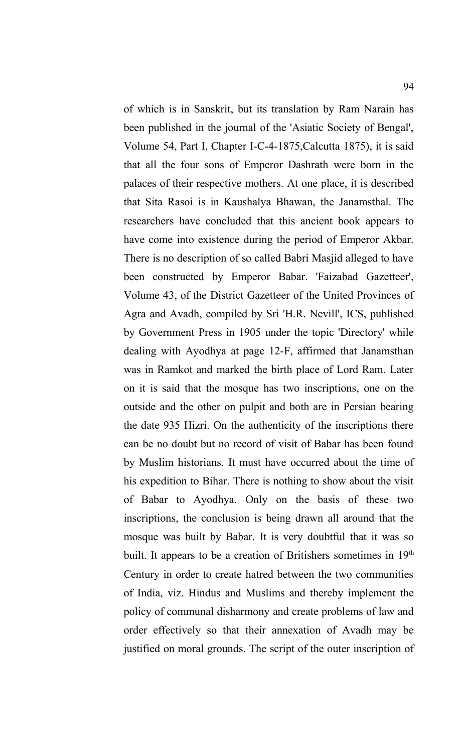of which is in Sanskrit, but its translation by Ram Narain has been published in the journal of the 'Asiatic Society of Bengal', Volume 54, Part I, Chapter I-C-4-1875,Calcutta 1875), it is said that all the four sons of Emperor Dashrath were born in the palaces of their respective mothers. At one place, it is described that Sita Rasoi is in Kaushalya Bhawan, the Janamsthal. The researchers have concluded that this ancient book appears to have come into existence during the period of Emperor Akbar. There is no description of so called Babri Masjid alleged to have been constructed by Emperor Babar. 'Faizabad Gazetteer', Volume 43, of the District Gazetteer of the United Provinces of Agra and Avadh, compiled by Sri 'H.R. Nevill', ICS, published by Government Press in 1905 under the topic 'Directory' while dealing with Ayodhya at page 12-F, affirmed that Janamsthan was in Ramkot and marked the birth place of Lord Ram. Later on it is said that the mosque has two inscriptions, one on the outside and the other on pulpit and both are in Persian bearing the date 935 Hizri. On the authenticity of the inscriptions there can be no doubt but no record of visit of Babar has been found by Muslim historians. It must have occurred about the time of his expedition to Bihar. There is nothing to show about the visit of Babar to Ayodhya. Only on the basis of these two inscriptions, the conclusion is being drawn all around that the mosque was built by Babar. It is very doubtful that it was so built. It appears to be a creation of Britishers sometimes in 19<sup>th</sup> Century in order to create hatred between the two communities of India, viz. Hindus and Muslims and thereby implement the policy of communal disharmony and create problems of law and order effectively so that their annexation of Avadh may be justified on moral grounds. The script of the outer inscription of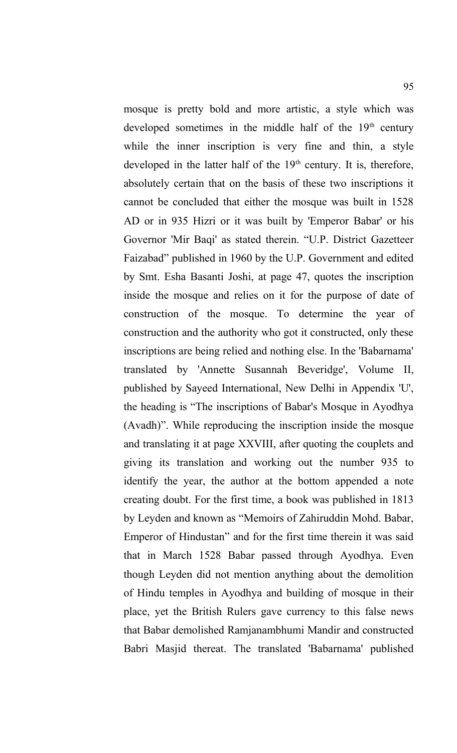mosque is pretty bold and more artistic, a style which was developed sometimes in the middle half of the  $19<sup>th</sup>$  century while the inner inscription is very fine and thin, a style developed in the latter half of the  $19<sup>th</sup>$  century. It is, therefore, absolutely certain that on the basis of these two inscriptions it cannot be concluded that either the mosque was built in 1528 AD or in 935 Hizri or it was built by 'Emperor Babar' or his Governor 'Mir Baqi' as stated therein. "U.P. District Gazetteer Faizabad" published in 1960 by the U.P. Government and edited by Smt. Esha Basanti Joshi, at page 47, quotes the inscription inside the mosque and relies on it for the purpose of date of construction of the mosque. To determine the year of construction and the authority who got it constructed, only these inscriptions are being relied and nothing else. In the 'Babarnama' translated by 'Annette Susannah Beveridge', Volume II, published by Sayeed International, New Delhi in Appendix 'U', the heading is "The inscriptions of Babar's Mosque in Ayodhya (Avadh)". While reproducing the inscription inside the mosque and translating it at page XXVIII, after quoting the couplets and giving its translation and working out the number 935 to identify the year, the author at the bottom appended a note creating doubt. For the first time, a book was published in 1813 by Leyden and known as "Memoirs of Zahiruddin Mohd. Babar, Emperor of Hindustan" and for the first time therein it was said that in March 1528 Babar passed through Ayodhya. Even though Leyden did not mention anything about the demolition of Hindu temples in Ayodhya and building of mosque in their place, yet the British Rulers gave currency to this false news that Babar demolished Ramjanambhumi Mandir and constructed Babri Masjid thereat. The translated 'Babarnama' published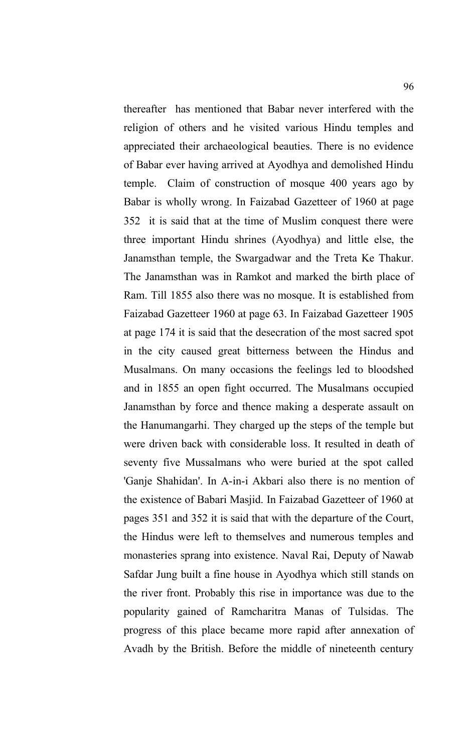thereafter has mentioned that Babar never interfered with the religion of others and he visited various Hindu temples and appreciated their archaeological beauties. There is no evidence of Babar ever having arrived at Ayodhya and demolished Hindu temple. Claim of construction of mosque 400 years ago by Babar is wholly wrong. In Faizabad Gazetteer of 1960 at page 352 it is said that at the time of Muslim conquest there were three important Hindu shrines (Ayodhya) and little else, the Janamsthan temple, the Swargadwar and the Treta Ke Thakur. The Janamsthan was in Ramkot and marked the birth place of Ram. Till 1855 also there was no mosque. It is established from Faizabad Gazetteer 1960 at page 63. In Faizabad Gazetteer 1905 at page 174 it is said that the desecration of the most sacred spot in the city caused great bitterness between the Hindus and Musalmans. On many occasions the feelings led to bloodshed and in 1855 an open fight occurred. The Musalmans occupied Janamsthan by force and thence making a desperate assault on the Hanumangarhi. They charged up the steps of the temple but were driven back with considerable loss. It resulted in death of seventy five Mussalmans who were buried at the spot called 'Ganje Shahidan'. In A-in-i Akbari also there is no mention of the existence of Babari Masjid. In Faizabad Gazetteer of 1960 at pages 351 and 352 it is said that with the departure of the Court, the Hindus were left to themselves and numerous temples and monasteries sprang into existence. Naval Rai, Deputy of Nawab Safdar Jung built a fine house in Ayodhya which still stands on the river front. Probably this rise in importance was due to the popularity gained of Ramcharitra Manas of Tulsidas. The progress of this place became more rapid after annexation of Avadh by the British. Before the middle of nineteenth century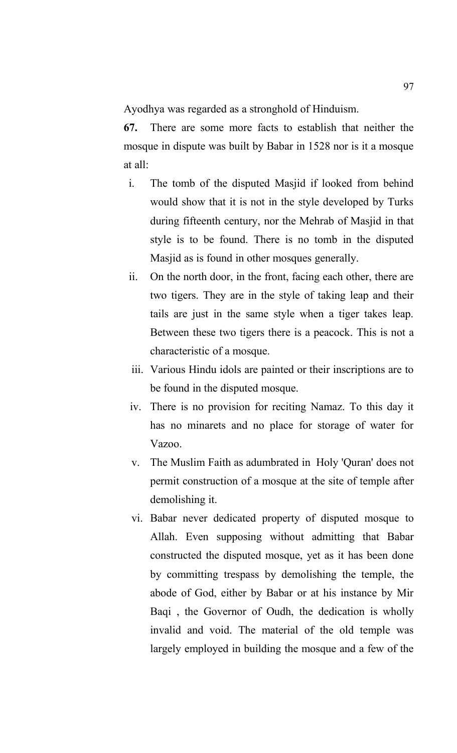Ayodhya was regarded as a stronghold of Hinduism.

**67.** There are some more facts to establish that neither the mosque in dispute was built by Babar in 1528 nor is it a mosque at all:

- i. The tomb of the disputed Masjid if looked from behind would show that it is not in the style developed by Turks during fifteenth century, nor the Mehrab of Masjid in that style is to be found. There is no tomb in the disputed Masjid as is found in other mosques generally.
- ii. On the north door, in the front, facing each other, there are two tigers. They are in the style of taking leap and their tails are just in the same style when a tiger takes leap. Between these two tigers there is a peacock. This is not a characteristic of a mosque.
- iii. Various Hindu idols are painted or their inscriptions are to be found in the disputed mosque.
- iv. There is no provision for reciting Namaz. To this day it has no minarets and no place for storage of water for Vazoo.
- v. The Muslim Faith as adumbrated in Holy 'Quran' does not permit construction of a mosque at the site of temple after demolishing it.
- vi. Babar never dedicated property of disputed mosque to Allah. Even supposing without admitting that Babar constructed the disputed mosque, yet as it has been done by committing trespass by demolishing the temple, the abode of God, either by Babar or at his instance by Mir Baqi , the Governor of Oudh, the dedication is wholly invalid and void. The material of the old temple was largely employed in building the mosque and a few of the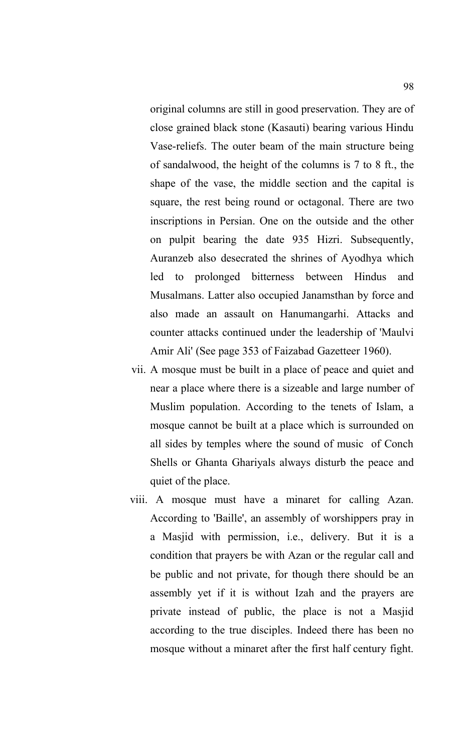original columns are still in good preservation. They are of close grained black stone (Kasauti) bearing various Hindu Vase-reliefs. The outer beam of the main structure being of sandalwood, the height of the columns is 7 to 8 ft., the shape of the vase, the middle section and the capital is square, the rest being round or octagonal. There are two inscriptions in Persian. One on the outside and the other on pulpit bearing the date 935 Hizri. Subsequently, Auranzeb also desecrated the shrines of Ayodhya which led to prolonged bitterness between Hindus and Musalmans. Latter also occupied Janamsthan by force and also made an assault on Hanumangarhi. Attacks and counter attacks continued under the leadership of 'Maulvi Amir Ali' (See page 353 of Faizabad Gazetteer 1960).

- vii. A mosque must be built in a place of peace and quiet and near a place where there is a sizeable and large number of Muslim population. According to the tenets of Islam, a mosque cannot be built at a place which is surrounded on all sides by temples where the sound of music of Conch Shells or Ghanta Ghariyals always disturb the peace and quiet of the place.
- viii. A mosque must have a minaret for calling Azan. According to 'Baille', an assembly of worshippers pray in a Masjid with permission, i.e., delivery. But it is a condition that prayers be with Azan or the regular call and be public and not private, for though there should be an assembly yet if it is without Izah and the prayers are private instead of public, the place is not a Masjid according to the true disciples. Indeed there has been no mosque without a minaret after the first half century fight.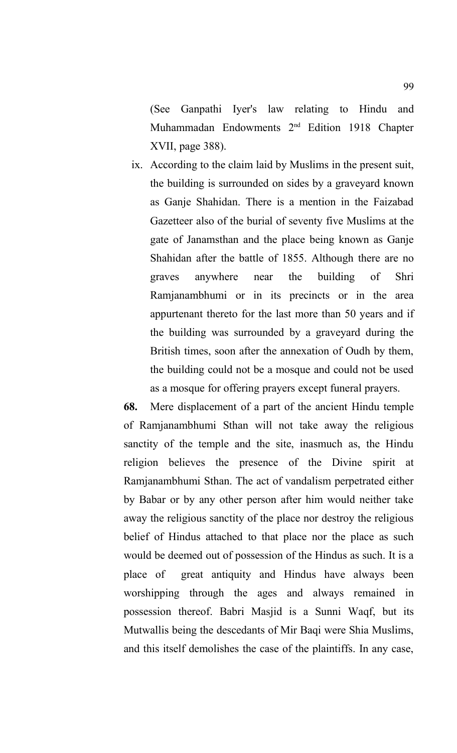(See Ganpathi Iyer's law relating to Hindu and Muhammadan Endowments 2<sup>nd</sup> Edition 1918 Chapter XVII, page 388).

 ix. According to the claim laid by Muslims in the present suit, the building is surrounded on sides by a graveyard known as Ganje Shahidan. There is a mention in the Faizabad Gazetteer also of the burial of seventy five Muslims at the gate of Janamsthan and the place being known as Ganje Shahidan after the battle of 1855. Although there are no graves anywhere near the building of Shri Ramjanambhumi or in its precincts or in the area appurtenant thereto for the last more than 50 years and if the building was surrounded by a graveyard during the British times, soon after the annexation of Oudh by them, the building could not be a mosque and could not be used as a mosque for offering prayers except funeral prayers.

**68.** Mere displacement of a part of the ancient Hindu temple of Ramjanambhumi Sthan will not take away the religious sanctity of the temple and the site, inasmuch as, the Hindu religion believes the presence of the Divine spirit at Ramjanambhumi Sthan. The act of vandalism perpetrated either by Babar or by any other person after him would neither take away the religious sanctity of the place nor destroy the religious belief of Hindus attached to that place nor the place as such would be deemed out of possession of the Hindus as such. It is a place of great antiquity and Hindus have always been worshipping through the ages and always remained in possession thereof. Babri Masjid is a Sunni Waqf, but its Mutwallis being the descedants of Mir Baqi were Shia Muslims, and this itself demolishes the case of the plaintiffs. In any case,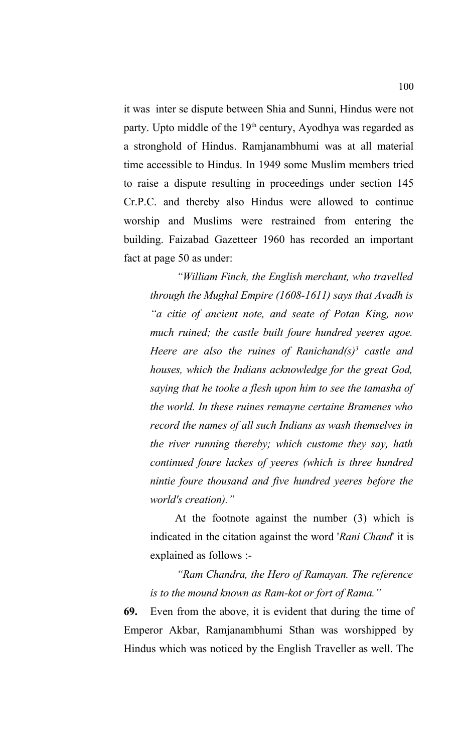it was inter se dispute between Shia and Sunni, Hindus were not party. Upto middle of the  $19<sup>th</sup>$  century, Ayodhya was regarded as a stronghold of Hindus. Ramjanambhumi was at all material time accessible to Hindus. In 1949 some Muslim members tried to raise a dispute resulting in proceedings under section 145 Cr.P.C. and thereby also Hindus were allowed to continue worship and Muslims were restrained from entering the building. Faizabad Gazetteer 1960 has recorded an important fact at page 50 as under:

*"William Finch, the English merchant, who travelled through the Mughal Empire (1608-1611) says that Avadh is "a citie of ancient note, and seate of Potan King, now much ruined; the castle built foure hundred yeeres agoe. Heere are also the ruines of Ranichand(s)<sup>3</sup> castle and houses, which the Indians acknowledge for the great God, saying that he tooke a flesh upon him to see the tamasha of the world. In these ruines remayne certaine Bramenes who record the names of all such Indians as wash themselves in the river running thereby; which custome they say, hath continued foure lackes of yeeres (which is three hundred nintie foure thousand and five hundred yeeres before the world's creation)."*

 At the footnote against the number (3) which is indicated in the citation against the word '*Rani Chand*' it is explained as follows :-

*"Ram Chandra, the Hero of Ramayan. The reference is to the mound known as Ram-kot or fort of Rama."* 

**69.** Even from the above, it is evident that during the time of Emperor Akbar, Ramjanambhumi Sthan was worshipped by Hindus which was noticed by the English Traveller as well. The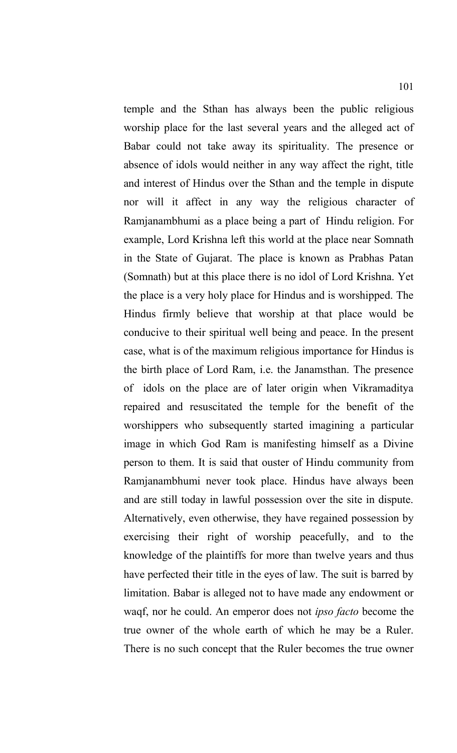temple and the Sthan has always been the public religious worship place for the last several years and the alleged act of Babar could not take away its spirituality. The presence or absence of idols would neither in any way affect the right, title and interest of Hindus over the Sthan and the temple in dispute nor will it affect in any way the religious character of Ramjanambhumi as a place being a part of Hindu religion. For example, Lord Krishna left this world at the place near Somnath in the State of Gujarat. The place is known as Prabhas Patan (Somnath) but at this place there is no idol of Lord Krishna. Yet the place is a very holy place for Hindus and is worshipped. The Hindus firmly believe that worship at that place would be conducive to their spiritual well being and peace. In the present case, what is of the maximum religious importance for Hindus is the birth place of Lord Ram, i.e. the Janamsthan. The presence of idols on the place are of later origin when Vikramaditya repaired and resuscitated the temple for the benefit of the worshippers who subsequently started imagining a particular image in which God Ram is manifesting himself as a Divine person to them. It is said that ouster of Hindu community from Ramjanambhumi never took place. Hindus have always been and are still today in lawful possession over the site in dispute. Alternatively, even otherwise, they have regained possession by exercising their right of worship peacefully, and to the knowledge of the plaintiffs for more than twelve years and thus have perfected their title in the eyes of law. The suit is barred by limitation. Babar is alleged not to have made any endowment or waqf, nor he could. An emperor does not *ipso facto* become the true owner of the whole earth of which he may be a Ruler. There is no such concept that the Ruler becomes the true owner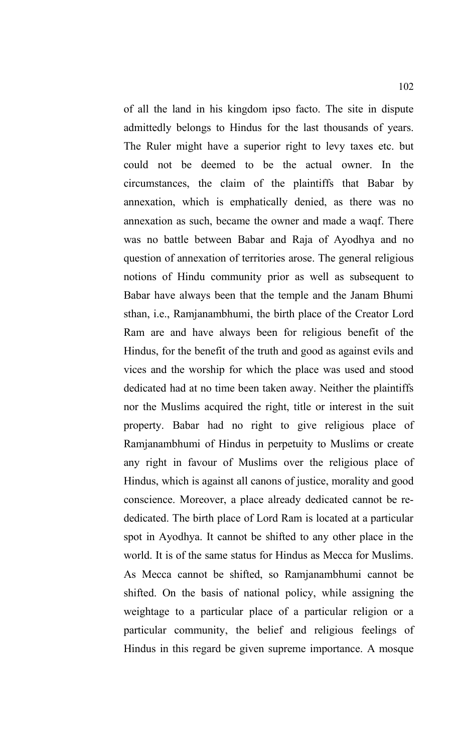of all the land in his kingdom ipso facto. The site in dispute admittedly belongs to Hindus for the last thousands of years. The Ruler might have a superior right to levy taxes etc. but could not be deemed to be the actual owner. In the circumstances, the claim of the plaintiffs that Babar by annexation, which is emphatically denied, as there was no annexation as such, became the owner and made a waqf. There was no battle between Babar and Raja of Ayodhya and no question of annexation of territories arose. The general religious notions of Hindu community prior as well as subsequent to Babar have always been that the temple and the Janam Bhumi sthan, i.e., Ramjanambhumi, the birth place of the Creator Lord Ram are and have always been for religious benefit of the Hindus, for the benefit of the truth and good as against evils and vices and the worship for which the place was used and stood dedicated had at no time been taken away. Neither the plaintiffs nor the Muslims acquired the right, title or interest in the suit property. Babar had no right to give religious place of Ramjanambhumi of Hindus in perpetuity to Muslims or create any right in favour of Muslims over the religious place of Hindus, which is against all canons of justice, morality and good conscience. Moreover, a place already dedicated cannot be rededicated. The birth place of Lord Ram is located at a particular spot in Ayodhya. It cannot be shifted to any other place in the world. It is of the same status for Hindus as Mecca for Muslims. As Mecca cannot be shifted, so Ramjanambhumi cannot be shifted. On the basis of national policy, while assigning the weightage to a particular place of a particular religion or a particular community, the belief and religious feelings of Hindus in this regard be given supreme importance. A mosque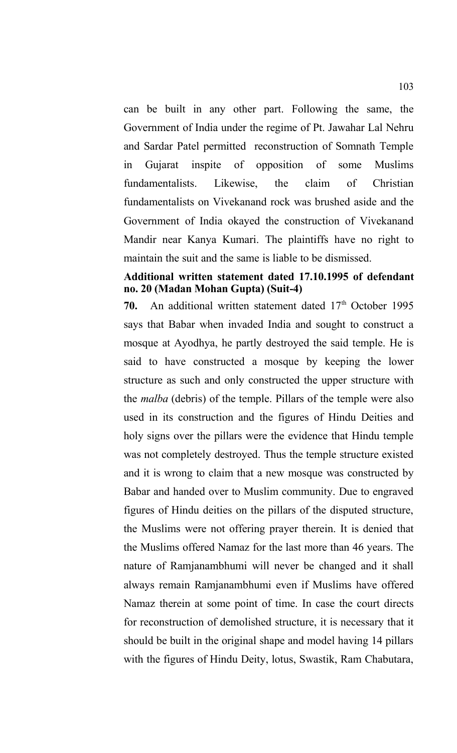can be built in any other part. Following the same, the Government of India under the regime of Pt. Jawahar Lal Nehru and Sardar Patel permitted reconstruction of Somnath Temple in Gujarat inspite of opposition of some Muslims fundamentalists. Likewise, the claim of Christian fundamentalists on Vivekanand rock was brushed aside and the Government of India okayed the construction of Vivekanand Mandir near Kanya Kumari. The plaintiffs have no right to maintain the suit and the same is liable to be dismissed.

#### **Additional written statement dated 17.10.1995 of defendant no. 20 (Madan Mohan Gupta) (Suit-4)**

70. An additional written statement dated 17<sup>th</sup> October 1995 says that Babar when invaded India and sought to construct a mosque at Ayodhya, he partly destroyed the said temple. He is said to have constructed a mosque by keeping the lower structure as such and only constructed the upper structure with the *malba* (debris) of the temple. Pillars of the temple were also used in its construction and the figures of Hindu Deities and holy signs over the pillars were the evidence that Hindu temple was not completely destroyed. Thus the temple structure existed and it is wrong to claim that a new mosque was constructed by Babar and handed over to Muslim community. Due to engraved figures of Hindu deities on the pillars of the disputed structure, the Muslims were not offering prayer therein. It is denied that the Muslims offered Namaz for the last more than 46 years. The nature of Ramjanambhumi will never be changed and it shall always remain Ramjanambhumi even if Muslims have offered Namaz therein at some point of time. In case the court directs for reconstruction of demolished structure, it is necessary that it should be built in the original shape and model having 14 pillars with the figures of Hindu Deity, lotus, Swastik, Ram Chabutara,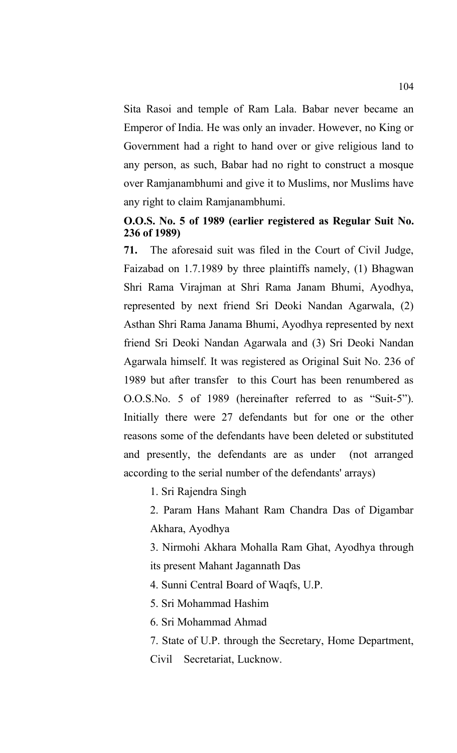Sita Rasoi and temple of Ram Lala. Babar never became an Emperor of India. He was only an invader. However, no King or Government had a right to hand over or give religious land to any person, as such, Babar had no right to construct a mosque over Ramjanambhumi and give it to Muslims, nor Muslims have any right to claim Ramjanambhumi.

# **O.O.S. No. 5 of 1989 (earlier registered as Regular Suit No. 236 of 1989)**

**71.** The aforesaid suit was filed in the Court of Civil Judge, Faizabad on 1.7.1989 by three plaintiffs namely, (1) Bhagwan Shri Rama Virajman at Shri Rama Janam Bhumi, Ayodhya, represented by next friend Sri Deoki Nandan Agarwala, (2) Asthan Shri Rama Janama Bhumi, Ayodhya represented by next friend Sri Deoki Nandan Agarwala and (3) Sri Deoki Nandan Agarwala himself. It was registered as Original Suit No. 236 of 1989 but after transfer to this Court has been renumbered as O.O.S.No. 5 of 1989 (hereinafter referred to as "Suit-5"). Initially there were 27 defendants but for one or the other reasons some of the defendants have been deleted or substituted and presently, the defendants are as under (not arranged according to the serial number of the defendants' arrays)

1. Sri Rajendra Singh

2. Param Hans Mahant Ram Chandra Das of Digambar Akhara, Ayodhya

3. Nirmohi Akhara Mohalla Ram Ghat, Ayodhya through its present Mahant Jagannath Das

4. Sunni Central Board of Waqfs, U.P.

5. Sri Mohammad Hashim

6. Sri Mohammad Ahmad

7. State of U.P. through the Secretary, Home Department, Civil Secretariat, Lucknow.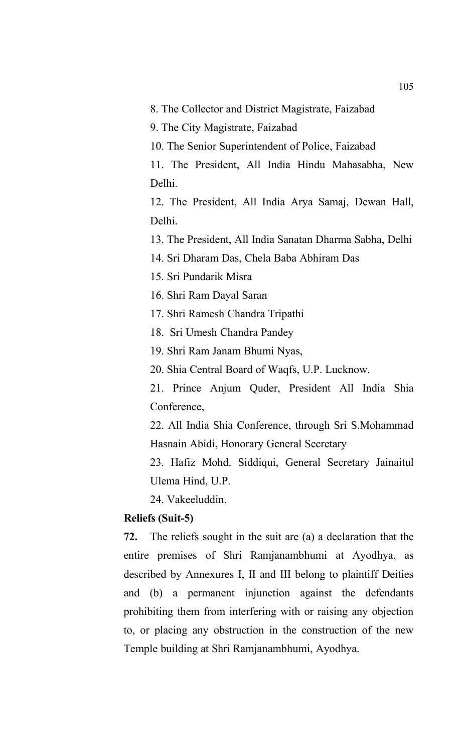8. The Collector and District Magistrate, Faizabad

9. The City Magistrate, Faizabad

10. The Senior Superintendent of Police, Faizabad

11. The President, All India Hindu Mahasabha, New Delhi.

12. The President, All India Arya Samaj, Dewan Hall, Delhi.

13. The President, All India Sanatan Dharma Sabha, Delhi

14. Sri Dharam Das, Chela Baba Abhiram Das

15. Sri Pundarik Misra

16. Shri Ram Dayal Saran

17. Shri Ramesh Chandra Tripathi

18. Sri Umesh Chandra Pandey

19. Shri Ram Janam Bhumi Nyas,

20. Shia Central Board of Waqfs, U.P. Lucknow.

21. Prince Anjum Quder, President All India Shia Conference,

22. All India Shia Conference, through Sri S.Mohammad Hasnain Abidi, Honorary General Secretary

23. Hafiz Mohd. Siddiqui, General Secretary Jainaitul Ulema Hind, U.P.

24. Vakeeluddin.

## **Reliefs (Suit-5)**

**72.** The reliefs sought in the suit are (a) a declaration that the entire premises of Shri Ramjanambhumi at Ayodhya, as described by Annexures I, II and III belong to plaintiff Deities and (b) a permanent injunction against the defendants prohibiting them from interfering with or raising any objection to, or placing any obstruction in the construction of the new Temple building at Shri Ramjanambhumi, Ayodhya.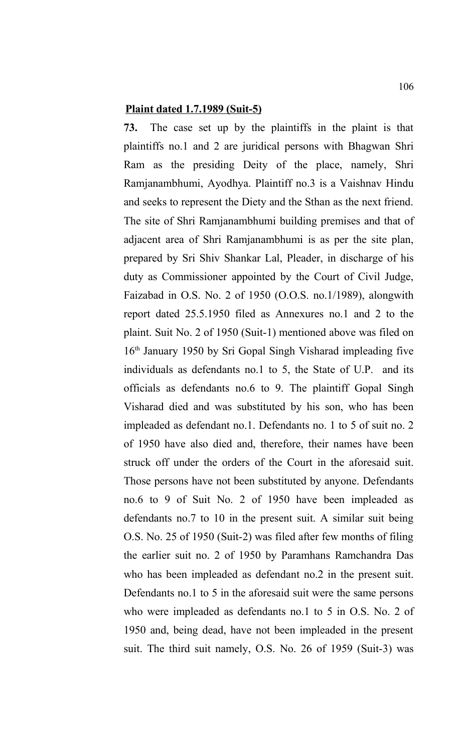#### **Plaint dated 1.7.1989 (Suit-5)**

**73.** The case set up by the plaintiffs in the plaint is that plaintiffs no.1 and 2 are juridical persons with Bhagwan Shri Ram as the presiding Deity of the place, namely, Shri Ramjanambhumi, Ayodhya. Plaintiff no.3 is a Vaishnav Hindu and seeks to represent the Diety and the Sthan as the next friend. The site of Shri Ramjanambhumi building premises and that of adjacent area of Shri Ramjanambhumi is as per the site plan, prepared by Sri Shiv Shankar Lal, Pleader, in discharge of his duty as Commissioner appointed by the Court of Civil Judge, Faizabad in O.S. No. 2 of 1950 (O.O.S. no.1/1989), alongwith report dated 25.5.1950 filed as Annexures no.1 and 2 to the plaint. Suit No. 2 of 1950 (Suit-1) mentioned above was filed on 16th January 1950 by Sri Gopal Singh Visharad impleading five individuals as defendants no.1 to 5, the State of U.P. and its officials as defendants no.6 to 9. The plaintiff Gopal Singh Visharad died and was substituted by his son, who has been impleaded as defendant no.1. Defendants no. 1 to 5 of suit no. 2 of 1950 have also died and, therefore, their names have been struck off under the orders of the Court in the aforesaid suit. Those persons have not been substituted by anyone. Defendants no.6 to 9 of Suit No. 2 of 1950 have been impleaded as defendants no.7 to 10 in the present suit. A similar suit being O.S. No. 25 of 1950 (Suit-2) was filed after few months of filing the earlier suit no. 2 of 1950 by Paramhans Ramchandra Das who has been impleaded as defendant no.2 in the present suit. Defendants no.1 to 5 in the aforesaid suit were the same persons who were impleaded as defendants no.1 to 5 in O.S. No. 2 of 1950 and, being dead, have not been impleaded in the present suit. The third suit namely, O.S. No. 26 of 1959 (Suit-3) was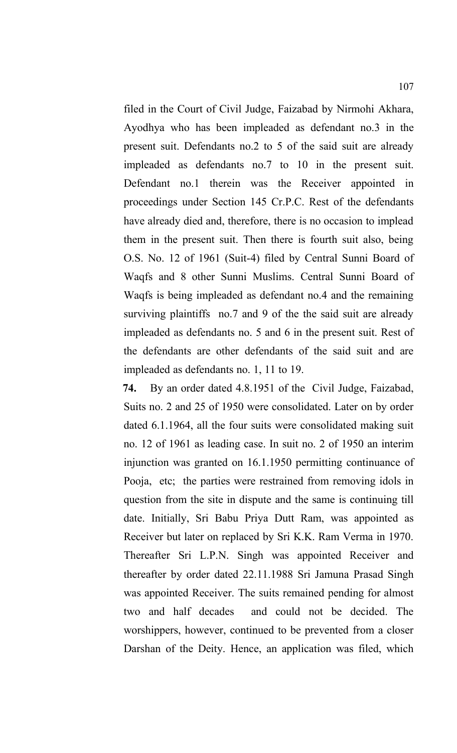filed in the Court of Civil Judge, Faizabad by Nirmohi Akhara, Ayodhya who has been impleaded as defendant no.3 in the present suit. Defendants no.2 to 5 of the said suit are already impleaded as defendants no.7 to 10 in the present suit. Defendant no.1 therein was the Receiver appointed in proceedings under Section 145 Cr.P.C. Rest of the defendants have already died and, therefore, there is no occasion to implead them in the present suit. Then there is fourth suit also, being O.S. No. 12 of 1961 (Suit-4) filed by Central Sunni Board of Waqfs and 8 other Sunni Muslims. Central Sunni Board of Waqfs is being impleaded as defendant no.4 and the remaining surviving plaintiffs no.7 and 9 of the the said suit are already impleaded as defendants no. 5 and 6 in the present suit. Rest of the defendants are other defendants of the said suit and are impleaded as defendants no. 1, 11 to 19.

**74.** By an order dated 4.8.1951 of the Civil Judge, Faizabad, Suits no. 2 and 25 of 1950 were consolidated. Later on by order dated 6.1.1964, all the four suits were consolidated making suit no. 12 of 1961 as leading case. In suit no. 2 of 1950 an interim injunction was granted on 16.1.1950 permitting continuance of Pooja, etc; the parties were restrained from removing idols in question from the site in dispute and the same is continuing till date. Initially, Sri Babu Priya Dutt Ram, was appointed as Receiver but later on replaced by Sri K.K. Ram Verma in 1970. Thereafter Sri L.P.N. Singh was appointed Receiver and thereafter by order dated 22.11.1988 Sri Jamuna Prasad Singh was appointed Receiver. The suits remained pending for almost two and half decades and could not be decided. The worshippers, however, continued to be prevented from a closer Darshan of the Deity. Hence, an application was filed, which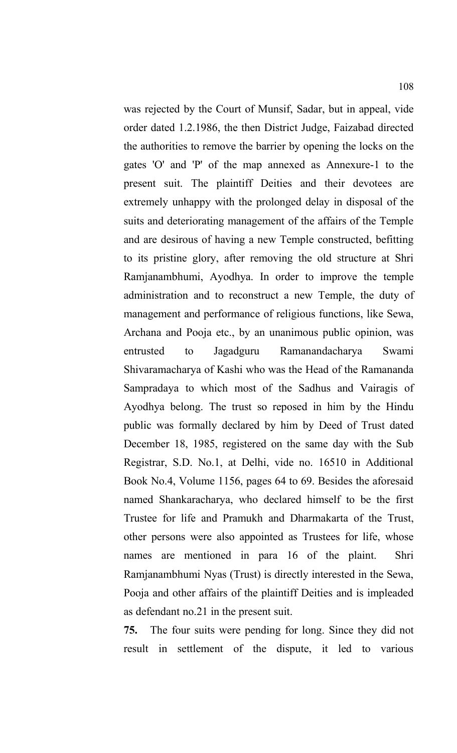was rejected by the Court of Munsif, Sadar, but in appeal, vide order dated 1.2.1986, the then District Judge, Faizabad directed the authorities to remove the barrier by opening the locks on the gates 'O' and 'P' of the map annexed as Annexure-1 to the present suit. The plaintiff Deities and their devotees are extremely unhappy with the prolonged delay in disposal of the suits and deteriorating management of the affairs of the Temple and are desirous of having a new Temple constructed, befitting to its pristine glory, after removing the old structure at Shri Ramjanambhumi, Ayodhya. In order to improve the temple administration and to reconstruct a new Temple, the duty of management and performance of religious functions, like Sewa, Archana and Pooja etc., by an unanimous public opinion, was entrusted to Jagadguru Ramanandacharya Swami Shivaramacharya of Kashi who was the Head of the Ramananda Sampradaya to which most of the Sadhus and Vairagis of Ayodhya belong. The trust so reposed in him by the Hindu public was formally declared by him by Deed of Trust dated December 18, 1985, registered on the same day with the Sub Registrar, S.D. No.1, at Delhi, vide no. 16510 in Additional Book No.4, Volume 1156, pages 64 to 69. Besides the aforesaid named Shankaracharya, who declared himself to be the first Trustee for life and Pramukh and Dharmakarta of the Trust, other persons were also appointed as Trustees for life, whose names are mentioned in para 16 of the plaint. Shri Ramjanambhumi Nyas (Trust) is directly interested in the Sewa, Pooja and other affairs of the plaintiff Deities and is impleaded as defendant no.21 in the present suit.

**75.** The four suits were pending for long. Since they did not result in settlement of the dispute, it led to various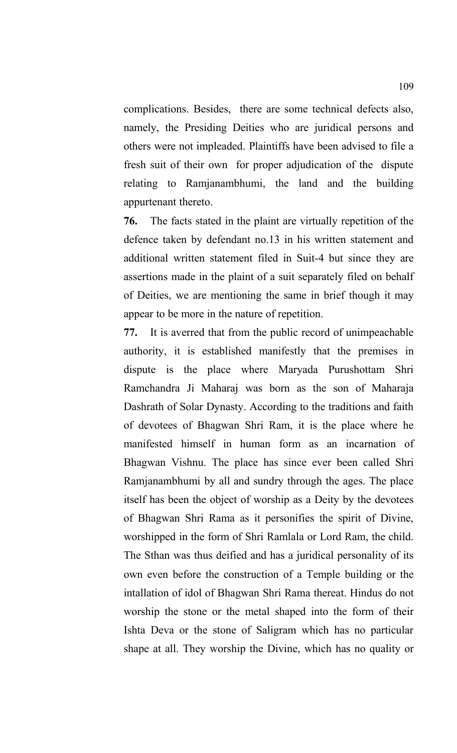complications. Besides, there are some technical defects also, namely, the Presiding Deities who are juridical persons and others were not impleaded. Plaintiffs have been advised to file a fresh suit of their own for proper adjudication of the dispute relating to Ramjanambhumi, the land and the building appurtenant thereto.

**76.** The facts stated in the plaint are virtually repetition of the defence taken by defendant no.13 in his written statement and additional written statement filed in Suit-4 but since they are assertions made in the plaint of a suit separately filed on behalf of Deities, we are mentioning the same in brief though it may appear to be more in the nature of repetition.

**77.** It is averred that from the public record of unimpeachable authority, it is established manifestly that the premises in dispute is the place where Maryada Purushottam Shri Ramchandra Ji Maharaj was born as the son of Maharaja Dashrath of Solar Dynasty. According to the traditions and faith of devotees of Bhagwan Shri Ram, it is the place where he manifested himself in human form as an incarnation of Bhagwan Vishnu. The place has since ever been called Shri Ramjanambhumi by all and sundry through the ages. The place itself has been the object of worship as a Deity by the devotees of Bhagwan Shri Rama as it personifies the spirit of Divine, worshipped in the form of Shri Ramlala or Lord Ram, the child. The Sthan was thus deified and has a juridical personality of its own even before the construction of a Temple building or the intallation of idol of Bhagwan Shri Rama thereat. Hindus do not worship the stone or the metal shaped into the form of their Ishta Deva or the stone of Saligram which has no particular shape at all. They worship the Divine, which has no quality or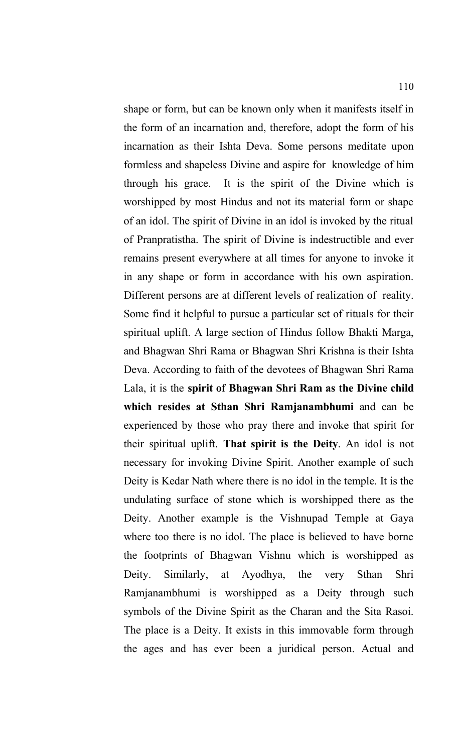shape or form, but can be known only when it manifests itself in the form of an incarnation and, therefore, adopt the form of his incarnation as their Ishta Deva. Some persons meditate upon formless and shapeless Divine and aspire for knowledge of him through his grace. It is the spirit of the Divine which is worshipped by most Hindus and not its material form or shape of an idol. The spirit of Divine in an idol is invoked by the ritual of Pranpratistha. The spirit of Divine is indestructible and ever remains present everywhere at all times for anyone to invoke it in any shape or form in accordance with his own aspiration. Different persons are at different levels of realization of reality. Some find it helpful to pursue a particular set of rituals for their spiritual uplift. A large section of Hindus follow Bhakti Marga, and Bhagwan Shri Rama or Bhagwan Shri Krishna is their Ishta Deva. According to faith of the devotees of Bhagwan Shri Rama Lala, it is the **spirit of Bhagwan Shri Ram as the Divine child which resides at Sthan Shri Ramjanambhumi** and can be experienced by those who pray there and invoke that spirit for their spiritual uplift. **That spirit is the Deity**. An idol is not necessary for invoking Divine Spirit. Another example of such Deity is Kedar Nath where there is no idol in the temple. It is the undulating surface of stone which is worshipped there as the Deity. Another example is the Vishnupad Temple at Gaya where too there is no idol. The place is believed to have borne the footprints of Bhagwan Vishnu which is worshipped as Deity. Similarly, at Ayodhya, the very Sthan Shri Ramjanambhumi is worshipped as a Deity through such symbols of the Divine Spirit as the Charan and the Sita Rasoi. The place is a Deity. It exists in this immovable form through the ages and has ever been a juridical person. Actual and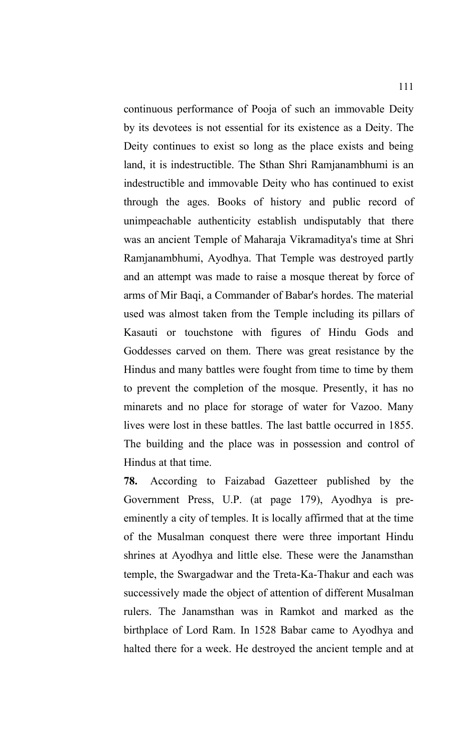continuous performance of Pooja of such an immovable Deity by its devotees is not essential for its existence as a Deity. The Deity continues to exist so long as the place exists and being land, it is indestructible. The Sthan Shri Ramjanambhumi is an indestructible and immovable Deity who has continued to exist through the ages. Books of history and public record of unimpeachable authenticity establish undisputably that there was an ancient Temple of Maharaja Vikramaditya's time at Shri Ramjanambhumi, Ayodhya. That Temple was destroyed partly and an attempt was made to raise a mosque thereat by force of arms of Mir Baqi, a Commander of Babar's hordes. The material used was almost taken from the Temple including its pillars of Kasauti or touchstone with figures of Hindu Gods and Goddesses carved on them. There was great resistance by the Hindus and many battles were fought from time to time by them to prevent the completion of the mosque. Presently, it has no minarets and no place for storage of water for Vazoo. Many lives were lost in these battles. The last battle occurred in 1855. The building and the place was in possession and control of Hindus at that time.

**78.** According to Faizabad Gazetteer published by the Government Press, U.P. (at page 179), Ayodhya is preeminently a city of temples. It is locally affirmed that at the time of the Musalman conquest there were three important Hindu shrines at Ayodhya and little else. These were the Janamsthan temple, the Swargadwar and the Treta-Ka-Thakur and each was successively made the object of attention of different Musalman rulers. The Janamsthan was in Ramkot and marked as the birthplace of Lord Ram. In 1528 Babar came to Ayodhya and halted there for a week. He destroyed the ancient temple and at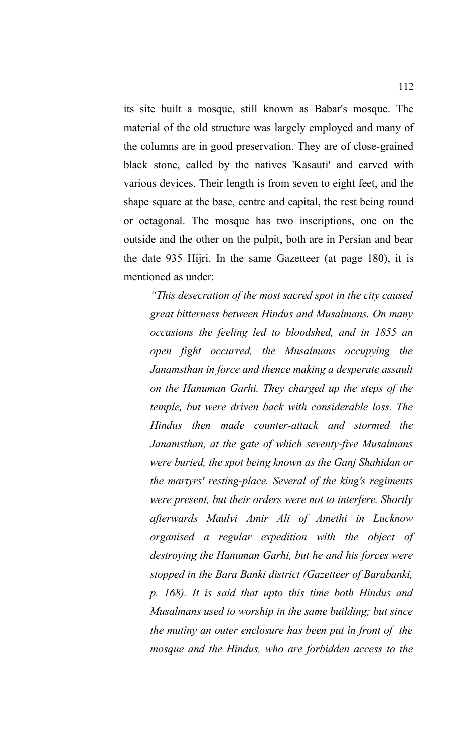its site built a mosque, still known as Babar's mosque. The material of the old structure was largely employed and many of the columns are in good preservation. They are of close-grained black stone, called by the natives 'Kasauti' and carved with various devices. Their length is from seven to eight feet, and the shape square at the base, centre and capital, the rest being round or octagonal. The mosque has two inscriptions, one on the outside and the other on the pulpit, both are in Persian and bear the date 935 Hijri. In the same Gazetteer (at page 180), it is mentioned as under:

*"This desecration of the most sacred spot in the city caused great bitterness between Hindus and Musalmans. On many occasions the feeling led to bloodshed, and in 1855 an open fight occurred, the Musalmans occupying the Janamsthan in force and thence making a desperate assault on the Hanuman Garhi. They charged up the steps of the temple, but were driven back with considerable loss. The Hindus then made counter-attack and stormed the Janamsthan, at the gate of which seventy-five Musalmans were buried, the spot being known as the Ganj Shahidan or the martyrs' resting-place. Several of the king's regiments were present, but their orders were not to interfere. Shortly afterwards Maulvi Amir Ali of Amethi in Lucknow organised a regular expedition with the object of destroying the Hanuman Garhi, but he and his forces were stopped in the Bara Banki district (Gazetteer of Barabanki, p. 168). It is said that upto this time both Hindus and Musalmans used to worship in the same building; but since the mutiny an outer enclosure has been put in front of the mosque and the Hindus, who are forbidden access to the*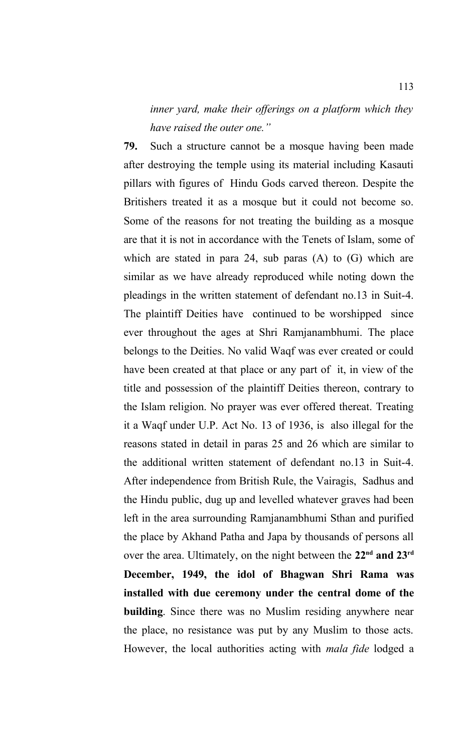*inner yard, make their offerings on a platform which they have raised the outer one."* 

**79.** Such a structure cannot be a mosque having been made after destroying the temple using its material including Kasauti pillars with figures of Hindu Gods carved thereon. Despite the Britishers treated it as a mosque but it could not become so. Some of the reasons for not treating the building as a mosque are that it is not in accordance with the Tenets of Islam, some of which are stated in para 24, sub paras (A) to (G) which are similar as we have already reproduced while noting down the pleadings in the written statement of defendant no.13 in Suit-4. The plaintiff Deities have continued to be worshipped since ever throughout the ages at Shri Ramjanambhumi. The place belongs to the Deities. No valid Waqf was ever created or could have been created at that place or any part of it, in view of the title and possession of the plaintiff Deities thereon, contrary to the Islam religion. No prayer was ever offered thereat. Treating it a Waqf under U.P. Act No. 13 of 1936, is also illegal for the reasons stated in detail in paras 25 and 26 which are similar to the additional written statement of defendant no.13 in Suit-4. After independence from British Rule, the Vairagis, Sadhus and the Hindu public, dug up and levelled whatever graves had been left in the area surrounding Ramjanambhumi Sthan and purified the place by Akhand Patha and Japa by thousands of persons all over the area. Ultimately, on the night between the **22nd and 23rd December, 1949, the idol of Bhagwan Shri Rama was installed with due ceremony under the central dome of the building**. Since there was no Muslim residing anywhere near the place, no resistance was put by any Muslim to those acts. However, the local authorities acting with *mala fide* lodged a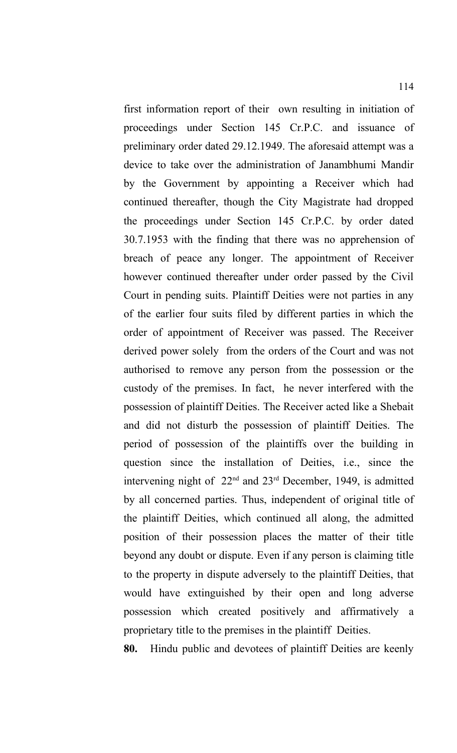first information report of their own resulting in initiation of proceedings under Section 145 Cr.P.C. and issuance of preliminary order dated 29.12.1949. The aforesaid attempt was a device to take over the administration of Janambhumi Mandir by the Government by appointing a Receiver which had continued thereafter, though the City Magistrate had dropped the proceedings under Section 145 Cr.P.C. by order dated 30.7.1953 with the finding that there was no apprehension of breach of peace any longer. The appointment of Receiver however continued thereafter under order passed by the Civil Court in pending suits. Plaintiff Deities were not parties in any of the earlier four suits filed by different parties in which the order of appointment of Receiver was passed. The Receiver derived power solely from the orders of the Court and was not authorised to remove any person from the possession or the custody of the premises. In fact, he never interfered with the possession of plaintiff Deities. The Receiver acted like a Shebait and did not disturb the possession of plaintiff Deities. The period of possession of the plaintiffs over the building in question since the installation of Deities, i.e., since the intervening night of 22nd and 23rd December, 1949, is admitted by all concerned parties. Thus, independent of original title of the plaintiff Deities, which continued all along, the admitted position of their possession places the matter of their title beyond any doubt or dispute. Even if any person is claiming title to the property in dispute adversely to the plaintiff Deities, that would have extinguished by their open and long adverse possession which created positively and affirmatively a proprietary title to the premises in the plaintiff Deities.

**80.** Hindu public and devotees of plaintiff Deities are keenly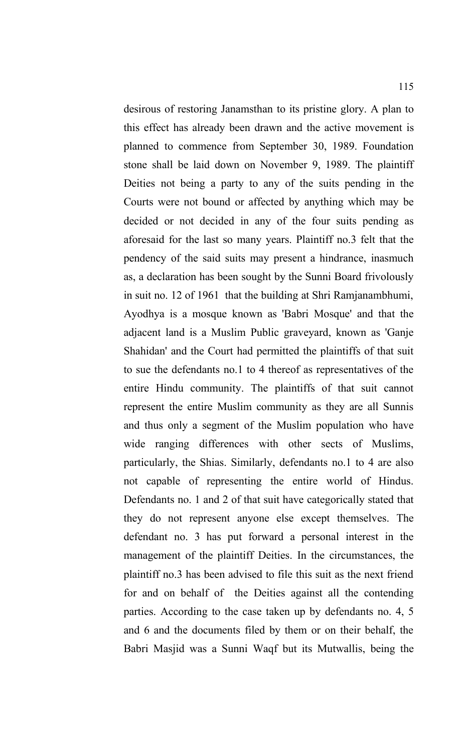desirous of restoring Janamsthan to its pristine glory. A plan to this effect has already been drawn and the active movement is planned to commence from September 30, 1989. Foundation stone shall be laid down on November 9, 1989. The plaintiff Deities not being a party to any of the suits pending in the Courts were not bound or affected by anything which may be decided or not decided in any of the four suits pending as aforesaid for the last so many years. Plaintiff no.3 felt that the pendency of the said suits may present a hindrance, inasmuch as, a declaration has been sought by the Sunni Board frivolously in suit no. 12 of 1961 that the building at Shri Ramjanambhumi, Ayodhya is a mosque known as 'Babri Mosque' and that the adjacent land is a Muslim Public graveyard, known as 'Ganje Shahidan' and the Court had permitted the plaintiffs of that suit to sue the defendants no.1 to 4 thereof as representatives of the entire Hindu community. The plaintiffs of that suit cannot represent the entire Muslim community as they are all Sunnis and thus only a segment of the Muslim population who have wide ranging differences with other sects of Muslims, particularly, the Shias. Similarly, defendants no.1 to 4 are also not capable of representing the entire world of Hindus. Defendants no. 1 and 2 of that suit have categorically stated that they do not represent anyone else except themselves. The defendant no. 3 has put forward a personal interest in the management of the plaintiff Deities. In the circumstances, the plaintiff no.3 has been advised to file this suit as the next friend for and on behalf of the Deities against all the contending parties. According to the case taken up by defendants no. 4, 5 and 6 and the documents filed by them or on their behalf, the Babri Masjid was a Sunni Waqf but its Mutwallis, being the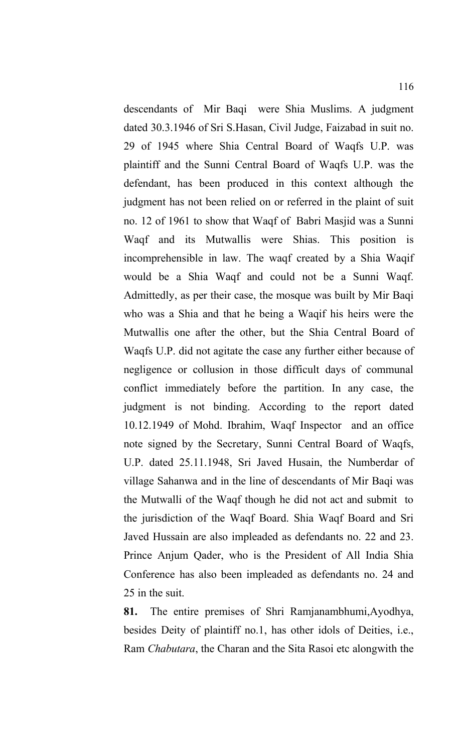descendants of Mir Baqi were Shia Muslims. A judgment dated 30.3.1946 of Sri S.Hasan, Civil Judge, Faizabad in suit no. 29 of 1945 where Shia Central Board of Waqfs U.P. was plaintiff and the Sunni Central Board of Waqfs U.P. was the defendant, has been produced in this context although the judgment has not been relied on or referred in the plaint of suit no. 12 of 1961 to show that Waqf of Babri Masjid was a Sunni Waqf and its Mutwallis were Shias. This position is incomprehensible in law. The waqf created by a Shia Waqif would be a Shia Waqf and could not be a Sunni Waqf. Admittedly, as per their case, the mosque was built by Mir Baqi who was a Shia and that he being a Waqif his heirs were the Mutwallis one after the other, but the Shia Central Board of Waqfs U.P. did not agitate the case any further either because of negligence or collusion in those difficult days of communal conflict immediately before the partition. In any case, the judgment is not binding. According to the report dated 10.12.1949 of Mohd. Ibrahim, Waqf Inspector and an office note signed by the Secretary, Sunni Central Board of Waqfs, U.P. dated 25.11.1948, Sri Javed Husain, the Numberdar of village Sahanwa and in the line of descendants of Mir Baqi was the Mutwalli of the Waqf though he did not act and submit to the jurisdiction of the Waqf Board. Shia Waqf Board and Sri Javed Hussain are also impleaded as defendants no. 22 and 23. Prince Anjum Qader, who is the President of All India Shia Conference has also been impleaded as defendants no. 24 and 25 in the suit.

**81.** The entire premises of Shri Ramjanambhumi,Ayodhya, besides Deity of plaintiff no.1, has other idols of Deities, i.e., Ram *Chabutara*, the Charan and the Sita Rasoi etc alongwith the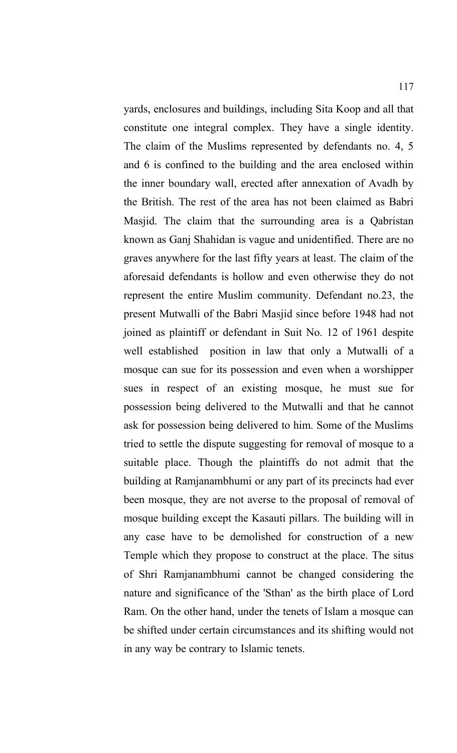yards, enclosures and buildings, including Sita Koop and all that constitute one integral complex. They have a single identity. The claim of the Muslims represented by defendants no. 4, 5 and 6 is confined to the building and the area enclosed within the inner boundary wall, erected after annexation of Avadh by the British. The rest of the area has not been claimed as Babri Masjid. The claim that the surrounding area is a Qabristan known as Ganj Shahidan is vague and unidentified. There are no graves anywhere for the last fifty years at least. The claim of the aforesaid defendants is hollow and even otherwise they do not represent the entire Muslim community. Defendant no.23, the present Mutwalli of the Babri Masjid since before 1948 had not joined as plaintiff or defendant in Suit No. 12 of 1961 despite well established position in law that only a Mutwalli of a mosque can sue for its possession and even when a worshipper sues in respect of an existing mosque, he must sue for possession being delivered to the Mutwalli and that he cannot ask for possession being delivered to him. Some of the Muslims tried to settle the dispute suggesting for removal of mosque to a suitable place. Though the plaintiffs do not admit that the building at Ramjanambhumi or any part of its precincts had ever been mosque, they are not averse to the proposal of removal of mosque building except the Kasauti pillars. The building will in any case have to be demolished for construction of a new Temple which they propose to construct at the place. The situs of Shri Ramjanambhumi cannot be changed considering the nature and significance of the 'Sthan' as the birth place of Lord Ram. On the other hand, under the tenets of Islam a mosque can be shifted under certain circumstances and its shifting would not in any way be contrary to Islamic tenets.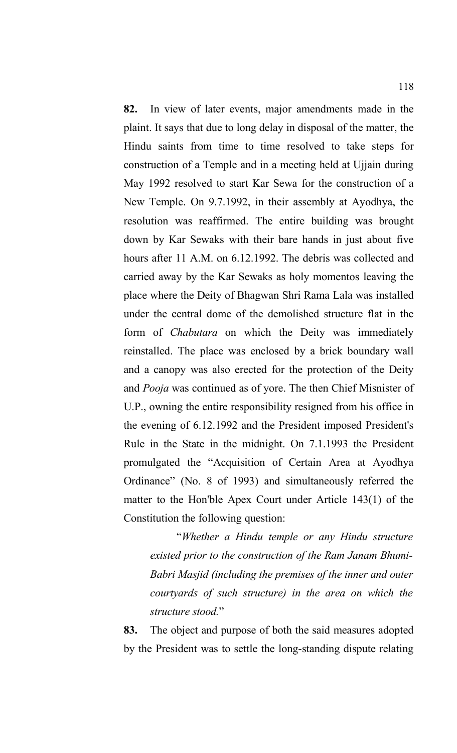**82.** In view of later events, major amendments made in the plaint. It says that due to long delay in disposal of the matter, the Hindu saints from time to time resolved to take steps for construction of a Temple and in a meeting held at Ujjain during May 1992 resolved to start Kar Sewa for the construction of a New Temple. On 9.7.1992, in their assembly at Ayodhya, the resolution was reaffirmed. The entire building was brought down by Kar Sewaks with their bare hands in just about five hours after 11 A.M. on 6.12.1992. The debris was collected and carried away by the Kar Sewaks as holy momentos leaving the place where the Deity of Bhagwan Shri Rama Lala was installed under the central dome of the demolished structure flat in the form of *Chabutara* on which the Deity was immediately reinstalled. The place was enclosed by a brick boundary wall and a canopy was also erected for the protection of the Deity and *Pooja* was continued as of yore. The then Chief Misnister of U.P., owning the entire responsibility resigned from his office in the evening of 6.12.1992 and the President imposed President's Rule in the State in the midnight. On 7.1.1993 the President promulgated the "Acquisition of Certain Area at Ayodhya Ordinance" (No. 8 of 1993) and simultaneously referred the matter to the Hon'ble Apex Court under Article 143(1) of the Constitution the following question:

"*Whether a Hindu temple or any Hindu structure existed prior to the construction of the Ram Janam Bhumi-Babri Masjid (including the premises of the inner and outer courtyards of such structure) in the area on which the structure stood.*"

**83.** The object and purpose of both the said measures adopted by the President was to settle the long-standing dispute relating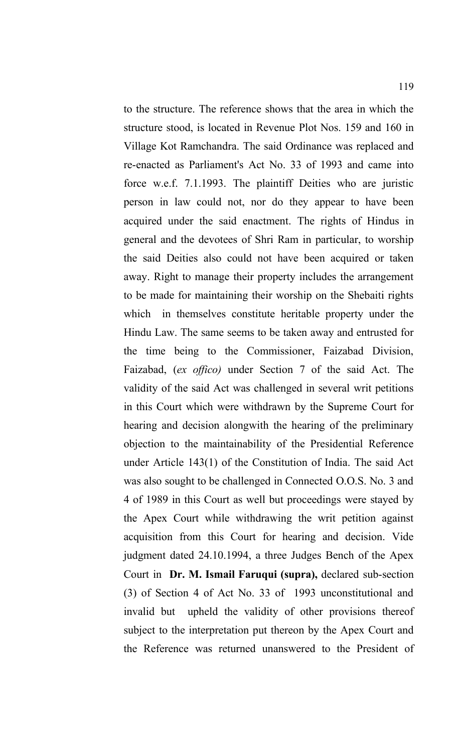to the structure. The reference shows that the area in which the structure stood, is located in Revenue Plot Nos. 159 and 160 in Village Kot Ramchandra. The said Ordinance was replaced and re-enacted as Parliament's Act No. 33 of 1993 and came into force w.e.f. 7.1.1993. The plaintiff Deities who are juristic person in law could not, nor do they appear to have been acquired under the said enactment. The rights of Hindus in general and the devotees of Shri Ram in particular, to worship the said Deities also could not have been acquired or taken away. Right to manage their property includes the arrangement to be made for maintaining their worship on the Shebaiti rights which in themselves constitute heritable property under the Hindu Law. The same seems to be taken away and entrusted for the time being to the Commissioner, Faizabad Division, Faizabad, (*ex offico)* under Section 7 of the said Act. The validity of the said Act was challenged in several writ petitions in this Court which were withdrawn by the Supreme Court for hearing and decision alongwith the hearing of the preliminary objection to the maintainability of the Presidential Reference under Article 143(1) of the Constitution of India. The said Act was also sought to be challenged in Connected O.O.S. No. 3 and 4 of 1989 in this Court as well but proceedings were stayed by the Apex Court while withdrawing the writ petition against acquisition from this Court for hearing and decision. Vide judgment dated 24.10.1994, a three Judges Bench of the Apex Court in **Dr. M. Ismail Faruqui (supra),** declared sub-section (3) of Section 4 of Act No. 33 of 1993 unconstitutional and invalid but upheld the validity of other provisions thereof subject to the interpretation put thereon by the Apex Court and the Reference was returned unanswered to the President of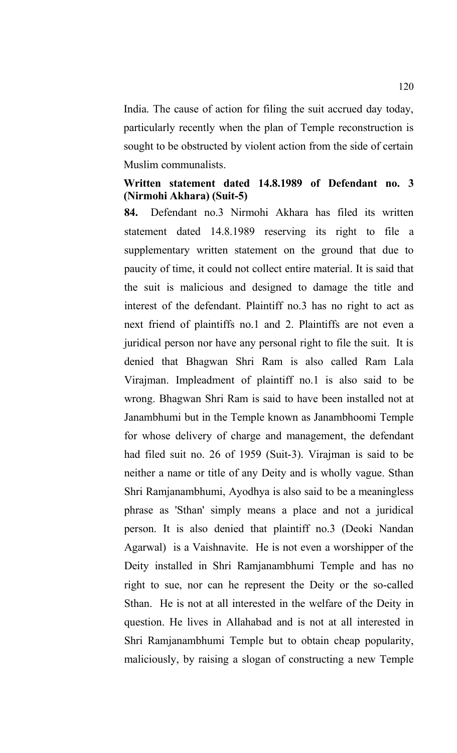India. The cause of action for filing the suit accrued day today, particularly recently when the plan of Temple reconstruction is sought to be obstructed by violent action from the side of certain Muslim communalists.

#### **Written statement dated 14.8.1989 of Defendant no. 3 (Nirmohi Akhara) (Suit-5)**

**84.** Defendant no.3 Nirmohi Akhara has filed its written statement dated 14.8.1989 reserving its right to file a supplementary written statement on the ground that due to paucity of time, it could not collect entire material. It is said that the suit is malicious and designed to damage the title and interest of the defendant. Plaintiff no.3 has no right to act as next friend of plaintiffs no.1 and 2. Plaintiffs are not even a juridical person nor have any personal right to file the suit. It is denied that Bhagwan Shri Ram is also called Ram Lala Virajman. Impleadment of plaintiff no.1 is also said to be wrong. Bhagwan Shri Ram is said to have been installed not at Janambhumi but in the Temple known as Janambhoomi Temple for whose delivery of charge and management, the defendant had filed suit no. 26 of 1959 (Suit-3). Virajman is said to be neither a name or title of any Deity and is wholly vague. Sthan Shri Ramjanambhumi, Ayodhya is also said to be a meaningless phrase as 'Sthan' simply means a place and not a juridical person. It is also denied that plaintiff no.3 (Deoki Nandan Agarwal) is a Vaishnavite. He is not even a worshipper of the Deity installed in Shri Ramjanambhumi Temple and has no right to sue, nor can he represent the Deity or the so-called Sthan. He is not at all interested in the welfare of the Deity in question. He lives in Allahabad and is not at all interested in Shri Ramjanambhumi Temple but to obtain cheap popularity, maliciously, by raising a slogan of constructing a new Temple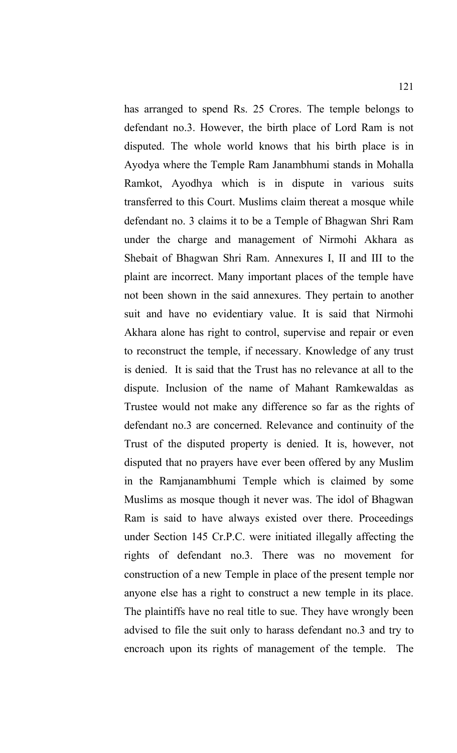has arranged to spend Rs. 25 Crores. The temple belongs to defendant no.3. However, the birth place of Lord Ram is not disputed. The whole world knows that his birth place is in Ayodya where the Temple Ram Janambhumi stands in Mohalla Ramkot, Ayodhya which is in dispute in various suits transferred to this Court. Muslims claim thereat a mosque while defendant no. 3 claims it to be a Temple of Bhagwan Shri Ram under the charge and management of Nirmohi Akhara as Shebait of Bhagwan Shri Ram. Annexures I, II and III to the plaint are incorrect. Many important places of the temple have not been shown in the said annexures. They pertain to another suit and have no evidentiary value. It is said that Nirmohi Akhara alone has right to control, supervise and repair or even to reconstruct the temple, if necessary. Knowledge of any trust is denied. It is said that the Trust has no relevance at all to the dispute. Inclusion of the name of Mahant Ramkewaldas as Trustee would not make any difference so far as the rights of defendant no.3 are concerned. Relevance and continuity of the Trust of the disputed property is denied. It is, however, not disputed that no prayers have ever been offered by any Muslim in the Ramjanambhumi Temple which is claimed by some Muslims as mosque though it never was. The idol of Bhagwan Ram is said to have always existed over there. Proceedings under Section 145 Cr.P.C. were initiated illegally affecting the rights of defendant no.3. There was no movement for construction of a new Temple in place of the present temple nor anyone else has a right to construct a new temple in its place. The plaintiffs have no real title to sue. They have wrongly been advised to file the suit only to harass defendant no.3 and try to encroach upon its rights of management of the temple. The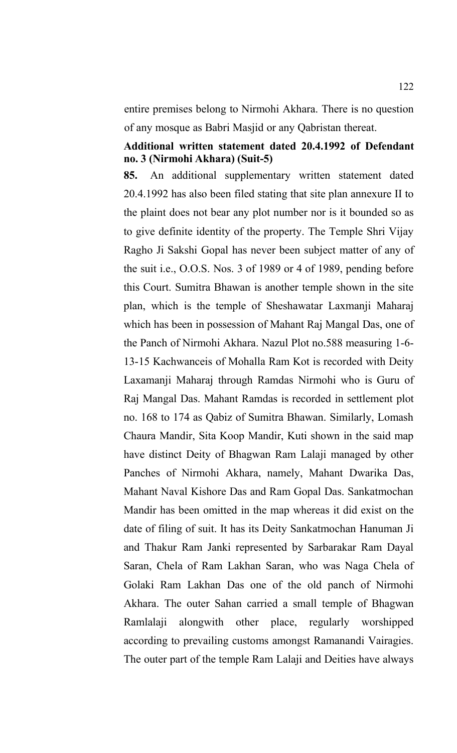entire premises belong to Nirmohi Akhara. There is no question of any mosque as Babri Masjid or any Qabristan thereat.

#### **Additional written statement dated 20.4.1992 of Defendant no. 3 (Nirmohi Akhara) (Suit-5)**

**85.** An additional supplementary written statement dated 20.4.1992 has also been filed stating that site plan annexure II to the plaint does not bear any plot number nor is it bounded so as to give definite identity of the property. The Temple Shri Vijay Ragho Ji Sakshi Gopal has never been subject matter of any of the suit i.e., O.O.S. Nos. 3 of 1989 or 4 of 1989, pending before this Court. Sumitra Bhawan is another temple shown in the site plan, which is the temple of Sheshawatar Laxmanji Maharaj which has been in possession of Mahant Raj Mangal Das, one of the Panch of Nirmohi Akhara. Nazul Plot no.588 measuring 1-6- 13-15 Kachwanceis of Mohalla Ram Kot is recorded with Deity Laxamanji Maharaj through Ramdas Nirmohi who is Guru of Raj Mangal Das. Mahant Ramdas is recorded in settlement plot no. 168 to 174 as Qabiz of Sumitra Bhawan. Similarly, Lomash Chaura Mandir, Sita Koop Mandir, Kuti shown in the said map have distinct Deity of Bhagwan Ram Lalaji managed by other Panches of Nirmohi Akhara, namely, Mahant Dwarika Das, Mahant Naval Kishore Das and Ram Gopal Das. Sankatmochan Mandir has been omitted in the map whereas it did exist on the date of filing of suit. It has its Deity Sankatmochan Hanuman Ji and Thakur Ram Janki represented by Sarbarakar Ram Dayal Saran, Chela of Ram Lakhan Saran, who was Naga Chela of Golaki Ram Lakhan Das one of the old panch of Nirmohi Akhara. The outer Sahan carried a small temple of Bhagwan Ramlalaji alongwith other place, regularly worshipped according to prevailing customs amongst Ramanandi Vairagies. The outer part of the temple Ram Lalaji and Deities have always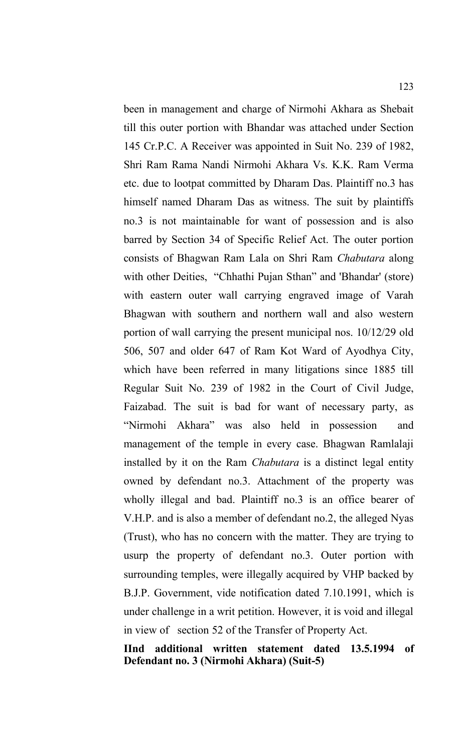been in management and charge of Nirmohi Akhara as Shebait till this outer portion with Bhandar was attached under Section 145 Cr.P.C. A Receiver was appointed in Suit No. 239 of 1982, Shri Ram Rama Nandi Nirmohi Akhara Vs. K.K. Ram Verma etc. due to lootpat committed by Dharam Das. Plaintiff no.3 has himself named Dharam Das as witness. The suit by plaintiffs no.3 is not maintainable for want of possession and is also barred by Section 34 of Specific Relief Act. The outer portion consists of Bhagwan Ram Lala on Shri Ram *Chabutara* along with other Deities, "Chhathi Pujan Sthan" and 'Bhandar' (store) with eastern outer wall carrying engraved image of Varah Bhagwan with southern and northern wall and also western portion of wall carrying the present municipal nos. 10/12/29 old 506, 507 and older 647 of Ram Kot Ward of Ayodhya City, which have been referred in many litigations since 1885 till Regular Suit No. 239 of 1982 in the Court of Civil Judge, Faizabad. The suit is bad for want of necessary party, as "Nirmohi Akhara" was also held in possession and management of the temple in every case. Bhagwan Ramlalaji installed by it on the Ram *Chabutara* is a distinct legal entity owned by defendant no.3. Attachment of the property was wholly illegal and bad. Plaintiff no.3 is an office bearer of V.H.P. and is also a member of defendant no.2, the alleged Nyas (Trust), who has no concern with the matter. They are trying to usurp the property of defendant no.3. Outer portion with surrounding temples, were illegally acquired by VHP backed by B.J.P. Government, vide notification dated 7.10.1991, which is under challenge in a writ petition. However, it is void and illegal in view of section 52 of the Transfer of Property Act.

**IInd additional written statement dated 13.5.1994 of Defendant no. 3 (Nirmohi Akhara) (Suit-5)**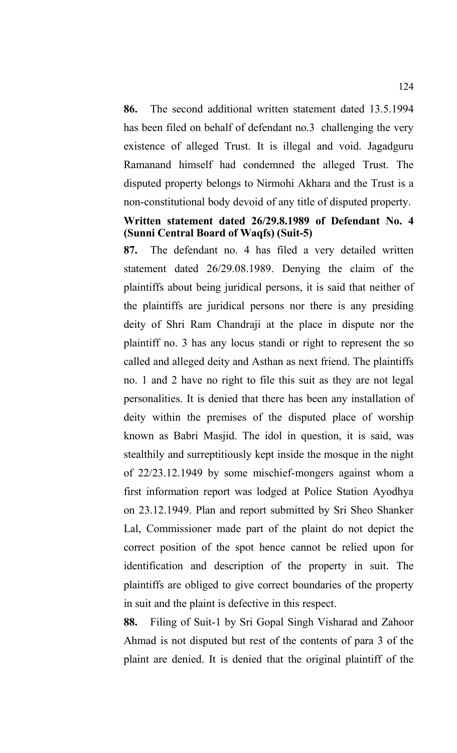**86.** The second additional written statement dated 13.5.1994 has been filed on behalf of defendant no.3 challenging the very existence of alleged Trust. It is illegal and void. Jagadguru Ramanand himself had condemned the alleged Trust. The disputed property belongs to Nirmohi Akhara and the Trust is a non-constitutional body devoid of any title of disputed property.

# **Written statement dated 26/29.8.1989 of Defendant No. 4 (Sunni Central Board of Waqfs) (Suit-5)**

**87.** The defendant no. 4 has filed a very detailed written statement dated 26/29.08.1989. Denying the claim of the plaintiffs about being juridical persons, it is said that neither of the plaintiffs are juridical persons nor there is any presiding deity of Shri Ram Chandraji at the place in dispute nor the plaintiff no. 3 has any locus standi or right to represent the so called and alleged deity and Asthan as next friend. The plaintiffs no. 1 and 2 have no right to file this suit as they are not legal personalities. It is denied that there has been any installation of deity within the premises of the disputed place of worship known as Babri Masjid. The idol in question, it is said, was stealthily and surreptitiously kept inside the mosque in the night of 22/23.12.1949 by some mischief-mongers against whom a first information report was lodged at Police Station Ayodhya on 23.12.1949. Plan and report submitted by Sri Sheo Shanker Lal, Commissioner made part of the plaint do not depict the correct position of the spot hence cannot be relied upon for identification and description of the property in suit. The plaintiffs are obliged to give correct boundaries of the property in suit and the plaint is defective in this respect.

**88.** Filing of Suit-1 by Sri Gopal Singh Visharad and Zahoor Ahmad is not disputed but rest of the contents of para 3 of the plaint are denied. It is denied that the original plaintiff of the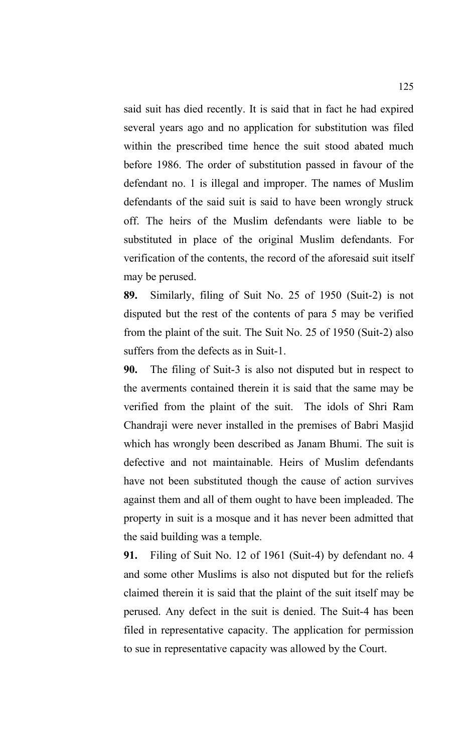said suit has died recently. It is said that in fact he had expired several years ago and no application for substitution was filed within the prescribed time hence the suit stood abated much before 1986. The order of substitution passed in favour of the defendant no. 1 is illegal and improper. The names of Muslim defendants of the said suit is said to have been wrongly struck off. The heirs of the Muslim defendants were liable to be substituted in place of the original Muslim defendants. For verification of the contents, the record of the aforesaid suit itself may be perused.

**89.** Similarly, filing of Suit No. 25 of 1950 (Suit-2) is not disputed but the rest of the contents of para 5 may be verified from the plaint of the suit. The Suit No. 25 of 1950 (Suit-2) also suffers from the defects as in Suit-1.

**90.** The filing of Suit-3 is also not disputed but in respect to the averments contained therein it is said that the same may be verified from the plaint of the suit. The idols of Shri Ram Chandraji were never installed in the premises of Babri Masjid which has wrongly been described as Janam Bhumi. The suit is defective and not maintainable. Heirs of Muslim defendants have not been substituted though the cause of action survives against them and all of them ought to have been impleaded. The property in suit is a mosque and it has never been admitted that the said building was a temple.

**91.** Filing of Suit No. 12 of 1961 (Suit-4) by defendant no. 4 and some other Muslims is also not disputed but for the reliefs claimed therein it is said that the plaint of the suit itself may be perused. Any defect in the suit is denied. The Suit-4 has been filed in representative capacity. The application for permission to sue in representative capacity was allowed by the Court.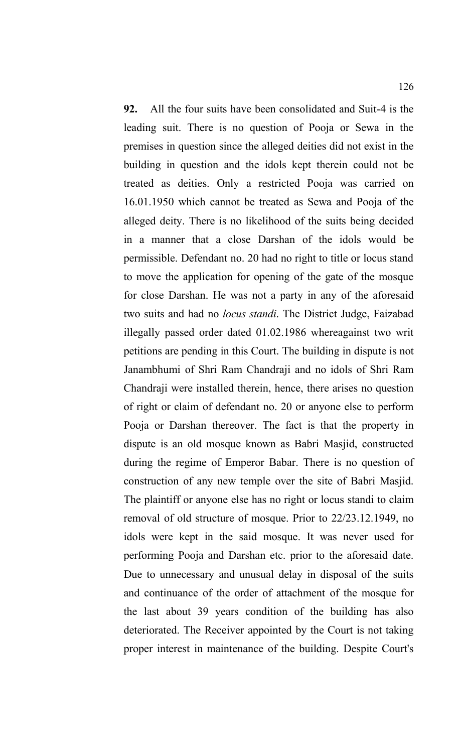**92.** All the four suits have been consolidated and Suit-4 is the leading suit. There is no question of Pooja or Sewa in the premises in question since the alleged deities did not exist in the building in question and the idols kept therein could not be treated as deities. Only a restricted Pooja was carried on 16.01.1950 which cannot be treated as Sewa and Pooja of the alleged deity. There is no likelihood of the suits being decided in a manner that a close Darshan of the idols would be permissible. Defendant no. 20 had no right to title or locus stand to move the application for opening of the gate of the mosque for close Darshan. He was not a party in any of the aforesaid two suits and had no *locus standi*. The District Judge, Faizabad illegally passed order dated 01.02.1986 whereagainst two writ petitions are pending in this Court. The building in dispute is not Janambhumi of Shri Ram Chandraji and no idols of Shri Ram Chandraji were installed therein, hence, there arises no question of right or claim of defendant no. 20 or anyone else to perform Pooja or Darshan thereover. The fact is that the property in dispute is an old mosque known as Babri Masjid, constructed during the regime of Emperor Babar. There is no question of construction of any new temple over the site of Babri Masjid. The plaintiff or anyone else has no right or locus standi to claim removal of old structure of mosque. Prior to 22/23.12.1949, no idols were kept in the said mosque. It was never used for performing Pooja and Darshan etc. prior to the aforesaid date. Due to unnecessary and unusual delay in disposal of the suits and continuance of the order of attachment of the mosque for the last about 39 years condition of the building has also deteriorated. The Receiver appointed by the Court is not taking proper interest in maintenance of the building. Despite Court's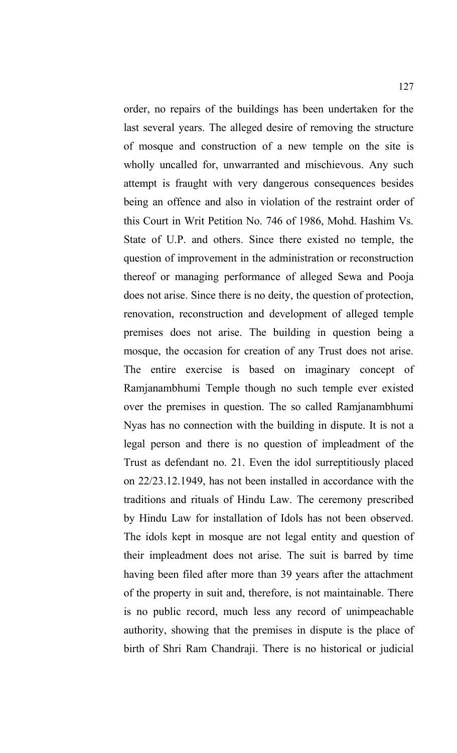order, no repairs of the buildings has been undertaken for the last several years. The alleged desire of removing the structure of mosque and construction of a new temple on the site is wholly uncalled for, unwarranted and mischievous. Any such attempt is fraught with very dangerous consequences besides being an offence and also in violation of the restraint order of this Court in Writ Petition No. 746 of 1986, Mohd. Hashim Vs. State of U.P. and others. Since there existed no temple, the question of improvement in the administration or reconstruction thereof or managing performance of alleged Sewa and Pooja does not arise. Since there is no deity, the question of protection, renovation, reconstruction and development of alleged temple premises does not arise. The building in question being a mosque, the occasion for creation of any Trust does not arise. The entire exercise is based on imaginary concept of Ramjanambhumi Temple though no such temple ever existed over the premises in question. The so called Ramjanambhumi Nyas has no connection with the building in dispute. It is not a legal person and there is no question of impleadment of the Trust as defendant no. 21. Even the idol surreptitiously placed on 22/23.12.1949, has not been installed in accordance with the traditions and rituals of Hindu Law. The ceremony prescribed by Hindu Law for installation of Idols has not been observed. The idols kept in mosque are not legal entity and question of their impleadment does not arise. The suit is barred by time having been filed after more than 39 years after the attachment of the property in suit and, therefore, is not maintainable. There is no public record, much less any record of unimpeachable authority, showing that the premises in dispute is the place of birth of Shri Ram Chandraji. There is no historical or judicial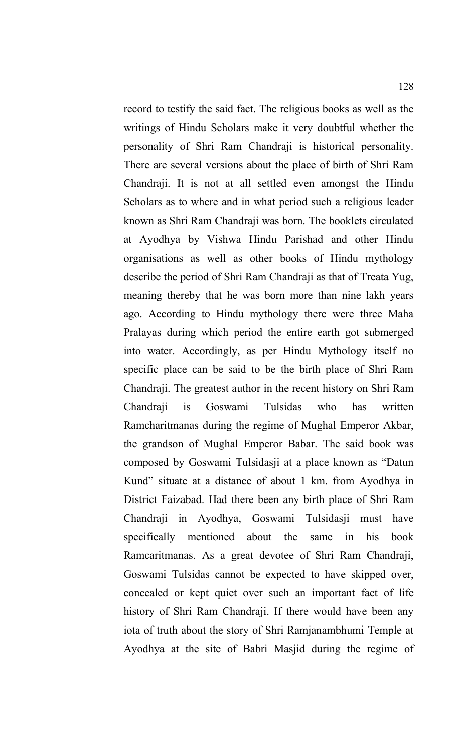record to testify the said fact. The religious books as well as the writings of Hindu Scholars make it very doubtful whether the personality of Shri Ram Chandraji is historical personality. There are several versions about the place of birth of Shri Ram Chandraji. It is not at all settled even amongst the Hindu Scholars as to where and in what period such a religious leader known as Shri Ram Chandraji was born. The booklets circulated at Ayodhya by Vishwa Hindu Parishad and other Hindu organisations as well as other books of Hindu mythology describe the period of Shri Ram Chandraji as that of Treata Yug, meaning thereby that he was born more than nine lakh years ago. According to Hindu mythology there were three Maha Pralayas during which period the entire earth got submerged into water. Accordingly, as per Hindu Mythology itself no specific place can be said to be the birth place of Shri Ram Chandraji. The greatest author in the recent history on Shri Ram Chandraji is Goswami Tulsidas who has written Ramcharitmanas during the regime of Mughal Emperor Akbar, the grandson of Mughal Emperor Babar. The said book was composed by Goswami Tulsidasji at a place known as "Datun Kund" situate at a distance of about 1 km. from Ayodhya in District Faizabad. Had there been any birth place of Shri Ram Chandraji in Ayodhya, Goswami Tulsidasji must have specifically mentioned about the same in his book Ramcaritmanas. As a great devotee of Shri Ram Chandraji, Goswami Tulsidas cannot be expected to have skipped over, concealed or kept quiet over such an important fact of life history of Shri Ram Chandraji. If there would have been any iota of truth about the story of Shri Ramjanambhumi Temple at Ayodhya at the site of Babri Masjid during the regime of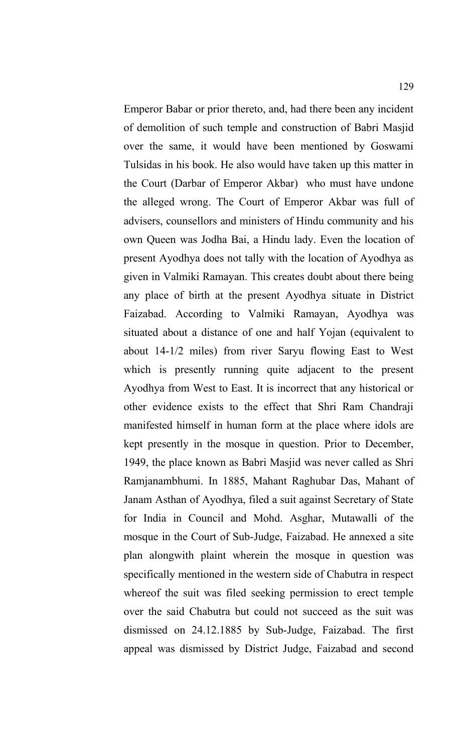Emperor Babar or prior thereto, and, had there been any incident of demolition of such temple and construction of Babri Masjid over the same, it would have been mentioned by Goswami Tulsidas in his book. He also would have taken up this matter in the Court (Darbar of Emperor Akbar) who must have undone the alleged wrong. The Court of Emperor Akbar was full of advisers, counsellors and ministers of Hindu community and his own Queen was Jodha Bai, a Hindu lady. Even the location of present Ayodhya does not tally with the location of Ayodhya as given in Valmiki Ramayan. This creates doubt about there being any place of birth at the present Ayodhya situate in District Faizabad. According to Valmiki Ramayan, Ayodhya was situated about a distance of one and half Yojan (equivalent to about 14-1/2 miles) from river Saryu flowing East to West which is presently running quite adjacent to the present Ayodhya from West to East. It is incorrect that any historical or other evidence exists to the effect that Shri Ram Chandraji manifested himself in human form at the place where idols are kept presently in the mosque in question. Prior to December, 1949, the place known as Babri Masjid was never called as Shri Ramjanambhumi. In 1885, Mahant Raghubar Das, Mahant of Janam Asthan of Ayodhya, filed a suit against Secretary of State for India in Council and Mohd. Asghar, Mutawalli of the mosque in the Court of Sub-Judge, Faizabad. He annexed a site plan alongwith plaint wherein the mosque in question was specifically mentioned in the western side of Chabutra in respect whereof the suit was filed seeking permission to erect temple over the said Chabutra but could not succeed as the suit was dismissed on 24.12.1885 by Sub-Judge, Faizabad. The first appeal was dismissed by District Judge, Faizabad and second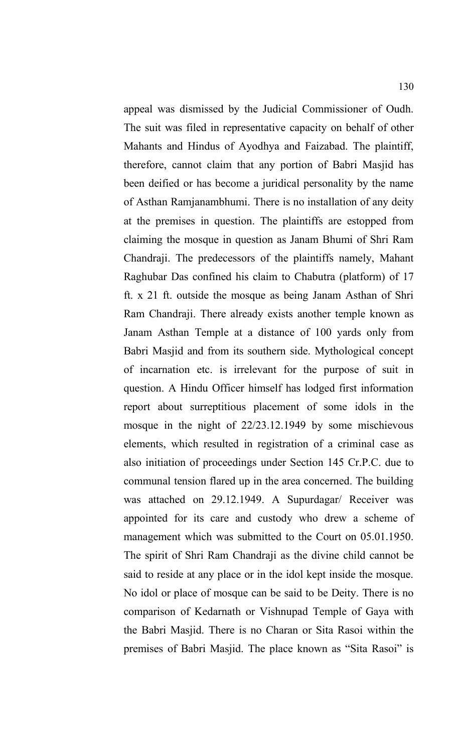appeal was dismissed by the Judicial Commissioner of Oudh. The suit was filed in representative capacity on behalf of other Mahants and Hindus of Ayodhya and Faizabad. The plaintiff, therefore, cannot claim that any portion of Babri Masjid has been deified or has become a juridical personality by the name of Asthan Ramjanambhumi. There is no installation of any deity at the premises in question. The plaintiffs are estopped from claiming the mosque in question as Janam Bhumi of Shri Ram Chandraji. The predecessors of the plaintiffs namely, Mahant Raghubar Das confined his claim to Chabutra (platform) of 17 ft. x 21 ft. outside the mosque as being Janam Asthan of Shri Ram Chandraji. There already exists another temple known as Janam Asthan Temple at a distance of 100 yards only from Babri Masjid and from its southern side. Mythological concept of incarnation etc. is irrelevant for the purpose of suit in question. A Hindu Officer himself has lodged first information report about surreptitious placement of some idols in the mosque in the night of 22/23.12.1949 by some mischievous elements, which resulted in registration of a criminal case as also initiation of proceedings under Section 145 Cr.P.C. due to communal tension flared up in the area concerned. The building was attached on 29.12.1949. A Supurdagar/ Receiver was appointed for its care and custody who drew a scheme of management which was submitted to the Court on 05.01.1950. The spirit of Shri Ram Chandraji as the divine child cannot be said to reside at any place or in the idol kept inside the mosque. No idol or place of mosque can be said to be Deity. There is no comparison of Kedarnath or Vishnupad Temple of Gaya with the Babri Masjid. There is no Charan or Sita Rasoi within the premises of Babri Masjid. The place known as "Sita Rasoi" is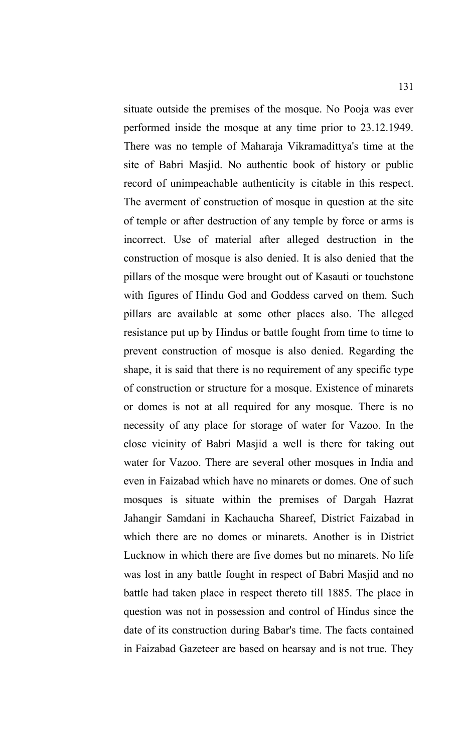situate outside the premises of the mosque. No Pooja was ever performed inside the mosque at any time prior to 23.12.1949. There was no temple of Maharaja Vikramadittya's time at the site of Babri Masjid. No authentic book of history or public record of unimpeachable authenticity is citable in this respect. The averment of construction of mosque in question at the site of temple or after destruction of any temple by force or arms is incorrect. Use of material after alleged destruction in the construction of mosque is also denied. It is also denied that the pillars of the mosque were brought out of Kasauti or touchstone with figures of Hindu God and Goddess carved on them. Such pillars are available at some other places also. The alleged resistance put up by Hindus or battle fought from time to time to prevent construction of mosque is also denied. Regarding the shape, it is said that there is no requirement of any specific type of construction or structure for a mosque. Existence of minarets or domes is not at all required for any mosque. There is no necessity of any place for storage of water for Vazoo. In the close vicinity of Babri Masjid a well is there for taking out water for Vazoo. There are several other mosques in India and even in Faizabad which have no minarets or domes. One of such mosques is situate within the premises of Dargah Hazrat Jahangir Samdani in Kachaucha Shareef, District Faizabad in which there are no domes or minarets. Another is in District Lucknow in which there are five domes but no minarets. No life was lost in any battle fought in respect of Babri Masjid and no battle had taken place in respect thereto till 1885. The place in question was not in possession and control of Hindus since the date of its construction during Babar's time. The facts contained in Faizabad Gazeteer are based on hearsay and is not true. They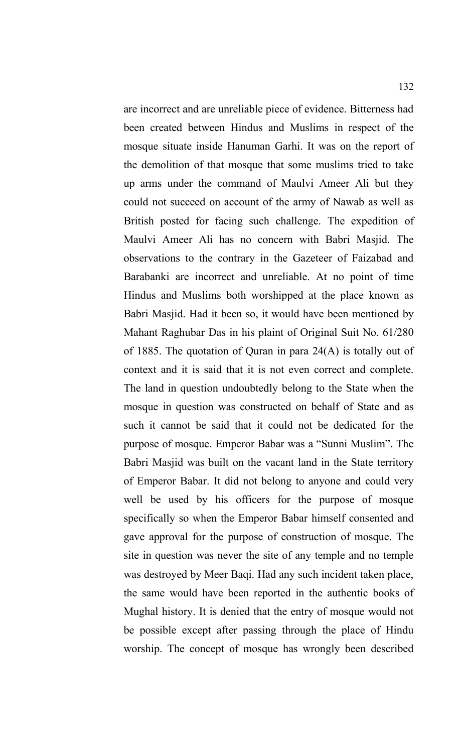are incorrect and are unreliable piece of evidence. Bitterness had been created between Hindus and Muslims in respect of the mosque situate inside Hanuman Garhi. It was on the report of the demolition of that mosque that some muslims tried to take up arms under the command of Maulvi Ameer Ali but they could not succeed on account of the army of Nawab as well as British posted for facing such challenge. The expedition of Maulvi Ameer Ali has no concern with Babri Masjid. The observations to the contrary in the Gazeteer of Faizabad and Barabanki are incorrect and unreliable. At no point of time Hindus and Muslims both worshipped at the place known as Babri Masjid. Had it been so, it would have been mentioned by Mahant Raghubar Das in his plaint of Original Suit No. 61/280 of 1885. The quotation of Quran in para 24(A) is totally out of context and it is said that it is not even correct and complete. The land in question undoubtedly belong to the State when the mosque in question was constructed on behalf of State and as such it cannot be said that it could not be dedicated for the purpose of mosque. Emperor Babar was a "Sunni Muslim". The Babri Masjid was built on the vacant land in the State territory of Emperor Babar. It did not belong to anyone and could very well be used by his officers for the purpose of mosque specifically so when the Emperor Babar himself consented and gave approval for the purpose of construction of mosque. The site in question was never the site of any temple and no temple was destroyed by Meer Baqi. Had any such incident taken place, the same would have been reported in the authentic books of Mughal history. It is denied that the entry of mosque would not be possible except after passing through the place of Hindu worship. The concept of mosque has wrongly been described

132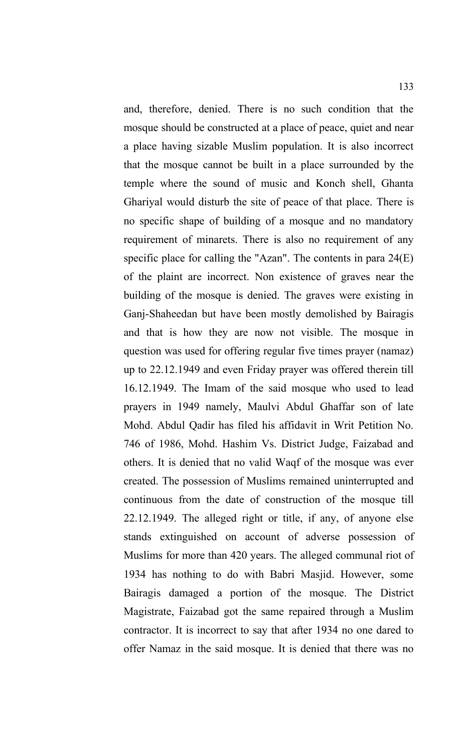and, therefore, denied. There is no such condition that the mosque should be constructed at a place of peace, quiet and near a place having sizable Muslim population. It is also incorrect that the mosque cannot be built in a place surrounded by the temple where the sound of music and Konch shell, Ghanta Ghariyal would disturb the site of peace of that place. There is no specific shape of building of a mosque and no mandatory requirement of minarets. There is also no requirement of any specific place for calling the "Azan". The contents in para 24(E) of the plaint are incorrect. Non existence of graves near the building of the mosque is denied. The graves were existing in Ganj-Shaheedan but have been mostly demolished by Bairagis and that is how they are now not visible. The mosque in question was used for offering regular five times prayer (namaz) up to 22.12.1949 and even Friday prayer was offered therein till 16.12.1949. The Imam of the said mosque who used to lead prayers in 1949 namely, Maulvi Abdul Ghaffar son of late Mohd. Abdul Qadir has filed his affidavit in Writ Petition No. 746 of 1986, Mohd. Hashim Vs. District Judge, Faizabad and others. It is denied that no valid Waqf of the mosque was ever created. The possession of Muslims remained uninterrupted and continuous from the date of construction of the mosque till 22.12.1949. The alleged right or title, if any, of anyone else stands extinguished on account of adverse possession of Muslims for more than 420 years. The alleged communal riot of 1934 has nothing to do with Babri Masjid. However, some Bairagis damaged a portion of the mosque. The District Magistrate, Faizabad got the same repaired through a Muslim contractor. It is incorrect to say that after 1934 no one dared to offer Namaz in the said mosque. It is denied that there was no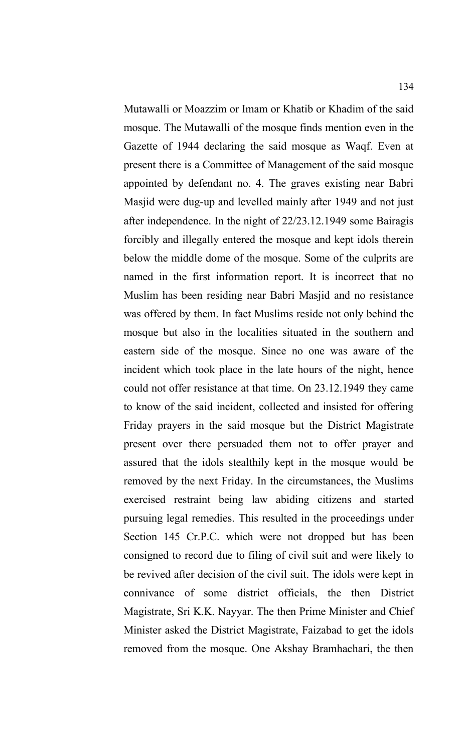Mutawalli or Moazzim or Imam or Khatib or Khadim of the said mosque. The Mutawalli of the mosque finds mention even in the Gazette of 1944 declaring the said mosque as Waqf. Even at present there is a Committee of Management of the said mosque appointed by defendant no. 4. The graves existing near Babri Masjid were dug-up and levelled mainly after 1949 and not just after independence. In the night of 22/23.12.1949 some Bairagis forcibly and illegally entered the mosque and kept idols therein below the middle dome of the mosque. Some of the culprits are named in the first information report. It is incorrect that no Muslim has been residing near Babri Masjid and no resistance was offered by them. In fact Muslims reside not only behind the mosque but also in the localities situated in the southern and eastern side of the mosque. Since no one was aware of the incident which took place in the late hours of the night, hence could not offer resistance at that time. On 23.12.1949 they came to know of the said incident, collected and insisted for offering Friday prayers in the said mosque but the District Magistrate present over there persuaded them not to offer prayer and assured that the idols stealthily kept in the mosque would be removed by the next Friday. In the circumstances, the Muslims exercised restraint being law abiding citizens and started pursuing legal remedies. This resulted in the proceedings under Section 145 Cr.P.C. which were not dropped but has been consigned to record due to filing of civil suit and were likely to be revived after decision of the civil suit. The idols were kept in connivance of some district officials, the then District Magistrate, Sri K.K. Nayyar. The then Prime Minister and Chief Minister asked the District Magistrate, Faizabad to get the idols removed from the mosque. One Akshay Bramhachari, the then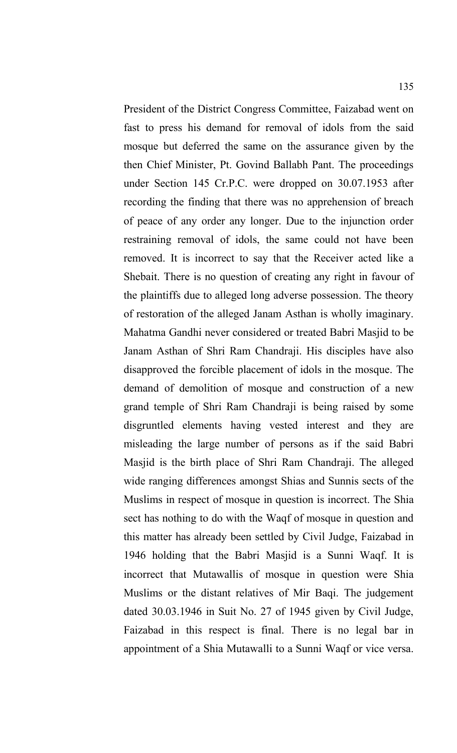President of the District Congress Committee, Faizabad went on fast to press his demand for removal of idols from the said mosque but deferred the same on the assurance given by the then Chief Minister, Pt. Govind Ballabh Pant. The proceedings under Section 145 Cr.P.C. were dropped on 30.07.1953 after recording the finding that there was no apprehension of breach of peace of any order any longer. Due to the injunction order restraining removal of idols, the same could not have been removed. It is incorrect to say that the Receiver acted like a Shebait. There is no question of creating any right in favour of the plaintiffs due to alleged long adverse possession. The theory of restoration of the alleged Janam Asthan is wholly imaginary. Mahatma Gandhi never considered or treated Babri Masjid to be Janam Asthan of Shri Ram Chandraji. His disciples have also disapproved the forcible placement of idols in the mosque. The demand of demolition of mosque and construction of a new grand temple of Shri Ram Chandraji is being raised by some disgruntled elements having vested interest and they are misleading the large number of persons as if the said Babri Masjid is the birth place of Shri Ram Chandraji. The alleged wide ranging differences amongst Shias and Sunnis sects of the Muslims in respect of mosque in question is incorrect. The Shia sect has nothing to do with the Waqf of mosque in question and this matter has already been settled by Civil Judge, Faizabad in 1946 holding that the Babri Masjid is a Sunni Waqf. It is incorrect that Mutawallis of mosque in question were Shia Muslims or the distant relatives of Mir Baqi. The judgement dated 30.03.1946 in Suit No. 27 of 1945 given by Civil Judge, Faizabad in this respect is final. There is no legal bar in appointment of a Shia Mutawalli to a Sunni Waqf or vice versa.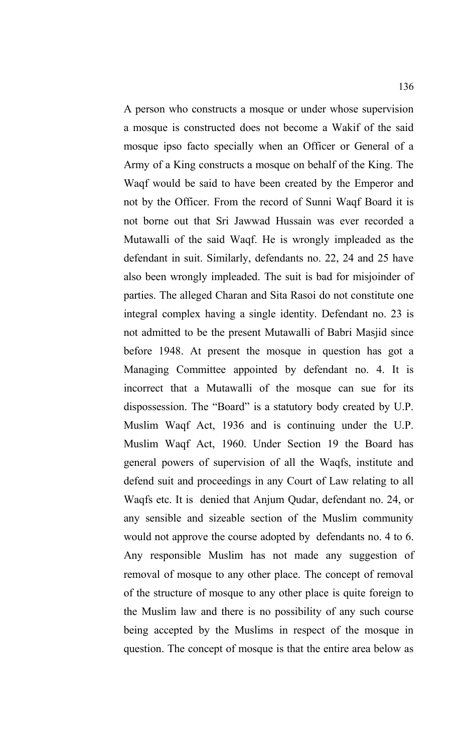A person who constructs a mosque or under whose supervision a mosque is constructed does not become a Wakif of the said mosque ipso facto specially when an Officer or General of a Army of a King constructs a mosque on behalf of the King. The Waqf would be said to have been created by the Emperor and not by the Officer. From the record of Sunni Waqf Board it is not borne out that Sri Jawwad Hussain was ever recorded a Mutawalli of the said Waqf. He is wrongly impleaded as the defendant in suit. Similarly, defendants no. 22, 24 and 25 have also been wrongly impleaded. The suit is bad for misjoinder of parties. The alleged Charan and Sita Rasoi do not constitute one integral complex having a single identity. Defendant no. 23 is not admitted to be the present Mutawalli of Babri Masjid since before 1948. At present the mosque in question has got a Managing Committee appointed by defendant no. 4. It is incorrect that a Mutawalli of the mosque can sue for its dispossession. The "Board" is a statutory body created by U.P. Muslim Waqf Act, 1936 and is continuing under the U.P. Muslim Waqf Act, 1960. Under Section 19 the Board has general powers of supervision of all the Waqfs, institute and defend suit and proceedings in any Court of Law relating to all Waqfs etc. It is denied that Anjum Qudar, defendant no. 24, or any sensible and sizeable section of the Muslim community would not approve the course adopted by defendants no. 4 to 6. Any responsible Muslim has not made any suggestion of removal of mosque to any other place. The concept of removal of the structure of mosque to any other place is quite foreign to the Muslim law and there is no possibility of any such course being accepted by the Muslims in respect of the mosque in question. The concept of mosque is that the entire area below as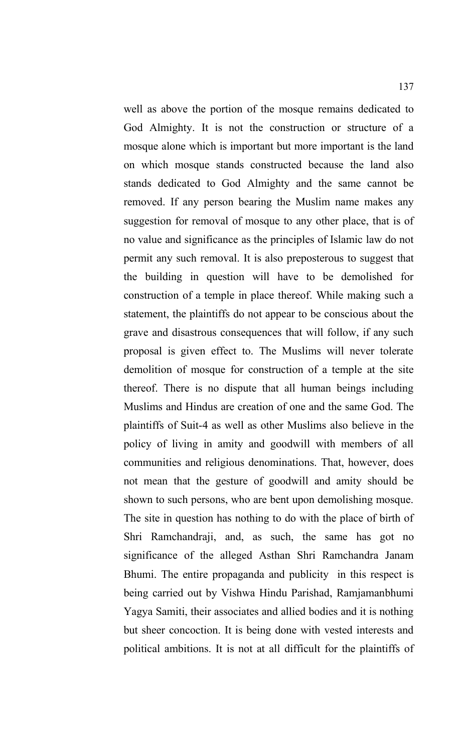well as above the portion of the mosque remains dedicated to God Almighty. It is not the construction or structure of a mosque alone which is important but more important is the land on which mosque stands constructed because the land also stands dedicated to God Almighty and the same cannot be removed. If any person bearing the Muslim name makes any suggestion for removal of mosque to any other place, that is of no value and significance as the principles of Islamic law do not permit any such removal. It is also preposterous to suggest that the building in question will have to be demolished for construction of a temple in place thereof. While making such a statement, the plaintiffs do not appear to be conscious about the grave and disastrous consequences that will follow, if any such proposal is given effect to. The Muslims will never tolerate demolition of mosque for construction of a temple at the site thereof. There is no dispute that all human beings including Muslims and Hindus are creation of one and the same God. The plaintiffs of Suit-4 as well as other Muslims also believe in the policy of living in amity and goodwill with members of all communities and religious denominations. That, however, does not mean that the gesture of goodwill and amity should be shown to such persons, who are bent upon demolishing mosque. The site in question has nothing to do with the place of birth of Shri Ramchandraji, and, as such, the same has got no significance of the alleged Asthan Shri Ramchandra Janam Bhumi. The entire propaganda and publicity in this respect is being carried out by Vishwa Hindu Parishad, Ramjamanbhumi Yagya Samiti, their associates and allied bodies and it is nothing but sheer concoction. It is being done with vested interests and political ambitions. It is not at all difficult for the plaintiffs of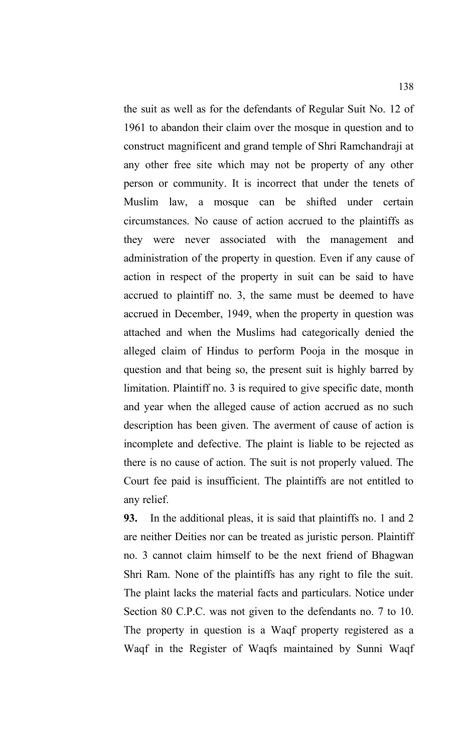the suit as well as for the defendants of Regular Suit No. 12 of 1961 to abandon their claim over the mosque in question and to construct magnificent and grand temple of Shri Ramchandraji at any other free site which may not be property of any other person or community. It is incorrect that under the tenets of Muslim law, a mosque can be shifted under certain circumstances. No cause of action accrued to the plaintiffs as they were never associated with the management and administration of the property in question. Even if any cause of action in respect of the property in suit can be said to have accrued to plaintiff no. 3, the same must be deemed to have accrued in December, 1949, when the property in question was attached and when the Muslims had categorically denied the alleged claim of Hindus to perform Pooja in the mosque in question and that being so, the present suit is highly barred by limitation. Plaintiff no. 3 is required to give specific date, month and year when the alleged cause of action accrued as no such description has been given. The averment of cause of action is incomplete and defective. The plaint is liable to be rejected as there is no cause of action. The suit is not properly valued. The Court fee paid is insufficient. The plaintiffs are not entitled to any relief.

**93.** In the additional pleas, it is said that plaintiffs no. 1 and 2 are neither Deities nor can be treated as juristic person. Plaintiff no. 3 cannot claim himself to be the next friend of Bhagwan Shri Ram. None of the plaintiffs has any right to file the suit. The plaint lacks the material facts and particulars. Notice under Section 80 C.P.C. was not given to the defendants no. 7 to 10. The property in question is a Waqf property registered as a Waqf in the Register of Waqfs maintained by Sunni Waqf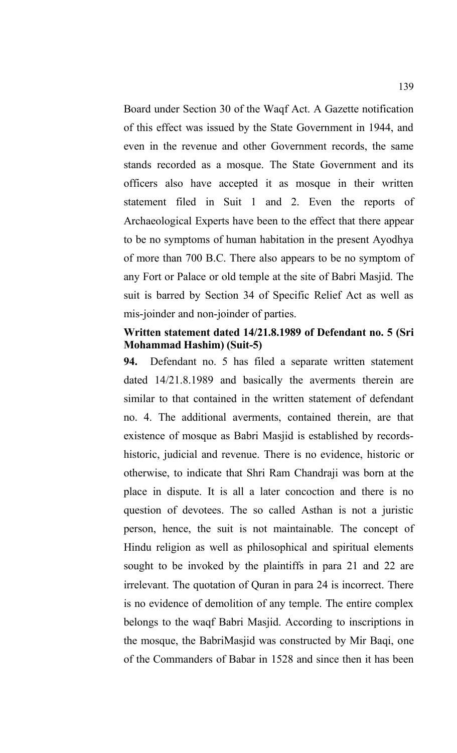Board under Section 30 of the Waqf Act. A Gazette notification of this effect was issued by the State Government in 1944, and even in the revenue and other Government records, the same stands recorded as a mosque. The State Government and its officers also have accepted it as mosque in their written statement filed in Suit 1 and 2. Even the reports of Archaeological Experts have been to the effect that there appear to be no symptoms of human habitation in the present Ayodhya of more than 700 B.C. There also appears to be no symptom of any Fort or Palace or old temple at the site of Babri Masjid. The suit is barred by Section 34 of Specific Relief Act as well as mis-joinder and non-joinder of parties.

#### **Written statement dated 14/21.8.1989 of Defendant no. 5 (Sri Mohammad Hashim) (Suit-5)**

**94.** Defendant no. 5 has filed a separate written statement dated 14/21.8.1989 and basically the averments therein are similar to that contained in the written statement of defendant no. 4. The additional averments, contained therein, are that existence of mosque as Babri Masjid is established by recordshistoric, judicial and revenue. There is no evidence, historic or otherwise, to indicate that Shri Ram Chandraji was born at the place in dispute. It is all a later concoction and there is no question of devotees. The so called Asthan is not a juristic person, hence, the suit is not maintainable. The concept of Hindu religion as well as philosophical and spiritual elements sought to be invoked by the plaintiffs in para 21 and 22 are irrelevant. The quotation of Quran in para 24 is incorrect. There is no evidence of demolition of any temple. The entire complex belongs to the waqf Babri Masjid. According to inscriptions in the mosque, the BabriMasjid was constructed by Mir Baqi, one of the Commanders of Babar in 1528 and since then it has been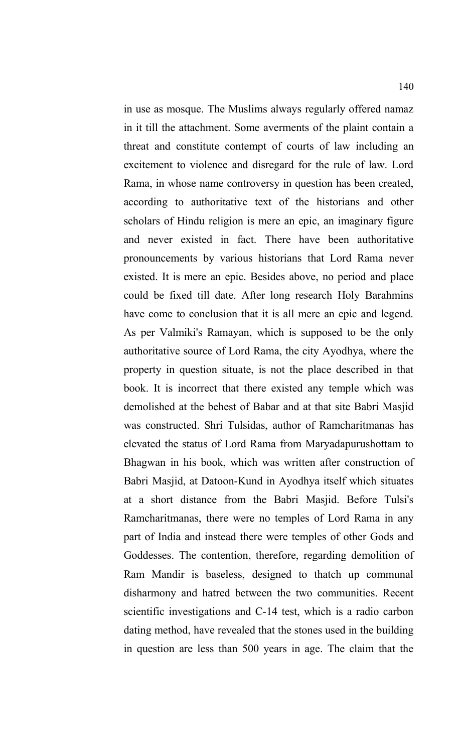in use as mosque. The Muslims always regularly offered namaz in it till the attachment. Some averments of the plaint contain a threat and constitute contempt of courts of law including an excitement to violence and disregard for the rule of law. Lord Rama, in whose name controversy in question has been created, according to authoritative text of the historians and other scholars of Hindu religion is mere an epic, an imaginary figure and never existed in fact. There have been authoritative pronouncements by various historians that Lord Rama never existed. It is mere an epic. Besides above, no period and place could be fixed till date. After long research Holy Barahmins have come to conclusion that it is all mere an epic and legend. As per Valmiki's Ramayan, which is supposed to be the only authoritative source of Lord Rama, the city Ayodhya, where the property in question situate, is not the place described in that book. It is incorrect that there existed any temple which was demolished at the behest of Babar and at that site Babri Masjid was constructed. Shri Tulsidas, author of Ramcharitmanas has elevated the status of Lord Rama from Maryadapurushottam to Bhagwan in his book, which was written after construction of Babri Masjid, at Datoon-Kund in Ayodhya itself which situates at a short distance from the Babri Masjid. Before Tulsi's Ramcharitmanas, there were no temples of Lord Rama in any part of India and instead there were temples of other Gods and Goddesses. The contention, therefore, regarding demolition of Ram Mandir is baseless, designed to thatch up communal disharmony and hatred between the two communities. Recent scientific investigations and C-14 test, which is a radio carbon dating method, have revealed that the stones used in the building in question are less than 500 years in age. The claim that the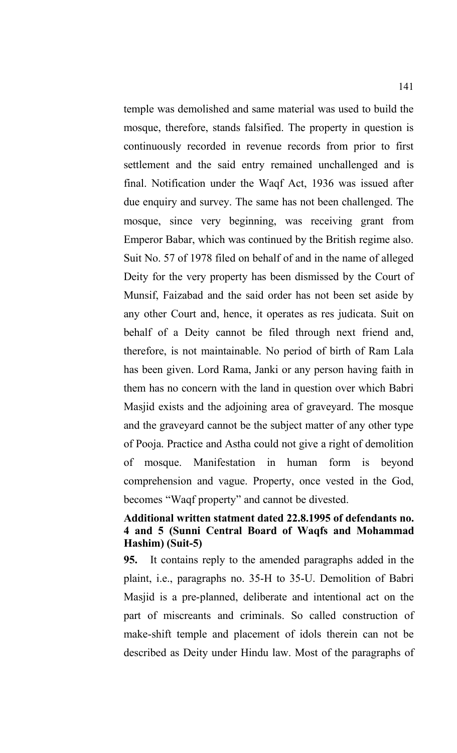temple was demolished and same material was used to build the mosque, therefore, stands falsified. The property in question is continuously recorded in revenue records from prior to first settlement and the said entry remained unchallenged and is final. Notification under the Waqf Act, 1936 was issued after due enquiry and survey. The same has not been challenged. The mosque, since very beginning, was receiving grant from Emperor Babar, which was continued by the British regime also. Suit No. 57 of 1978 filed on behalf of and in the name of alleged Deity for the very property has been dismissed by the Court of Munsif, Faizabad and the said order has not been set aside by any other Court and, hence, it operates as res judicata. Suit on behalf of a Deity cannot be filed through next friend and, therefore, is not maintainable. No period of birth of Ram Lala has been given. Lord Rama, Janki or any person having faith in them has no concern with the land in question over which Babri Masjid exists and the adjoining area of graveyard. The mosque and the graveyard cannot be the subject matter of any other type of Pooja. Practice and Astha could not give a right of demolition of mosque. Manifestation in human form is beyond comprehension and vague. Property, once vested in the God, becomes "Waqf property" and cannot be divested.

#### **Additional written statment dated 22.8.1995 of defendants no. 4 and 5 (Sunni Central Board of Waqfs and Mohammad Hashim) (Suit-5)**

**95.** It contains reply to the amended paragraphs added in the plaint, i.e., paragraphs no. 35-H to 35-U. Demolition of Babri Masjid is a pre-planned, deliberate and intentional act on the part of miscreants and criminals. So called construction of make-shift temple and placement of idols therein can not be described as Deity under Hindu law. Most of the paragraphs of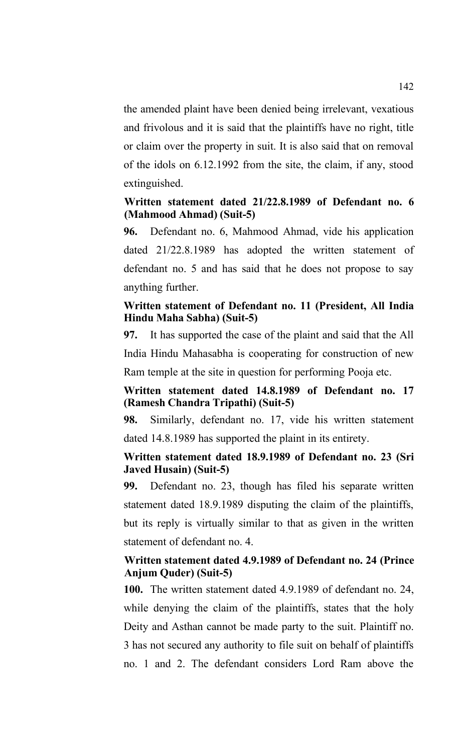the amended plaint have been denied being irrelevant, vexatious and frivolous and it is said that the plaintiffs have no right, title or claim over the property in suit. It is also said that on removal of the idols on 6.12.1992 from the site, the claim, if any, stood extinguished.

## **Written statement dated 21/22.8.1989 of Defendant no. 6 (Mahmood Ahmad) (Suit-5)**

**96.** Defendant no. 6, Mahmood Ahmad, vide his application dated 21/22.8.1989 has adopted the written statement of defendant no. 5 and has said that he does not propose to say anything further.

## **Written statement of Defendant no. 11 (President, All India Hindu Maha Sabha) (Suit-5)**

**97.** It has supported the case of the plaint and said that the All India Hindu Mahasabha is cooperating for construction of new

Ram temple at the site in question for performing Pooja etc.

# **Written statement dated 14.8.1989 of Defendant no. 17 (Ramesh Chandra Tripathi) (Suit-5)**

**98.** Similarly, defendant no. 17, vide his written statement dated 14.8.1989 has supported the plaint in its entirety.

## **Written statement dated 18.9.1989 of Defendant no. 23 (Sri Javed Husain) (Suit-5)**

**99.** Defendant no. 23, though has filed his separate written statement dated 18.9.1989 disputing the claim of the plaintiffs, but its reply is virtually similar to that as given in the written statement of defendant no. 4.

## **Written statement dated 4.9.1989 of Defendant no. 24 (Prince Anjum Quder) (Suit-5)**

**100.** The written statement dated 4.9.1989 of defendant no. 24, while denying the claim of the plaintiffs, states that the holy Deity and Asthan cannot be made party to the suit. Plaintiff no. 3 has not secured any authority to file suit on behalf of plaintiffs no. 1 and 2. The defendant considers Lord Ram above the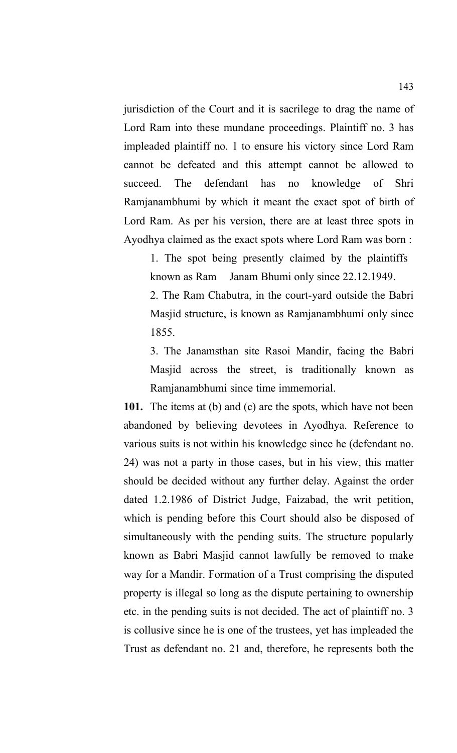jurisdiction of the Court and it is sacrilege to drag the name of Lord Ram into these mundane proceedings. Plaintiff no. 3 has impleaded plaintiff no. 1 to ensure his victory since Lord Ram cannot be defeated and this attempt cannot be allowed to succeed. The defendant has no knowledge of Shri Ramjanambhumi by which it meant the exact spot of birth of Lord Ram. As per his version, there are at least three spots in Ayodhya claimed as the exact spots where Lord Ram was born :

1. The spot being presently claimed by the plaintiffs known as Ram Janam Bhumi only since 22.12.1949. 2. The Ram Chabutra, in the court-yard outside the Babri Masjid structure, is known as Ramjanambhumi only since 1855.

3. The Janamsthan site Rasoi Mandir, facing the Babri Masjid across the street, is traditionally known as Ramjanambhumi since time immemorial.

**101.** The items at (b) and (c) are the spots, which have not been abandoned by believing devotees in Ayodhya. Reference to various suits is not within his knowledge since he (defendant no. 24) was not a party in those cases, but in his view, this matter should be decided without any further delay. Against the order dated 1.2.1986 of District Judge, Faizabad, the writ petition, which is pending before this Court should also be disposed of simultaneously with the pending suits. The structure popularly known as Babri Masjid cannot lawfully be removed to make way for a Mandir. Formation of a Trust comprising the disputed property is illegal so long as the dispute pertaining to ownership etc. in the pending suits is not decided. The act of plaintiff no. 3 is collusive since he is one of the trustees, yet has impleaded the Trust as defendant no. 21 and, therefore, he represents both the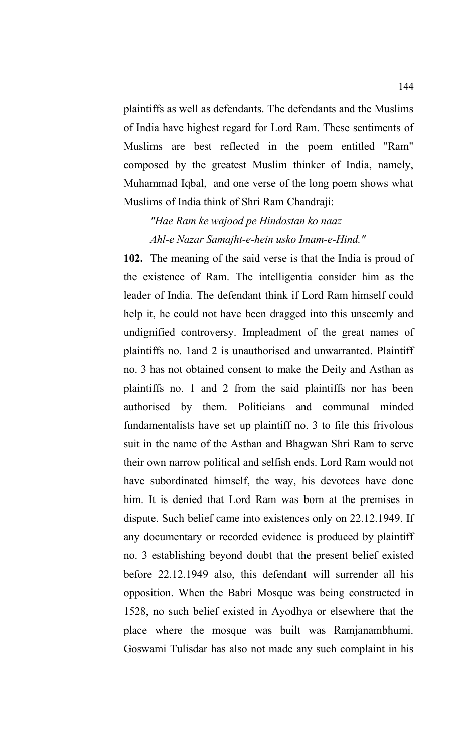plaintiffs as well as defendants. The defendants and the Muslims of India have highest regard for Lord Ram. These sentiments of Muslims are best reflected in the poem entitled "Ram" composed by the greatest Muslim thinker of India, namely, Muhammad Iqbal, and one verse of the long poem shows what Muslims of India think of Shri Ram Chandraji:

# *"Hae Ram ke wajood pe Hindostan ko naaz Ahl-e Nazar Samajht-e-hein usko Imam-e-Hind."*

**102.** The meaning of the said verse is that the India is proud of the existence of Ram. The intelligentia consider him as the leader of India. The defendant think if Lord Ram himself could help it, he could not have been dragged into this unseemly and undignified controversy. Impleadment of the great names of plaintiffs no. 1and 2 is unauthorised and unwarranted. Plaintiff no. 3 has not obtained consent to make the Deity and Asthan as plaintiffs no. 1 and 2 from the said plaintiffs nor has been authorised by them. Politicians and communal minded fundamentalists have set up plaintiff no. 3 to file this frivolous suit in the name of the Asthan and Bhagwan Shri Ram to serve their own narrow political and selfish ends. Lord Ram would not have subordinated himself, the way, his devotees have done him. It is denied that Lord Ram was born at the premises in dispute. Such belief came into existences only on 22.12.1949. If any documentary or recorded evidence is produced by plaintiff no. 3 establishing beyond doubt that the present belief existed before 22.12.1949 also, this defendant will surrender all his opposition. When the Babri Mosque was being constructed in 1528, no such belief existed in Ayodhya or elsewhere that the place where the mosque was built was Ramjanambhumi. Goswami Tulisdar has also not made any such complaint in his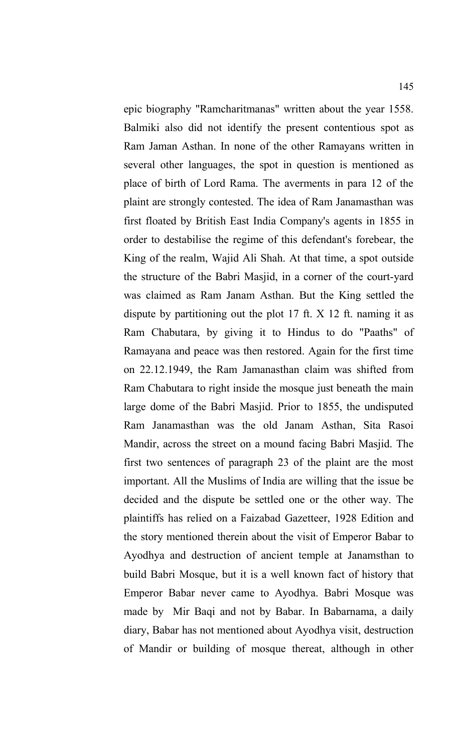epic biography "Ramcharitmanas" written about the year 1558. Balmiki also did not identify the present contentious spot as Ram Jaman Asthan. In none of the other Ramayans written in several other languages, the spot in question is mentioned as place of birth of Lord Rama. The averments in para 12 of the plaint are strongly contested. The idea of Ram Janamasthan was first floated by British East India Company's agents in 1855 in order to destabilise the regime of this defendant's forebear, the King of the realm, Wajid Ali Shah. At that time, a spot outside the structure of the Babri Masjid, in a corner of the court-yard was claimed as Ram Janam Asthan. But the King settled the dispute by partitioning out the plot 17 ft. X 12 ft. naming it as Ram Chabutara, by giving it to Hindus to do "Paaths" of Ramayana and peace was then restored. Again for the first time on 22.12.1949, the Ram Jamanasthan claim was shifted from Ram Chabutara to right inside the mosque just beneath the main large dome of the Babri Masjid. Prior to 1855, the undisputed Ram Janamasthan was the old Janam Asthan, Sita Rasoi Mandir, across the street on a mound facing Babri Masjid. The first two sentences of paragraph 23 of the plaint are the most important. All the Muslims of India are willing that the issue be decided and the dispute be settled one or the other way. The plaintiffs has relied on a Faizabad Gazetteer, 1928 Edition and the story mentioned therein about the visit of Emperor Babar to Ayodhya and destruction of ancient temple at Janamsthan to build Babri Mosque, but it is a well known fact of history that Emperor Babar never came to Ayodhya. Babri Mosque was made by Mir Baqi and not by Babar. In Babarnama, a daily diary, Babar has not mentioned about Ayodhya visit, destruction of Mandir or building of mosque thereat, although in other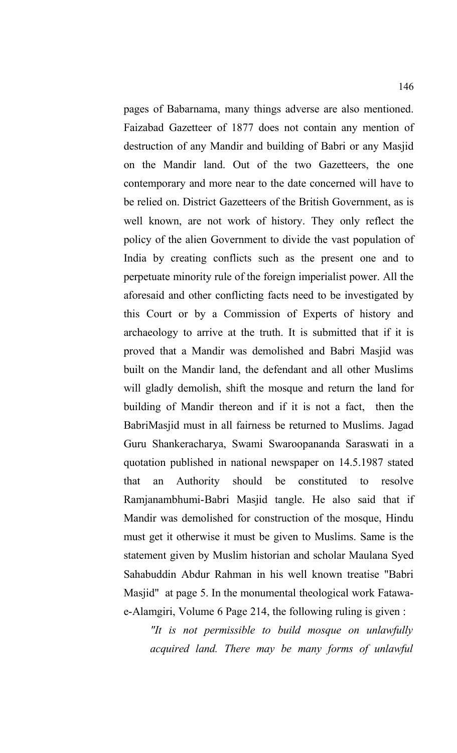pages of Babarnama, many things adverse are also mentioned. Faizabad Gazetteer of 1877 does not contain any mention of destruction of any Mandir and building of Babri or any Masjid on the Mandir land. Out of the two Gazetteers, the one contemporary and more near to the date concerned will have to be relied on. District Gazetteers of the British Government, as is well known, are not work of history. They only reflect the policy of the alien Government to divide the vast population of India by creating conflicts such as the present one and to perpetuate minority rule of the foreign imperialist power. All the aforesaid and other conflicting facts need to be investigated by this Court or by a Commission of Experts of history and archaeology to arrive at the truth. It is submitted that if it is proved that a Mandir was demolished and Babri Masjid was built on the Mandir land, the defendant and all other Muslims will gladly demolish, shift the mosque and return the land for building of Mandir thereon and if it is not a fact, then the BabriMasjid must in all fairness be returned to Muslims. Jagad Guru Shankeracharya, Swami Swaroopananda Saraswati in a quotation published in national newspaper on 14.5.1987 stated that an Authority should be constituted to resolve Ramjanambhumi-Babri Masjid tangle. He also said that if Mandir was demolished for construction of the mosque, Hindu must get it otherwise it must be given to Muslims. Same is the statement given by Muslim historian and scholar Maulana Syed Sahabuddin Abdur Rahman in his well known treatise "Babri Masjid" at page 5. In the monumental theological work Fatawae-Alamgiri, Volume 6 Page 214, the following ruling is given :

*"It is not permissible to build mosque on unlawfully acquired land. There may be many forms of unlawful*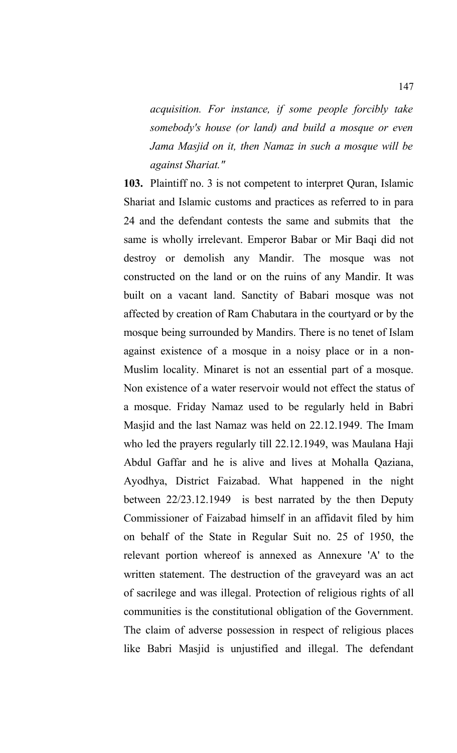*acquisition. For instance, if some people forcibly take somebody's house (or land) and build a mosque or even Jama Masjid on it, then Namaz in such a mosque will be against Shariat."*

**103.** Plaintiff no. 3 is not competent to interpret Quran, Islamic Shariat and Islamic customs and practices as referred to in para 24 and the defendant contests the same and submits that the same is wholly irrelevant. Emperor Babar or Mir Baqi did not destroy or demolish any Mandir. The mosque was not constructed on the land or on the ruins of any Mandir. It was built on a vacant land. Sanctity of Babari mosque was not affected by creation of Ram Chabutara in the courtyard or by the mosque being surrounded by Mandirs. There is no tenet of Islam against existence of a mosque in a noisy place or in a non-Muslim locality. Minaret is not an essential part of a mosque. Non existence of a water reservoir would not effect the status of a mosque. Friday Namaz used to be regularly held in Babri Masjid and the last Namaz was held on 22.12.1949. The Imam who led the prayers regularly till 22.12.1949, was Maulana Haji Abdul Gaffar and he is alive and lives at Mohalla Qaziana, Ayodhya, District Faizabad. What happened in the night between 22/23.12.1949 is best narrated by the then Deputy Commissioner of Faizabad himself in an affidavit filed by him on behalf of the State in Regular Suit no. 25 of 1950, the relevant portion whereof is annexed as Annexure 'A' to the written statement. The destruction of the graveyard was an act of sacrilege and was illegal. Protection of religious rights of all communities is the constitutional obligation of the Government. The claim of adverse possession in respect of religious places like Babri Masjid is unjustified and illegal. The defendant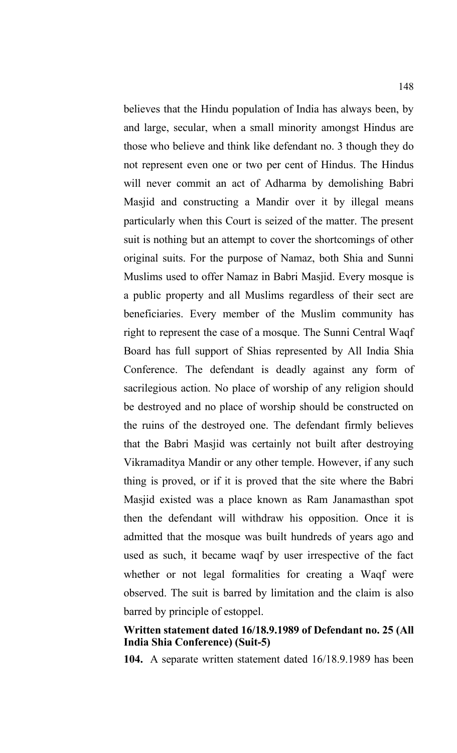believes that the Hindu population of India has always been, by and large, secular, when a small minority amongst Hindus are those who believe and think like defendant no. 3 though they do not represent even one or two per cent of Hindus. The Hindus will never commit an act of Adharma by demolishing Babri Masjid and constructing a Mandir over it by illegal means particularly when this Court is seized of the matter. The present suit is nothing but an attempt to cover the shortcomings of other original suits. For the purpose of Namaz, both Shia and Sunni Muslims used to offer Namaz in Babri Masjid. Every mosque is a public property and all Muslims regardless of their sect are beneficiaries. Every member of the Muslim community has right to represent the case of a mosque. The Sunni Central Waqf Board has full support of Shias represented by All India Shia Conference. The defendant is deadly against any form of sacrilegious action. No place of worship of any religion should be destroyed and no place of worship should be constructed on the ruins of the destroyed one. The defendant firmly believes that the Babri Masjid was certainly not built after destroying Vikramaditya Mandir or any other temple. However, if any such thing is proved, or if it is proved that the site where the Babri Masjid existed was a place known as Ram Janamasthan spot then the defendant will withdraw his opposition. Once it is admitted that the mosque was built hundreds of years ago and used as such, it became waqf by user irrespective of the fact whether or not legal formalities for creating a Waqf were observed. The suit is barred by limitation and the claim is also barred by principle of estoppel.

# **Written statement dated 16/18.9.1989 of Defendant no. 25 (All India Shia Conference) (Suit-5)**

**104.** A separate written statement dated 16/18.9.1989 has been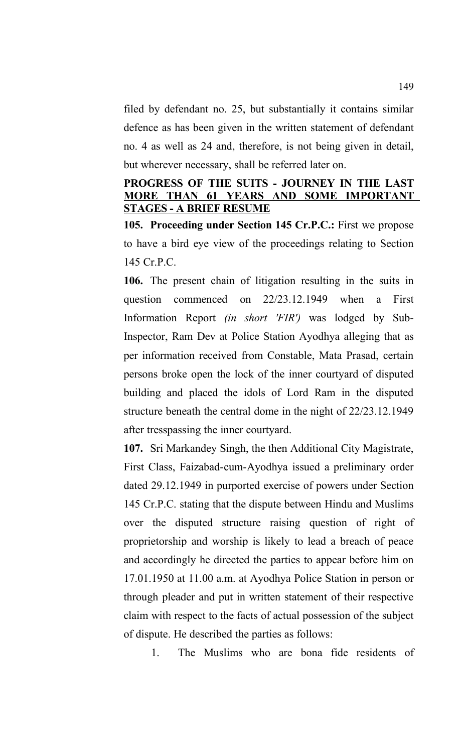filed by defendant no. 25, but substantially it contains similar defence as has been given in the written statement of defendant no. 4 as well as 24 and, therefore, is not being given in detail, but wherever necessary, shall be referred later on.

# **PROGRESS OF THE SUITS - JOURNEY IN THE LAST MORE THAN 61 YEARS AND SOME IMPORTANT STAGES - A BRIEF RESUME**

**105. Proceeding under Section 145 Cr.P.C.:** First we propose to have a bird eye view of the proceedings relating to Section 145 Cr.P.C.

**106.** The present chain of litigation resulting in the suits in question commenced on 22/23.12.1949 when a First Information Report *(in short 'FIR')* was lodged by Sub-Inspector, Ram Dev at Police Station Ayodhya alleging that as per information received from Constable, Mata Prasad, certain persons broke open the lock of the inner courtyard of disputed building and placed the idols of Lord Ram in the disputed structure beneath the central dome in the night of 22/23.12.1949 after tresspassing the inner courtyard.

**107.** Sri Markandey Singh, the then Additional City Magistrate, First Class, Faizabad-cum-Ayodhya issued a preliminary order dated 29.12.1949 in purported exercise of powers under Section 145 Cr.P.C. stating that the dispute between Hindu and Muslims over the disputed structure raising question of right of proprietorship and worship is likely to lead a breach of peace and accordingly he directed the parties to appear before him on 17.01.1950 at 11.00 a.m. at Ayodhya Police Station in person or through pleader and put in written statement of their respective claim with respect to the facts of actual possession of the subject of dispute. He described the parties as follows:

1. The Muslims who are bona fide residents of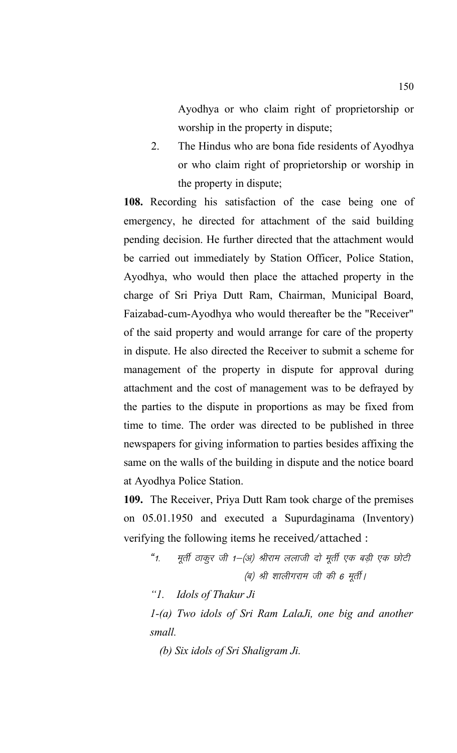Ayodhya or who claim right of proprietorship or worship in the property in dispute;

2. The Hindus who are bona fide residents of Ayodhya or who claim right of proprietorship or worship in the property in dispute;

**108.** Recording his satisfaction of the case being one of emergency, he directed for attachment of the said building pending decision. He further directed that the attachment would be carried out immediately by Station Officer, Police Station, Ayodhya, who would then place the attached property in the charge of Sri Priya Dutt Ram, Chairman, Municipal Board, Faizabad-cum-Ayodhya who would thereafter be the "Receiver" of the said property and would arrange for care of the property in dispute. He also directed the Receiver to submit a scheme for management of the property in dispute for approval during attachment and the cost of management was to be defrayed by the parties to the dispute in proportions as may be fixed from time to time. The order was directed to be published in three newspapers for giving information to parties besides affixing the same on the walls of the building in dispute and the notice board at Ayodhya Police Station.

**109.** The Receiver, Priya Dutt Ram took charge of the premises on 05.01.1950 and executed a Supurdaginama (Inventory) verifying the following items he received/attached :

"1. मूर्ती ठाकूर जी 1–(अ) श्रीराम ललाजी दो मूर्ती एक बड़ी एक छोटी (ब) श्री शालीगराम जी की 6 मूर्ती।

*"1. Idols of Thakur Ji* 

*1-(a) Two idols of Sri Ram LalaJi, one big and another small.*

*(b) Six idols of Sri Shaligram Ji.*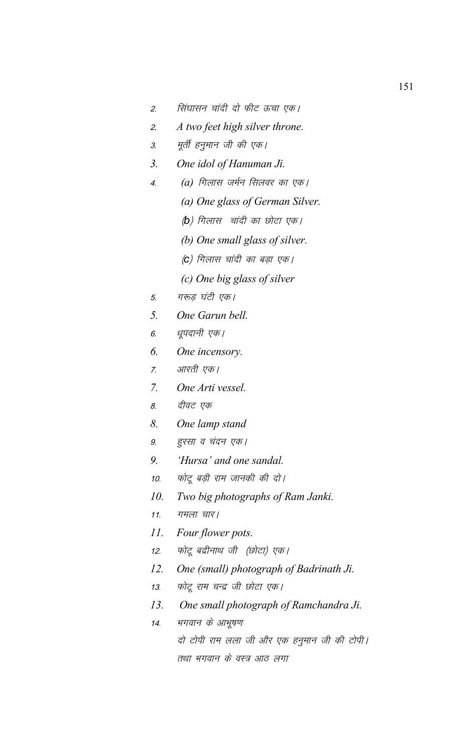- 2. सिंघासन चांदी दो फीट ऊचा एक।
- <sup>2</sup>*. A two feet high silver throne.*
- 3. मूर्ती हनुमान जी की एक।
- *3. One idol of Hanuman Ji.*
- 4. *(a)* गिलास जर्मन सिलवर का एक।
	- *(a) One glass of German Silver.*
		- *(b)* गिलास चांदी का छोटा एक।
		- *(b) One small glass of silver.*
		- *(*c) गिलास चांदी का बड़ा एक।
		- *(c) One big glass of silver*
- 5. गरुड़ घंटी एक।
- *5. One Garun bell.*
- 6. धूपदानी एक।
- *6. One incensory.*
- 7. आरती एक।
- *7. One Arti vessel.*
- 8. दीवट एक
- *8. One lamp stand*
- 9. हुरसा व चंदन एक।
- *9. 'Hursa' and one sandal.*
- 10. फोटू बड़ी राम जानकी की दो।
- *10. Two big photographs of Ram Janki.*
- 11. गमला चार |
- *11. Four flower pots.*
- 12. फोटू बद्रीनाथ जी (छोटा) एक।
- *12. One (small) photograph of Badrinath Ji.*
- 13. फोटू राम चन्द्र जी छोटा एक।
- *13. One small photograph of Ramchandra Ji.*
- 14. मगवान के आभूषण दो टोपी राम लला जी और एक हनुमान जी की टोपी। तथा भगवान के वस्त्र आठ लगा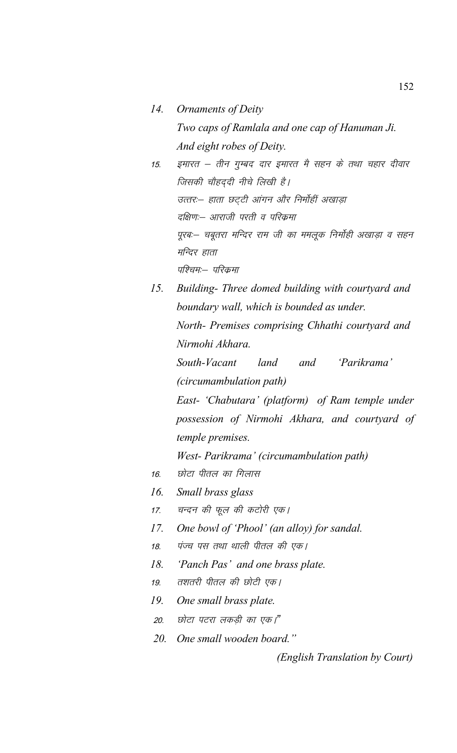- *14. Ornaments of Deity Two caps of Ramlala and one cap of Hanuman Ji. And eight robes of Deity.* 15. इमारत – तीन गुम्बद दार इमारत मै सहन के तथा चहार दीवार जिसकी चौहदुदी नीचे लिखी है। उत्तर:- हाता छट्टी आंगन और निर्मोहीं अखाड़ा दक्षिण:-- आराजी परती व परिक्रमा पूरब:– चबूतरा मन्दिर राम जी का ममलूक निर्मोही अखाड़ा व सहन मन्दिर हाता पश्चिम:— परिक्रमा
- *15. Building- Three domed building with courtyard and boundary wall, which is bounded as under. North- Premises comprising Chhathi courtyard and Nirmohi Akhara.*

*South-Vacant land and 'Parikrama' (circumambulation path)*

*East- 'Chabutara' (platform) of Ram temple under possession of Nirmohi Akhara, and courtyard of temple premises.*

*West- Parikrama' (circumambulation path)*

- 16. छोटा पीतल का गिलास
- *16. Small brass glass*
- 17. चन्दन की फूल की कटोरी एक।
- *17. One bowl of 'Phool' (an alloy) for sandal.*
- 18. पंज्य पस तथा थाली पीतल की एक।
- *18. 'Panch Pas' and one brass plate.*
- 19. तशतरी पीतल की छोटी एक।
- *19. One small brass plate.*
- 20. छोटा पटरा लकड़ी का एक।"
- *20. One small wooden board."*

*(English Translation by Court)*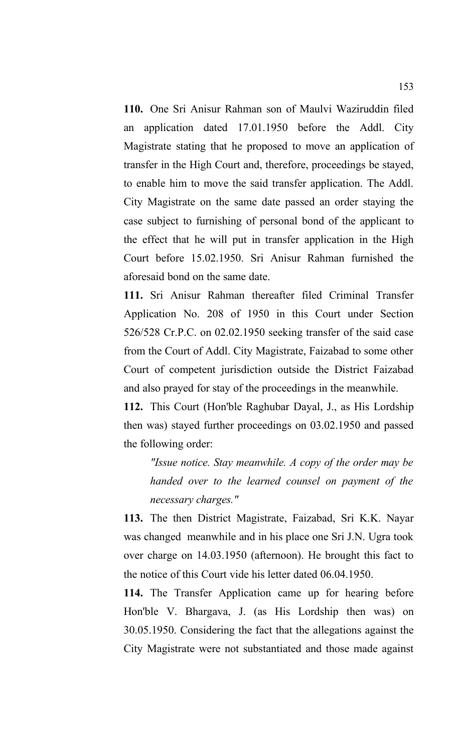**110.** One Sri Anisur Rahman son of Maulvi Waziruddin filed an application dated 17.01.1950 before the Addl. City Magistrate stating that he proposed to move an application of transfer in the High Court and, therefore, proceedings be stayed, to enable him to move the said transfer application. The Addl. City Magistrate on the same date passed an order staying the case subject to furnishing of personal bond of the applicant to the effect that he will put in transfer application in the High Court before 15.02.1950. Sri Anisur Rahman furnished the aforesaid bond on the same date.

**111.** Sri Anisur Rahman thereafter filed Criminal Transfer Application No. 208 of 1950 in this Court under Section 526/528 Cr.P.C. on 02.02.1950 seeking transfer of the said case from the Court of Addl. City Magistrate, Faizabad to some other Court of competent jurisdiction outside the District Faizabad and also prayed for stay of the proceedings in the meanwhile.

**112.** This Court (Hon'ble Raghubar Dayal, J., as His Lordship then was) stayed further proceedings on 03.02.1950 and passed the following order:

*"Issue notice. Stay meanwhile. A copy of the order may be handed over to the learned counsel on payment of the necessary charges."*

**113.** The then District Magistrate, Faizabad, Sri K.K. Nayar was changed meanwhile and in his place one Sri J.N. Ugra took over charge on 14.03.1950 (afternoon). He brought this fact to the notice of this Court vide his letter dated 06.04.1950.

**114.** The Transfer Application came up for hearing before Hon'ble V. Bhargava, J. (as His Lordship then was) on 30.05.1950. Considering the fact that the allegations against the City Magistrate were not substantiated and those made against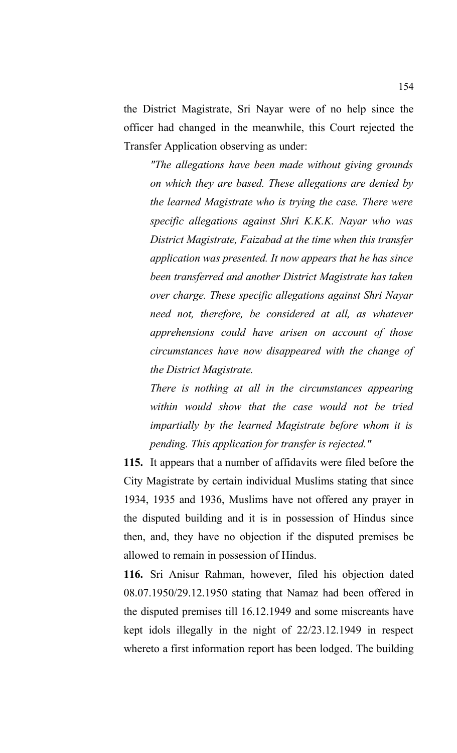the District Magistrate, Sri Nayar were of no help since the officer had changed in the meanwhile, this Court rejected the Transfer Application observing as under:

*"The allegations have been made without giving grounds on which they are based. These allegations are denied by the learned Magistrate who is trying the case. There were specific allegations against Shri K.K.K. Nayar who was District Magistrate, Faizabad at the time when this transfer application was presented. It now appears that he has since been transferred and another District Magistrate has taken over charge. These specific allegations against Shri Nayar need not, therefore, be considered at all, as whatever apprehensions could have arisen on account of those circumstances have now disappeared with the change of the District Magistrate.* 

*There is nothing at all in the circumstances appearing within would show that the case would not be tried impartially by the learned Magistrate before whom it is pending. This application for transfer is rejected."*

**115.** It appears that a number of affidavits were filed before the City Magistrate by certain individual Muslims stating that since 1934, 1935 and 1936, Muslims have not offered any prayer in the disputed building and it is in possession of Hindus since then, and, they have no objection if the disputed premises be allowed to remain in possession of Hindus.

**116.** Sri Anisur Rahman, however, filed his objection dated 08.07.1950/29.12.1950 stating that Namaz had been offered in the disputed premises till 16.12.1949 and some miscreants have kept idols illegally in the night of 22/23.12.1949 in respect whereto a first information report has been lodged. The building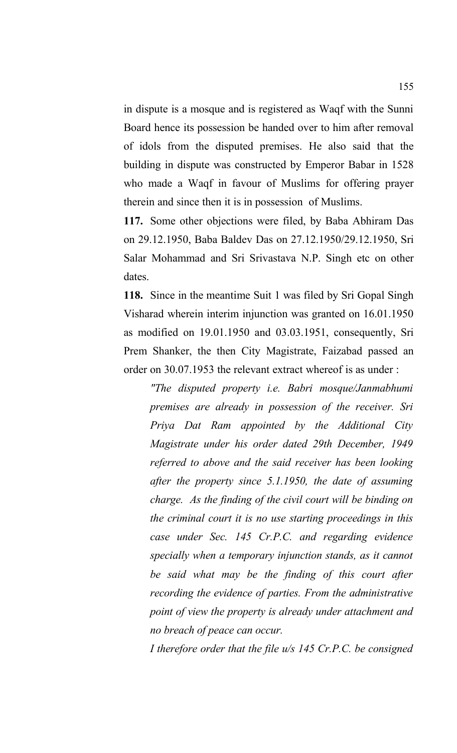in dispute is a mosque and is registered as Waqf with the Sunni Board hence its possession be handed over to him after removal of idols from the disputed premises. He also said that the building in dispute was constructed by Emperor Babar in 1528 who made a Waqf in favour of Muslims for offering prayer therein and since then it is in possession of Muslims.

**117.** Some other objections were filed, by Baba Abhiram Das on 29.12.1950, Baba Baldev Das on 27.12.1950/29.12.1950, Sri Salar Mohammad and Sri Srivastava N.P. Singh etc on other dates.

**118.** Since in the meantime Suit 1 was filed by Sri Gopal Singh Visharad wherein interim injunction was granted on 16.01.1950 as modified on 19.01.1950 and 03.03.1951, consequently, Sri Prem Shanker, the then City Magistrate, Faizabad passed an order on 30.07.1953 the relevant extract whereof is as under :

*"The disputed property i.e. Babri mosque/Janmabhumi premises are already in possession of the receiver. Sri Priya Dat Ram appointed by the Additional City Magistrate under his order dated 29th December, 1949 referred to above and the said receiver has been looking after the property since 5.1.1950, the date of assuming charge. As the finding of the civil court will be binding on the criminal court it is no use starting proceedings in this case under Sec. 145 Cr.P.C. and regarding evidence specially when a temporary injunction stands, as it cannot be said what may be the finding of this court after recording the evidence of parties. From the administrative point of view the property is already under attachment and no breach of peace can occur.* 

*I therefore order that the file u/s 145 Cr.P.C. be consigned*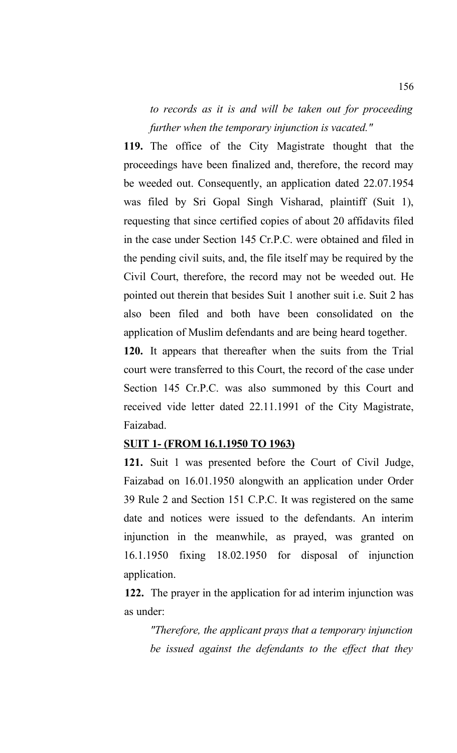*to records as it is and will be taken out for proceeding further when the temporary injunction is vacated."*

**119.** The office of the City Magistrate thought that the proceedings have been finalized and, therefore, the record may be weeded out. Consequently, an application dated 22.07.1954 was filed by Sri Gopal Singh Visharad, plaintiff (Suit 1), requesting that since certified copies of about 20 affidavits filed in the case under Section 145 Cr.P.C. were obtained and filed in the pending civil suits, and, the file itself may be required by the Civil Court, therefore, the record may not be weeded out. He pointed out therein that besides Suit 1 another suit i.e. Suit 2 has also been filed and both have been consolidated on the application of Muslim defendants and are being heard together.

**120.** It appears that thereafter when the suits from the Trial court were transferred to this Court, the record of the case under Section 145 Cr.P.C. was also summoned by this Court and received vide letter dated 22.11.1991 of the City Magistrate, Faizabad.

#### **SUIT 1- (FROM 16.1.1950 TO 1963)**

**121.** Suit 1 was presented before the Court of Civil Judge, Faizabad on 16.01.1950 alongwith an application under Order 39 Rule 2 and Section 151 C.P.C. It was registered on the same date and notices were issued to the defendants. An interim injunction in the meanwhile, as prayed, was granted on 16.1.1950 fixing 18.02.1950 for disposal of injunction application.

**122.** The prayer in the application for ad interim injunction was as under:

*"Therefore, the applicant prays that a temporary injunction be issued against the defendants to the effect that they*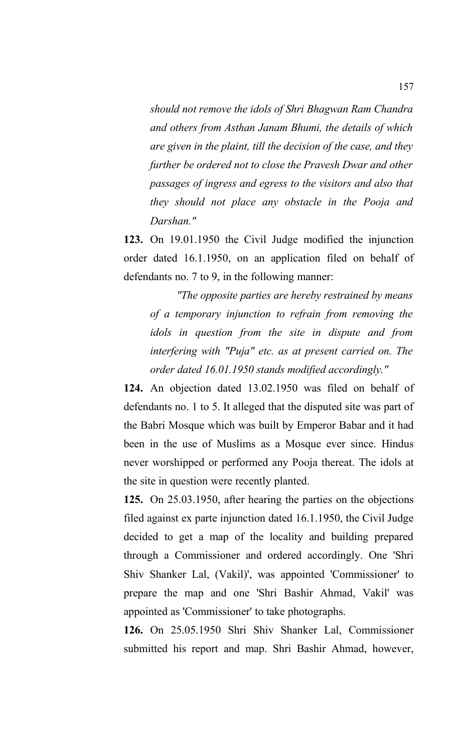*should not remove the idols of Shri Bhagwan Ram Chandra and others from Asthan Janam Bhumi, the details of which are given in the plaint, till the decision of the case, and they further be ordered not to close the Pravesh Dwar and other passages of ingress and egress to the visitors and also that they should not place any obstacle in the Pooja and Darshan."*

**123.** On 19.01.1950 the Civil Judge modified the injunction order dated 16.1.1950, on an application filed on behalf of defendants no. 7 to 9, in the following manner:

*"The opposite parties are hereby restrained by means of a temporary injunction to refrain from removing the idols in question from the site in dispute and from interfering with "Puja" etc. as at present carried on. The order dated 16.01.1950 stands modified accordingly."*

**124.** An objection dated 13.02.1950 was filed on behalf of defendants no. 1 to 5. It alleged that the disputed site was part of the Babri Mosque which was built by Emperor Babar and it had been in the use of Muslims as a Mosque ever since. Hindus never worshipped or performed any Pooja thereat. The idols at the site in question were recently planted.

**125.** On 25.03.1950, after hearing the parties on the objections filed against ex parte injunction dated 16.1.1950, the Civil Judge decided to get a map of the locality and building prepared through a Commissioner and ordered accordingly. One 'Shri Shiv Shanker Lal, (Vakil)', was appointed 'Commissioner' to prepare the map and one 'Shri Bashir Ahmad, Vakil' was appointed as 'Commissioner' to take photographs.

**126.** On 25.05.1950 Shri Shiv Shanker Lal, Commissioner submitted his report and map. Shri Bashir Ahmad, however,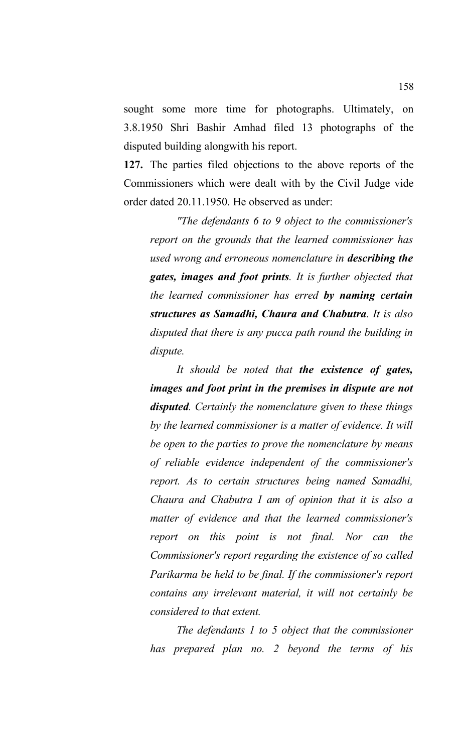sought some more time for photographs. Ultimately, on 3.8.1950 Shri Bashir Amhad filed 13 photographs of the disputed building alongwith his report.

**127.** The parties filed objections to the above reports of the Commissioners which were dealt with by the Civil Judge vide order dated 20.11.1950. He observed as under:

*"The defendants 6 to 9 object to the commissioner's report on the grounds that the learned commissioner has used wrong and erroneous nomenclature in describing the gates, images and foot prints. It is further objected that the learned commissioner has erred by naming certain structures as Samadhi, Chaura and Chabutra. It is also disputed that there is any pucca path round the building in dispute.* 

*It should be noted that the existence of gates, images and foot print in the premises in dispute are not disputed. Certainly the nomenclature given to these things by the learned commissioner is a matter of evidence. It will be open to the parties to prove the nomenclature by means of reliable evidence independent of the commissioner's report. As to certain structures being named Samadhi, Chaura and Chabutra I am of opinion that it is also a matter of evidence and that the learned commissioner's report on this point is not final. Nor can the Commissioner's report regarding the existence of so called Parikarma be held to be final. If the commissioner's report contains any irrelevant material, it will not certainly be considered to that extent.* 

*The defendants 1 to 5 object that the commissioner has prepared plan no. 2 beyond the terms of his*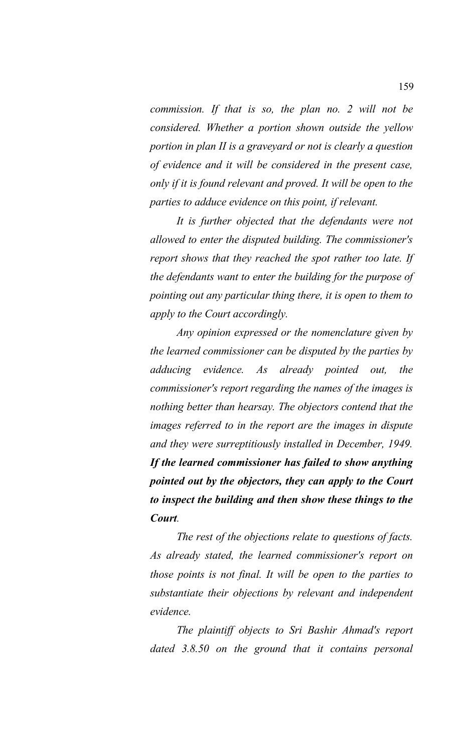*commission. If that is so, the plan no. 2 will not be considered. Whether a portion shown outside the yellow portion in plan II is a graveyard or not is clearly a question of evidence and it will be considered in the present case, only if it is found relevant and proved. It will be open to the parties to adduce evidence on this point, if relevant.* 

*It is further objected that the defendants were not allowed to enter the disputed building. The commissioner's report shows that they reached the spot rather too late. If the defendants want to enter the building for the purpose of pointing out any particular thing there, it is open to them to apply to the Court accordingly.* 

*Any opinion expressed or the nomenclature given by the learned commissioner can be disputed by the parties by adducing evidence. As already pointed out, the commissioner's report regarding the names of the images is nothing better than hearsay. The objectors contend that the images referred to in the report are the images in dispute and they were surreptitiously installed in December, 1949. If the learned commissioner has failed to show anything pointed out by the objectors, they can apply to the Court to inspect the building and then show these things to the Court.* 

*The rest of the objections relate to questions of facts. As already stated, the learned commissioner's report on those points is not final. It will be open to the parties to substantiate their objections by relevant and independent evidence.* 

*The plaintiff objects to Sri Bashir Ahmad's report dated 3.8.50 on the ground that it contains personal*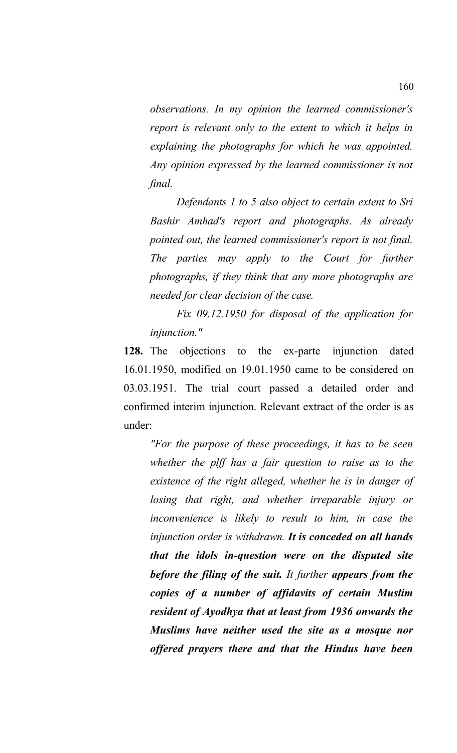*observations. In my opinion the learned commissioner's report is relevant only to the extent to which it helps in explaining the photographs for which he was appointed. Any opinion expressed by the learned commissioner is not final.* 

*Defendants 1 to 5 also object to certain extent to Sri Bashir Amhad's report and photographs. As already pointed out, the learned commissioner's report is not final. The parties may apply to the Court for further photographs, if they think that any more photographs are needed for clear decision of the case.* 

*Fix 09.12.1950 for disposal of the application for injunction."*

**128.** The objections to the ex-parte injunction dated 16.01.1950, modified on 19.01.1950 came to be considered on 03.03.1951. The trial court passed a detailed order and confirmed interim injunction. Relevant extract of the order is as under:

*"For the purpose of these proceedings, it has to be seen whether the plff has a fair question to raise as to the existence of the right alleged, whether he is in danger of losing that right, and whether irreparable injury or inconvenience is likely to result to him, in case the injunction order is withdrawn. It is conceded on all hands that the idols in-question were on the disputed site before the filing of the suit. It further appears from the copies of a number of affidavits of certain Muslim resident of Ayodhya that at least from 1936 onwards the Muslims have neither used the site as a mosque nor offered prayers there and that the Hindus have been*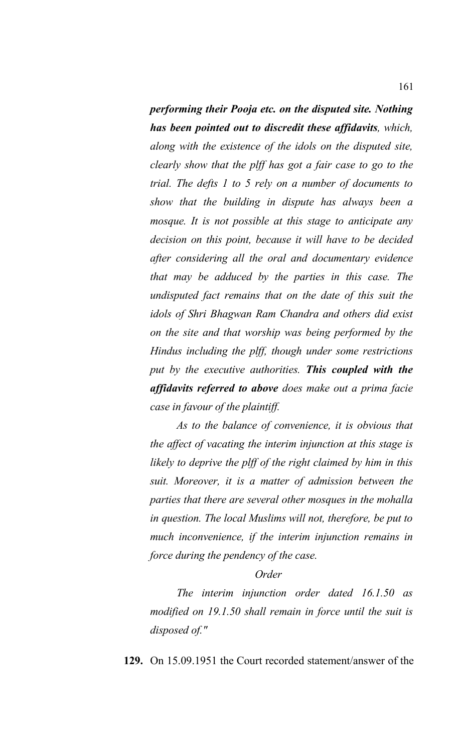*performing their Pooja etc. on the disputed site. Nothing has been pointed out to discredit these affidavits, which, along with the existence of the idols on the disputed site, clearly show that the plff has got a fair case to go to the trial. The defts 1 to 5 rely on a number of documents to show that the building in dispute has always been a mosque. It is not possible at this stage to anticipate any decision on this point, because it will have to be decided after considering all the oral and documentary evidence that may be adduced by the parties in this case. The undisputed fact remains that on the date of this suit the idols of Shri Bhagwan Ram Chandra and others did exist on the site and that worship was being performed by the Hindus including the plff, though under some restrictions put by the executive authorities. This coupled with the affidavits referred to above does make out a prima facie case in favour of the plaintiff.* 

*As to the balance of convenience, it is obvious that the affect of vacating the interim injunction at this stage is likely to deprive the plff of the right claimed by him in this suit. Moreover, it is a matter of admission between the parties that there are several other mosques in the mohalla in question. The local Muslims will not, therefore, be put to much inconvenience, if the interim injunction remains in force during the pendency of the case.* 

#### *Order*

*The interim injunction order dated 16.1.50 as modified on 19.1.50 shall remain in force until the suit is disposed of."*

**129.** On 15.09.1951 the Court recorded statement/answer of the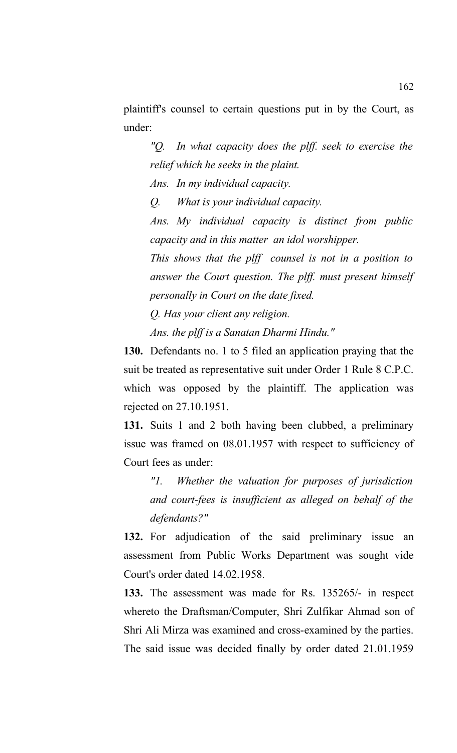plaintiff's counsel to certain questions put in by the Court, as under:

*"Q. In what capacity does the plff. seek to exercise the relief which he seeks in the plaint.*

*Ans. In my individual capacity.* 

*Q. What is your individual capacity.* 

*Ans. My individual capacity is distinct from public capacity and in this matter an idol worshipper.* 

*This shows that the plff counsel is not in a position to answer the Court question. The plff. must present himself personally in Court on the date fixed.*

*Q. Has your client any religion. Ans. the plff is a Sanatan Dharmi Hindu."*

**130.** Defendants no. 1 to 5 filed an application praying that the suit be treated as representative suit under Order 1 Rule 8 C.P.C. which was opposed by the plaintiff. The application was rejected on 27.10.1951.

**131.** Suits 1 and 2 both having been clubbed, a preliminary issue was framed on 08.01.1957 with respect to sufficiency of Court fees as under:

*"1. Whether the valuation for purposes of jurisdiction and court-fees is insufficient as alleged on behalf of the defendants?"*

**132.** For adjudication of the said preliminary issue an assessment from Public Works Department was sought vide Court's order dated 14.02.1958.

**133.** The assessment was made for Rs. 135265/- in respect whereto the Draftsman/Computer, Shri Zulfikar Ahmad son of Shri Ali Mirza was examined and cross-examined by the parties. The said issue was decided finally by order dated 21.01.1959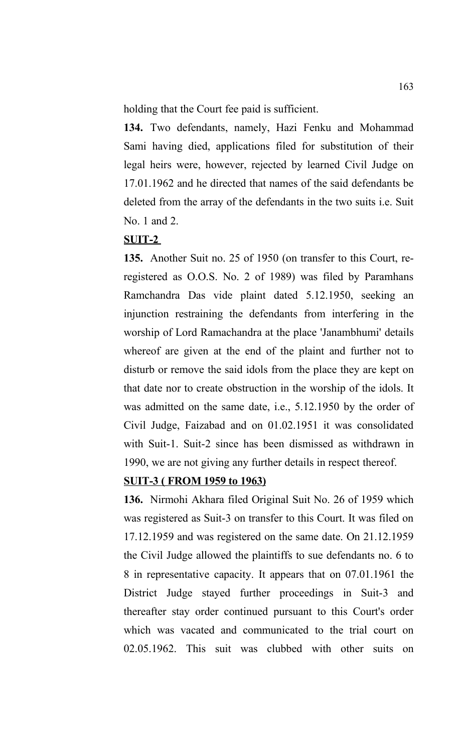holding that the Court fee paid is sufficient.

**134.** Two defendants, namely, Hazi Fenku and Mohammad Sami having died, applications filed for substitution of their legal heirs were, however, rejected by learned Civil Judge on 17.01.1962 and he directed that names of the said defendants be deleted from the array of the defendants in the two suits i.e. Suit No. 1 and 2.

### **SUIT-2**

**135.** Another Suit no. 25 of 1950 (on transfer to this Court, reregistered as O.O.S. No. 2 of 1989) was filed by Paramhans Ramchandra Das vide plaint dated 5.12.1950, seeking an injunction restraining the defendants from interfering in the worship of Lord Ramachandra at the place 'Janambhumi' details whereof are given at the end of the plaint and further not to disturb or remove the said idols from the place they are kept on that date nor to create obstruction in the worship of the idols. It was admitted on the same date, i.e., 5.12.1950 by the order of Civil Judge, Faizabad and on 01.02.1951 it was consolidated with Suit-1. Suit-2 since has been dismissed as withdrawn in 1990, we are not giving any further details in respect thereof.

#### **SUIT-3 ( FROM 1959 to 1963)**

**136.** Nirmohi Akhara filed Original Suit No. 26 of 1959 which was registered as Suit-3 on transfer to this Court. It was filed on 17.12.1959 and was registered on the same date. On 21.12.1959 the Civil Judge allowed the plaintiffs to sue defendants no. 6 to 8 in representative capacity. It appears that on 07.01.1961 the District Judge stayed further proceedings in Suit-3 and thereafter stay order continued pursuant to this Court's order which was vacated and communicated to the trial court on 02.05.1962. This suit was clubbed with other suits on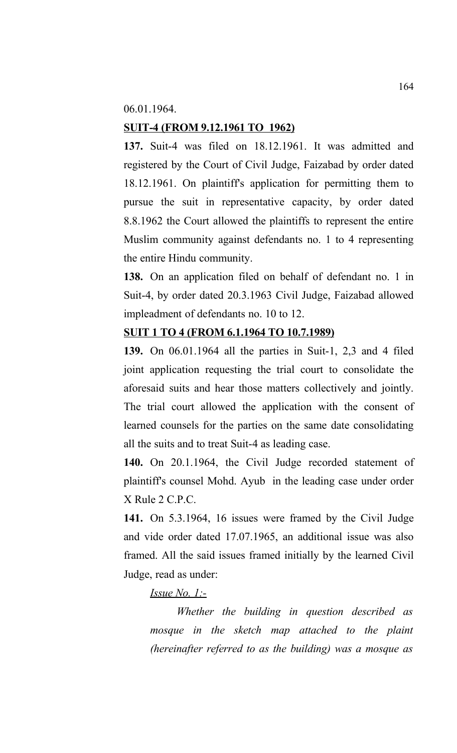06.01.1964.

# **SUIT-4 (FROM 9.12.1961 TO 1962)**

**137.** Suit-4 was filed on 18.12.1961. It was admitted and registered by the Court of Civil Judge, Faizabad by order dated 18.12.1961. On plaintiff's application for permitting them to pursue the suit in representative capacity, by order dated 8.8.1962 the Court allowed the plaintiffs to represent the entire Muslim community against defendants no. 1 to 4 representing the entire Hindu community.

**138.** On an application filed on behalf of defendant no. 1 in Suit-4, by order dated 20.3.1963 Civil Judge, Faizabad allowed impleadment of defendants no. 10 to 12.

### **SUIT 1 TO 4 (FROM 6.1.1964 TO 10.7.1989)**

**139.** On 06.01.1964 all the parties in Suit-1, 2,3 and 4 filed joint application requesting the trial court to consolidate the aforesaid suits and hear those matters collectively and jointly. The trial court allowed the application with the consent of learned counsels for the parties on the same date consolidating all the suits and to treat Suit-4 as leading case.

**140.** On 20.1.1964, the Civil Judge recorded statement of plaintiff's counsel Mohd. Ayub in the leading case under order X Rule 2 C.P.C.

**141.** On 5.3.1964, 16 issues were framed by the Civil Judge and vide order dated 17.07.1965, an additional issue was also framed. All the said issues framed initially by the learned Civil Judge, read as under:

### *Issue No. 1:-*

*Whether the building in question described as mosque in the sketch map attached to the plaint (hereinafter referred to as the building) was a mosque as*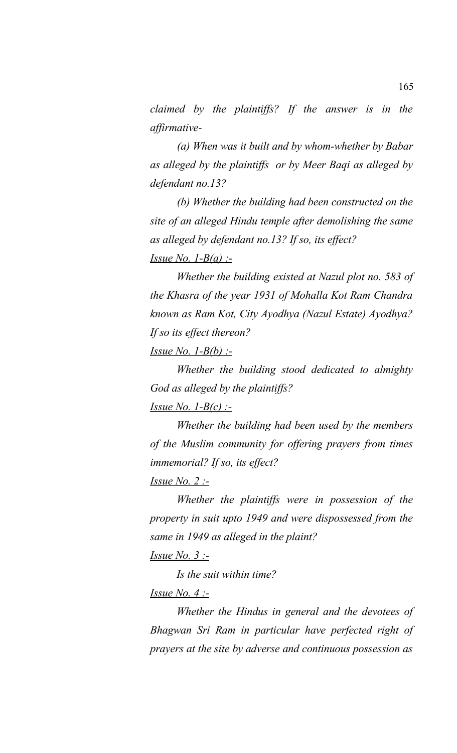*claimed by the plaintiffs? If the answer is in the affirmative-*

*(a) When was it built and by whom-whether by Babar as alleged by the plaintiffs or by Meer Baqi as alleged by defendant no.13?*

*(b) Whether the building had been constructed on the site of an alleged Hindu temple after demolishing the same as alleged by defendant no.13? If so, its effect? Issue No. 1-B(a) :-*

*Whether the building existed at Nazul plot no. 583 of the Khasra of the year 1931 of Mohalla Kot Ram Chandra known as Ram Kot, City Ayodhya (Nazul Estate) Ayodhya? If so its effect thereon?*

*Issue No. 1-B(b) :-*

*Whether the building stood dedicated to almighty God as alleged by the plaintiffs?*

*Issue No. 1-B(c) :-*

*Whether the building had been used by the members of the Muslim community for offering prayers from times immemorial? If so, its effect?*

*Issue No. 2 :-*

*Whether the plaintiffs were in possession of the property in suit upto 1949 and were dispossessed from the same in 1949 as alleged in the plaint?*

*Issue No. 3 :-*

*Is the suit within time?*

*Issue No. 4 :-*

*Whether the Hindus in general and the devotees of Bhagwan Sri Ram in particular have perfected right of prayers at the site by adverse and continuous possession as*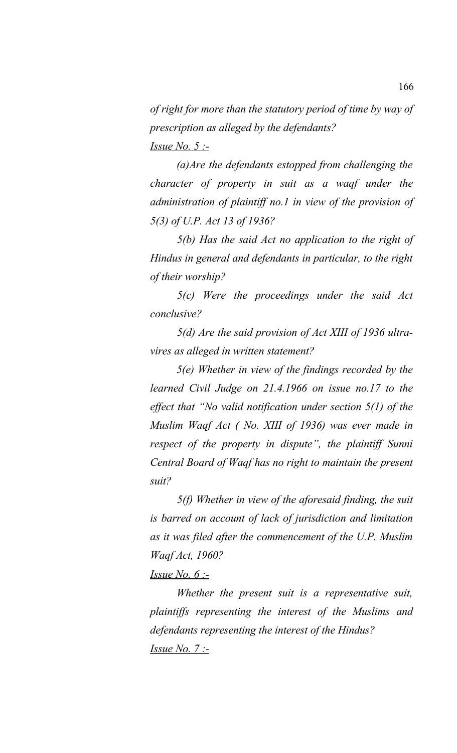*of right for more than the statutory period of time by way of prescription as alleged by the defendants? Issue No. 5 :-*

*(a)Are the defendants estopped from challenging the character of property in suit as a waqf under the administration of plaintiff no.1 in view of the provision of 5(3) of U.P. Act 13 of 1936?* 

*5(b) Has the said Act no application to the right of Hindus in general and defendants in particular, to the right of their worship?*

*5(c) Were the proceedings under the said Act conclusive?* 

*5(d) Are the said provision of Act XIII of 1936 ultravires as alleged in written statement?* 

*5(e) Whether in view of the findings recorded by the learned Civil Judge on 21.4.1966 on issue no.17 to the effect that "No valid notification under section 5(1) of the Muslim Waqf Act ( No. XIII of 1936) was ever made in respect of the property in dispute", the plaintiff Sunni Central Board of Waqf has no right to maintain the present suit?*

*5(f) Whether in view of the aforesaid finding, the suit is barred on account of lack of jurisdiction and limitation as it was filed after the commencement of the U.P. Muslim Waqf Act, 1960?*

#### *Issue No. 6 :-*

*Whether the present suit is a representative suit, plaintiffs representing the interest of the Muslims and defendants representing the interest of the Hindus? Issue No. 7 :-*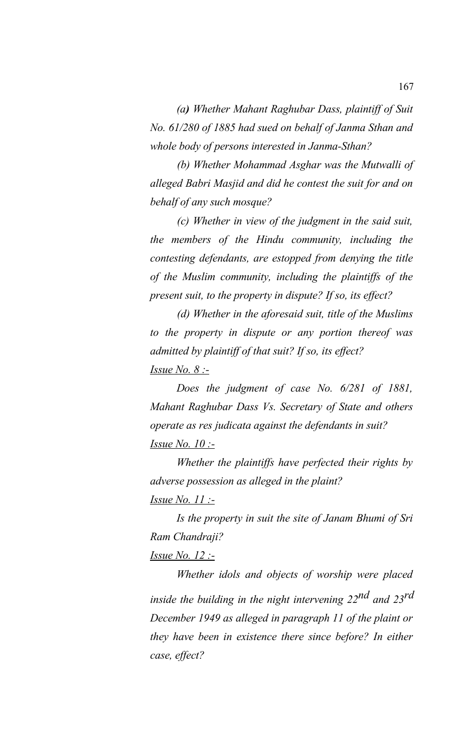*(a) Whether Mahant Raghubar Dass, plaintiff of Suit No. 61/280 of 1885 had sued on behalf of Janma Sthan and whole body of persons interested in Janma-Sthan?*

*(b) Whether Mohammad Asghar was the Mutwalli of alleged Babri Masjid and did he contest the suit for and on behalf of any such mosque?*

*(c) Whether in view of the judgment in the said suit, the members of the Hindu community, including the contesting defendants, are estopped from denying the title of the Muslim community, including the plaintiffs of the present suit, to the property in dispute? If so, its effect?*

*(d) Whether in the aforesaid suit, title of the Muslims to the property in dispute or any portion thereof was admitted by plaintiff of that suit? If so, its effect? Issue No. 8 :-*

*Does the judgment of case No. 6/281 of 1881, Mahant Raghubar Dass Vs. Secretary of State and others operate as res judicata against the defendants in suit? Issue No. 10 :-*

*Whether the plaintiffs have perfected their rights by adverse possession as alleged in the plaint?*

*Issue No. 11 :-*

*Is the property in suit the site of Janam Bhumi of Sri Ram Chandraji?*

# *Issue No. 12 :-*

*Whether idols and objects of worship were placed inside the building in the night intervening 22nd and 23rd December 1949 as alleged in paragraph 11 of the plaint or they have been in existence there since before? In either case, effect?*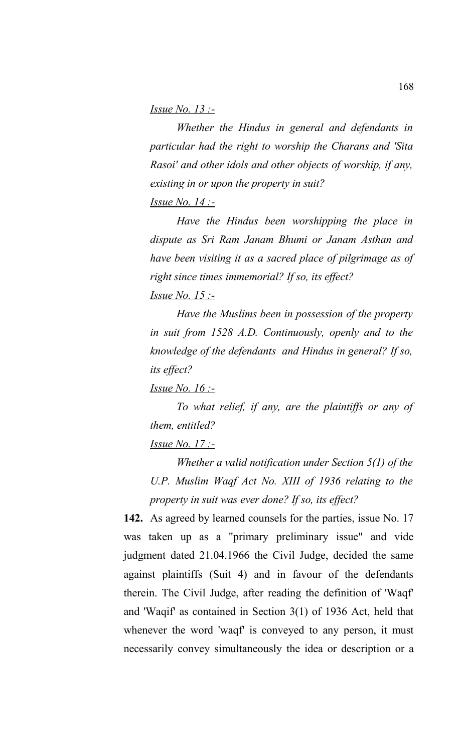#### *Issue No. 13 :-*

*Whether the Hindus in general and defendants in particular had the right to worship the Charans and 'Sita Rasoi' and other idols and other objects of worship, if any, existing in or upon the property in suit? Issue No. 14 :-*

*Have the Hindus been worshipping the place in dispute as Sri Ram Janam Bhumi or Janam Asthan and have been visiting it as a sacred place of pilgrimage as of right since times immemorial? If so, its effect? Issue No. 15 :-*

*Have the Muslims been in possession of the property in suit from 1528 A.D. Continuously, openly and to the knowledge of the defendants and Hindus in general? If so, its effect?* 

*Issue No. 16 :-*

*To what relief, if any, are the plaintiffs or any of them, entitled?*

#### *Issue No. 17 :-*

*Whether a valid notification under Section 5(1) of the U.P. Muslim Waqf Act No. XIII of 1936 relating to the property in suit was ever done? If so, its effect?* 

**142.** As agreed by learned counsels for the parties, issue No. 17 was taken up as a "primary preliminary issue" and vide judgment dated 21.04.1966 the Civil Judge, decided the same against plaintiffs (Suit 4) and in favour of the defendants therein. The Civil Judge, after reading the definition of 'Waqf' and 'Waqif' as contained in Section 3(1) of 1936 Act, held that whenever the word 'waqf' is conveyed to any person, it must necessarily convey simultaneously the idea or description or a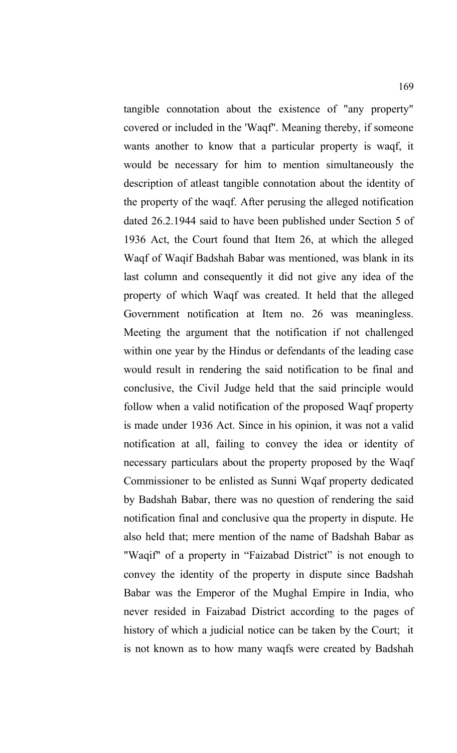tangible connotation about the existence of "any property" covered or included in the 'Waqf''. Meaning thereby, if someone wants another to know that a particular property is waqf, it would be necessary for him to mention simultaneously the description of atleast tangible connotation about the identity of the property of the waqf. After perusing the alleged notification dated 26.2.1944 said to have been published under Section 5 of 1936 Act, the Court found that Item 26, at which the alleged Waqf of Waqif Badshah Babar was mentioned, was blank in its last column and consequently it did not give any idea of the property of which Waqf was created. It held that the alleged Government notification at Item no. 26 was meaningless. Meeting the argument that the notification if not challenged within one year by the Hindus or defendants of the leading case would result in rendering the said notification to be final and conclusive, the Civil Judge held that the said principle would follow when a valid notification of the proposed Waqf property is made under 1936 Act. Since in his opinion, it was not a valid notification at all, failing to convey the idea or identity of necessary particulars about the property proposed by the Waqf Commissioner to be enlisted as Sunni Wqaf property dedicated by Badshah Babar, there was no question of rendering the said notification final and conclusive qua the property in dispute. He also held that; mere mention of the name of Badshah Babar as "Waqif" of a property in "Faizabad District" is not enough to convey the identity of the property in dispute since Badshah Babar was the Emperor of the Mughal Empire in India, who never resided in Faizabad District according to the pages of history of which a judicial notice can be taken by the Court; it is not known as to how many waqfs were created by Badshah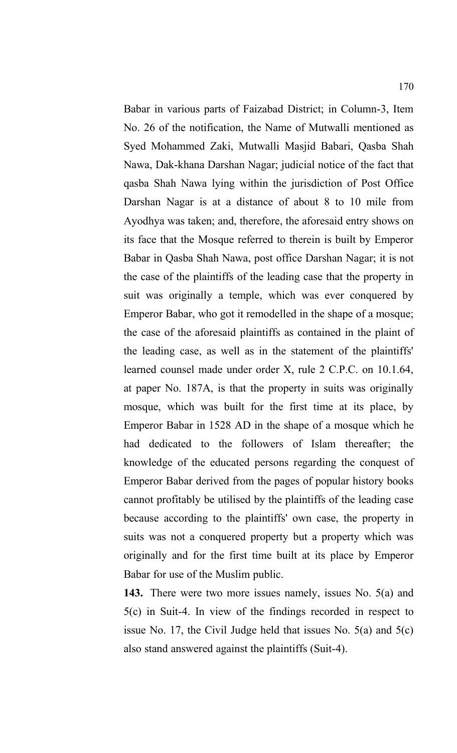Babar in various parts of Faizabad District; in Column-3, Item No. 26 of the notification, the Name of Mutwalli mentioned as Syed Mohammed Zaki, Mutwalli Masjid Babari, Qasba Shah Nawa, Dak-khana Darshan Nagar; judicial notice of the fact that qasba Shah Nawa lying within the jurisdiction of Post Office Darshan Nagar is at a distance of about 8 to 10 mile from Ayodhya was taken; and, therefore, the aforesaid entry shows on its face that the Mosque referred to therein is built by Emperor Babar in Qasba Shah Nawa, post office Darshan Nagar; it is not the case of the plaintiffs of the leading case that the property in suit was originally a temple, which was ever conquered by Emperor Babar, who got it remodelled in the shape of a mosque; the case of the aforesaid plaintiffs as contained in the plaint of the leading case, as well as in the statement of the plaintiffs' learned counsel made under order X, rule 2 C.P.C. on 10.1.64, at paper No. 187A, is that the property in suits was originally mosque, which was built for the first time at its place, by Emperor Babar in 1528 AD in the shape of a mosque which he had dedicated to the followers of Islam thereafter; the knowledge of the educated persons regarding the conquest of Emperor Babar derived from the pages of popular history books cannot profitably be utilised by the plaintiffs of the leading case because according to the plaintiffs' own case, the property in suits was not a conquered property but a property which was originally and for the first time built at its place by Emperor Babar for use of the Muslim public.

**143.** There were two more issues namely, issues No. 5(a) and 5(c) in Suit-4. In view of the findings recorded in respect to issue No. 17, the Civil Judge held that issues No. 5(a) and 5(c) also stand answered against the plaintiffs (Suit-4).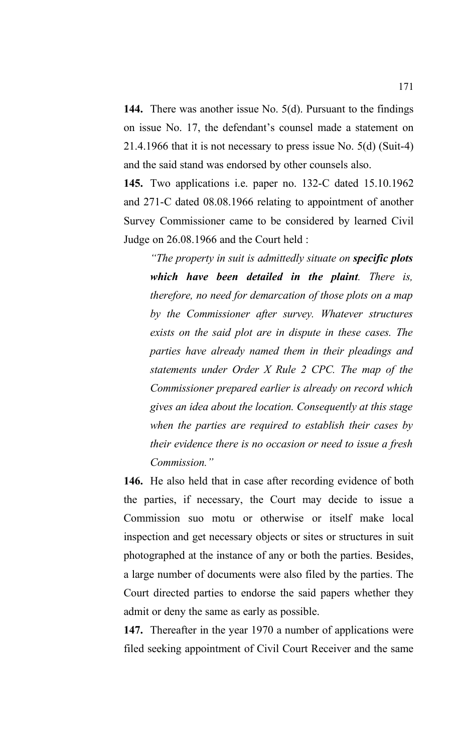**144.** There was another issue No. 5(d). Pursuant to the findings on issue No. 17, the defendant's counsel made a statement on 21.4.1966 that it is not necessary to press issue No. 5(d) (Suit-4) and the said stand was endorsed by other counsels also.

**145.** Two applications i.e. paper no. 132-C dated 15.10.1962 and 271-C dated 08.08.1966 relating to appointment of another Survey Commissioner came to be considered by learned Civil Judge on 26.08.1966 and the Court held :

*"The property in suit is admittedly situate on specific plots which have been detailed in the plaint. There is, therefore, no need for demarcation of those plots on a map by the Commissioner after survey. Whatever structures exists on the said plot are in dispute in these cases. The parties have already named them in their pleadings and statements under Order X Rule 2 CPC. The map of the Commissioner prepared earlier is already on record which gives an idea about the location. Consequently at this stage when the parties are required to establish their cases by their evidence there is no occasion or need to issue a fresh Commission."*

**146.** He also held that in case after recording evidence of both the parties, if necessary, the Court may decide to issue a Commission suo motu or otherwise or itself make local inspection and get necessary objects or sites or structures in suit photographed at the instance of any or both the parties. Besides, a large number of documents were also filed by the parties. The Court directed parties to endorse the said papers whether they admit or deny the same as early as possible.

**147.** Thereafter in the year 1970 a number of applications were filed seeking appointment of Civil Court Receiver and the same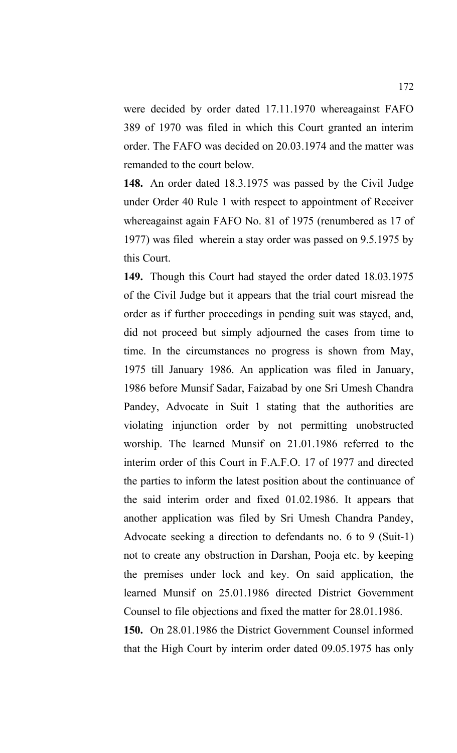were decided by order dated 17.11.1970 whereagainst FAFO 389 of 1970 was filed in which this Court granted an interim order. The FAFO was decided on 20.03.1974 and the matter was remanded to the court below.

**148.** An order dated 18.3.1975 was passed by the Civil Judge under Order 40 Rule 1 with respect to appointment of Receiver whereagainst again FAFO No. 81 of 1975 (renumbered as 17 of 1977) was filed wherein a stay order was passed on 9.5.1975 by this Court.

**149.** Though this Court had stayed the order dated 18.03.1975 of the Civil Judge but it appears that the trial court misread the order as if further proceedings in pending suit was stayed, and, did not proceed but simply adjourned the cases from time to time. In the circumstances no progress is shown from May, 1975 till January 1986. An application was filed in January, 1986 before Munsif Sadar, Faizabad by one Sri Umesh Chandra Pandey, Advocate in Suit 1 stating that the authorities are violating injunction order by not permitting unobstructed worship. The learned Munsif on 21.01.1986 referred to the interim order of this Court in F.A.F.O. 17 of 1977 and directed the parties to inform the latest position about the continuance of the said interim order and fixed 01.02.1986. It appears that another application was filed by Sri Umesh Chandra Pandey, Advocate seeking a direction to defendants no. 6 to 9 (Suit-1) not to create any obstruction in Darshan, Pooja etc. by keeping the premises under lock and key. On said application, the learned Munsif on 25.01.1986 directed District Government Counsel to file objections and fixed the matter for 28.01.1986.

**150.** On 28.01.1986 the District Government Counsel informed that the High Court by interim order dated 09.05.1975 has only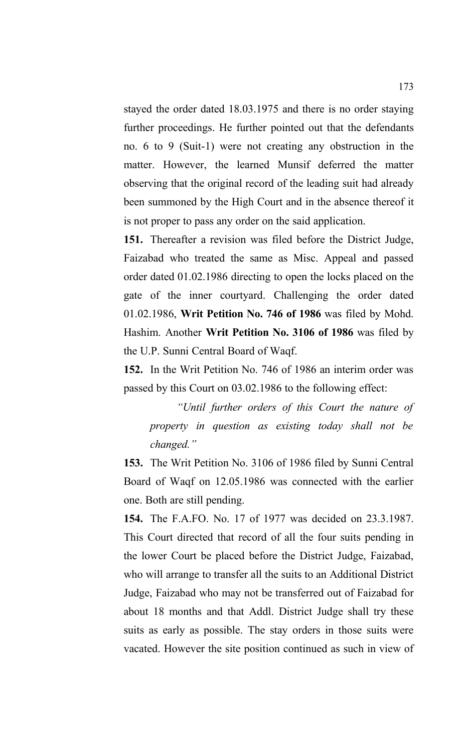stayed the order dated 18.03.1975 and there is no order staying further proceedings. He further pointed out that the defendants no. 6 to 9 (Suit-1) were not creating any obstruction in the matter. However, the learned Munsif deferred the matter observing that the original record of the leading suit had already been summoned by the High Court and in the absence thereof it is not proper to pass any order on the said application.

**151.** Thereafter a revision was filed before the District Judge, Faizabad who treated the same as Misc. Appeal and passed order dated 01.02.1986 directing to open the locks placed on the gate of the inner courtyard. Challenging the order dated 01.02.1986, **Writ Petition No. 746 of 1986** was filed by Mohd. Hashim. Another **Writ Petition No. 3106 of 1986** was filed by the U.P. Sunni Central Board of Waqf.

**152.** In the Writ Petition No. 746 of 1986 an interim order was passed by this Court on 03.02.1986 to the following effect:

*"Until further orders of this Court the nature of property in question as existing today shall not be changed."*

**153.** The Writ Petition No. 3106 of 1986 filed by Sunni Central Board of Waqf on 12.05.1986 was connected with the earlier one. Both are still pending.

**154.** The F.A.FO. No. 17 of 1977 was decided on 23.3.1987. This Court directed that record of all the four suits pending in the lower Court be placed before the District Judge, Faizabad, who will arrange to transfer all the suits to an Additional District Judge, Faizabad who may not be transferred out of Faizabad for about 18 months and that Addl. District Judge shall try these suits as early as possible. The stay orders in those suits were vacated. However the site position continued as such in view of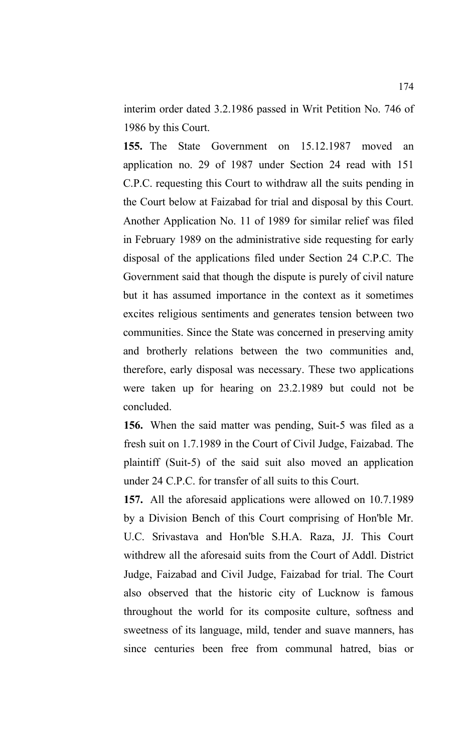interim order dated 3.2.1986 passed in Writ Petition No. 746 of 1986 by this Court.

**155.** The State Government on 15.12.1987 moved an application no. 29 of 1987 under Section 24 read with 151 C.P.C. requesting this Court to withdraw all the suits pending in the Court below at Faizabad for trial and disposal by this Court. Another Application No. 11 of 1989 for similar relief was filed in February 1989 on the administrative side requesting for early disposal of the applications filed under Section 24 C.P.C. The Government said that though the dispute is purely of civil nature but it has assumed importance in the context as it sometimes excites religious sentiments and generates tension between two communities. Since the State was concerned in preserving amity and brotherly relations between the two communities and, therefore, early disposal was necessary. These two applications were taken up for hearing on 23.2.1989 but could not be concluded.

**156.** When the said matter was pending, Suit-5 was filed as a fresh suit on 1.7.1989 in the Court of Civil Judge, Faizabad. The plaintiff (Suit-5) of the said suit also moved an application under 24 C.P.C. for transfer of all suits to this Court.

**157.** All the aforesaid applications were allowed on 10.7.1989 by a Division Bench of this Court comprising of Hon'ble Mr. U.C. Srivastava and Hon'ble S.H.A. Raza, JJ. This Court withdrew all the aforesaid suits from the Court of Addl. District Judge, Faizabad and Civil Judge, Faizabad for trial. The Court also observed that the historic city of Lucknow is famous throughout the world for its composite culture, softness and sweetness of its language, mild, tender and suave manners, has since centuries been free from communal hatred, bias or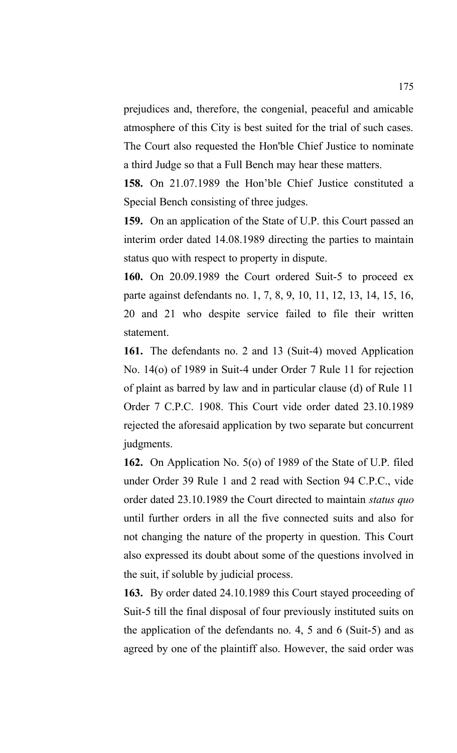prejudices and, therefore, the congenial, peaceful and amicable atmosphere of this City is best suited for the trial of such cases. The Court also requested the Hon'ble Chief Justice to nominate a third Judge so that a Full Bench may hear these matters.

**158.** On 21.07.1989 the Hon'ble Chief Justice constituted a Special Bench consisting of three judges.

**159.** On an application of the State of U.P. this Court passed an interim order dated 14.08.1989 directing the parties to maintain status quo with respect to property in dispute.

**160.** On 20.09.1989 the Court ordered Suit-5 to proceed ex parte against defendants no. 1, 7, 8, 9, 10, 11, 12, 13, 14, 15, 16, 20 and 21 who despite service failed to file their written statement.

**161.** The defendants no. 2 and 13 (Suit-4) moved Application No. 14(o) of 1989 in Suit-4 under Order 7 Rule 11 for rejection of plaint as barred by law and in particular clause (d) of Rule 11 Order 7 C.P.C. 1908. This Court vide order dated 23.10.1989 rejected the aforesaid application by two separate but concurrent judgments.

**162.** On Application No. 5(o) of 1989 of the State of U.P. filed under Order 39 Rule 1 and 2 read with Section 94 C.P.C., vide order dated 23.10.1989 the Court directed to maintain *status quo* until further orders in all the five connected suits and also for not changing the nature of the property in question. This Court also expressed its doubt about some of the questions involved in the suit, if soluble by judicial process.

**163.** By order dated 24.10.1989 this Court stayed proceeding of Suit-5 till the final disposal of four previously instituted suits on the application of the defendants no. 4, 5 and 6 (Suit-5) and as agreed by one of the plaintiff also. However, the said order was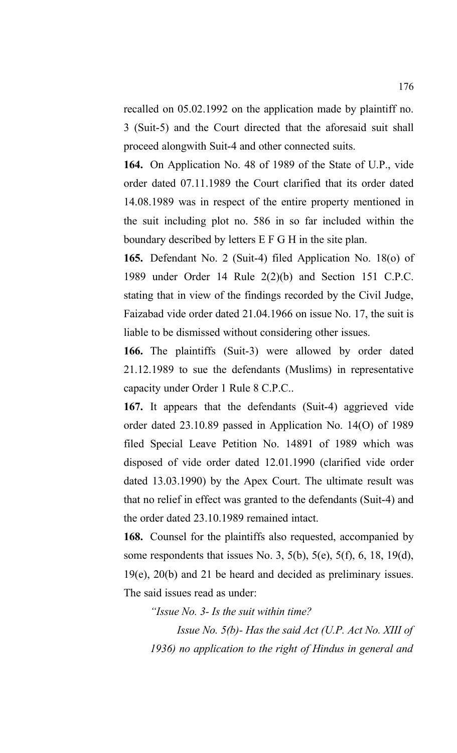recalled on 05.02.1992 on the application made by plaintiff no. 3 (Suit-5) and the Court directed that the aforesaid suit shall proceed alongwith Suit-4 and other connected suits.

**164.** On Application No. 48 of 1989 of the State of U.P., vide order dated 07.11.1989 the Court clarified that its order dated 14.08.1989 was in respect of the entire property mentioned in the suit including plot no. 586 in so far included within the boundary described by letters E F G H in the site plan.

**165.** Defendant No. 2 (Suit-4) filed Application No. 18(o) of 1989 under Order 14 Rule 2(2)(b) and Section 151 C.P.C. stating that in view of the findings recorded by the Civil Judge, Faizabad vide order dated 21.04.1966 on issue No. 17, the suit is liable to be dismissed without considering other issues.

**166.** The plaintiffs (Suit-3) were allowed by order dated 21.12.1989 to sue the defendants (Muslims) in representative capacity under Order 1 Rule 8 C.P.C..

**167.** It appears that the defendants (Suit-4) aggrieved vide order dated 23.10.89 passed in Application No. 14(O) of 1989 filed Special Leave Petition No. 14891 of 1989 which was disposed of vide order dated 12.01.1990 (clarified vide order dated 13.03.1990) by the Apex Court. The ultimate result was that no relief in effect was granted to the defendants (Suit-4) and the order dated 23.10.1989 remained intact.

**168.** Counsel for the plaintiffs also requested, accompanied by some respondents that issues No. 3, 5(b), 5(e), 5(f), 6, 18, 19(d), 19(e), 20(b) and 21 be heard and decided as preliminary issues. The said issues read as under:

*"Issue No. 3- Is the suit within time?*

*Issue No. 5(b)- Has the said Act (U.P. Act No. XIII of 1936) no application to the right of Hindus in general and*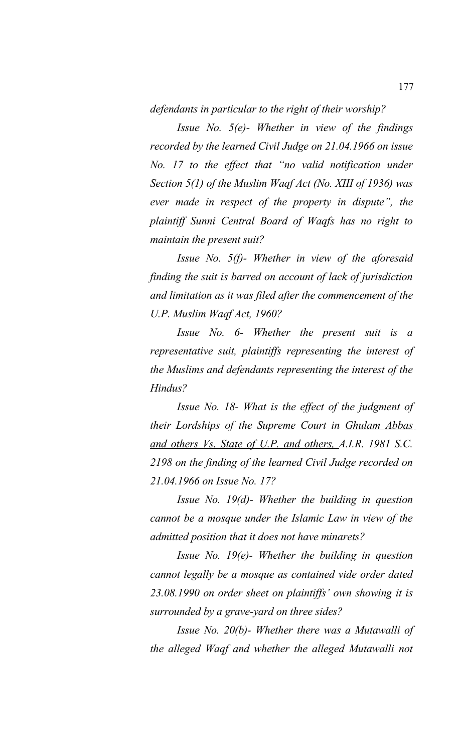*defendants in particular to the right of their worship?*

*Issue No. 5(e)- Whether in view of the findings recorded by the learned Civil Judge on 21.04.1966 on issue No. 17 to the effect that "no valid notification under Section 5(1) of the Muslim Waqf Act (No. XIII of 1936) was ever made in respect of the property in dispute", the plaintiff Sunni Central Board of Waqfs has no right to maintain the present suit?* 

*Issue No. 5(f)- Whether in view of the aforesaid finding the suit is barred on account of lack of jurisdiction and limitation as it was filed after the commencement of the U.P. Muslim Waqf Act, 1960?* 

*Issue No. 6- Whether the present suit is a representative suit, plaintiffs representing the interest of the Muslims and defendants representing the interest of the Hindus?*

*Issue No. 18- What is the effect of the judgment of their Lordships of the Supreme Court in Ghulam Abbas and others Vs. State of U.P. and others, A.I.R. 1981 S.C. 2198 on the finding of the learned Civil Judge recorded on 21.04.1966 on Issue No. 17?*

*Issue No. 19(d)- Whether the building in question cannot be a mosque under the Islamic Law in view of the admitted position that it does not have minarets?* 

*Issue No. 19(e)- Whether the building in question cannot legally be a mosque as contained vide order dated 23.08.1990 on order sheet on plaintiffs' own showing it is surrounded by a grave-yard on three sides?* 

*Issue No. 20(b)- Whether there was a Mutawalli of the alleged Waqf and whether the alleged Mutawalli not*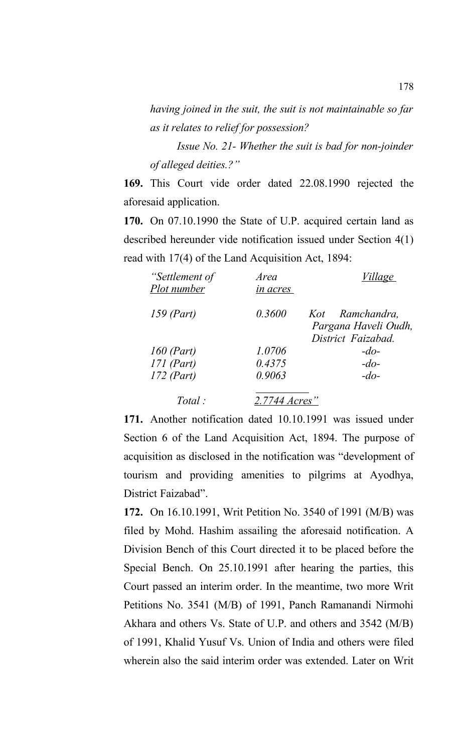*having joined in the suit, the suit is not maintainable so far as it relates to relief for possession?*

*Issue No. 21- Whether the suit is bad for non-joinder of alleged deities.?"* 

**169.** This Court vide order dated 22.08.1990 rejected the aforesaid application.

**170.** On 07.10.1990 the State of U.P. acquired certain land as described hereunder vide notification issued under Section 4(1) read with 17(4) of the Land Acquisition Act, 1894:

| "Settlement of<br>Plot number | Area<br>in acres | <u>Village</u>                             |
|-------------------------------|------------------|--------------------------------------------|
| $159$ (Part)                  | 0.3600           | Kot Ramchandra,                            |
|                               |                  | Pargana Haveli Oudh,<br>District Faizabad. |
| $160$ (Part)                  | 1.0706           | $-do-$                                     |
| $171$ (Part)                  | 0.4375           | $-do-$                                     |
| $172$ (Part)                  | 0.9063           | $-do-$                                     |
| Total:                        | 2.7744 Acres"    |                                            |

**171.** Another notification dated 10.10.1991 was issued under Section 6 of the Land Acquisition Act, 1894. The purpose of acquisition as disclosed in the notification was "development of tourism and providing amenities to pilgrims at Ayodhya, District Faizabad".

**172.** On 16.10.1991, Writ Petition No. 3540 of 1991 (M/B) was filed by Mohd. Hashim assailing the aforesaid notification. A Division Bench of this Court directed it to be placed before the Special Bench. On 25.10.1991 after hearing the parties, this Court passed an interim order. In the meantime, two more Writ Petitions No. 3541 (M/B) of 1991, Panch Ramanandi Nirmohi Akhara and others Vs. State of U.P. and others and 3542 (M/B) of 1991, Khalid Yusuf Vs. Union of India and others were filed wherein also the said interim order was extended. Later on Writ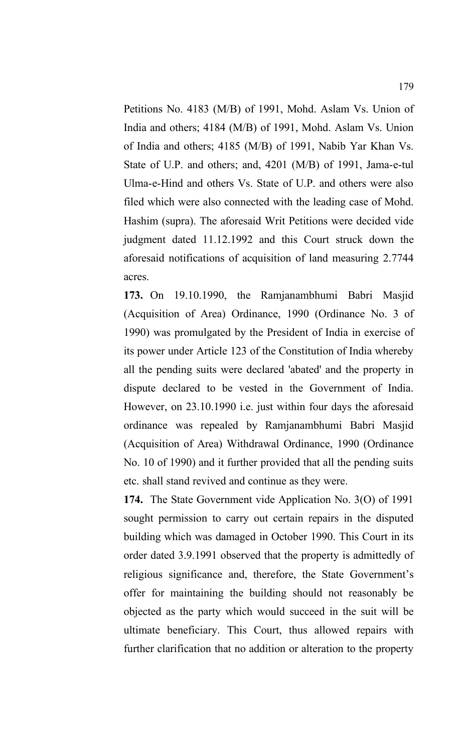Petitions No. 4183 (M/B) of 1991, Mohd. Aslam Vs. Union of India and others; 4184 (M/B) of 1991, Mohd. Aslam Vs. Union of India and others; 4185 (M/B) of 1991, Nabib Yar Khan Vs. State of U.P. and others; and, 4201 (M/B) of 1991, Jama-e-tul Ulma-e-Hind and others Vs. State of U.P. and others were also filed which were also connected with the leading case of Mohd. Hashim (supra). The aforesaid Writ Petitions were decided vide judgment dated 11.12.1992 and this Court struck down the aforesaid notifications of acquisition of land measuring 2.7744 acres.

**173.** On 19.10.1990, the Ramjanambhumi Babri Masjid (Acquisition of Area) Ordinance, 1990 (Ordinance No. 3 of 1990) was promulgated by the President of India in exercise of its power under Article 123 of the Constitution of India whereby all the pending suits were declared 'abated' and the property in dispute declared to be vested in the Government of India. However, on 23.10.1990 i.e. just within four days the aforesaid ordinance was repealed by Ramjanambhumi Babri Masjid (Acquisition of Area) Withdrawal Ordinance, 1990 (Ordinance No. 10 of 1990) and it further provided that all the pending suits etc. shall stand revived and continue as they were.

**174.** The State Government vide Application No. 3(O) of 1991 sought permission to carry out certain repairs in the disputed building which was damaged in October 1990. This Court in its order dated 3.9.1991 observed that the property is admittedly of religious significance and, therefore, the State Government's offer for maintaining the building should not reasonably be objected as the party which would succeed in the suit will be ultimate beneficiary. This Court, thus allowed repairs with further clarification that no addition or alteration to the property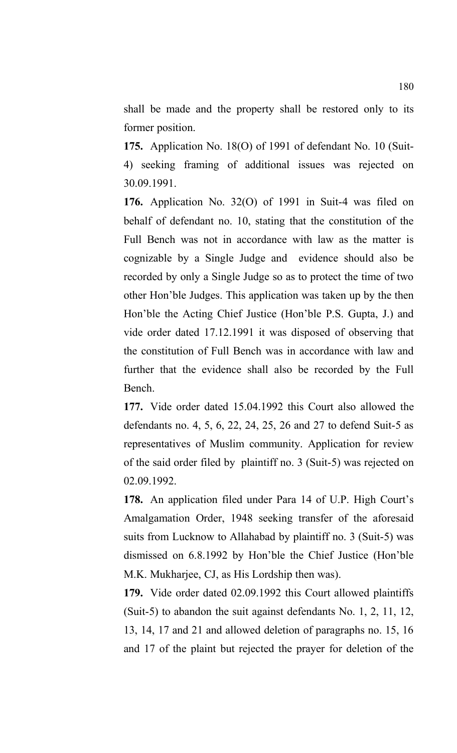shall be made and the property shall be restored only to its former position.

**175.** Application No. 18(O) of 1991 of defendant No. 10 (Suit-4) seeking framing of additional issues was rejected on 30.09.1991.

**176.** Application No. 32(O) of 1991 in Suit-4 was filed on behalf of defendant no. 10, stating that the constitution of the Full Bench was not in accordance with law as the matter is cognizable by a Single Judge and evidence should also be recorded by only a Single Judge so as to protect the time of two other Hon'ble Judges. This application was taken up by the then Hon'ble the Acting Chief Justice (Hon'ble P.S. Gupta, J.) and vide order dated 17.12.1991 it was disposed of observing that the constitution of Full Bench was in accordance with law and further that the evidence shall also be recorded by the Full Bench.

**177.** Vide order dated 15.04.1992 this Court also allowed the defendants no. 4, 5, 6, 22, 24, 25, 26 and 27 to defend Suit-5 as representatives of Muslim community. Application for review of the said order filed by plaintiff no. 3 (Suit-5) was rejected on 02.09.1992.

**178.** An application filed under Para 14 of U.P. High Court's Amalgamation Order, 1948 seeking transfer of the aforesaid suits from Lucknow to Allahabad by plaintiff no. 3 (Suit-5) was dismissed on 6.8.1992 by Hon'ble the Chief Justice (Hon'ble M.K. Mukharjee, CJ, as His Lordship then was).

**179.** Vide order dated 02.09.1992 this Court allowed plaintiffs (Suit-5) to abandon the suit against defendants No. 1, 2, 11, 12, 13, 14, 17 and 21 and allowed deletion of paragraphs no. 15, 16 and 17 of the plaint but rejected the prayer for deletion of the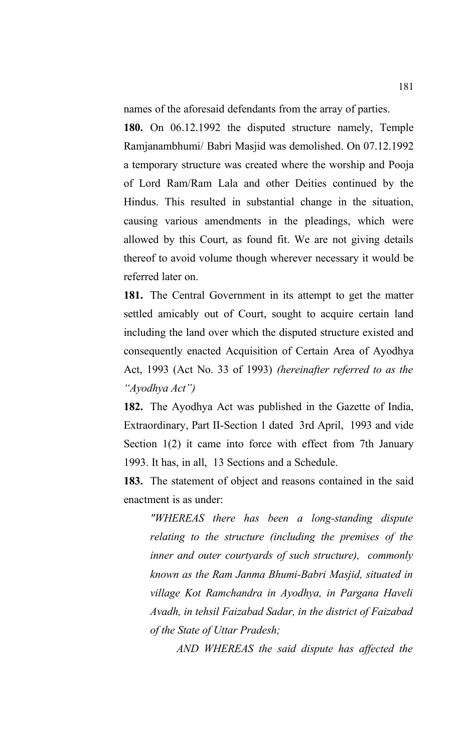names of the aforesaid defendants from the array of parties.

**180.** On 06.12.1992 the disputed structure namely, Temple Ramjanambhumi/ Babri Masjid was demolished. On 07.12.1992 a temporary structure was created where the worship and Pooja of Lord Ram/Ram Lala and other Deities continued by the Hindus. This resulted in substantial change in the situation, causing various amendments in the pleadings, which were allowed by this Court, as found fit. We are not giving details thereof to avoid volume though wherever necessary it would be referred later on.

**181.** The Central Government in its attempt to get the matter settled amicably out of Court, sought to acquire certain land including the land over which the disputed structure existed and consequently enacted Acquisition of Certain Area of Ayodhya Act, 1993 (Act No. 33 of 1993) *(hereinafter referred to as the "Ayodhya Act")* 

**182.** The Ayodhya Act was published in the Gazette of India, Extraordinary, Part II-Section 1 dated 3rd April, 1993 and vide Section 1(2) it came into force with effect from 7th January 1993. It has, in all, 13 Sections and a Schedule.

**183.** The statement of object and reasons contained in the said enactment is as under:

*"WHEREAS there has been a long-standing dispute relating to the structure (including the premises of the inner and outer courtyards of such structure), commonly known as the Ram Janma Bhumi-Babri Masjid, situated in village Kot Ramchandra in Ayodhya, in Pargana Haveli Avadh, in tehsil Faizabad Sadar, in the district of Faizabad of the State of Uttar Pradesh;*

*AND WHEREAS the said dispute has affected the*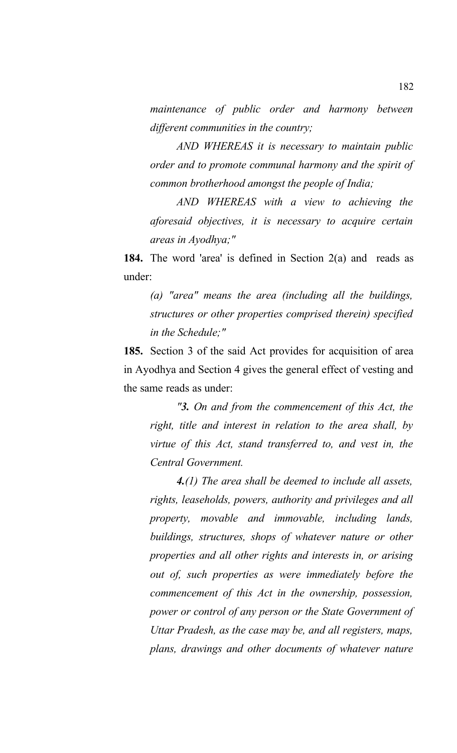*maintenance of public order and harmony between different communities in the country;*

*AND WHEREAS it is necessary to maintain public order and to promote communal harmony and the spirit of common brotherhood amongst the people of India;* 

*AND WHEREAS with a view to achieving the aforesaid objectives, it is necessary to acquire certain areas in Ayodhya;"*

**184.** The word 'area' is defined in Section 2(a) and reads as under:

*(a) "area" means the area (including all the buildings, structures or other properties comprised therein) specified in the Schedule;"*

**185.** Section 3 of the said Act provides for acquisition of area in Ayodhya and Section 4 gives the general effect of vesting and the same reads as under:

*"3. On and from the commencement of this Act, the right, title and interest in relation to the area shall, by virtue of this Act, stand transferred to, and vest in, the Central Government.*

*4.(1) The area shall be deemed to include all assets, rights, leaseholds, powers, authority and privileges and all property, movable and immovable, including lands, buildings, structures, shops of whatever nature or other properties and all other rights and interests in, or arising out of, such properties as were immediately before the commencement of this Act in the ownership, possession, power or control of any person or the State Government of Uttar Pradesh, as the case may be, and all registers, maps, plans, drawings and other documents of whatever nature*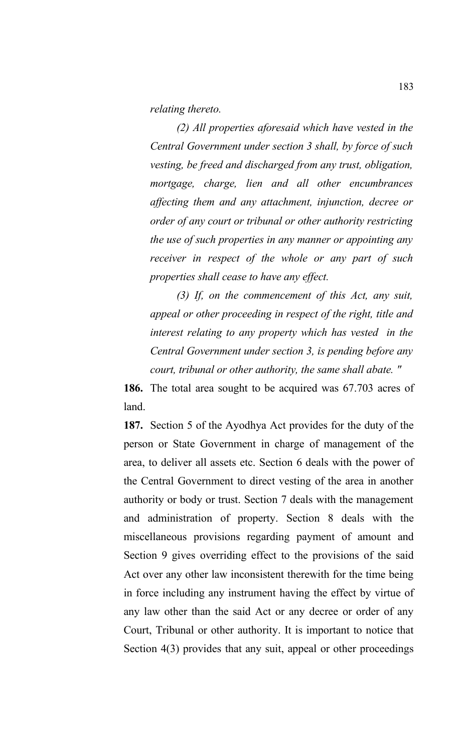*relating thereto.* 

*(2) All properties aforesaid which have vested in the Central Government under section 3 shall, by force of such vesting, be freed and discharged from any trust, obligation, mortgage, charge, lien and all other encumbrances affecting them and any attachment, injunction, decree or order of any court or tribunal or other authority restricting the use of such properties in any manner or appointing any receiver in respect of the whole or any part of such properties shall cease to have any effect.* 

*(3) If, on the commencement of this Act, any suit, appeal or other proceeding in respect of the right, title and interest relating to any property which has vested in the Central Government under section 3, is pending before any court, tribunal or other authority, the same shall abate. "*

**186.** The total area sought to be acquired was 67.703 acres of land.

**187.** Section 5 of the Ayodhya Act provides for the duty of the person or State Government in charge of management of the area, to deliver all assets etc. Section 6 deals with the power of the Central Government to direct vesting of the area in another authority or body or trust. Section 7 deals with the management and administration of property. Section 8 deals with the miscellaneous provisions regarding payment of amount and Section 9 gives overriding effect to the provisions of the said Act over any other law inconsistent therewith for the time being in force including any instrument having the effect by virtue of any law other than the said Act or any decree or order of any Court, Tribunal or other authority. It is important to notice that Section 4(3) provides that any suit, appeal or other proceedings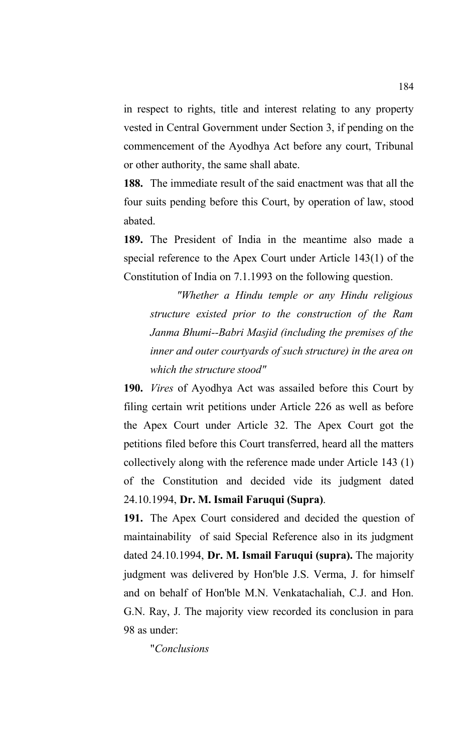in respect to rights, title and interest relating to any property vested in Central Government under Section 3, if pending on the commencement of the Ayodhya Act before any court, Tribunal or other authority, the same shall abate.

**188.** The immediate result of the said enactment was that all the four suits pending before this Court, by operation of law, stood abated.

**189.** The President of India in the meantime also made a special reference to the Apex Court under Article 143(1) of the Constitution of India on 7.1.1993 on the following question.

*"Whether a Hindu temple or any Hindu religious structure existed prior to the construction of the Ram Janma Bhumi--Babri Masjid (including the premises of the inner and outer courtyards of such structure) in the area on which the structure stood"*

**190.** *Vires* of Ayodhya Act was assailed before this Court by filing certain writ petitions under Article 226 as well as before the Apex Court under Article 32. The Apex Court got the petitions filed before this Court transferred, heard all the matters collectively along with the reference made under Article 143 (1) of the Constitution and decided vide its judgment dated 24.10.1994, **Dr. M. Ismail Faruqui (Supra)**.

**191.** The Apex Court considered and decided the question of maintainability of said Special Reference also in its judgment dated 24.10.1994, **Dr. M. Ismail Faruqui (supra).** The majority judgment was delivered by Hon'ble J.S. Verma, J. for himself and on behalf of Hon'ble M.N. Venkatachaliah, C.J. and Hon. G.N. Ray, J. The majority view recorded its conclusion in para 98 as under:

"*Conclusions*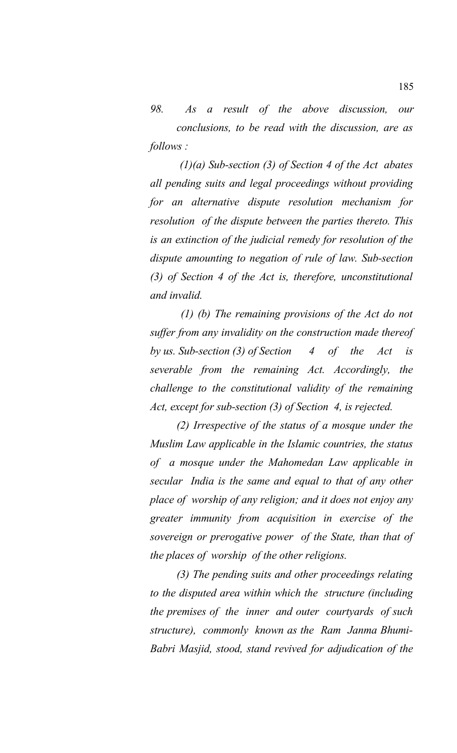*98. As a result of the above discussion, our conclusions, to be read with the discussion, are as follows :*

 *(1)(a) Sub-section (3) of Section 4 of the Act abates all pending suits and legal proceedings without providing for an alternative dispute resolution mechanism for resolution of the dispute between the parties thereto. This is an extinction of the judicial remedy for resolution of the dispute amounting to negation of rule of law. Sub-section (3) of Section 4 of the Act is, therefore, unconstitutional and invalid.*

 *(1) (b) The remaining provisions of the Act do not suffer from any invalidity on the construction made thereof by us. Sub-section (3) of Section 4 of the Act is severable from the remaining Act. Accordingly, the challenge to the constitutional validity of the remaining Act, except for sub-section (3) of Section 4, is rejected.* 

*(2) Irrespective of the status of a mosque under the Muslim Law applicable in the Islamic countries, the status of a mosque under the Mahomedan Law applicable in secular India is the same and equal to that of any other place of worship of any religion; and it does not enjoy any greater immunity from acquisition in exercise of the sovereign or prerogative power of the State, than that of the places of worship of the other religions.*

*(3) The pending suits and other proceedings relating to the disputed area within which the structure (including the premises of the inner and outer courtyards of such structure), commonly known as the Ram Janma Bhumi-Babri Masjid, stood, stand revived for adjudication of the*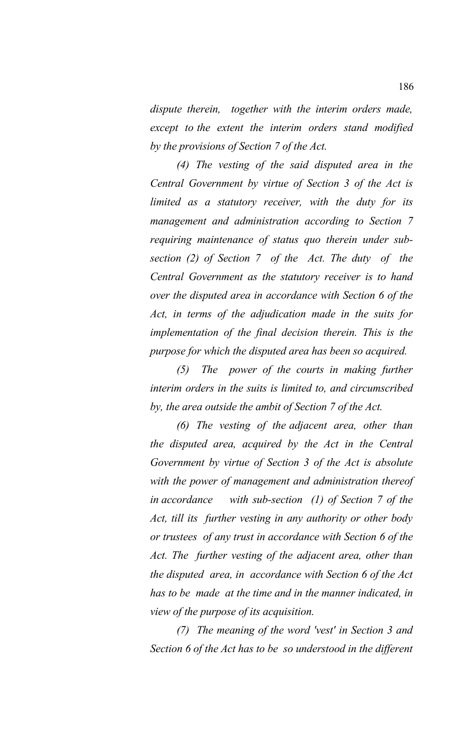*dispute therein, together with the interim orders made, except to the extent the interim orders stand modified by the provisions of Section 7 of the Act.* 

*(4) The vesting of the said disputed area in the Central Government by virtue of Section 3 of the Act is limited as a statutory receiver, with the duty for its management and administration according to Section 7 requiring maintenance of status quo therein under subsection (2) of Section 7 of the Act. The duty of the Central Government as the statutory receiver is to hand over the disputed area in accordance with Section 6 of the Act, in terms of the adjudication made in the suits for implementation of the final decision therein. This is the purpose for which the disputed area has been so acquired.*

*(5) The power of the courts in making further interim orders in the suits is limited to, and circumscribed by, the area outside the ambit of Section 7 of the Act.* 

*(6) The vesting of the adjacent area, other than the disputed area, acquired by the Act in the Central Government by virtue of Section 3 of the Act is absolute with the power of management and administration thereof in accordance with sub-section (1) of Section 7 of the Act, till its further vesting in any authority or other body or trustees of any trust in accordance with Section 6 of the Act. The further vesting of the adjacent area, other than the disputed area, in accordance with Section 6 of the Act has to be made at the time and in the manner indicated, in view of the purpose of its acquisition.*

*(7) The meaning of the word 'vest' in Section 3 and Section 6 of the Act has to be so understood in the different*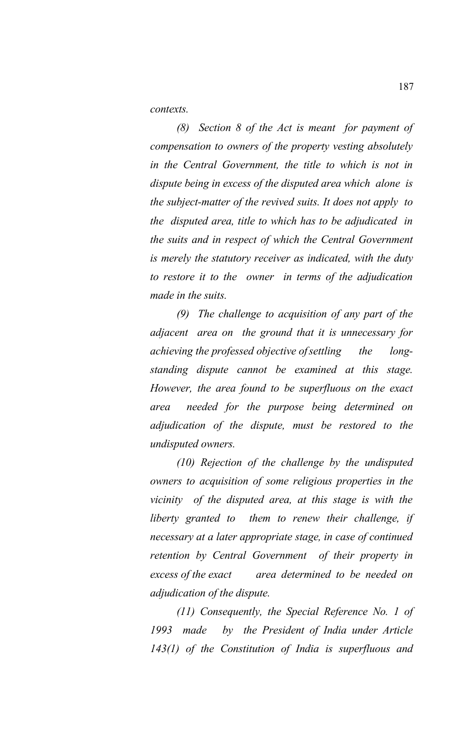*contexts.* 

*(8) Section 8 of the Act is meant for payment of compensation to owners of the property vesting absolutely in the Central Government, the title to which is not in dispute being in excess of the disputed area which alone is the subject-matter of the revived suits. It does not apply to the disputed area, title to which has to be adjudicated in the suits and in respect of which the Central Government is merely the statutory receiver as indicated, with the duty to restore it to the owner in terms of the adjudication made in the suits.*

*(9) The challenge to acquisition of any part of the adjacent area on the ground that it is unnecessary for achieving the professed objective ofsettling the longstanding dispute cannot be examined at this stage. However, the area found to be superfluous on the exact area needed for the purpose being determined on adjudication of the dispute, must be restored to the undisputed owners.* 

*(10) Rejection of the challenge by the undisputed owners to acquisition of some religious properties in the vicinity of the disputed area, at this stage is with the liberty granted to them to renew their challenge, if necessary at a later appropriate stage, in case of continued retention by Central Government of their property in excess of the exact area determined to be needed on adjudication of the dispute.*

*(11) Consequently, the Special Reference No. 1 of 1993 made by the President of India under Article 143(1) of the Constitution of India is superfluous and*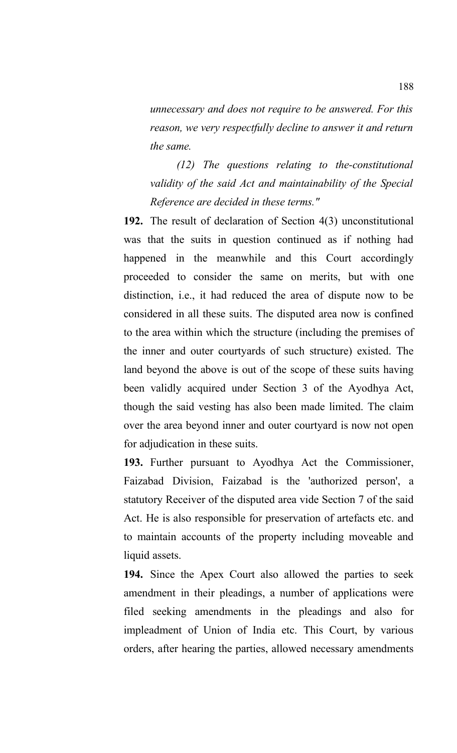*unnecessary and does not require to be answered. For this reason, we very respectfully decline to answer it and return the same.*

*(12) The questions relating to the-constitutional validity of the said Act and maintainability of the Special Reference are decided in these terms."* 

**192.** The result of declaration of Section 4(3) unconstitutional was that the suits in question continued as if nothing had happened in the meanwhile and this Court accordingly proceeded to consider the same on merits, but with one distinction, i.e., it had reduced the area of dispute now to be considered in all these suits. The disputed area now is confined to the area within which the structure (including the premises of the inner and outer courtyards of such structure) existed. The land beyond the above is out of the scope of these suits having been validly acquired under Section 3 of the Ayodhya Act, though the said vesting has also been made limited. The claim over the area beyond inner and outer courtyard is now not open for adjudication in these suits.

**193.** Further pursuant to Ayodhya Act the Commissioner, Faizabad Division, Faizabad is the 'authorized person', a statutory Receiver of the disputed area vide Section 7 of the said Act. He is also responsible for preservation of artefacts etc. and to maintain accounts of the property including moveable and liquid assets.

**194.** Since the Apex Court also allowed the parties to seek amendment in their pleadings, a number of applications were filed seeking amendments in the pleadings and also for impleadment of Union of India etc. This Court, by various orders, after hearing the parties, allowed necessary amendments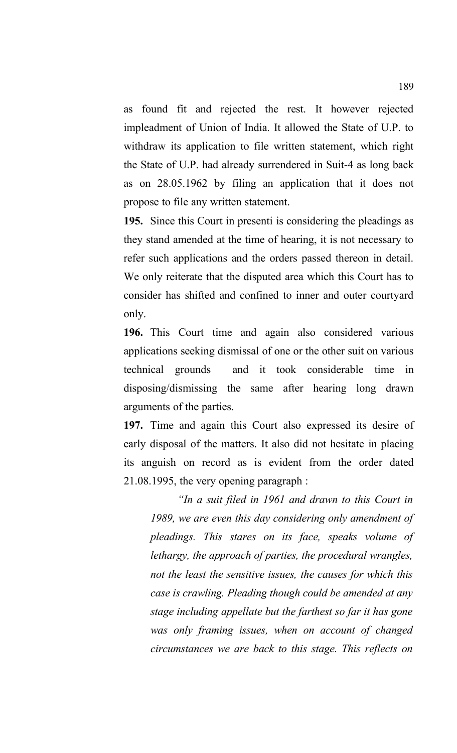as found fit and rejected the rest. It however rejected impleadment of Union of India. It allowed the State of U.P. to withdraw its application to file written statement, which right the State of U.P. had already surrendered in Suit-4 as long back as on 28.05.1962 by filing an application that it does not propose to file any written statement.

**195.** Since this Court in presenti is considering the pleadings as they stand amended at the time of hearing, it is not necessary to refer such applications and the orders passed thereon in detail. We only reiterate that the disputed area which this Court has to consider has shifted and confined to inner and outer courtyard only.

**196.** This Court time and again also considered various applications seeking dismissal of one or the other suit on various technical grounds and it took considerable time in disposing/dismissing the same after hearing long drawn arguments of the parties.

**197.** Time and again this Court also expressed its desire of early disposal of the matters. It also did not hesitate in placing its anguish on record as is evident from the order dated 21.08.1995, the very opening paragraph :

*"In a suit filed in 1961 and drawn to this Court in 1989, we are even this day considering only amendment of pleadings. This stares on its face, speaks volume of lethargy, the approach of parties, the procedural wrangles, not the least the sensitive issues, the causes for which this case is crawling. Pleading though could be amended at any stage including appellate but the farthest so far it has gone was only framing issues, when on account of changed circumstances we are back to this stage. This reflects on*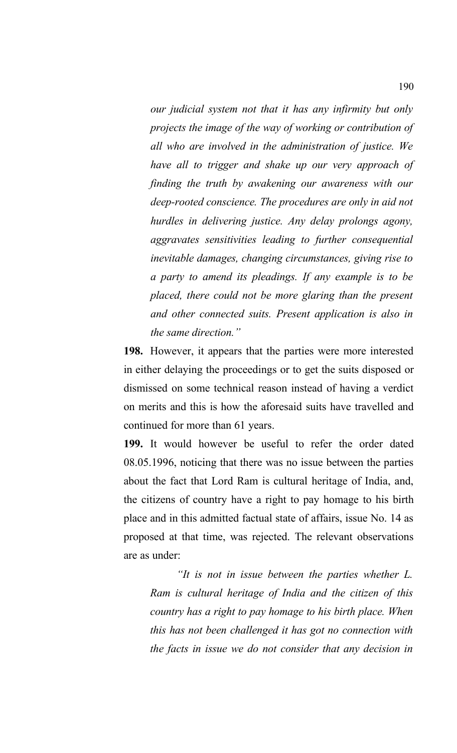*our judicial system not that it has any infirmity but only projects the image of the way of working or contribution of all who are involved in the administration of justice. We have all to trigger and shake up our very approach of finding the truth by awakening our awareness with our deep-rooted conscience. The procedures are only in aid not hurdles in delivering justice. Any delay prolongs agony, aggravates sensitivities leading to further consequential inevitable damages, changing circumstances, giving rise to a party to amend its pleadings. If any example is to be placed, there could not be more glaring than the present and other connected suits. Present application is also in the same direction."*

**198.** However, it appears that the parties were more interested in either delaying the proceedings or to get the suits disposed or dismissed on some technical reason instead of having a verdict on merits and this is how the aforesaid suits have travelled and continued for more than 61 years.

**199.** It would however be useful to refer the order dated 08.05.1996, noticing that there was no issue between the parties about the fact that Lord Ram is cultural heritage of India, and, the citizens of country have a right to pay homage to his birth place and in this admitted factual state of affairs, issue No. 14 as proposed at that time, was rejected. The relevant observations are as under:

*"It is not in issue between the parties whether L. Ram is cultural heritage of India and the citizen of this country has a right to pay homage to his birth place. When this has not been challenged it has got no connection with the facts in issue we do not consider that any decision in*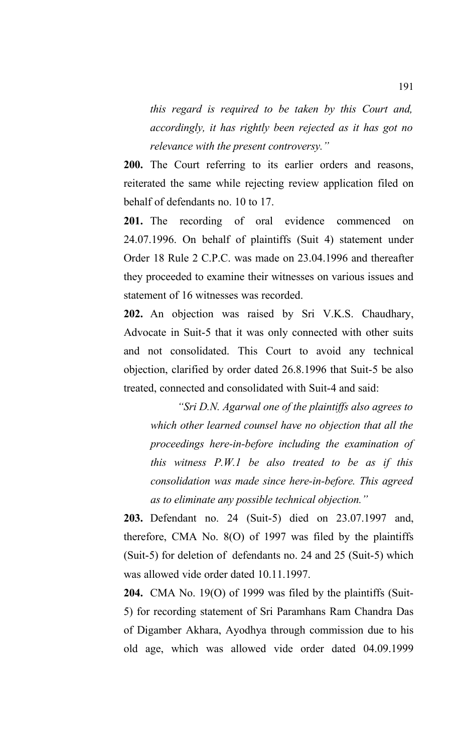*this regard is required to be taken by this Court and, accordingly, it has rightly been rejected as it has got no relevance with the present controversy."*

**200.** The Court referring to its earlier orders and reasons, reiterated the same while rejecting review application filed on behalf of defendants no. 10 to 17.

**201.** The recording of oral evidence commenced on 24.07.1996. On behalf of plaintiffs (Suit 4) statement under Order 18 Rule 2 C.P.C. was made on 23.04.1996 and thereafter they proceeded to examine their witnesses on various issues and statement of 16 witnesses was recorded.

**202.** An objection was raised by Sri V.K.S. Chaudhary, Advocate in Suit-5 that it was only connected with other suits and not consolidated. This Court to avoid any technical objection, clarified by order dated 26.8.1996 that Suit-5 be also treated, connected and consolidated with Suit-4 and said:

*"Sri D.N. Agarwal one of the plaintiffs also agrees to which other learned counsel have no objection that all the proceedings here-in-before including the examination of this witness P.W.1 be also treated to be as if this consolidation was made since here-in-before. This agreed as to eliminate any possible technical objection."*

**203.** Defendant no. 24 (Suit-5) died on 23.07.1997 and, therefore, CMA No. 8(O) of 1997 was filed by the plaintiffs (Suit-5) for deletion of defendants no. 24 and 25 (Suit-5) which was allowed vide order dated 10.11.1997.

**204.** CMA No. 19(O) of 1999 was filed by the plaintiffs (Suit-5) for recording statement of Sri Paramhans Ram Chandra Das of Digamber Akhara, Ayodhya through commission due to his old age, which was allowed vide order dated 04.09.1999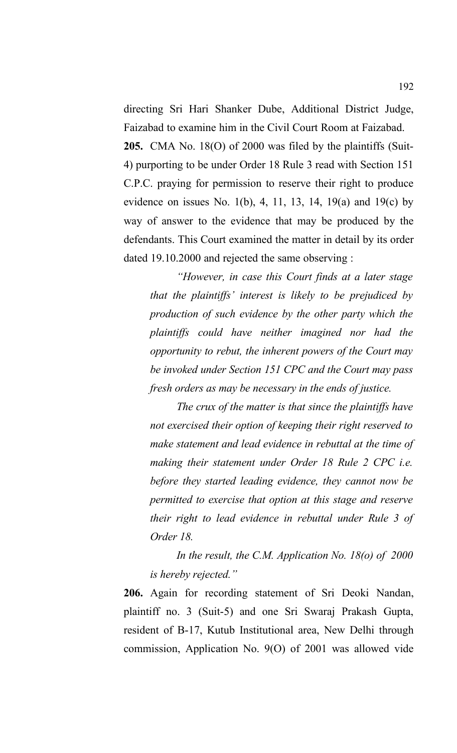directing Sri Hari Shanker Dube, Additional District Judge, Faizabad to examine him in the Civil Court Room at Faizabad.

**205.** CMA No. 18(O) of 2000 was filed by the plaintiffs (Suit-4) purporting to be under Order 18 Rule 3 read with Section 151 C.P.C. praying for permission to reserve their right to produce evidence on issues No. 1(b), 4, 11, 13, 14, 19(a) and 19(c) by way of answer to the evidence that may be produced by the defendants. This Court examined the matter in detail by its order dated 19.10.2000 and rejected the same observing :

*"However, in case this Court finds at a later stage that the plaintiffs' interest is likely to be prejudiced by production of such evidence by the other party which the plaintiffs could have neither imagined nor had the opportunity to rebut, the inherent powers of the Court may be invoked under Section 151 CPC and the Court may pass fresh orders as may be necessary in the ends of justice.* 

*The crux of the matter is that since the plaintiffs have not exercised their option of keeping their right reserved to make statement and lead evidence in rebuttal at the time of making their statement under Order 18 Rule 2 CPC i.e. before they started leading evidence, they cannot now be permitted to exercise that option at this stage and reserve their right to lead evidence in rebuttal under Rule 3 of Order 18.* 

*In the result, the C.M. Application No. 18(o) of 2000 is hereby rejected."*

**206.** Again for recording statement of Sri Deoki Nandan, plaintiff no. 3 (Suit-5) and one Sri Swaraj Prakash Gupta, resident of B-17, Kutub Institutional area, New Delhi through commission, Application No. 9(O) of 2001 was allowed vide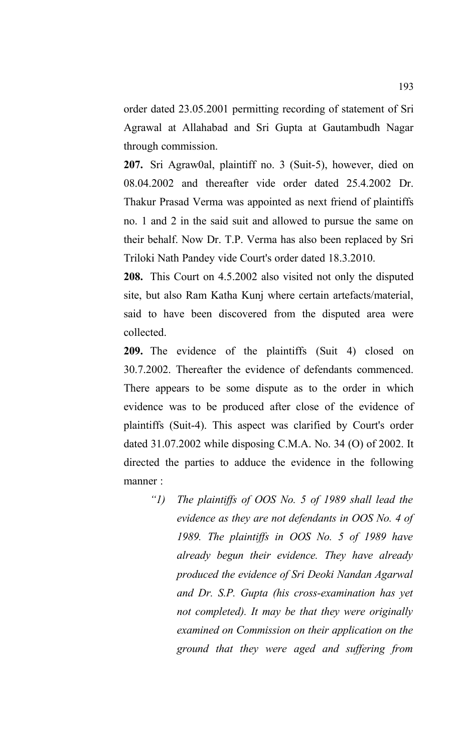order dated 23.05.2001 permitting recording of statement of Sri Agrawal at Allahabad and Sri Gupta at Gautambudh Nagar through commission.

**207.** Sri Agraw0al, plaintiff no. 3 (Suit-5), however, died on 08.04.2002 and thereafter vide order dated 25.4.2002 Dr. Thakur Prasad Verma was appointed as next friend of plaintiffs no. 1 and 2 in the said suit and allowed to pursue the same on their behalf. Now Dr. T.P. Verma has also been replaced by Sri Triloki Nath Pandey vide Court's order dated 18.3.2010.

**208.** This Court on 4.5.2002 also visited not only the disputed site, but also Ram Katha Kunj where certain artefacts/material, said to have been discovered from the disputed area were collected.

**209.** The evidence of the plaintiffs (Suit 4) closed on 30.7.2002. Thereafter the evidence of defendants commenced. There appears to be some dispute as to the order in which evidence was to be produced after close of the evidence of plaintiffs (Suit-4). This aspect was clarified by Court's order dated 31.07.2002 while disposing C.M.A. No. 34 (O) of 2002. It directed the parties to adduce the evidence in the following manner :

*"1) The plaintiffs of OOS No. 5 of 1989 shall lead the evidence as they are not defendants in OOS No. 4 of 1989. The plaintiffs in OOS No. 5 of 1989 have already begun their evidence. They have already produced the evidence of Sri Deoki Nandan Agarwal and Dr. S.P. Gupta (his cross-examination has yet not completed). It may be that they were originally examined on Commission on their application on the ground that they were aged and suffering from*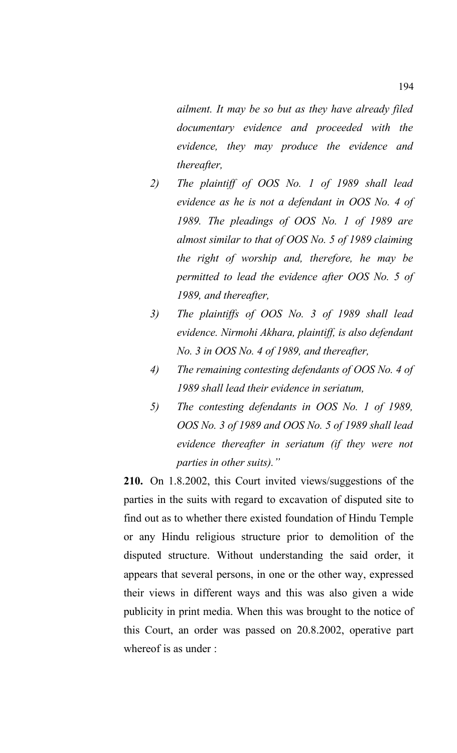*ailment. It may be so but as they have already filed documentary evidence and proceeded with the evidence, they may produce the evidence and thereafter,* 

- *2) The plaintiff of OOS No. 1 of 1989 shall lead evidence as he is not a defendant in OOS No. 4 of 1989. The pleadings of OOS No. 1 of 1989 are almost similar to that of OOS No. 5 of 1989 claiming the right of worship and, therefore, he may be permitted to lead the evidence after OOS No. 5 of 1989, and thereafter,*
- *3) The plaintiffs of OOS No. 3 of 1989 shall lead evidence. Nirmohi Akhara, plaintiff, is also defendant No. 3 in OOS No. 4 of 1989, and thereafter,*
- *4) The remaining contesting defendants of OOS No. 4 of 1989 shall lead their evidence in seriatum,*
- *5) The contesting defendants in OOS No. 1 of 1989, OOS No. 3 of 1989 and OOS No. 5 of 1989 shall lead evidence thereafter in seriatum (if they were not parties in other suits)."*

**210.** On 1.8.2002, this Court invited views/suggestions of the parties in the suits with regard to excavation of disputed site to find out as to whether there existed foundation of Hindu Temple or any Hindu religious structure prior to demolition of the disputed structure. Without understanding the said order, it appears that several persons, in one or the other way, expressed their views in different ways and this was also given a wide publicity in print media. When this was brought to the notice of this Court, an order was passed on 20.8.2002, operative part whereof is as under :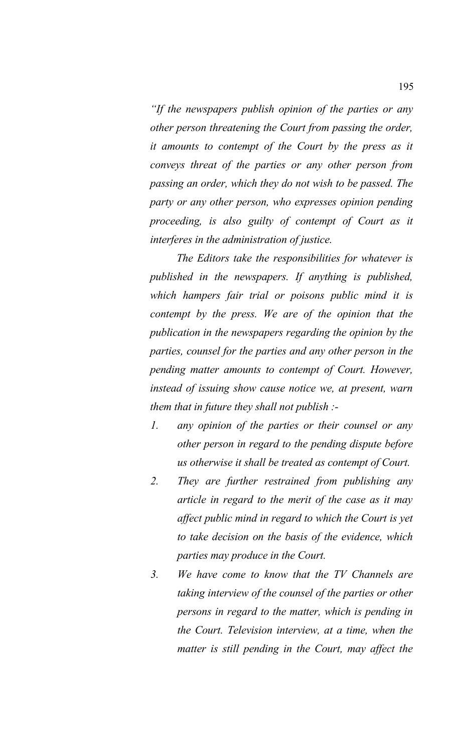*"If the newspapers publish opinion of the parties or any other person threatening the Court from passing the order, it amounts to contempt of the Court by the press as it conveys threat of the parties or any other person from passing an order, which they do not wish to be passed. The party or any other person, who expresses opinion pending proceeding, is also guilty of contempt of Court as it interferes in the administration of justice.*

*The Editors take the responsibilities for whatever is published in the newspapers. If anything is published, which hampers fair trial or poisons public mind it is contempt by the press. We are of the opinion that the publication in the newspapers regarding the opinion by the parties, counsel for the parties and any other person in the pending matter amounts to contempt of Court. However, instead of issuing show cause notice we, at present, warn them that in future they shall not publish :-*

- *1. any opinion of the parties or their counsel or any other person in regard to the pending dispute before us otherwise it shall be treated as contempt of Court.*
- *2. They are further restrained from publishing any article in regard to the merit of the case as it may affect public mind in regard to which the Court is yet to take decision on the basis of the evidence, which parties may produce in the Court.*
- *3. We have come to know that the TV Channels are taking interview of the counsel of the parties or other persons in regard to the matter, which is pending in the Court. Television interview, at a time, when the matter is still pending in the Court, may affect the*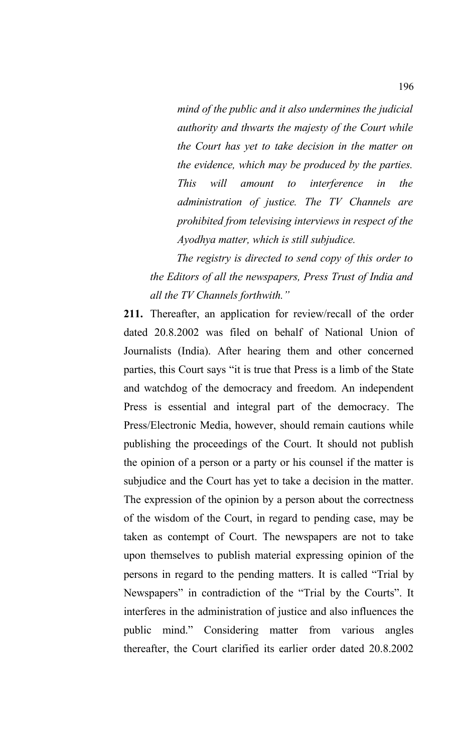*mind of the public and it also undermines the judicial authority and thwarts the majesty of the Court while the Court has yet to take decision in the matter on the evidence, which may be produced by the parties. This will amount to interference in the administration of justice. The TV Channels are prohibited from televising interviews in respect of the Ayodhya matter, which is still subjudice.* 

*The registry is directed to send copy of this order to the Editors of all the newspapers, Press Trust of India and all the TV Channels forthwith."*

**211.** Thereafter, an application for review/recall of the order dated 20.8.2002 was filed on behalf of National Union of Journalists (India). After hearing them and other concerned parties, this Court says "it is true that Press is a limb of the State and watchdog of the democracy and freedom. An independent Press is essential and integral part of the democracy. The Press/Electronic Media, however, should remain cautions while publishing the proceedings of the Court. It should not publish the opinion of a person or a party or his counsel if the matter is subjudice and the Court has yet to take a decision in the matter. The expression of the opinion by a person about the correctness of the wisdom of the Court, in regard to pending case, may be taken as contempt of Court. The newspapers are not to take upon themselves to publish material expressing opinion of the persons in regard to the pending matters. It is called "Trial by Newspapers" in contradiction of the "Trial by the Courts". It interferes in the administration of justice and also influences the public mind." Considering matter from various angles thereafter, the Court clarified its earlier order dated 20.8.2002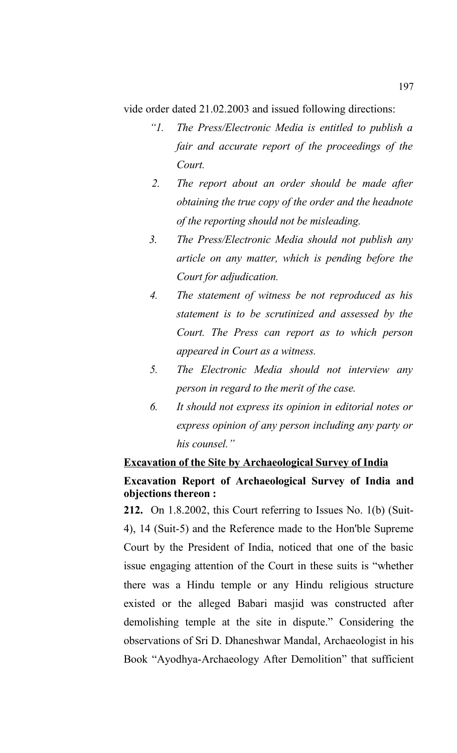vide order dated 21.02.2003 and issued following directions:

- *"1. The Press/Electronic Media is entitled to publish a fair and accurate report of the proceedings of the Court.*
- *2. The report about an order should be made after obtaining the true copy of the order and the headnote of the reporting should not be misleading.*
- *3. The Press/Electronic Media should not publish any article on any matter, which is pending before the Court for adjudication.*
- *4. The statement of witness be not reproduced as his statement is to be scrutinized and assessed by the Court. The Press can report as to which person appeared in Court as a witness.*
- *5. The Electronic Media should not interview any person in regard to the merit of the case.*
- *6. It should not express its opinion in editorial notes or express opinion of any person including any party or his counsel."*

## **Excavation of the Site by Archaeological Survey of India**

## **Excavation Report of Archaeological Survey of India and objections thereon :**

**212.** On 1.8.2002, this Court referring to Issues No. 1(b) (Suit-4), 14 (Suit-5) and the Reference made to the Hon'ble Supreme Court by the President of India, noticed that one of the basic issue engaging attention of the Court in these suits is "whether there was a Hindu temple or any Hindu religious structure existed or the alleged Babari masjid was constructed after demolishing temple at the site in dispute." Considering the observations of Sri D. Dhaneshwar Mandal, Archaeologist in his Book "Ayodhya-Archaeology After Demolition" that sufficient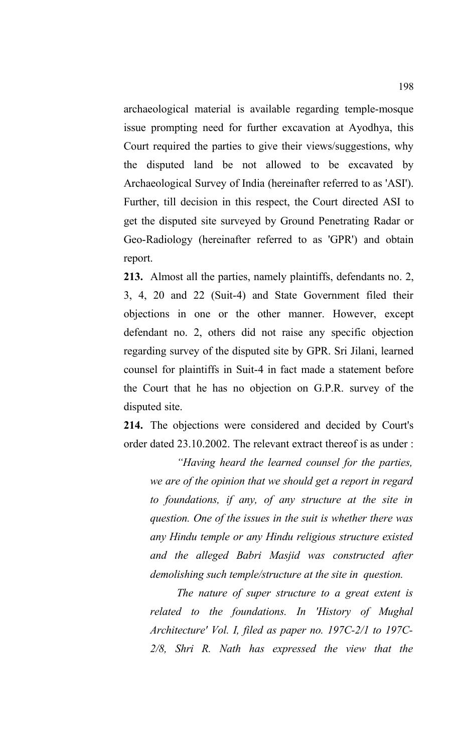archaeological material is available regarding temple-mosque issue prompting need for further excavation at Ayodhya, this Court required the parties to give their views/suggestions, why the disputed land be not allowed to be excavated by Archaeological Survey of India (hereinafter referred to as 'ASI'). Further, till decision in this respect, the Court directed ASI to get the disputed site surveyed by Ground Penetrating Radar or Geo-Radiology (hereinafter referred to as 'GPR') and obtain report.

**213.** Almost all the parties, namely plaintiffs, defendants no. 2, 3, 4, 20 and 22 (Suit-4) and State Government filed their objections in one or the other manner. However, except defendant no. 2, others did not raise any specific objection regarding survey of the disputed site by GPR. Sri Jilani, learned counsel for plaintiffs in Suit-4 in fact made a statement before the Court that he has no objection on G.P.R. survey of the disputed site.

**214.** The objections were considered and decided by Court's order dated 23.10.2002. The relevant extract thereof is as under :

*"Having heard the learned counsel for the parties, we are of the opinion that we should get a report in regard to foundations, if any, of any structure at the site in question. One of the issues in the suit is whether there was any Hindu temple or any Hindu religious structure existed and the alleged Babri Masjid was constructed after demolishing such temple/structure at the site in question.*

*The nature of super structure to a great extent is related to the foundations. In 'History of Mughal Architecture' Vol. I, filed as paper no. 197C-2/1 to 197C-2/8, Shri R. Nath has expressed the view that the*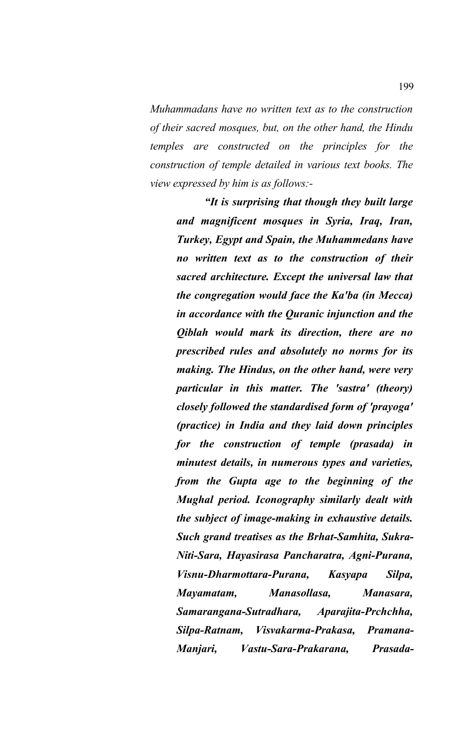*Muhammadans have no written text as to the construction of their sacred mosques, but, on the other hand, the Hindu temples are constructed on the principles for the construction of temple detailed in various text books. The view expressed by him is as follows:-*

*"It is surprising that though they built large and magnificent mosques in Syria, Iraq, Iran, Turkey, Egypt and Spain, the Muhammedans have no written text as to the construction of their sacred architecture. Except the universal law that the congregation would face the Ka'ba (in Mecca) in accordance with the Quranic injunction and the Qiblah would mark its direction, there are no prescribed rules and absolutely no norms for its making. The Hindus, on the other hand, were very particular in this matter. The 'sastra' (theory) closely followed the standardised form of 'prayoga' (practice) in India and they laid down principles for the construction of temple (prasada) in minutest details, in numerous types and varieties, from the Gupta age to the beginning of the Mughal period. Iconography similarly dealt with the subject of image-making in exhaustive details. Such grand treatises as the Brhat-Samhita, Sukra-Niti-Sara, Hayasirasa Pancharatra, Agni-Purana, Visnu-Dharmottara-Purana, Kasyapa Silpa, Mayamatam, Manasollasa, Manasara, Samarangana-Sutradhara, Aparajita-Prchchha, Silpa-Ratnam, Visvakarma-Prakasa, Pramana-Manjari, Vastu-Sara-Prakarana, Prasada-*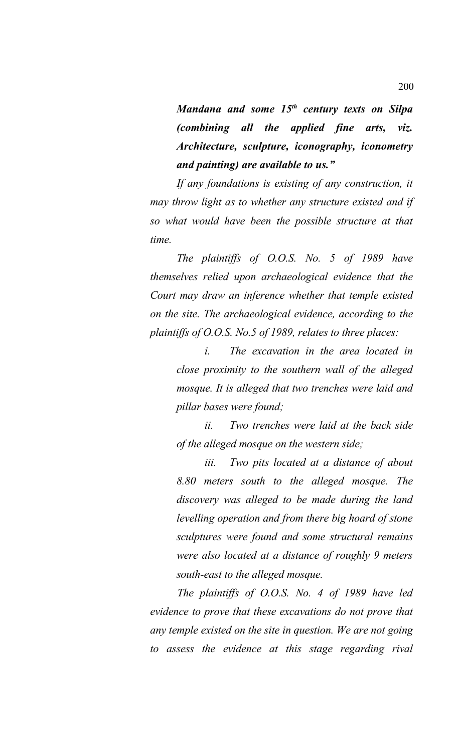*Mandana and some 15th century texts on Silpa (combining all the applied fine arts, viz. Architecture, sculpture, iconography, iconometry and painting) are available to us."*

*If any foundations is existing of any construction, it may throw light as to whether any structure existed and if so what would have been the possible structure at that time.* 

*The plaintiffs of O.O.S. No. 5 of 1989 have themselves relied upon archaeological evidence that the Court may draw an inference whether that temple existed on the site. The archaeological evidence, according to the plaintiffs of O.O.S. No.5 of 1989, relates to three places:*

*i. The excavation in the area located in close proximity to the southern wall of the alleged mosque. It is alleged that two trenches were laid and pillar bases were found;*

*ii. Two trenches were laid at the back side of the alleged mosque on the western side;*

*iii. Two pits located at a distance of about 8.80 meters south to the alleged mosque. The discovery was alleged to be made during the land levelling operation and from there big hoard of stone sculptures were found and some structural remains were also located at a distance of roughly 9 meters south-east to the alleged mosque.* 

*The plaintiffs of O.O.S. No. 4 of 1989 have led evidence to prove that these excavations do not prove that any temple existed on the site in question. We are not going to assess the evidence at this stage regarding rival*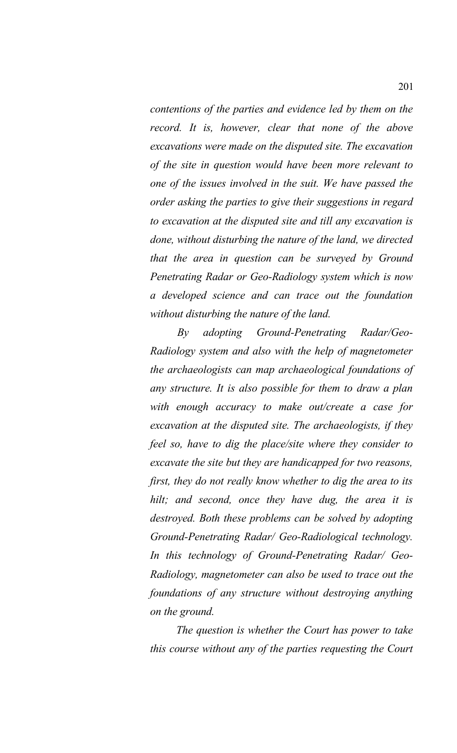*contentions of the parties and evidence led by them on the record. It is, however, clear that none of the above excavations were made on the disputed site. The excavation of the site in question would have been more relevant to one of the issues involved in the suit. We have passed the order asking the parties to give their suggestions in regard to excavation at the disputed site and till any excavation is done, without disturbing the nature of the land, we directed that the area in question can be surveyed by Ground Penetrating Radar or Geo-Radiology system which is now a developed science and can trace out the foundation without disturbing the nature of the land.* 

*By adopting Ground-Penetrating Radar/Geo-Radiology system and also with the help of magnetometer the archaeologists can map archaeological foundations of any structure. It is also possible for them to draw a plan with enough accuracy to make out/create a case for excavation at the disputed site. The archaeologists, if they feel so, have to dig the place/site where they consider to excavate the site but they are handicapped for two reasons, first, they do not really know whether to dig the area to its hilt; and second, once they have dug, the area it is destroyed. Both these problems can be solved by adopting Ground-Penetrating Radar/ Geo-Radiological technology. In this technology of Ground-Penetrating Radar/ Geo-Radiology, magnetometer can also be used to trace out the foundations of any structure without destroying anything on the ground.* 

*The question is whether the Court has power to take this course without any of the parties requesting the Court*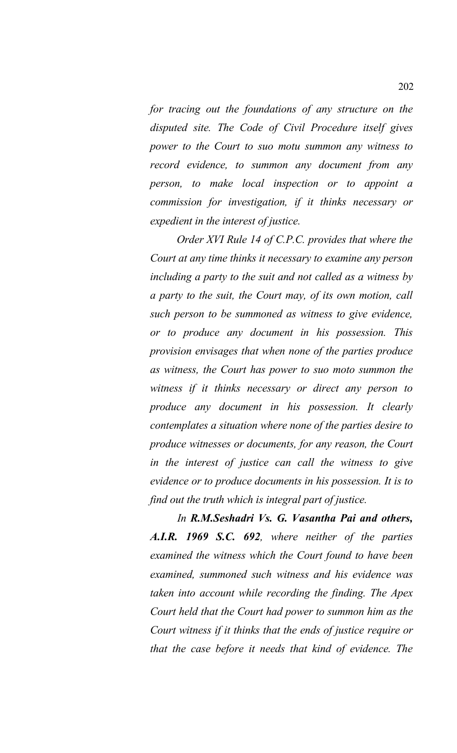*for tracing out the foundations of any structure on the disputed site. The Code of Civil Procedure itself gives power to the Court to suo motu summon any witness to record evidence, to summon any document from any person, to make local inspection or to appoint a commission for investigation, if it thinks necessary or expedient in the interest of justice.* 

*Order XVI Rule 14 of C.P.C. provides that where the Court at any time thinks it necessary to examine any person including a party to the suit and not called as a witness by a party to the suit, the Court may, of its own motion, call such person to be summoned as witness to give evidence, or to produce any document in his possession. This provision envisages that when none of the parties produce as witness, the Court has power to suo moto summon the witness if it thinks necessary or direct any person to produce any document in his possession. It clearly contemplates a situation where none of the parties desire to produce witnesses or documents, for any reason, the Court in the interest of justice can call the witness to give evidence or to produce documents in his possession. It is to find out the truth which is integral part of justice.* 

*In R.M.Seshadri Vs. G. Vasantha Pai and others, A.I.R. 1969 S.C. 692, where neither of the parties examined the witness which the Court found to have been examined, summoned such witness and his evidence was taken into account while recording the finding. The Apex Court held that the Court had power to summon him as the Court witness if it thinks that the ends of justice require or that the case before it needs that kind of evidence. The*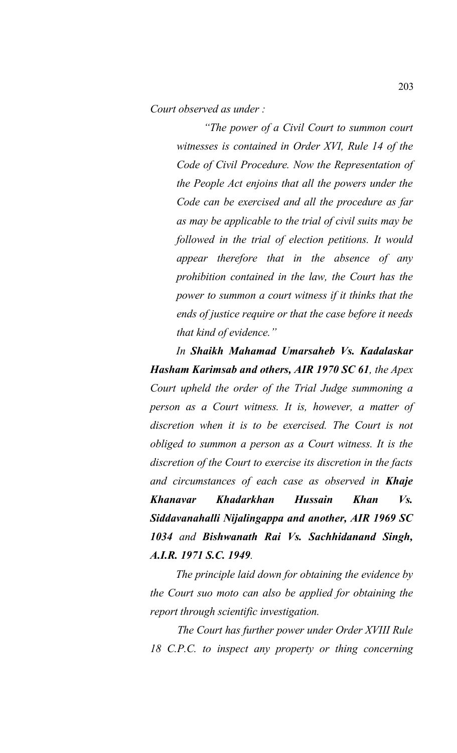*Court observed as under :* 

*"The power of a Civil Court to summon court witnesses is contained in Order XVI, Rule 14 of the Code of Civil Procedure. Now the Representation of the People Act enjoins that all the powers under the Code can be exercised and all the procedure as far as may be applicable to the trial of civil suits may be followed in the trial of election petitions. It would appear therefore that in the absence of any prohibition contained in the law, the Court has the power to summon a court witness if it thinks that the ends of justice require or that the case before it needs that kind of evidence."*

*In Shaikh Mahamad Umarsaheb Vs. Kadalaskar Hasham Karimsab and others, AIR 1970 SC 61, the Apex Court upheld the order of the Trial Judge summoning a person as a Court witness. It is, however, a matter of discretion when it is to be exercised. The Court is not obliged to summon a person as a Court witness. It is the discretion of the Court to exercise its discretion in the facts and circumstances of each case as observed in Khaje Khanavar Khadarkhan Hussain Khan Vs. Siddavanahalli Nijalingappa and another, AIR 1969 SC 1034 and Bishwanath Rai Vs. Sachhidanand Singh, A.I.R. 1971 S.C. 1949.*

*The principle laid down for obtaining the evidence by the Court suo moto can also be applied for obtaining the report through scientific investigation.* 

*The Court has further power under Order XVIII Rule 18 C.P.C. to inspect any property or thing concerning*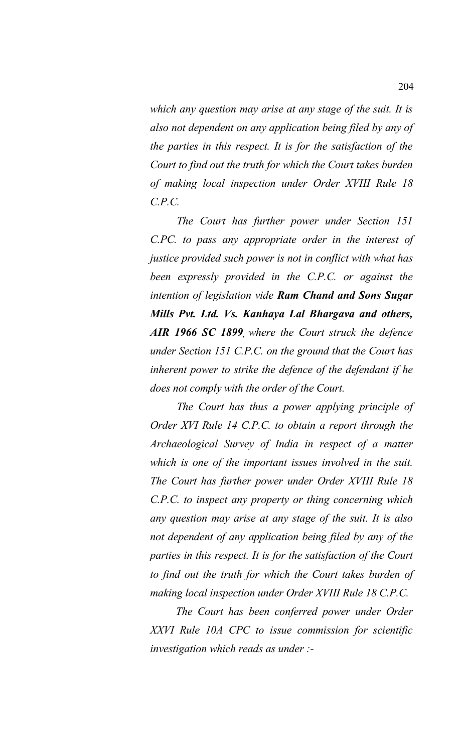*which any question may arise at any stage of the suit. It is also not dependent on any application being filed by any of the parties in this respect. It is for the satisfaction of the Court to find out the truth for which the Court takes burden of making local inspection under Order XVIII Rule 18 C.P.C.*

*The Court has further power under Section 151 C.PC. to pass any appropriate order in the interest of justice provided such power is not in conflict with what has been expressly provided in the C.P.C. or against the intention of legislation vide Ram Chand and Sons Sugar Mills Pvt. Ltd. Vs. Kanhaya Lal Bhargava and others, AIR 1966 SC 1899, where the Court struck the defence under Section 151 C.P.C. on the ground that the Court has inherent power to strike the defence of the defendant if he does not comply with the order of the Court.* 

*The Court has thus a power applying principle of Order XVI Rule 14 C.P.C. to obtain a report through the Archaeological Survey of India in respect of a matter which is one of the important issues involved in the suit. The Court has further power under Order XVIII Rule 18 C.P.C. to inspect any property or thing concerning which any question may arise at any stage of the suit. It is also not dependent of any application being filed by any of the parties in this respect. It is for the satisfaction of the Court to find out the truth for which the Court takes burden of making local inspection under Order XVIII Rule 18 C.P.C.* 

*The Court has been conferred power under Order XXVI Rule 10A CPC to issue commission for scientific investigation which reads as under :-*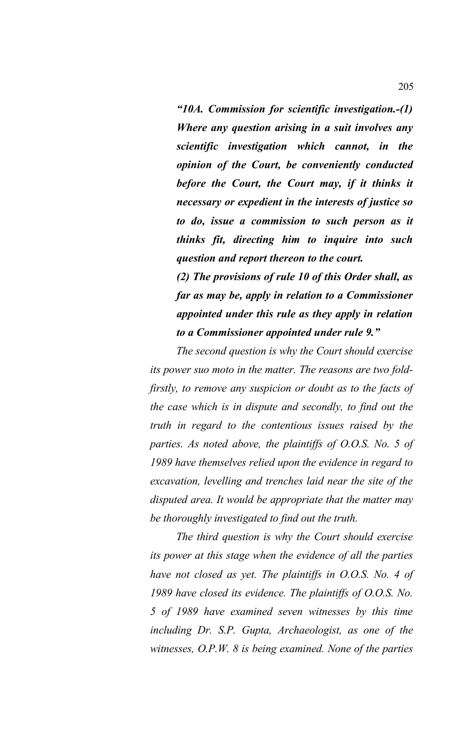*"10A. Commission for scientific investigation.-(1) Where any question arising in a suit involves any scientific investigation which cannot, in the opinion of the Court, be conveniently conducted before the Court, the Court may, if it thinks it necessary or expedient in the interests of justice so to do, issue a commission to such person as it thinks fit, directing him to inquire into such question and report thereon to the court.*

*(2) The provisions of rule 10 of this Order shall, as far as may be, apply in relation to a Commissioner appointed under this rule as they apply in relation to a Commissioner appointed under rule 9."*

*The second question is why the Court should exercise its power suo moto in the matter. The reasons are two foldfirstly, to remove any suspicion or doubt as to the facts of the case which is in dispute and secondly, to find out the truth in regard to the contentious issues raised by the parties. As noted above, the plaintiffs of O.O.S. No. 5 of 1989 have themselves relied upon the evidence in regard to excavation, levelling and trenches laid near the site of the disputed area. It would be appropriate that the matter may be thoroughly investigated to find out the truth.* 

*The third question is why the Court should exercise its power at this stage when the evidence of all the parties have not closed as yet. The plaintiffs in O.O.S. No. 4 of 1989 have closed its evidence. The plaintiffs of O.O.S. No. 5 of 1989 have examined seven witnesses by this time including Dr. S.P. Gupta, Archaeologist, as one of the witnesses, O.P.W. 8 is being examined. None of the parties*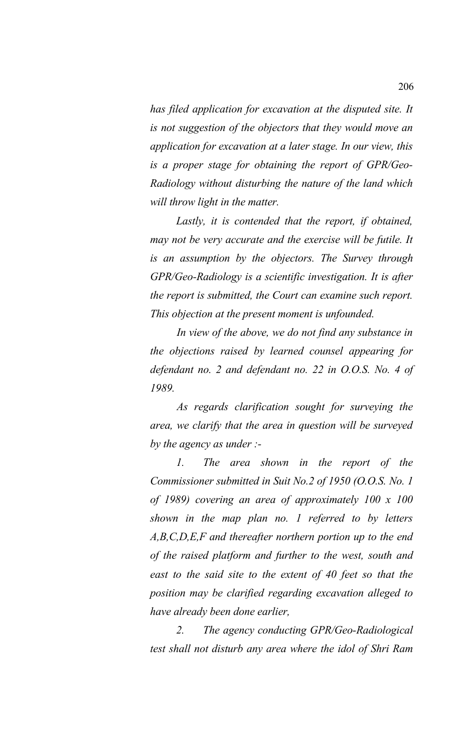*has filed application for excavation at the disputed site. It is not suggestion of the objectors that they would move an application for excavation at a later stage. In our view, this is a proper stage for obtaining the report of GPR/Geo-Radiology without disturbing the nature of the land which will throw light in the matter.* 

*Lastly, it is contended that the report, if obtained, may not be very accurate and the exercise will be futile. It is an assumption by the objectors. The Survey through GPR/Geo-Radiology is a scientific investigation. It is after the report is submitted, the Court can examine such report. This objection at the present moment is unfounded.* 

*In view of the above, we do not find any substance in the objections raised by learned counsel appearing for defendant no. 2 and defendant no. 22 in O.O.S. No. 4 of 1989.*

*As regards clarification sought for surveying the area, we clarify that the area in question will be surveyed by the agency as under :-*

*1. The area shown in the report of the Commissioner submitted in Suit No.2 of 1950 (O.O.S. No. 1 of 1989) covering an area of approximately 100 x 100 shown in the map plan no. 1 referred to by letters A,B,C,D,E,F and thereafter northern portion up to the end of the raised platform and further to the west, south and east to the said site to the extent of 40 feet so that the position may be clarified regarding excavation alleged to have already been done earlier,*

*2. The agency conducting GPR/Geo-Radiological test shall not disturb any area where the idol of Shri Ram*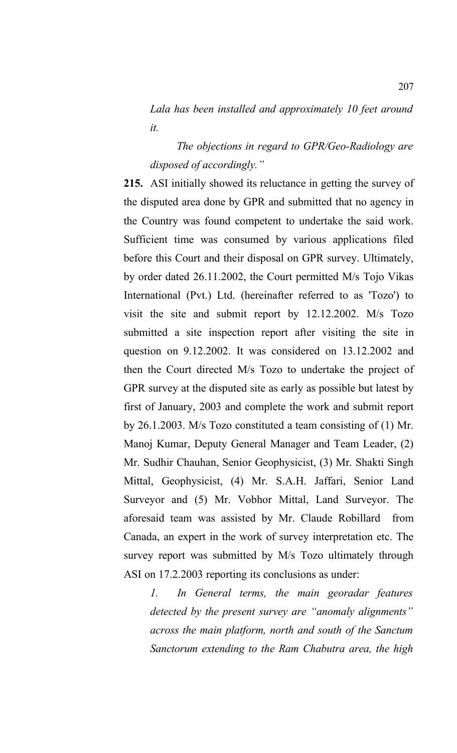*Lala has been installed and approximately 10 feet around it.*

*The objections in regard to GPR/Geo-Radiology are disposed of accordingly."*

**215.** ASI initially showed its reluctance in getting the survey of the disputed area done by GPR and submitted that no agency in the Country was found competent to undertake the said work. Sufficient time was consumed by various applications filed before this Court and their disposal on GPR survey. Ultimately, by order dated 26.11.2002, the Court permitted M/s Tojo Vikas International (Pvt.) Ltd. (hereinafter referred to as 'Tozo') to visit the site and submit report by 12.12.2002. M/s Tozo submitted a site inspection report after visiting the site in question on 9.12.2002. It was considered on 13.12.2002 and then the Court directed M/s Tozo to undertake the project of GPR survey at the disputed site as early as possible but latest by first of January, 2003 and complete the work and submit report by 26.1.2003. M/s Tozo constituted a team consisting of (1) Mr. Manoj Kumar, Deputy General Manager and Team Leader, (2) Mr. Sudhir Chauhan, Senior Geophysicist, (3) Mr. Shakti Singh Mittal, Geophysicist, (4) Mr. S.A.H. Jaffari, Senior Land Surveyor and (5) Mr. Vobhor Mittal, Land Surveyor. The aforesaid team was assisted by Mr. Claude Robillard from Canada, an expert in the work of survey interpretation etc. The survey report was submitted by M/s Tozo ultimately through ASI on 17.2.2003 reporting its conclusions as under:

*1. In General terms, the main georadar features detected by the present survey are "anomaly alignments" across the main platform, north and south of the Sanctum Sanctorum extending to the Ram Chabutra area, the high*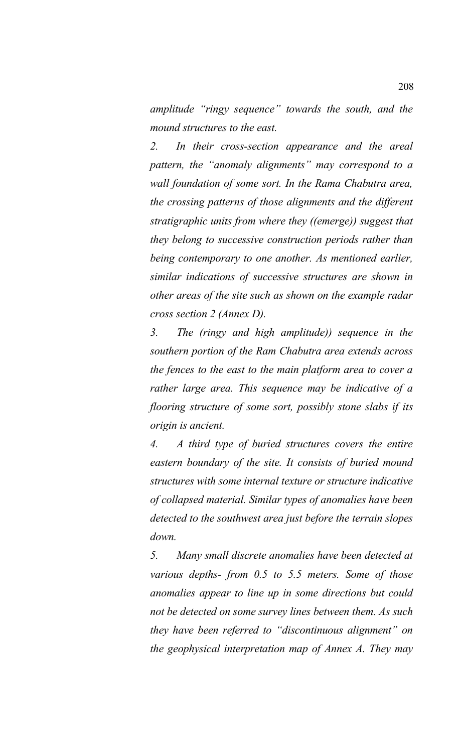*amplitude "ringy sequence" towards the south, and the mound structures to the east.* 

*2. In their cross-section appearance and the areal pattern, the "anomaly alignments" may correspond to a wall foundation of some sort. In the Rama Chabutra area, the crossing patterns of those alignments and the different stratigraphic units from where they ((emerge)) suggest that they belong to successive construction periods rather than being contemporary to one another. As mentioned earlier, similar indications of successive structures are shown in other areas of the site such as shown on the example radar cross section 2 (Annex D).* 

*3. The (ringy and high amplitude)) sequence in the southern portion of the Ram Chabutra area extends across the fences to the east to the main platform area to cover a rather large area. This sequence may be indicative of a flooring structure of some sort, possibly stone slabs if its origin is ancient.* 

*4. A third type of buried structures covers the entire eastern boundary of the site. It consists of buried mound structures with some internal texture or structure indicative of collapsed material. Similar types of anomalies have been detected to the southwest area just before the terrain slopes down.* 

*5. Many small discrete anomalies have been detected at various depths- from 0.5 to 5.5 meters. Some of those anomalies appear to line up in some directions but could not be detected on some survey lines between them. As such they have been referred to "discontinuous alignment" on the geophysical interpretation map of Annex A. They may*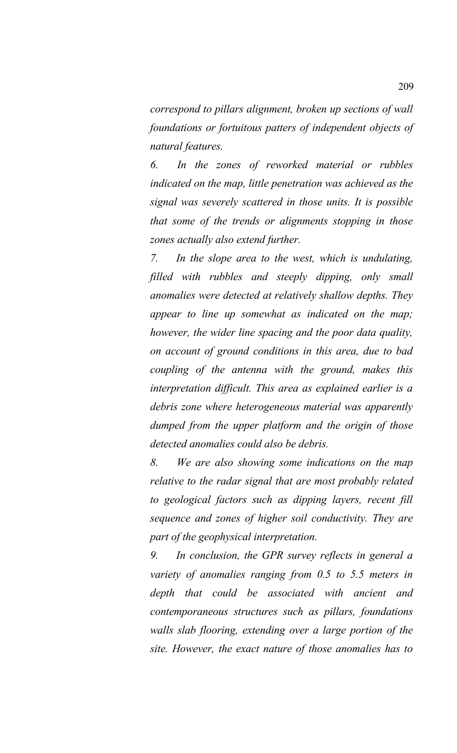*correspond to pillars alignment, broken up sections of wall foundations or fortuitous patters of independent objects of natural features.* 

*6. In the zones of reworked material or rubbles indicated on the map, little penetration was achieved as the signal was severely scattered in those units. It is possible that some of the trends or alignments stopping in those zones actually also extend further.* 

*7. In the slope area to the west, which is undulating, filled with rubbles and steeply dipping, only small anomalies were detected at relatively shallow depths. They appear to line up somewhat as indicated on the map; however, the wider line spacing and the poor data quality, on account of ground conditions in this area, due to bad coupling of the antenna with the ground, makes this interpretation difficult. This area as explained earlier is a debris zone where heterogeneous material was apparently dumped from the upper platform and the origin of those detected anomalies could also be debris.* 

*8. We are also showing some indications on the map relative to the radar signal that are most probably related to geological factors such as dipping layers, recent fill sequence and zones of higher soil conductivity. They are part of the geophysical interpretation.* 

*9. In conclusion, the GPR survey reflects in general a variety of anomalies ranging from 0.5 to 5.5 meters in depth that could be associated with ancient and contemporaneous structures such as pillars, foundations walls slab flooring, extending over a large portion of the site. However, the exact nature of those anomalies has to*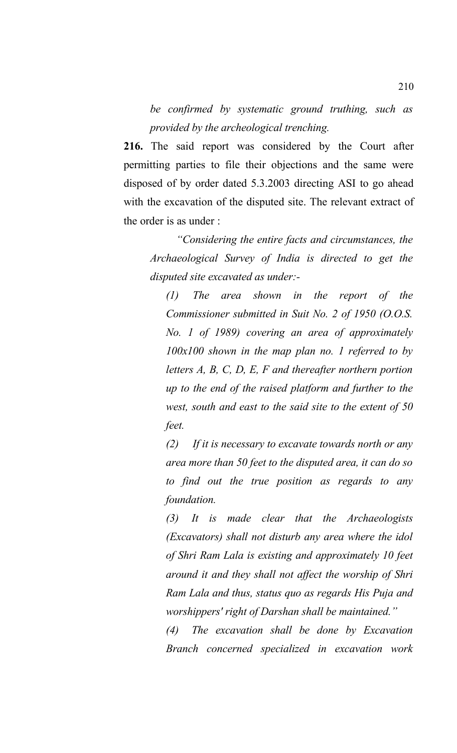*be confirmed by systematic ground truthing, such as provided by the archeological trenching.*

**216.** The said report was considered by the Court after permitting parties to file their objections and the same were disposed of by order dated 5.3.2003 directing ASI to go ahead with the excavation of the disputed site. The relevant extract of the order is as under :

*"Considering the entire facts and circumstances, the Archaeological Survey of India is directed to get the disputed site excavated as under:-*

*(1) The area shown in the report of the Commissioner submitted in Suit No. 2 of 1950 (O.O.S. No. 1 of 1989) covering an area of approximately 100x100 shown in the map plan no. 1 referred to by letters A, B, C, D, E, F and thereafter northern portion up to the end of the raised platform and further to the west, south and east to the said site to the extent of 50 feet.* 

*(2) If it is necessary to excavate towards north or any area more than 50 feet to the disputed area, it can do so to find out the true position as regards to any foundation.*

*(3) It is made clear that the Archaeologists (Excavators) shall not disturb any area where the idol of Shri Ram Lala is existing and approximately 10 feet around it and they shall not affect the worship of Shri Ram Lala and thus, status quo as regards His Puja and worshippers' right of Darshan shall be maintained."*

*(4) The excavation shall be done by Excavation Branch concerned specialized in excavation work*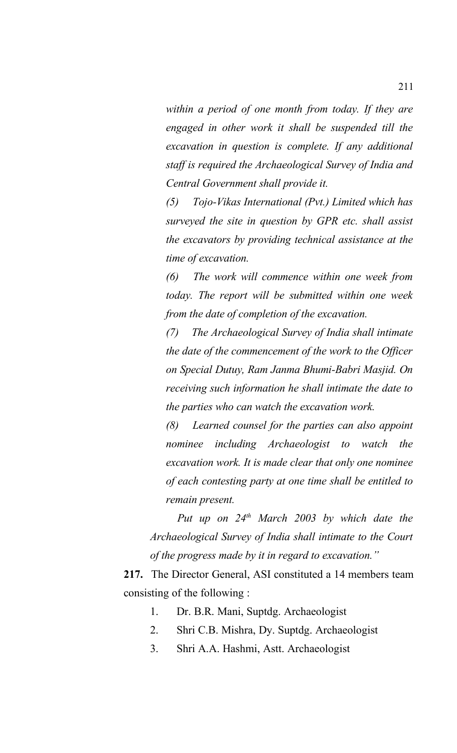*within a period of one month from today. If they are engaged in other work it shall be suspended till the excavation in question is complete. If any additional staff is required the Archaeological Survey of India and Central Government shall provide it.*

*(5) Tojo-Vikas International (Pvt.) Limited which has surveyed the site in question by GPR etc. shall assist the excavators by providing technical assistance at the time of excavation.* 

*(6) The work will commence within one week from today. The report will be submitted within one week from the date of completion of the excavation.* 

*(7) The Archaeological Survey of India shall intimate the date of the commencement of the work to the Officer on Special Dutuy, Ram Janma Bhumi-Babri Masjid. On receiving such information he shall intimate the date to the parties who can watch the excavation work.*

*(8) Learned counsel for the parties can also appoint nominee including Archaeologist to watch the excavation work. It is made clear that only one nominee of each contesting party at one time shall be entitled to remain present.*

*Put up on 24th March 2003 by which date the Archaeological Survey of India shall intimate to the Court of the progress made by it in regard to excavation."*

**217.** The Director General, ASI constituted a 14 members team consisting of the following :

- 1. Dr. B.R. Mani, Suptdg. Archaeologist
- 2. Shri C.B. Mishra, Dy. Suptdg. Archaeologist
- 3. Shri A.A. Hashmi, Astt. Archaeologist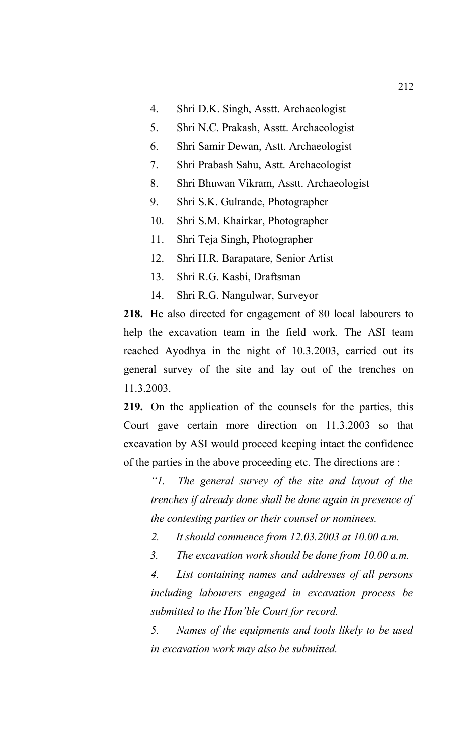- 4. Shri D.K. Singh, Asstt. Archaeologist
- 5. Shri N.C. Prakash, Asstt. Archaeologist
- 6. Shri Samir Dewan, Astt. Archaeologist
- 7. Shri Prabash Sahu, Astt. Archaeologist
- 8. Shri Bhuwan Vikram, Asstt. Archaeologist
- 9. Shri S.K. Gulrande, Photographer
- 10. Shri S.M. Khairkar, Photographer
- 11. Shri Teja Singh, Photographer
- 12. Shri H.R. Barapatare, Senior Artist
- 13. Shri R.G. Kasbi, Draftsman
- 14. Shri R.G. Nangulwar, Surveyor

**218.** He also directed for engagement of 80 local labourers to help the excavation team in the field work. The ASI team reached Ayodhya in the night of 10.3.2003, carried out its general survey of the site and lay out of the trenches on 11.3.2003.

**219.** On the application of the counsels for the parties, this Court gave certain more direction on 11.3.2003 so that excavation by ASI would proceed keeping intact the confidence of the parties in the above proceeding etc. The directions are :

*"1. The general survey of the site and layout of the trenches if already done shall be done again in presence of the contesting parties or their counsel or nominees.*

- *2. It should commence from 12.03.2003 at 10.00 a.m.*
- *3. The excavation work should be done from 10.00 a.m.*

*4. List containing names and addresses of all persons including labourers engaged in excavation process be submitted to the Hon'ble Court for record.* 

*5. Names of the equipments and tools likely to be used in excavation work may also be submitted.*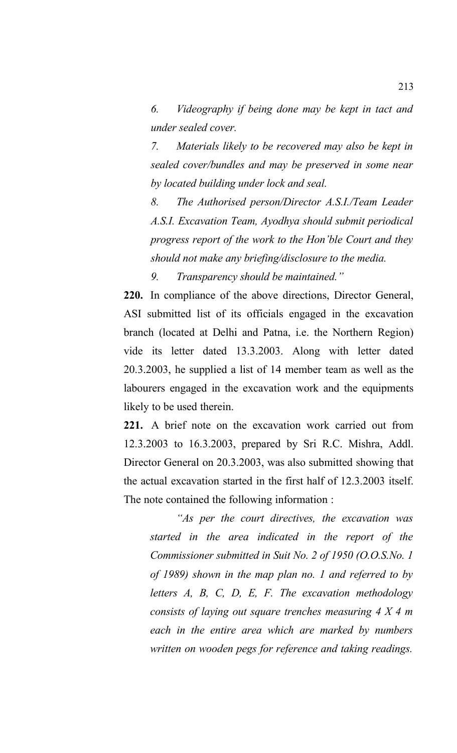*6. Videography if being done may be kept in tact and under sealed cover.* 

*7. Materials likely to be recovered may also be kept in sealed cover/bundles and may be preserved in some near by located building under lock and seal.*

*8. The Authorised person/Director A.S.I./Team Leader A.S.I. Excavation Team, Ayodhya should submit periodical progress report of the work to the Hon'ble Court and they should not make any briefing/disclosure to the media.* 

*9. Transparency should be maintained."*

**220.** In compliance of the above directions, Director General, ASI submitted list of its officials engaged in the excavation branch (located at Delhi and Patna, i.e. the Northern Region) vide its letter dated 13.3.2003. Along with letter dated 20.3.2003, he supplied a list of 14 member team as well as the labourers engaged in the excavation work and the equipments likely to be used therein.

**221.** A brief note on the excavation work carried out from 12.3.2003 to 16.3.2003, prepared by Sri R.C. Mishra, Addl. Director General on 20.3.2003, was also submitted showing that the actual excavation started in the first half of 12.3.2003 itself. The note contained the following information :

*"As per the court directives, the excavation was started in the area indicated in the report of the Commissioner submitted in Suit No. 2 of 1950 (O.O.S.No. 1 of 1989) shown in the map plan no. 1 and referred to by letters A, B, C, D, E, F. The excavation methodology consists of laying out square trenches measuring 4 X 4 m each in the entire area which are marked by numbers written on wooden pegs for reference and taking readings.*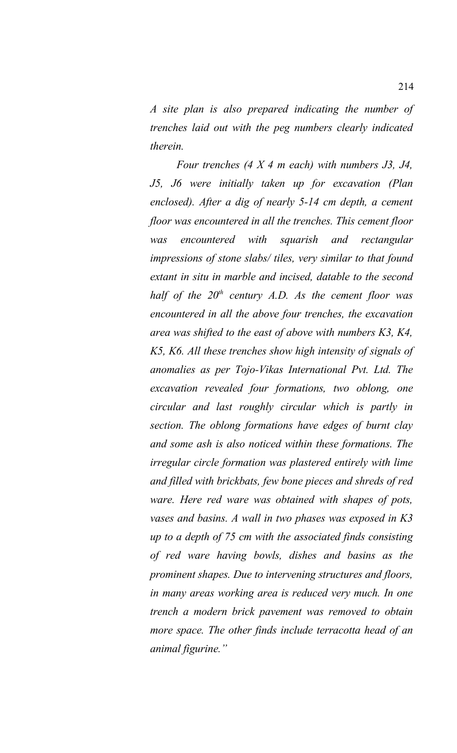*A site plan is also prepared indicating the number of trenches laid out with the peg numbers clearly indicated therein.*

*Four trenches (4 X 4 m each) with numbers J3, J4, J5, J6 were initially taken up for excavation (Plan enclosed). After a dig of nearly 5-14 cm depth, a cement floor was encountered in all the trenches. This cement floor was encountered with squarish and rectangular impressions of stone slabs/ tiles, very similar to that found extant in situ in marble and incised, datable to the second half of the 20th century A.D. As the cement floor was encountered in all the above four trenches, the excavation area was shifted to the east of above with numbers K3, K4, K5, K6. All these trenches show high intensity of signals of anomalies as per Tojo-Vikas International Pvt. Ltd. The excavation revealed four formations, two oblong, one circular and last roughly circular which is partly in section. The oblong formations have edges of burnt clay and some ash is also noticed within these formations. The irregular circle formation was plastered entirely with lime and filled with brickbats, few bone pieces and shreds of red ware. Here red ware was obtained with shapes of pots, vases and basins. A wall in two phases was exposed in K3 up to a depth of 75 cm with the associated finds consisting of red ware having bowls, dishes and basins as the prominent shapes. Due to intervening structures and floors, in many areas working area is reduced very much. In one trench a modern brick pavement was removed to obtain more space. The other finds include terracotta head of an animal figurine."*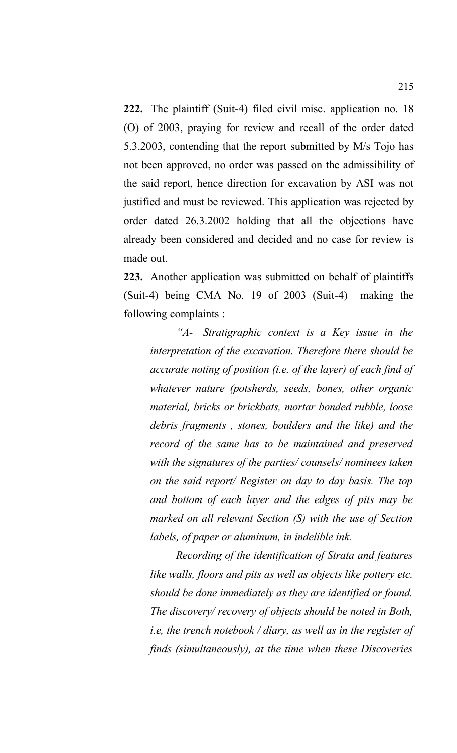**222.** The plaintiff (Suit-4) filed civil misc. application no. 18 (O) of 2003, praying for review and recall of the order dated 5.3.2003, contending that the report submitted by M/s Tojo has not been approved, no order was passed on the admissibility of the said report, hence direction for excavation by ASI was not justified and must be reviewed. This application was rejected by order dated 26.3.2002 holding that all the objections have already been considered and decided and no case for review is made out.

**223.** Another application was submitted on behalf of plaintiffs (Suit-4) being CMA No. 19 of 2003 (Suit-4) making the following complaints :

*"A- Stratigraphic context is a Key issue in the interpretation of the excavation. Therefore there should be accurate noting of position (i.e. of the layer) of each find of whatever nature (potsherds, seeds, bones, other organic material, bricks or brickbats, mortar bonded rubble, loose debris fragments , stones, boulders and the like) and the record of the same has to be maintained and preserved with the signatures of the parties/ counsels/ nominees taken on the said report/ Register on day to day basis. The top and bottom of each layer and the edges of pits may be marked on all relevant Section (S) with the use of Section labels, of paper or aluminum, in indelible ink.* 

*Recording of the identification of Strata and features like walls, floors and pits as well as objects like pottery etc. should be done immediately as they are identified or found. The discovery/ recovery of objects should be noted in Both, i.e, the trench notebook / diary, as well as in the register of finds (simultaneously), at the time when these Discoveries*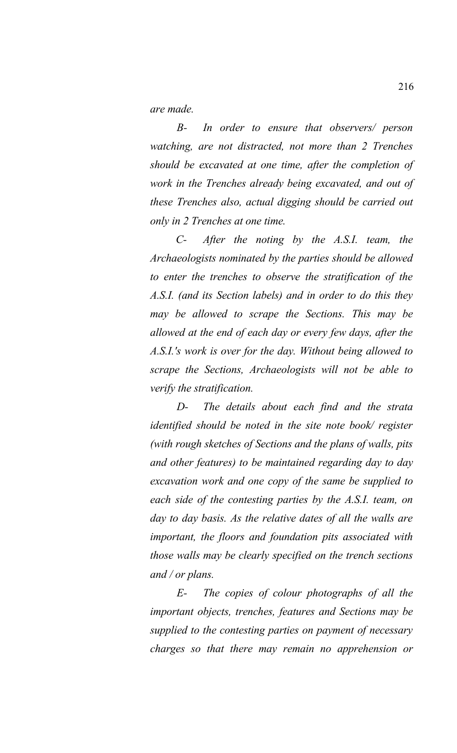*are made.*

*B- In order to ensure that observers/ person watching, are not distracted, not more than 2 Trenches should be excavated at one time, after the completion of work in the Trenches already being excavated, and out of these Trenches also, actual digging should be carried out only in 2 Trenches at one time.* 

*C- After the noting by the A.S.I. team, the Archaeologists nominated by the parties should be allowed to enter the trenches to observe the stratification of the A.S.I. (and its Section labels) and in order to do this they may be allowed to scrape the Sections. This may be allowed at the end of each day or every few days, after the A.S.I.'s work is over for the day. Without being allowed to scrape the Sections, Archaeologists will not be able to verify the stratification.* 

*D- The details about each find and the strata identified should be noted in the site note book/ register (with rough sketches of Sections and the plans of walls, pits and other features) to be maintained regarding day to day excavation work and one copy of the same be supplied to each side of the contesting parties by the A.S.I. team, on day to day basis. As the relative dates of all the walls are important, the floors and foundation pits associated with those walls may be clearly specified on the trench sections and / or plans.* 

*E- The copies of colour photographs of all the important objects, trenches, features and Sections may be supplied to the contesting parties on payment of necessary charges so that there may remain no apprehension or*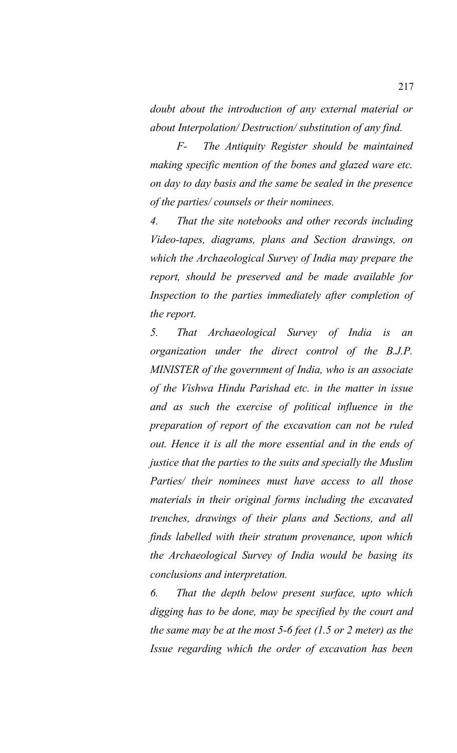*doubt about the introduction of any external material or about Interpolation/ Destruction/ substitution of any find.* 

*F- The Antiquity Register should be maintained making specific mention of the bones and glazed ware etc. on day to day basis and the same be sealed in the presence of the parties/ counsels or their nominees.* 

*4. That the site notebooks and other records including Video-tapes, diagrams, plans and Section drawings, on which the Archaeological Survey of India may prepare the report, should be preserved and be made available for Inspection to the parties immediately after completion of the report.*

*5. That Archaeological Survey of India is an organization under the direct control of the B.J.P. MINISTER of the government of India, who is an associate of the Vishwa Hindu Parishad etc. in the matter in issue and as such the exercise of political influence in the preparation of report of the excavation can not be ruled out. Hence it is all the more essential and in the ends of justice that the parties to the suits and specially the Muslim Parties/ their nominees must have access to all those materials in their original forms including the excavated trenches, drawings of their plans and Sections, and all finds labelled with their stratum provenance, upon which the Archaeological Survey of India would be basing its conclusions and interpretation.*

*6. That the depth below present surface, upto which digging has to be done, may be specified by the court and the same may be at the most 5-6 feet (1.5 or 2 meter) as the Issue regarding which the order of excavation has been*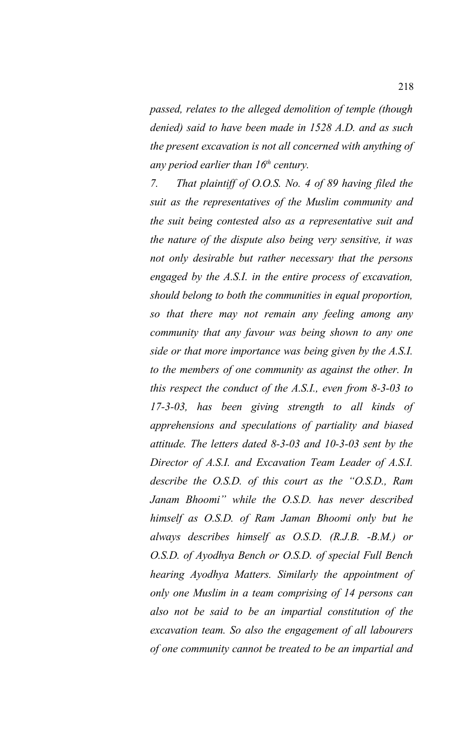*passed, relates to the alleged demolition of temple (though denied) said to have been made in 1528 A.D. and as such the present excavation is not all concerned with anything of any period earlier than 16th century.*

*7. That plaintiff of O.O.S. No. 4 of 89 having filed the suit as the representatives of the Muslim community and the suit being contested also as a representative suit and the nature of the dispute also being very sensitive, it was not only desirable but rather necessary that the persons engaged by the A.S.I. in the entire process of excavation, should belong to both the communities in equal proportion, so that there may not remain any feeling among any community that any favour was being shown to any one side or that more importance was being given by the A.S.I. to the members of one community as against the other. In this respect the conduct of the A.S.I., even from 8-3-03 to 17-3-03, has been giving strength to all kinds of apprehensions and speculations of partiality and biased attitude. The letters dated 8-3-03 and 10-3-03 sent by the Director of A.S.I. and Excavation Team Leader of A.S.I. describe the O.S.D. of this court as the "O.S.D., Ram Janam Bhoomi" while the O.S.D. has never described himself as O.S.D. of Ram Jaman Bhoomi only but he always describes himself as O.S.D. (R.J.B. -B.M.) or O.S.D. of Ayodhya Bench or O.S.D. of special Full Bench hearing Ayodhya Matters. Similarly the appointment of only one Muslim in a team comprising of 14 persons can also not be said to be an impartial constitution of the excavation team. So also the engagement of all labourers of one community cannot be treated to be an impartial and*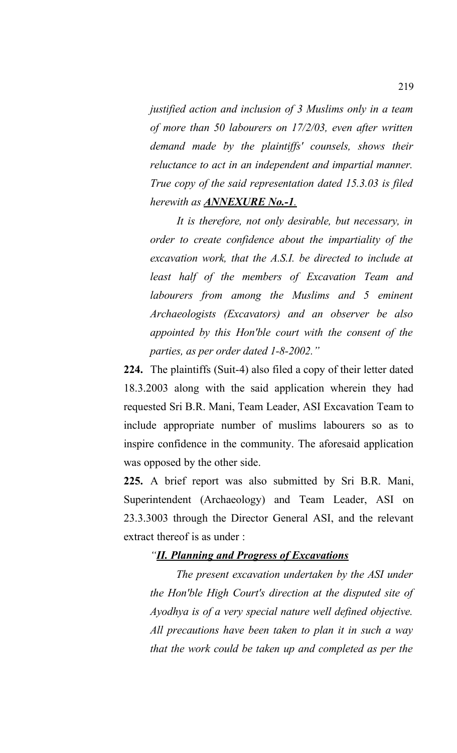*justified action and inclusion of 3 Muslims only in a team of more than 50 labourers on 17/2/03, even after written demand made by the plaintiffs' counsels, shows their reluctance to act in an independent and impartial manner. True copy of the said representation dated 15.3.03 is filed herewith as ANNEXURE No.-1.*

*It is therefore, not only desirable, but necessary, in order to create confidence about the impartiality of the excavation work, that the A.S.I. be directed to include at least half of the members of Excavation Team and labourers from among the Muslims and 5 eminent Archaeologists (Excavators) and an observer be also appointed by this Hon'ble court with the consent of the parties, as per order dated 1-8-2002."*

**224.** The plaintiffs (Suit-4) also filed a copy of their letter dated 18.3.2003 along with the said application wherein they had requested Sri B.R. Mani, Team Leader, ASI Excavation Team to include appropriate number of muslims labourers so as to inspire confidence in the community. The aforesaid application was opposed by the other side.

**225.** A brief report was also submitted by Sri B.R. Mani, Superintendent (Archaeology) and Team Leader, ASI on 23.3.3003 through the Director General ASI, and the relevant extract thereof is as under :

#### *"II. Planning and Progress of Excavations*

*The present excavation undertaken by the ASI under the Hon'ble High Court's direction at the disputed site of Ayodhya is of a very special nature well defined objective. All precautions have been taken to plan it in such a way that the work could be taken up and completed as per the*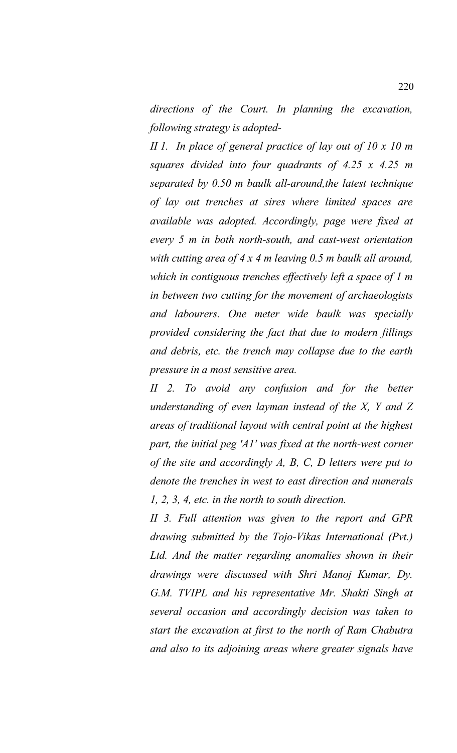*directions of the Court. In planning the excavation, following strategy is adopted-*

*II 1. In place of general practice of lay out of 10 x 10 m squares divided into four quadrants of 4.25 x 4.25 m separated by 0.50 m baulk all-around,the latest technique of lay out trenches at sires where limited spaces are available was adopted. Accordingly, page were fixed at every 5 m in both north-south, and cast-west orientation with cutting area of 4 x 4 m leaving 0.5 m baulk all around, which in contiguous trenches effectively left a space of 1 m in between two cutting for the movement of archaeologists and labourers. One meter wide baulk was specially provided considering the fact that due to modern fillings and debris, etc. the trench may collapse due to the earth pressure in a most sensitive area.* 

*II 2. To avoid any confusion and for the better understanding of even layman instead of the X, Y and Z areas of traditional layout with central point at the highest part, the initial peg 'A1' was fixed at the north-west corner of the site and accordingly A, B, C, D letters were put to denote the trenches in west to east direction and numerals 1, 2, 3, 4, etc. in the north to south direction.* 

*II 3. Full attention was given to the report and GPR drawing submitted by the Tojo-Vikas International (Pvt.) Ltd. And the matter regarding anomalies shown in their drawings were discussed with Shri Manoj Kumar, Dy. G.M. TVIPL and his representative Mr. Shakti Singh at several occasion and accordingly decision was taken to start the excavation at first to the north of Ram Chabutra and also to its adjoining areas where greater signals have*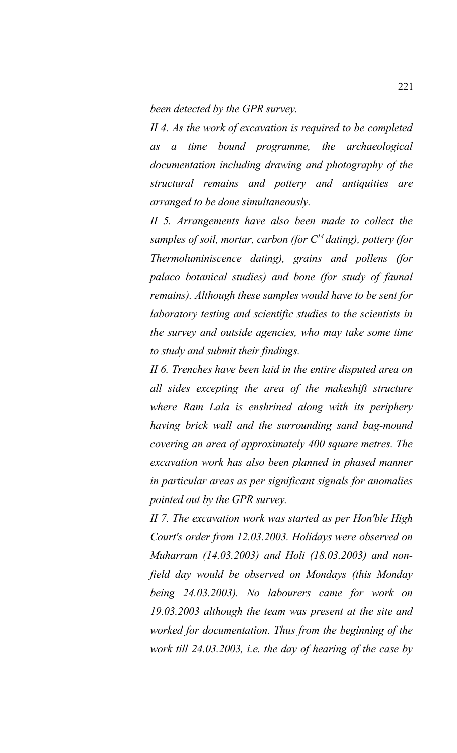*been detected by the GPR survey.* 

*II 4. As the work of excavation is required to be completed as a time bound programme, the archaeological documentation including drawing and photography of the structural remains and pottery and antiquities are arranged to be done simultaneously.* 

*II 5. Arrangements have also been made to collect the samples of soil, mortar, carbon (for C<sup>14</sup>dating), pottery (for Thermoluminiscence dating), grains and pollens (for palaco botanical studies) and bone (for study of faunal remains). Although these samples would have to be sent for laboratory testing and scientific studies to the scientists in the survey and outside agencies, who may take some time to study and submit their findings.* 

*II 6. Trenches have been laid in the entire disputed area on all sides excepting the area of the makeshift structure where Ram Lala is enshrined along with its periphery having brick wall and the surrounding sand bag-mound covering an area of approximately 400 square metres. The excavation work has also been planned in phased manner in particular areas as per significant signals for anomalies pointed out by the GPR survey.* 

*II 7. The excavation work was started as per Hon'ble High Court's order from 12.03.2003. Holidays were observed on Muharram (14.03.2003) and Holi (18.03.2003) and nonfield day would be observed on Mondays (this Monday being 24.03.2003). No labourers came for work on 19.03.2003 although the team was present at the site and worked for documentation. Thus from the beginning of the work till 24.03.2003, i.e. the day of hearing of the case by*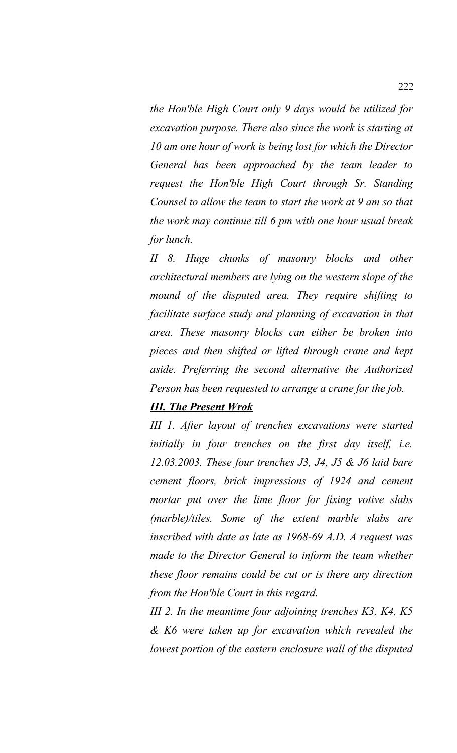*the Hon'ble High Court only 9 days would be utilized for excavation purpose. There also since the work is starting at 10 am one hour of work is being lost for which the Director General has been approached by the team leader to request the Hon'ble High Court through Sr. Standing Counsel to allow the team to start the work at 9 am so that the work may continue till 6 pm with one hour usual break for lunch.*

*II 8. Huge chunks of masonry blocks and other architectural members are lying on the western slope of the mound of the disputed area. They require shifting to facilitate surface study and planning of excavation in that area. These masonry blocks can either be broken into pieces and then shifted or lifted through crane and kept aside. Preferring the second alternative the Authorized Person has been requested to arrange a crane for the job.*

### *III. The Present Wrok*

*III 1. After layout of trenches excavations were started initially in four trenches on the first day itself, i.e. 12.03.2003. These four trenches J3, J4, J5 & J6 laid bare cement floors, brick impressions of 1924 and cement mortar put over the lime floor for fixing votive slabs (marble)/tiles. Some of the extent marble slabs are inscribed with date as late as 1968-69 A.D. A request was made to the Director General to inform the team whether these floor remains could be cut or is there any direction from the Hon'ble Court in this regard.* 

*III 2. In the meantime four adjoining trenches K3, K4, K5 & K6 were taken up for excavation which revealed the lowest portion of the eastern enclosure wall of the disputed*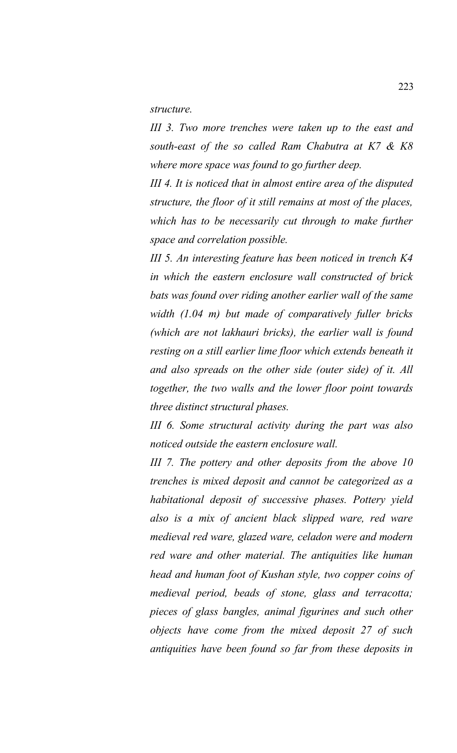*structure.* 

*III 3. Two more trenches were taken up to the east and south-east of the so called Ram Chabutra at K7 & K8 where more space was found to go further deep.* 

*III 4. It is noticed that in almost entire area of the disputed structure, the floor of it still remains at most of the places, which has to be necessarily cut through to make further space and correlation possible.* 

*III 5. An interesting feature has been noticed in trench K4 in which the eastern enclosure wall constructed of brick bats was found over riding another earlier wall of the same width (1.04 m) but made of comparatively fuller bricks (which are not lakhauri bricks), the earlier wall is found resting on a still earlier lime floor which extends beneath it and also spreads on the other side (outer side) of it. All together, the two walls and the lower floor point towards three distinct structural phases.* 

*III 6. Some structural activity during the part was also noticed outside the eastern enclosure wall.* 

*III 7. The pottery and other deposits from the above 10 trenches is mixed deposit and cannot be categorized as a habitational deposit of successive phases. Pottery yield also is a mix of ancient black slipped ware, red ware medieval red ware, glazed ware, celadon were and modern red ware and other material. The antiquities like human head and human foot of Kushan style, two copper coins of medieval period, beads of stone, glass and terracotta; pieces of glass bangles, animal figurines and such other objects have come from the mixed deposit 27 of such antiquities have been found so far from these deposits in*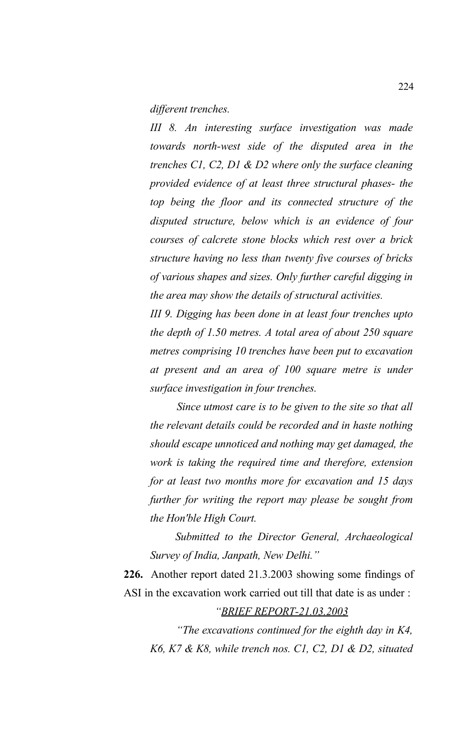*different trenches.* 

*III 8. An interesting surface investigation was made towards north-west side of the disputed area in the trenches C1, C2, D1 & D2 where only the surface cleaning provided evidence of at least three structural phases- the top being the floor and its connected structure of the disputed structure, below which is an evidence of four courses of calcrete stone blocks which rest over a brick structure having no less than twenty five courses of bricks of various shapes and sizes. Only further careful digging in the area may show the details of structural activities.* 

*III 9. Digging has been done in at least four trenches upto the depth of 1.50 metres. A total area of about 250 square metres comprising 10 trenches have been put to excavation at present and an area of 100 square metre is under surface investigation in four trenches.* 

*Since utmost care is to be given to the site so that all the relevant details could be recorded and in haste nothing should escape unnoticed and nothing may get damaged, the work is taking the required time and therefore, extension for at least two months more for excavation and 15 days further for writing the report may please be sought from the Hon'ble High Court.* 

*Submitted to the Director General, Archaeological Survey of India, Janpath, New Delhi."* 

**226.** Another report dated 21.3.2003 showing some findings of ASI in the excavation work carried out till that date is as under :

#### *"BRIEF REPORT-21.03.2003*

*"The excavations continued for the eighth day in K4, K6, K7 & K8, while trench nos. C1, C2, D1 & D2, situated*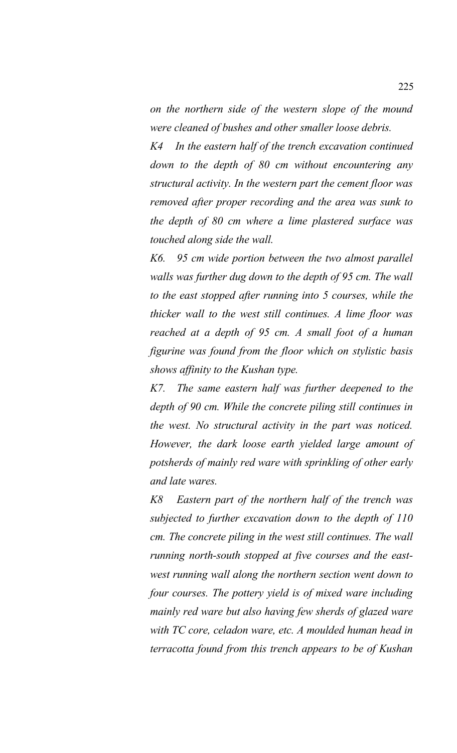*on the northern side of the western slope of the mound were cleaned of bushes and other smaller loose debris.* 

*K4 In the eastern half of the trench excavation continued down to the depth of 80 cm without encountering any structural activity. In the western part the cement floor was removed after proper recording and the area was sunk to the depth of 80 cm where a lime plastered surface was touched along side the wall.* 

*K6. 95 cm wide portion between the two almost parallel walls was further dug down to the depth of 95 cm. The wall to the east stopped after running into 5 courses, while the thicker wall to the west still continues. A lime floor was reached at a depth of 95 cm. A small foot of a human figurine was found from the floor which on stylistic basis shows affinity to the Kushan type.* 

*K7. The same eastern half was further deepened to the depth of 90 cm. While the concrete piling still continues in the west. No structural activity in the part was noticed. However, the dark loose earth yielded large amount of potsherds of mainly red ware with sprinkling of other early and late wares.*

*K8 Eastern part of the northern half of the trench was subjected to further excavation down to the depth of 110 cm. The concrete piling in the west still continues. The wall running north-south stopped at five courses and the eastwest running wall along the northern section went down to four courses. The pottery yield is of mixed ware including mainly red ware but also having few sherds of glazed ware with TC core, celadon ware, etc. A moulded human head in terracotta found from this trench appears to be of Kushan*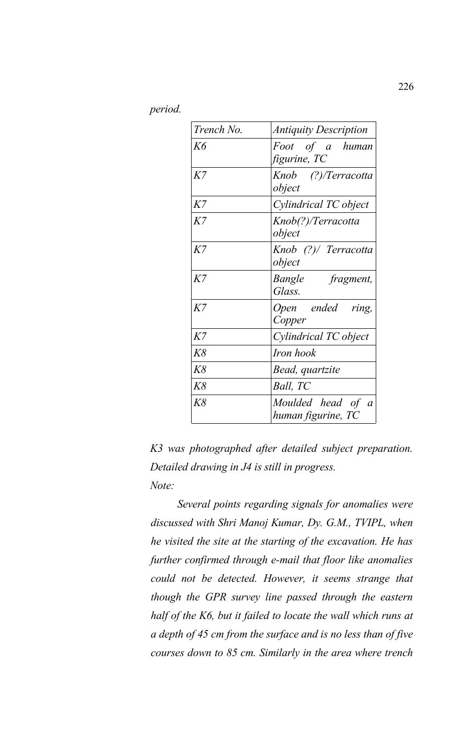*period.* 

| Trench No. | <b>Antiquity Description</b>            |
|------------|-----------------------------------------|
| Kб         | Foot of a human<br>figurine, TC         |
| K7         | Knob (?)/Terracotta<br>object           |
| K7         | Cylindrical TC object                   |
| K7         | Knob(?)/Terracotta<br>object            |
| $K$ 7      | Knob (?)/ Terracotta<br>object          |
| $K$ 7      | Bangle fragment,<br>Glass.              |
| $K$ 7      | Open ended ring,<br>Copper              |
| K7         | Cylindrical TC object                   |
| K8         | Iron hook                               |
| K8         | Bead, quartzite                         |
| K8         | Ball, TC                                |
| K8         | Moulded head of a<br>human figurine, TC |

*K3 was photographed after detailed subject preparation. Detailed drawing in J4 is still in progress. Note:*

*Several points regarding signals for anomalies were discussed with Shri Manoj Kumar, Dy. G.M., TVIPL, when he visited the site at the starting of the excavation. He has further confirmed through e-mail that floor like anomalies could not be detected. However, it seems strange that though the GPR survey line passed through the eastern half of the K6, but it failed to locate the wall which runs at a depth of 45 cm from the surface and is no less than of five courses down to 85 cm. Similarly in the area where trench*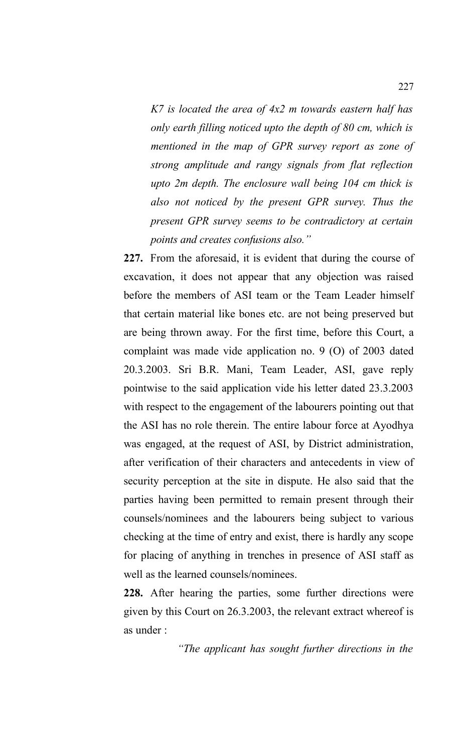*K7 is located the area of 4x2 m towards eastern half has only earth filling noticed upto the depth of 80 cm, which is mentioned in the map of GPR survey report as zone of strong amplitude and rangy signals from flat reflection upto 2m depth. The enclosure wall being 104 cm thick is also not noticed by the present GPR survey. Thus the present GPR survey seems to be contradictory at certain points and creates confusions also."*

**227.** From the aforesaid, it is evident that during the course of excavation, it does not appear that any objection was raised before the members of ASI team or the Team Leader himself that certain material like bones etc. are not being preserved but are being thrown away. For the first time, before this Court, a complaint was made vide application no. 9 (O) of 2003 dated 20.3.2003. Sri B.R. Mani, Team Leader, ASI, gave reply pointwise to the said application vide his letter dated 23.3.2003 with respect to the engagement of the labourers pointing out that the ASI has no role therein. The entire labour force at Ayodhya was engaged, at the request of ASI, by District administration, after verification of their characters and antecedents in view of security perception at the site in dispute. He also said that the parties having been permitted to remain present through their counsels/nominees and the labourers being subject to various checking at the time of entry and exist, there is hardly any scope for placing of anything in trenches in presence of ASI staff as well as the learned counsels/nominees.

**228.** After hearing the parties, some further directions were given by this Court on 26.3.2003, the relevant extract whereof is as under :

*"The applicant has sought further directions in the*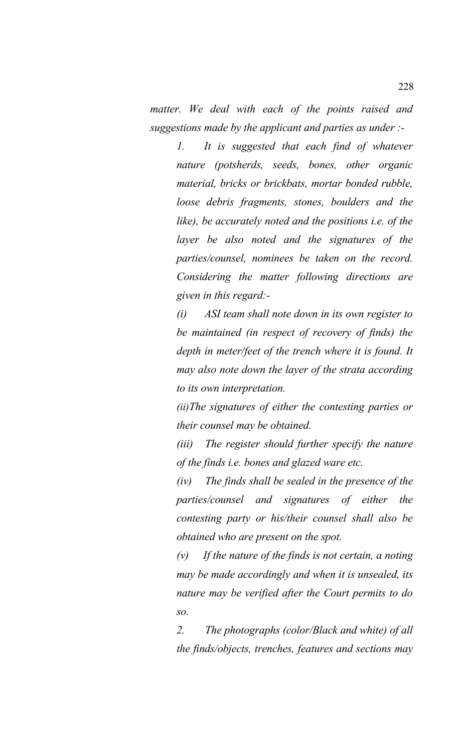*matter. We deal with each of the points raised and suggestions made by the applicant and parties as under :-*

*1. It is suggested that each find of whatever nature (potsherds, seeds, bones, other organic material, bricks or brickbats, mortar bonded rubble, loose debris fragments, stones, boulders and the like), be accurately noted and the positions i.e. of the layer be also noted and the signatures of the parties/counsel, nominees be taken on the record. Considering the matter following directions are given in this regard:-*

*(i) ASI team shall note down in its own register to be maintained (in respect of recovery of finds) the depth in meter/feet of the trench where it is found. It may also note down the layer of the strata according to its own interpretation.*

*(ii)The signatures of either the contesting parties or their counsel may be obtained.*

*(iii) The register should further specify the nature of the finds i.e. bones and glazed ware etc.*

*(iv) The finds shall be sealed in the presence of the parties/counsel and signatures of either the contesting party or his/their counsel shall also be obtained who are present on the spot.* 

*(v) If the nature of the finds is not certain, a noting may be made accordingly and when it is unsealed, its nature may be verified after the Court permits to do so.*

*2. The photographs (color/Black and white) of all the finds/objects, trenches, features and sections may*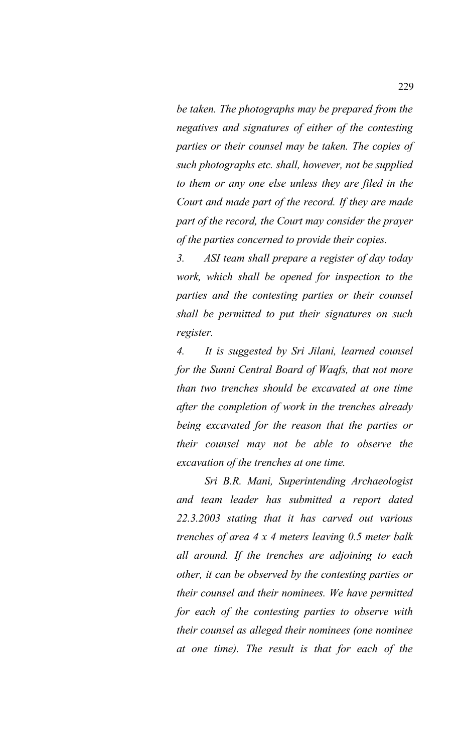*be taken. The photographs may be prepared from the negatives and signatures of either of the contesting parties or their counsel may be taken. The copies of such photographs etc. shall, however, not be supplied to them or any one else unless they are filed in the Court and made part of the record. If they are made part of the record, the Court may consider the prayer of the parties concerned to provide their copies.* 

*3. ASI team shall prepare a register of day today work, which shall be opened for inspection to the parties and the contesting parties or their counsel shall be permitted to put their signatures on such register.*

*4. It is suggested by Sri Jilani, learned counsel for the Sunni Central Board of Waqfs, that not more than two trenches should be excavated at one time after the completion of work in the trenches already being excavated for the reason that the parties or their counsel may not be able to observe the excavation of the trenches at one time.* 

*Sri B.R. Mani, Superintending Archaeologist and team leader has submitted a report dated 22.3.2003 stating that it has carved out various trenches of area 4 x 4 meters leaving 0.5 meter balk all around. If the trenches are adjoining to each other, it can be observed by the contesting parties or their counsel and their nominees. We have permitted for each of the contesting parties to observe with their counsel as alleged their nominees (one nominee at one time). The result is that for each of the*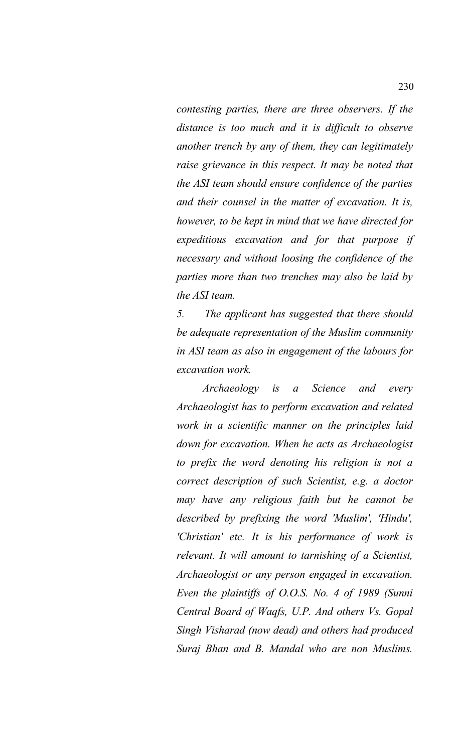*contesting parties, there are three observers. If the distance is too much and it is difficult to observe another trench by any of them, they can legitimately raise grievance in this respect. It may be noted that the ASI team should ensure confidence of the parties and their counsel in the matter of excavation. It is, however, to be kept in mind that we have directed for expeditious excavation and for that purpose if necessary and without loosing the confidence of the parties more than two trenches may also be laid by the ASI team.*

*5. The applicant has suggested that there should be adequate representation of the Muslim community in ASI team as also in engagement of the labours for excavation work.* 

*Archaeology is a Science and every Archaeologist has to perform excavation and related work in a scientific manner on the principles laid down for excavation. When he acts as Archaeologist to prefix the word denoting his religion is not a correct description of such Scientist, e.g. a doctor may have any religious faith but he cannot be described by prefixing the word 'Muslim', 'Hindu', 'Christian' etc. It is his performance of work is relevant. It will amount to tarnishing of a Scientist, Archaeologist or any person engaged in excavation. Even the plaintiffs of O.O.S. No. 4 of 1989 (Sunni Central Board of Waqfs, U.P. And others Vs. Gopal Singh Visharad (now dead) and others had produced Suraj Bhan and B. Mandal who are non Muslims.*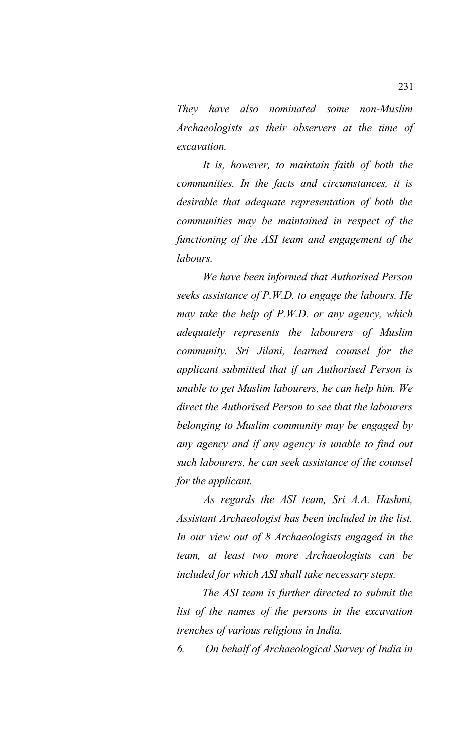*They have also nominated some non-Muslim Archaeologists as their observers at the time of excavation.*

*It is, however, to maintain faith of both the communities. In the facts and circumstances, it is desirable that adequate representation of both the communities may be maintained in respect of the functioning of the ASI team and engagement of the labours.*

*We have been informed that Authorised Person seeks assistance of P.W.D. to engage the labours. He may take the help of P.W.D. or any agency, which adequately represents the labourers of Muslim community. Sri Jilani, learned counsel for the applicant submitted that if an Authorised Person is unable to get Muslim labourers, he can help him. We direct the Authorised Person to see that the labourers belonging to Muslim community may be engaged by any agency and if any agency is unable to find out such labourers, he can seek assistance of the counsel for the applicant.* 

*As regards the ASI team, Sri A.A. Hashmi, Assistant Archaeologist has been included in the list. In our view out of 8 Archaeologists engaged in the team, at least two more Archaeologists can be included for which ASI shall take necessary steps.*

*The ASI team is further directed to submit the list of the names of the persons in the excavation trenches of various religious in India.* 

*6. On behalf of Archaeological Survey of India in*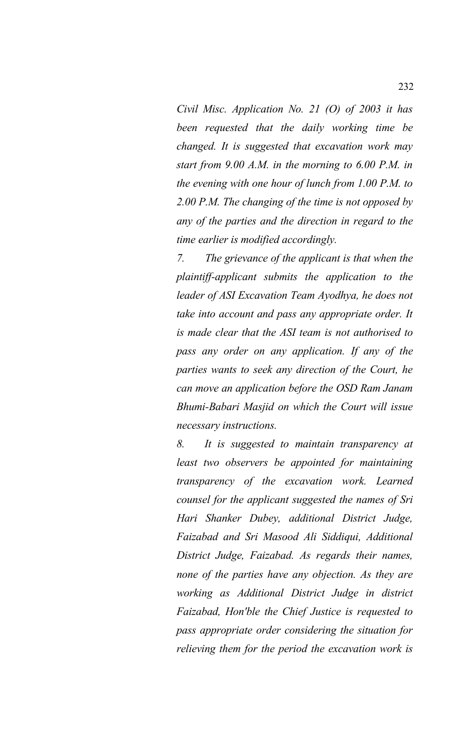*Civil Misc. Application No. 21 (O) of 2003 it has been requested that the daily working time be changed. It is suggested that excavation work may start from 9.00 A.M. in the morning to 6.00 P.M. in the evening with one hour of lunch from 1.00 P.M. to 2.00 P.M. The changing of the time is not opposed by any of the parties and the direction in regard to the time earlier is modified accordingly.*

*7. The grievance of the applicant is that when the plaintiff-applicant submits the application to the leader of ASI Excavation Team Ayodhya, he does not take into account and pass any appropriate order. It is made clear that the ASI team is not authorised to pass any order on any application. If any of the parties wants to seek any direction of the Court, he can move an application before the OSD Ram Janam Bhumi-Babari Masjid on which the Court will issue necessary instructions.* 

*8. It is suggested to maintain transparency at least two observers be appointed for maintaining transparency of the excavation work. Learned counsel for the applicant suggested the names of Sri Hari Shanker Dubey, additional District Judge, Faizabad and Sri Masood Ali Siddiqui, Additional District Judge, Faizabad. As regards their names, none of the parties have any objection. As they are working as Additional District Judge in district Faizabad, Hon'ble the Chief Justice is requested to pass appropriate order considering the situation for relieving them for the period the excavation work is*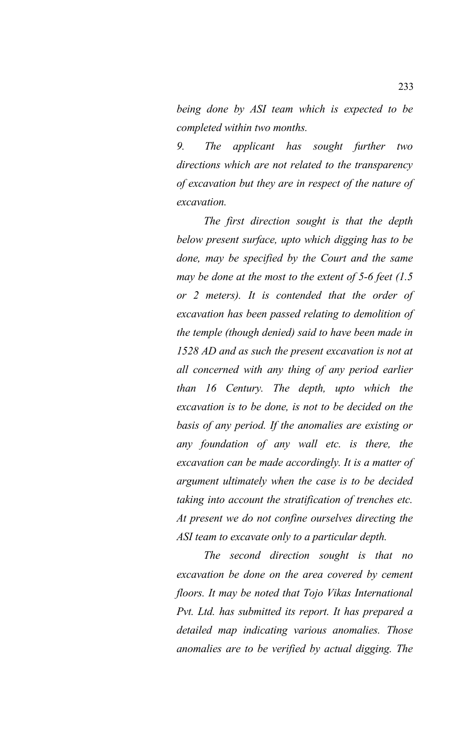*being done by ASI team which is expected to be completed within two months.* 

*9. The applicant has sought further two directions which are not related to the transparency of excavation but they are in respect of the nature of excavation.* 

*The first direction sought is that the depth below present surface, upto which digging has to be done, may be specified by the Court and the same may be done at the most to the extent of 5-6 feet (1.5 or 2 meters). It is contended that the order of excavation has been passed relating to demolition of the temple (though denied) said to have been made in 1528 AD and as such the present excavation is not at all concerned with any thing of any period earlier than 16 Century. The depth, upto which the excavation is to be done, is not to be decided on the basis of any period. If the anomalies are existing or any foundation of any wall etc. is there, the excavation can be made accordingly. It is a matter of argument ultimately when the case is to be decided taking into account the stratification of trenches etc. At present we do not confine ourselves directing the ASI team to excavate only to a particular depth.* 

*The second direction sought is that no excavation be done on the area covered by cement floors. It may be noted that Tojo Vikas International Pvt. Ltd. has submitted its report. It has prepared a detailed map indicating various anomalies. Those anomalies are to be verified by actual digging. The*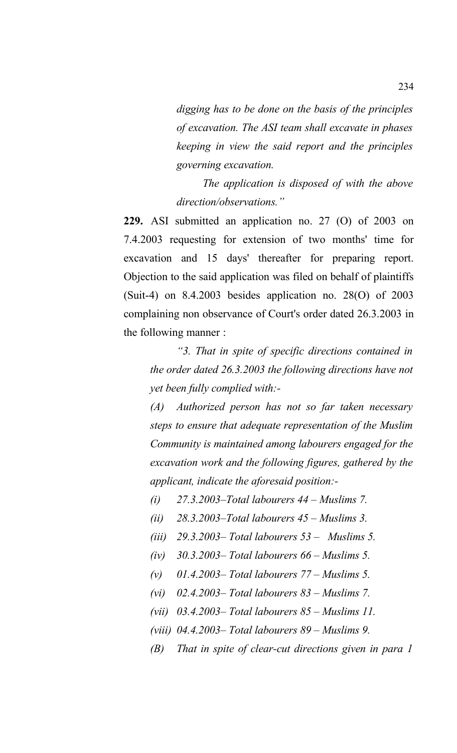*digging has to be done on the basis of the principles of excavation. The ASI team shall excavate in phases keeping in view the said report and the principles governing excavation.*

*The application is disposed of with the above direction/observations."* 

**229.** ASI submitted an application no. 27 (O) of 2003 on 7.4.2003 requesting for extension of two months' time for excavation and 15 days' thereafter for preparing report. Objection to the said application was filed on behalf of plaintiffs (Suit-4) on 8.4.2003 besides application no. 28(O) of 2003 complaining non observance of Court's order dated 26.3.2003 in the following manner :

*"3. That in spite of specific directions contained in the order dated 26.3.2003 the following directions have not yet been fully complied with:-*

*(A) Authorized person has not so far taken necessary steps to ensure that adequate representation of the Muslim Community is maintained among labourers engaged for the excavation work and the following figures, gathered by the applicant, indicate the aforesaid position:-*

- *(i) 27.3.2003–Total labourers 44 Muslims 7.*
- *(ii) 28.3.2003–Total labourers 45 Muslims 3.*
- *(iii) 29.3.2003– Total labourers 53 Muslims 5.*
- *(iv) 30.3.2003– Total labourers 66 Muslims 5.*
- *(v) 01.4.2003– Total labourers 77 Muslims 5.*
- *(vi) 02.4.2003– Total labourers 83 Muslims 7.*
- *(vii) 03.4.2003– Total labourers 85 Muslims 11.*
- *(viii) 04.4.2003– Total labourers 89 Muslims 9.*
- *(B) That in spite of clear-cut directions given in para 1*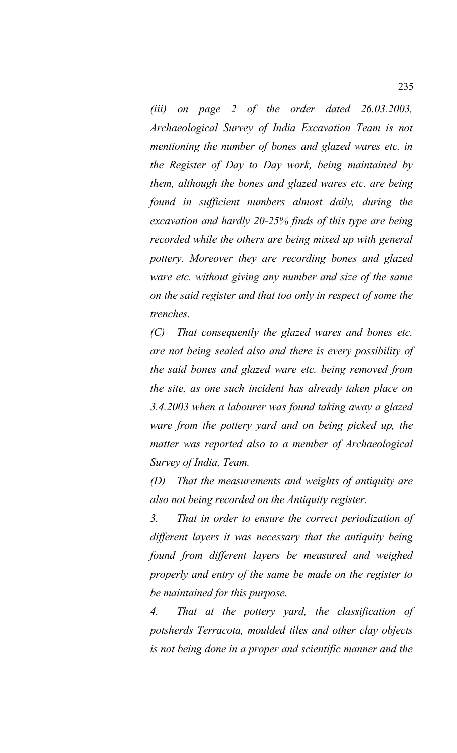*(iii) on page 2 of the order dated 26.03.2003, Archaeological Survey of India Excavation Team is not mentioning the number of bones and glazed wares etc. in the Register of Day to Day work, being maintained by them, although the bones and glazed wares etc. are being found in sufficient numbers almost daily, during the excavation and hardly 20-25% finds of this type are being recorded while the others are being mixed up with general pottery. Moreover they are recording bones and glazed ware etc. without giving any number and size of the same on the said register and that too only in respect of some the trenches.* 

*(C) That consequently the glazed wares and bones etc. are not being sealed also and there is every possibility of the said bones and glazed ware etc. being removed from the site, as one such incident has already taken place on 3.4.2003 when a labourer was found taking away a glazed ware from the pottery yard and on being picked up, the matter was reported also to a member of Archaeological Survey of India, Team.* 

*(D) That the measurements and weights of antiquity are also not being recorded on the Antiquity register.* 

*3. That in order to ensure the correct periodization of different layers it was necessary that the antiquity being found from different layers be measured and weighed properly and entry of the same be made on the register to be maintained for this purpose.* 

*4. That at the pottery yard, the classification of potsherds Terracota, moulded tiles and other clay objects is not being done in a proper and scientific manner and the*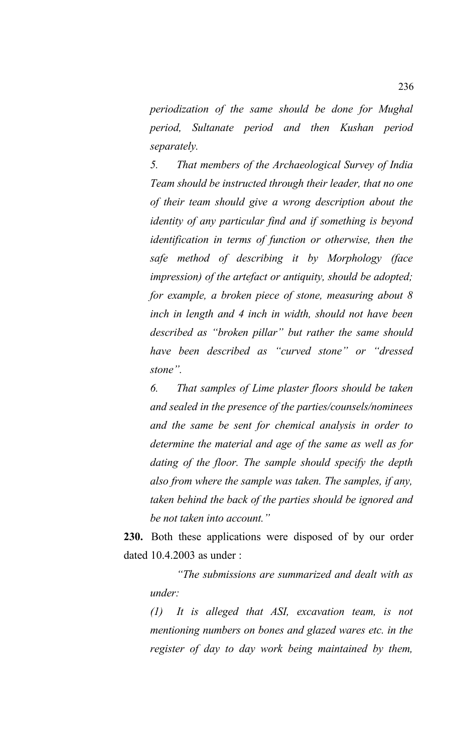*periodization of the same should be done for Mughal period, Sultanate period and then Kushan period separately.* 

*5. That members of the Archaeological Survey of India Team should be instructed through their leader, that no one of their team should give a wrong description about the identity of any particular find and if something is beyond identification in terms of function or otherwise, then the safe method of describing it by Morphology (face impression) of the artefact or antiquity, should be adopted; for example, a broken piece of stone, measuring about 8 inch in length and 4 inch in width, should not have been described as "broken pillar" but rather the same should have been described as "curved stone" or "dressed stone".* 

*6. That samples of Lime plaster floors should be taken and sealed in the presence of the parties/counsels/nominees and the same be sent for chemical analysis in order to determine the material and age of the same as well as for dating of the floor. The sample should specify the depth also from where the sample was taken. The samples, if any, taken behind the back of the parties should be ignored and be not taken into account."*

**230.** Both these applications were disposed of by our order dated 10.4.2003 as under :

*"The submissions are summarized and dealt with as under:* 

*(1) It is alleged that ASI, excavation team, is not mentioning numbers on bones and glazed wares etc. in the register of day to day work being maintained by them,*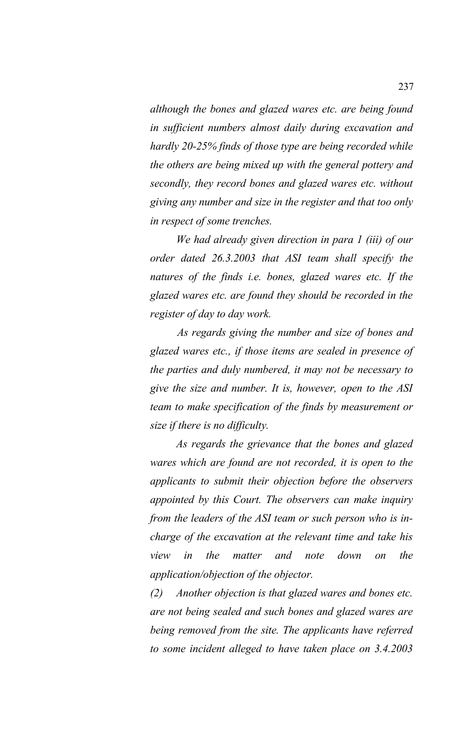*although the bones and glazed wares etc. are being found in sufficient numbers almost daily during excavation and hardly 20-25% finds of those type are being recorded while the others are being mixed up with the general pottery and secondly, they record bones and glazed wares etc. without giving any number and size in the register and that too only in respect of some trenches.* 

*We had already given direction in para 1 (iii) of our order dated 26.3.2003 that ASI team shall specify the natures of the finds i.e. bones, glazed wares etc. If the glazed wares etc. are found they should be recorded in the register of day to day work.* 

*As regards giving the number and size of bones and glazed wares etc., if those items are sealed in presence of the parties and duly numbered, it may not be necessary to give the size and number. It is, however, open to the ASI team to make specification of the finds by measurement or size if there is no difficulty.*

*As regards the grievance that the bones and glazed wares which are found are not recorded, it is open to the applicants to submit their objection before the observers appointed by this Court. The observers can make inquiry from the leaders of the ASI team or such person who is incharge of the excavation at the relevant time and take his view in the matter and note down on the application/objection of the objector.* 

*(2) Another objection is that glazed wares and bones etc. are not being sealed and such bones and glazed wares are being removed from the site. The applicants have referred to some incident alleged to have taken place on 3.4.2003*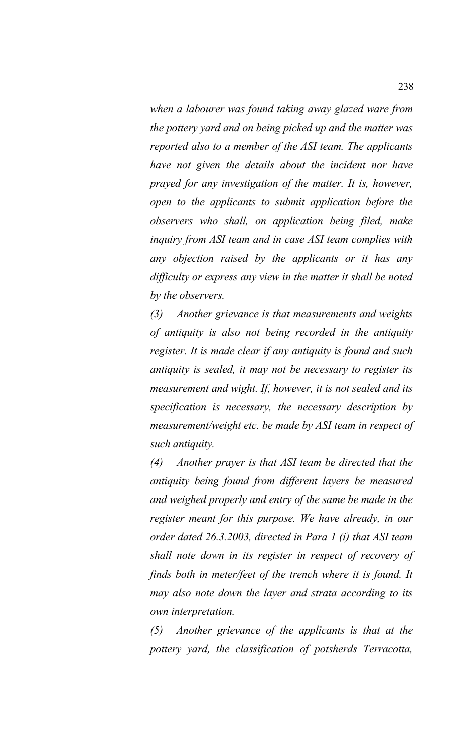*when a labourer was found taking away glazed ware from the pottery yard and on being picked up and the matter was reported also to a member of the ASI team. The applicants have not given the details about the incident nor have prayed for any investigation of the matter. It is, however, open to the applicants to submit application before the observers who shall, on application being filed, make inquiry from ASI team and in case ASI team complies with any objection raised by the applicants or it has any difficulty or express any view in the matter it shall be noted by the observers.* 

*(3) Another grievance is that measurements and weights of antiquity is also not being recorded in the antiquity register. It is made clear if any antiquity is found and such antiquity is sealed, it may not be necessary to register its measurement and wight. If, however, it is not sealed and its specification is necessary, the necessary description by measurement/weight etc. be made by ASI team in respect of such antiquity.* 

*(4) Another prayer is that ASI team be directed that the antiquity being found from different layers be measured and weighed properly and entry of the same be made in the register meant for this purpose. We have already, in our order dated 26.3.2003, directed in Para 1 (i) that ASI team shall note down in its register in respect of recovery of finds both in meter/feet of the trench where it is found. It may also note down the layer and strata according to its own interpretation.* 

*(5) Another grievance of the applicants is that at the pottery yard, the classification of potsherds Terracotta,*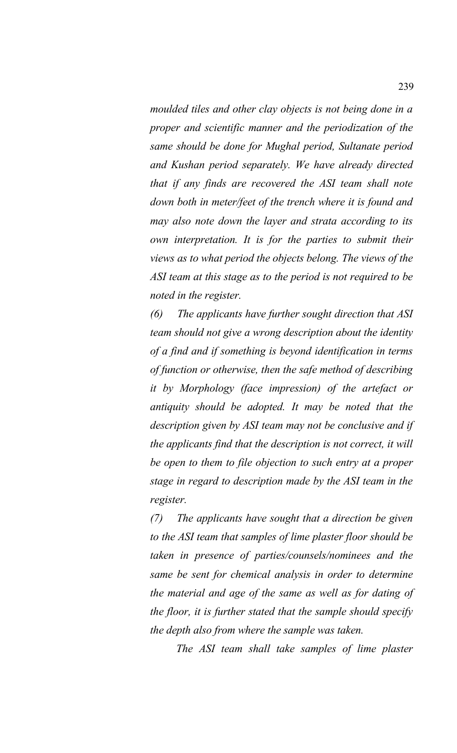*moulded tiles and other clay objects is not being done in a proper and scientific manner and the periodization of the same should be done for Mughal period, Sultanate period and Kushan period separately. We have already directed that if any finds are recovered the ASI team shall note down both in meter/feet of the trench where it is found and may also note down the layer and strata according to its own interpretation. It is for the parties to submit their views as to what period the objects belong. The views of the ASI team at this stage as to the period is not required to be noted in the register.* 

*(6) The applicants have further sought direction that ASI team should not give a wrong description about the identity of a find and if something is beyond identification in terms of function or otherwise, then the safe method of describing it by Morphology (face impression) of the artefact or antiquity should be adopted. It may be noted that the description given by ASI team may not be conclusive and if the applicants find that the description is not correct, it will be open to them to file objection to such entry at a proper stage in regard to description made by the ASI team in the register.* 

*(7) The applicants have sought that a direction be given to the ASI team that samples of lime plaster floor should be taken in presence of parties/counsels/nominees and the same be sent for chemical analysis in order to determine the material and age of the same as well as for dating of the floor, it is further stated that the sample should specify the depth also from where the sample was taken.* 

*The ASI team shall take samples of lime plaster*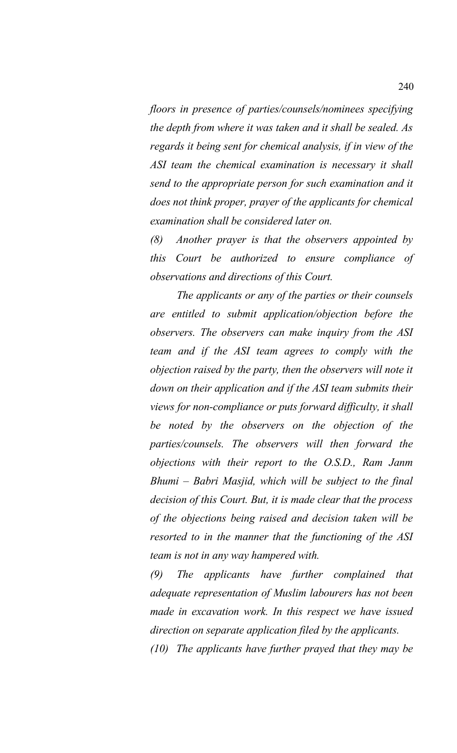*floors in presence of parties/counsels/nominees specifying the depth from where it was taken and it shall be sealed. As regards it being sent for chemical analysis, if in view of the ASI team the chemical examination is necessary it shall send to the appropriate person for such examination and it does not think proper, prayer of the applicants for chemical examination shall be considered later on.* 

*(8) Another prayer is that the observers appointed by this Court be authorized to ensure compliance of observations and directions of this Court.* 

*The applicants or any of the parties or their counsels are entitled to submit application/objection before the observers. The observers can make inquiry from the ASI team and if the ASI team agrees to comply with the objection raised by the party, then the observers will note it down on their application and if the ASI team submits their views for non-compliance or puts forward difficulty, it shall be noted by the observers on the objection of the parties/counsels. The observers will then forward the objections with their report to the O.S.D., Ram Janm Bhumi – Babri Masjid, which will be subject to the final decision of this Court. But, it is made clear that the process of the objections being raised and decision taken will be resorted to in the manner that the functioning of the ASI team is not in any way hampered with.* 

*(9) The applicants have further complained that adequate representation of Muslim labourers has not been made in excavation work. In this respect we have issued direction on separate application filed by the applicants.* 

*(10) The applicants have further prayed that they may be*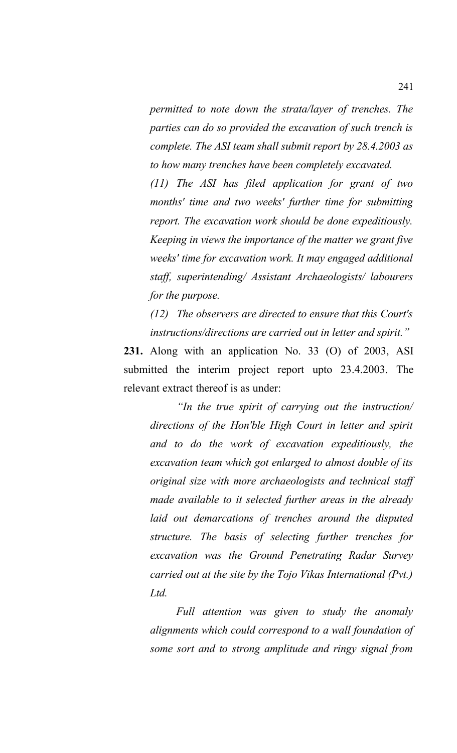*permitted to note down the strata/layer of trenches. The parties can do so provided the excavation of such trench is complete. The ASI team shall submit report by 28.4.2003 as to how many trenches have been completely excavated.* 

*(11) The ASI has filed application for grant of two months' time and two weeks' further time for submitting report. The excavation work should be done expeditiously. Keeping in views the importance of the matter we grant five weeks' time for excavation work. It may engaged additional staff, superintending/ Assistant Archaeologists/ labourers for the purpose.* 

*(12) The observers are directed to ensure that this Court's instructions/directions are carried out in letter and spirit."*

**231.** Along with an application No. 33 (O) of 2003, ASI submitted the interim project report upto 23.4.2003. The relevant extract thereof is as under:

*"In the true spirit of carrying out the instruction/ directions of the Hon'ble High Court in letter and spirit and to do the work of excavation expeditiously, the excavation team which got enlarged to almost double of its original size with more archaeologists and technical staff made available to it selected further areas in the already laid out demarcations of trenches around the disputed structure. The basis of selecting further trenches for excavation was the Ground Penetrating Radar Survey carried out at the site by the Tojo Vikas International (Pvt.) Ltd.*

*Full attention was given to study the anomaly alignments which could correspond to a wall foundation of some sort and to strong amplitude and ringy signal from*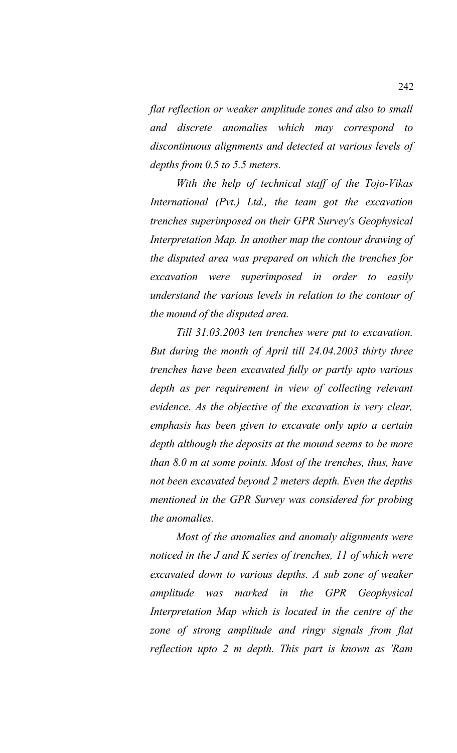*flat reflection or weaker amplitude zones and also to small and discrete anomalies which may correspond to discontinuous alignments and detected at various levels of depths from 0.5 to 5.5 meters.*

*With the help of technical staff of the Tojo-Vikas International (Pvt.) Ltd., the team got the excavation trenches superimposed on their GPR Survey's Geophysical Interpretation Map. In another map the contour drawing of the disputed area was prepared on which the trenches for excavation were superimposed in order to easily understand the various levels in relation to the contour of the mound of the disputed area.* 

*Till 31.03.2003 ten trenches were put to excavation. But during the month of April till 24.04.2003 thirty three trenches have been excavated fully or partly upto various depth as per requirement in view of collecting relevant evidence. As the objective of the excavation is very clear, emphasis has been given to excavate only upto a certain depth although the deposits at the mound seems to be more than 8.0 m at some points. Most of the trenches, thus, have not been excavated beyond 2 meters depth. Even the depths mentioned in the GPR Survey was considered for probing the anomalies.* 

*Most of the anomalies and anomaly alignments were noticed in the J and K series of trenches, 11 of which were excavated down to various depths. A sub zone of weaker amplitude was marked in the GPR Geophysical Interpretation Map which is located in the centre of the zone of strong amplitude and ringy signals from flat reflection upto 2 m depth. This part is known as 'Ram*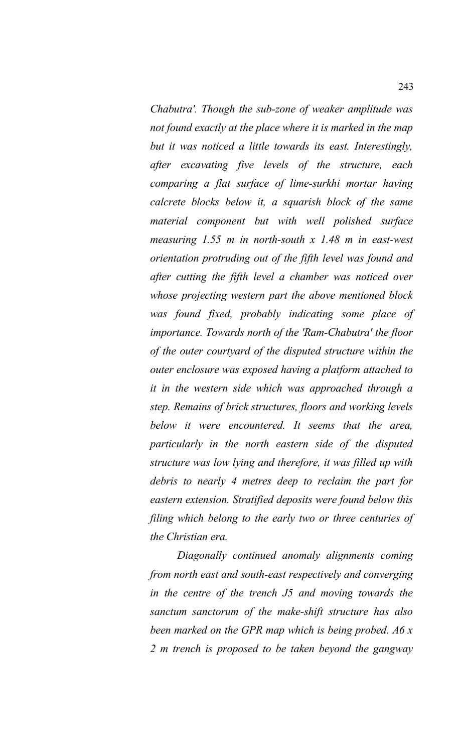*Chabutra'. Though the sub-zone of weaker amplitude was not found exactly at the place where it is marked in the map but it was noticed a little towards its east. Interestingly, after excavating five levels of the structure, each comparing a flat surface of lime-surkhi mortar having calcrete blocks below it, a squarish block of the same material component but with well polished surface measuring 1.55 m in north-south x 1.48 m in east-west orientation protruding out of the fifth level was found and after cutting the fifth level a chamber was noticed over whose projecting western part the above mentioned block was found fixed, probably indicating some place of importance. Towards north of the 'Ram-Chabutra' the floor of the outer courtyard of the disputed structure within the outer enclosure was exposed having a platform attached to it in the western side which was approached through a step. Remains of brick structures, floors and working levels below it were encountered. It seems that the area, particularly in the north eastern side of the disputed structure was low lying and therefore, it was filled up with debris to nearly 4 metres deep to reclaim the part for eastern extension. Stratified deposits were found below this filing which belong to the early two or three centuries of the Christian era.* 

*Diagonally continued anomaly alignments coming from north east and south-east respectively and converging in the centre of the trench J5 and moving towards the sanctum sanctorum of the make-shift structure has also been marked on the GPR map which is being probed. A6 x 2 m trench is proposed to be taken beyond the gangway*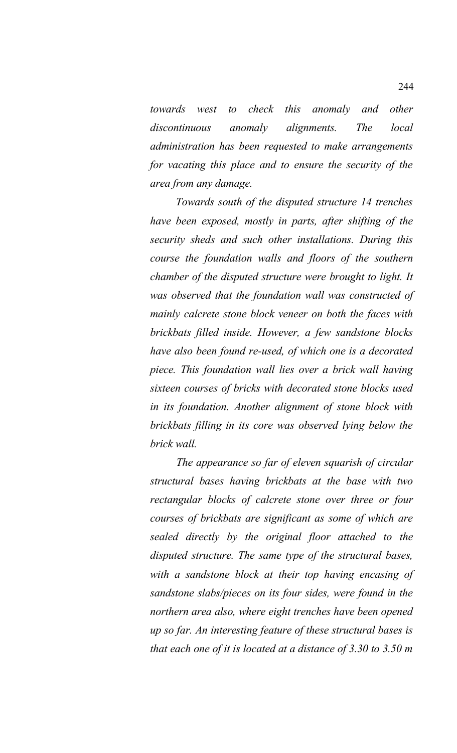*towards west to check this anomaly and other discontinuous anomaly alignments. The local administration has been requested to make arrangements for vacating this place and to ensure the security of the area from any damage.* 

*Towards south of the disputed structure 14 trenches have been exposed, mostly in parts, after shifting of the security sheds and such other installations. During this course the foundation walls and floors of the southern chamber of the disputed structure were brought to light. It was observed that the foundation wall was constructed of mainly calcrete stone block veneer on both the faces with brickbats filled inside. However, a few sandstone blocks have also been found re-used, of which one is a decorated piece. This foundation wall lies over a brick wall having sixteen courses of bricks with decorated stone blocks used in its foundation. Another alignment of stone block with brickbats filling in its core was observed lying below the brick wall.*

*The appearance so far of eleven squarish of circular structural bases having brickbats at the base with two rectangular blocks of calcrete stone over three or four courses of brickbats are significant as some of which are sealed directly by the original floor attached to the disputed structure. The same type of the structural bases, with a sandstone block at their top having encasing of sandstone slabs/pieces on its four sides, were found in the northern area also, where eight trenches have been opened up so far. An interesting feature of these structural bases is that each one of it is located at a distance of 3.30 to 3.50 m*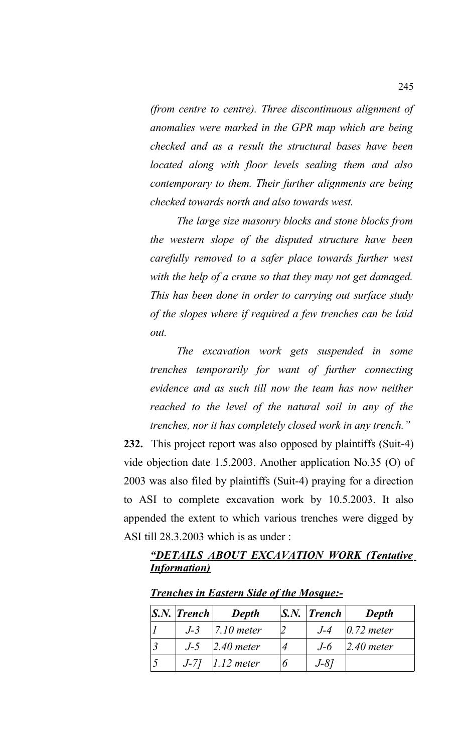*(from centre to centre). Three discontinuous alignment of anomalies were marked in the GPR map which are being checked and as a result the structural bases have been located along with floor levels sealing them and also contemporary to them. Their further alignments are being checked towards north and also towards west.* 

*The large size masonry blocks and stone blocks from the western slope of the disputed structure have been carefully removed to a safer place towards further west with the help of a crane so that they may not get damaged. This has been done in order to carrying out surface study of the slopes where if required a few trenches can be laid out.* 

*The excavation work gets suspended in some trenches temporarily for want of further connecting evidence and as such till now the team has now neither reached to the level of the natural soil in any of the trenches, nor it has completely closed work in any trench."*

**232.** This project report was also opposed by plaintiffs (Suit-4) vide objection date 1.5.2003. Another application No.35 (O) of 2003 was also filed by plaintiffs (Suit-4) praying for a direction to ASI to complete excavation work by 10.5.2003. It also appended the extent to which various trenches were digged by ASI till 28.3.2003 which is as under :

## *"DETAILS ABOUT EXCAVATION WORK (Tentative Information)*

| $ S_{N} $ Trench | <b>Depth</b>         | $ S_{N} $ Trench | <b>Depth</b>     |
|------------------|----------------------|------------------|------------------|
|                  | $J-3$   7.10 meter   | $J-4$            | $0.72$ meter     |
|                  | $J-5$ 2.40 meter     |                  | $J-6$ 2.40 meter |
|                  | $J-7$ ] $1.12$ meter | $J-8l$           |                  |

*Trenches in Eastern Side of the Mosque:-*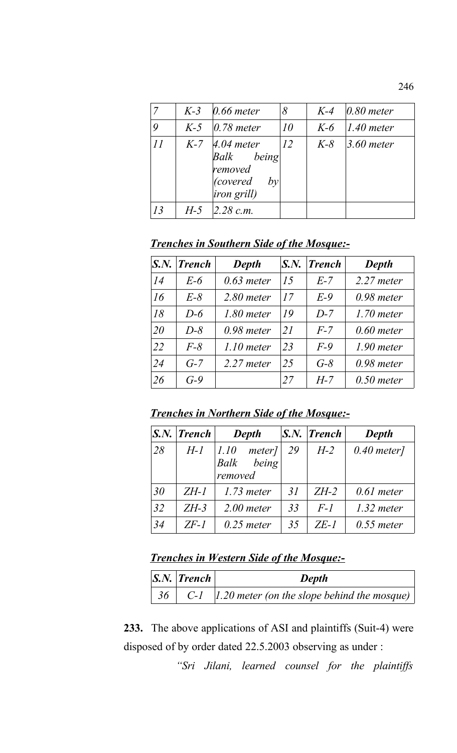|    |       | $K-3$ 0.66 meter                                                                              | 8         |       | $K-4$ 0.80 meter  |
|----|-------|-----------------------------------------------------------------------------------------------|-----------|-------|-------------------|
|    |       | $K-5$ 0.78 meter                                                                              | 10        | $K-6$ | $1.40$ meter      |
| 11 |       | $K-7$ 4.04 meter<br>Balk being<br>removed<br>covered)<br>$by^{\dagger}$<br><i>iron grill)</i> | <i>12</i> | $K-8$ | $\beta$ .60 meter |
| 13 | $H-5$ | $2.28$ c.m.                                                                                   |           |       |                   |

# *Trenches in Southern Side of the Mosque:-*

|    | $S.N.$ Trench | <b>Depth</b> | $S_{\cdot}N_{\cdot}$ | <b>Trench</b> | <b>Depth</b> |
|----|---------------|--------------|----------------------|---------------|--------------|
| 14 | $E-6$         | $0.63$ meter | 15                   | $E-7$         | $2.27$ meter |
| 16 | $E-8$         | $2.80$ meter | 17                   | $E-9$         | $0.98$ meter |
| 18 | $D-6$         | $1.80$ meter | 19                   | $D-7$         | $1.70$ meter |
| 20 | $D-8$         | $0.98$ meter | 21                   | $F-7$         | $0.60$ meter |
| 22 | $F-8$         | $1.10$ meter | 23                   | $F-9$         | $1.90$ meter |
| 24 | $G-7$         | $2.27$ meter | 25                   | $G-8$         | $0.98$ meter |
| 26 | $G-9$         |              | 27                   | $H-7$         | $0.50$ meter |

*Trenches in Northern Side of the Mosque:-*

|    | $ S_{\cdot}N_{\cdot} $ Trench | Depth                                                |    | $ S_N $ Trench | Depth         |
|----|-------------------------------|------------------------------------------------------|----|----------------|---------------|
| 28 | $H - I$                       | $ 1.10\rangle$<br>meter]<br>being<br>Balk<br>removed | 29 | $H-2$          | $0.40$ meter] |
| 30 | $ZH-1$                        | $1.73$ meter                                         | 31 | $ZH-2$         | $0.61$ meter  |
| 32 | $ZH-3$                        | $2.00$ meter                                         | 33 | $F-1$          | $1.32$ meter  |
| 34 | $ZF-1$                        | $0.25$ meter                                         | 35 | ZE-1           | $0.55$ meter  |

# *Trenches in Western Side of the Mosque:-*

| S.N.   Trench | Depth                                                                      |
|---------------|----------------------------------------------------------------------------|
|               | $\vert$ 36 $\vert$ C-1 $\vert$ 1.20 meter (on the slope behind the mosque) |

**233.** The above applications of ASI and plaintiffs (Suit-4) were disposed of by order dated 22.5.2003 observing as under :

*"Sri Jilani, learned counsel for the plaintiffs*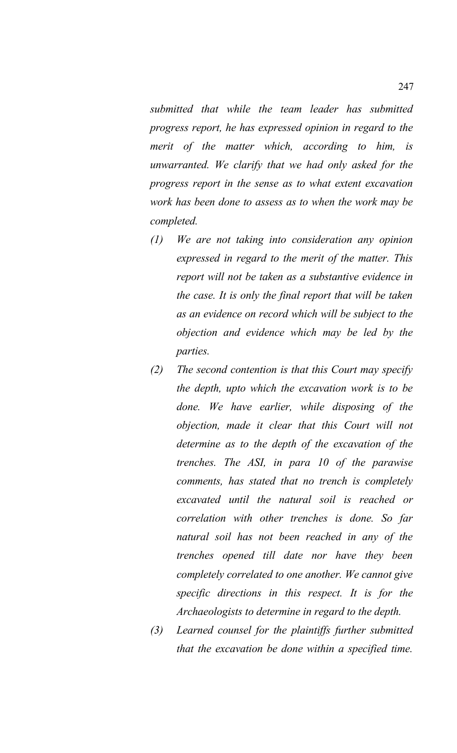*submitted that while the team leader has submitted progress report, he has expressed opinion in regard to the merit of the matter which, according to him, is unwarranted. We clarify that we had only asked for the progress report in the sense as to what extent excavation work has been done to assess as to when the work may be completed.* 

- *(1) We are not taking into consideration any opinion expressed in regard to the merit of the matter. This report will not be taken as a substantive evidence in the case. It is only the final report that will be taken as an evidence on record which will be subject to the objection and evidence which may be led by the parties.*
- *(2) The second contention is that this Court may specify the depth, upto which the excavation work is to be done. We have earlier, while disposing of the objection, made it clear that this Court will not determine as to the depth of the excavation of the trenches. The ASI, in para 10 of the parawise comments, has stated that no trench is completely excavated until the natural soil is reached or correlation with other trenches is done. So far natural soil has not been reached in any of the trenches opened till date nor have they been completely correlated to one another. We cannot give specific directions in this respect. It is for the Archaeologists to determine in regard to the depth.*
- *(3) Learned counsel for the plaintiffs further submitted that the excavation be done within a specified time.*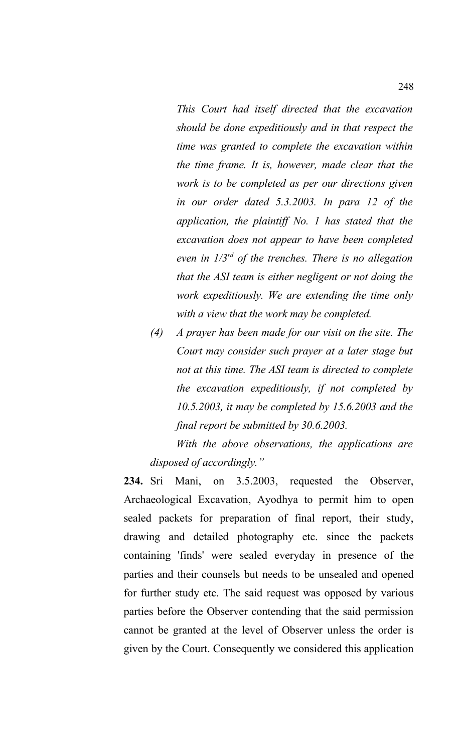- *This Court had itself directed that the excavation should be done expeditiously and in that respect the time was granted to complete the excavation within the time frame. It is, however, made clear that the work is to be completed as per our directions given in our order dated 5.3.2003. In para 12 of the application, the plaintiff No. 1 has stated that the excavation does not appear to have been completed even in 1/3rd of the trenches. There is no allegation that the ASI team is either negligent or not doing the work expeditiously. We are extending the time only with a view that the work may be completed.*
- *(4) A prayer has been made for our visit on the site. The Court may consider such prayer at a later stage but not at this time. The ASI team is directed to complete the excavation expeditiously, if not completed by 10.5.2003, it may be completed by 15.6.2003 and the final report be submitted by 30.6.2003.*

*With the above observations, the applications are disposed of accordingly."*

**234.** Sri Mani, on 3.5.2003, requested the Observer, Archaeological Excavation, Ayodhya to permit him to open sealed packets for preparation of final report, their study, drawing and detailed photography etc. since the packets containing 'finds' were sealed everyday in presence of the parties and their counsels but needs to be unsealed and opened for further study etc. The said request was opposed by various parties before the Observer contending that the said permission cannot be granted at the level of Observer unless the order is given by the Court. Consequently we considered this application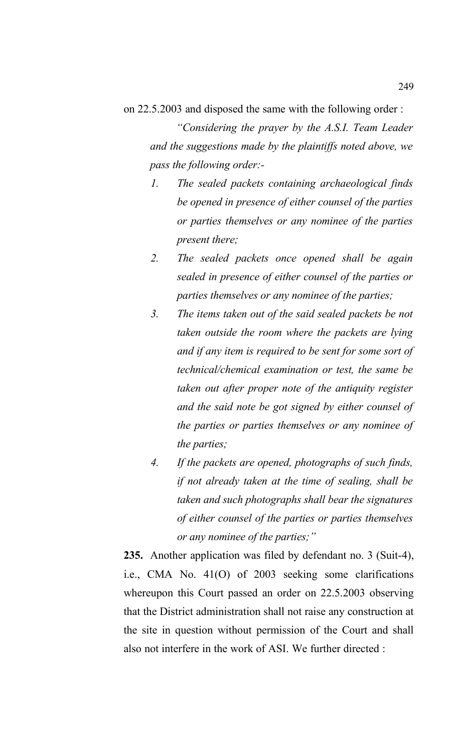on 22.5.2003 and disposed the same with the following order :

*"Considering the prayer by the A.S.I. Team Leader and the suggestions made by the plaintiffs noted above, we pass the following order:-*

- *1. The sealed packets containing archaeological finds be opened in presence of either counsel of the parties or parties themselves or any nominee of the parties present there;*
- *2. The sealed packets once opened shall be again sealed in presence of either counsel of the parties or parties themselves or any nominee of the parties;*
- *3. The items taken out of the said sealed packets be not taken outside the room where the packets are lying and if any item is required to be sent for some sort of technical/chemical examination or test, the same be taken out after proper note of the antiquity register and the said note be got signed by either counsel of the parties or parties themselves or any nominee of the parties;*
- *4. If the packets are opened, photographs of such finds, if not already taken at the time of sealing, shall be taken and such photographs shall bear the signatures of either counsel of the parties or parties themselves or any nominee of the parties;"*

**235.** Another application was filed by defendant no. 3 (Suit-4), i.e., CMA No. 41(O) of 2003 seeking some clarifications whereupon this Court passed an order on 22.5.2003 observing that the District administration shall not raise any construction at the site in question without permission of the Court and shall also not interfere in the work of ASI. We further directed :